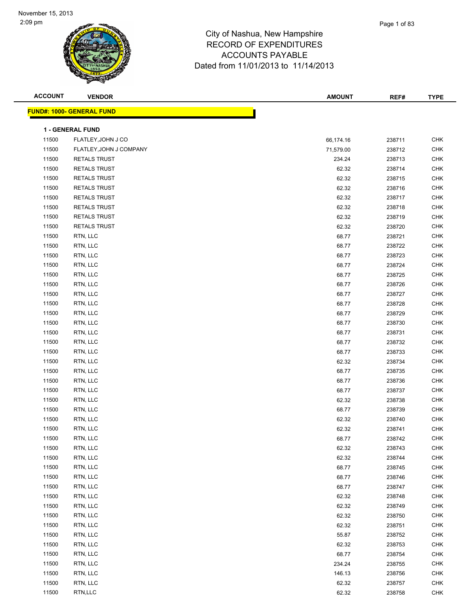| <b>ACCOUNT</b> | <b>VENDOR</b>                    | <b>AMOUNT</b> | REF#   | <b>TYPE</b> |
|----------------|----------------------------------|---------------|--------|-------------|
|                | <b>FUND#: 1000- GENERAL FUND</b> |               |        |             |
|                |                                  |               |        |             |
|                | 1 - GENERAL FUND                 |               |        |             |
| 11500          | FLATLEY, JOHN J CO               | 66,174.16     | 238711 | <b>CHK</b>  |
| 11500          | FLATLEY, JOHN J COMPANY          | 71,579.00     | 238712 | <b>CHK</b>  |
| 11500          | RETALS TRUST                     | 234.24        | 238713 | <b>CHK</b>  |
| 11500          | <b>RETALS TRUST</b>              | 62.32         | 238714 | <b>CHK</b>  |
| 11500          | RETALS TRUST                     | 62.32         | 238715 | <b>CHK</b>  |
| 11500          | RETALS TRUST                     | 62.32         | 238716 | <b>CHK</b>  |
| 11500          | RETALS TRUST                     | 62.32         | 238717 | <b>CHK</b>  |
| 11500          | RETALS TRUST                     | 62.32         | 238718 | <b>CHK</b>  |
| 11500          | <b>RETALS TRUST</b>              | 62.32         | 238719 | <b>CHK</b>  |
| 11500          | <b>RETALS TRUST</b>              | 62.32         | 238720 | <b>CHK</b>  |
| 11500          | RTN, LLC                         | 68.77         | 238721 | <b>CHK</b>  |
| 11500          | RTN, LLC                         | 68.77         | 238722 | <b>CHK</b>  |
| 11500          | RTN, LLC                         | 68.77         | 238723 | <b>CHK</b>  |
| 11500          | RTN, LLC                         | 68.77         | 238724 | <b>CHK</b>  |
| 11500          | RTN, LLC                         | 68.77         | 238725 | <b>CHK</b>  |
| 11500          | RTN, LLC                         | 68.77         | 238726 | <b>CHK</b>  |
| 11500          | RTN, LLC                         | 68.77         | 238727 | <b>CHK</b>  |
| 11500          | RTN, LLC                         | 68.77         | 238728 | <b>CHK</b>  |
| 11500          | RTN, LLC                         | 68.77         | 238729 | <b>CHK</b>  |
| 11500          | RTN, LLC                         | 68.77         | 238730 | <b>CHK</b>  |
| 11500          | RTN, LLC                         | 68.77         | 238731 | <b>CHK</b>  |
| 11500          | RTN, LLC                         | 68.77         | 238732 | <b>CHK</b>  |
| 11500          | RTN, LLC                         | 68.77         | 238733 | <b>CHK</b>  |
| 11500          | RTN, LLC                         | 62.32         | 238734 | <b>CHK</b>  |
| 11500          | RTN, LLC                         | 68.77         | 238735 | <b>CHK</b>  |
| 11500          | RTN, LLC                         | 68.77         | 238736 | <b>CHK</b>  |
| 11500          | RTN, LLC                         | 68.77         | 238737 | <b>CHK</b>  |
| 11500          | RTN, LLC                         | 62.32         | 238738 | <b>CHK</b>  |
| 11500          | RTN, LLC                         | 68.77         | 238739 | CHK         |
| 11500          | RTN, LLC                         | 62.32         | 238740 | <b>CHK</b>  |
| 11500          | RTN, LLC                         | 62.32         | 238741 | <b>CHK</b>  |
| 11500          | RTN, LLC                         | 68.77         | 238742 | CHK         |
| 11500          | RTN, LLC                         | 62.32         | 238743 | <b>CHK</b>  |
| 11500          | RTN, LLC                         | 62.32         | 238744 | <b>CHK</b>  |
| 11500          | RTN, LLC                         | 68.77         | 238745 | <b>CHK</b>  |
| 11500          | RTN, LLC                         | 68.77         | 238746 | <b>CHK</b>  |
| 11500          | RTN, LLC                         | 68.77         | 238747 | <b>CHK</b>  |
| 11500          | RTN, LLC                         | 62.32         | 238748 | <b>CHK</b>  |
| 11500          | RTN, LLC                         | 62.32         | 238749 | <b>CHK</b>  |
| 11500          | RTN, LLC                         | 62.32         | 238750 | <b>CHK</b>  |
| 11500          | RTN, LLC                         | 62.32         | 238751 | <b>CHK</b>  |
| 11500          | RTN, LLC                         | 55.87         | 238752 | <b>CHK</b>  |
| 11500          | RTN, LLC                         | 62.32         | 238753 | <b>CHK</b>  |
| 11500          | RTN, LLC                         | 68.77         | 238754 | <b>CHK</b>  |
| 11500          | RTN, LLC                         | 234.24        | 238755 | <b>CHK</b>  |
| 11500          | RTN, LLC                         | 146.13        | 238756 | <b>CHK</b>  |
| 11500          | RTN, LLC                         | 62.32         | 238757 | <b>CHK</b>  |
| 11500          | RTN,LLC                          | 62.32         | 238758 | <b>CHK</b>  |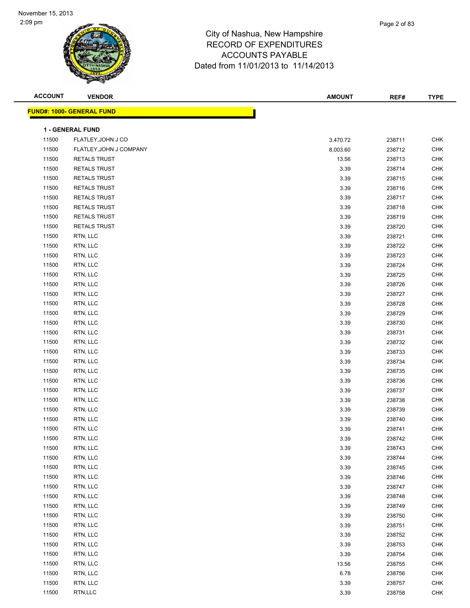| <b>ACCOUNT</b> | <b>VENDOR</b>                    | <b>AMOUNT</b> | REF#   | <b>TYPE</b> |
|----------------|----------------------------------|---------------|--------|-------------|
|                | <b>FUND#: 1000- GENERAL FUND</b> |               |        |             |
|                |                                  |               |        |             |
|                | 1 - GENERAL FUND                 |               |        |             |
| 11500          | FLATLEY, JOHN J CO               | 3,470.72      | 238711 | <b>CHK</b>  |
| 11500          | FLATLEY, JOHN J COMPANY          | 8,003.60      | 238712 | <b>CHK</b>  |
| 11500          | <b>RETALS TRUST</b>              | 13.56         | 238713 | <b>CHK</b>  |
| 11500          | <b>RETALS TRUST</b>              | 3.39          | 238714 | <b>CHK</b>  |
| 11500          | RETALS TRUST                     | 3.39          | 238715 | <b>CHK</b>  |
| 11500          | <b>RETALS TRUST</b>              | 3.39          | 238716 | <b>CHK</b>  |
| 11500          | RETALS TRUST                     | 3.39          | 238717 | <b>CHK</b>  |
| 11500          | RETALS TRUST                     | 3.39          | 238718 | <b>CHK</b>  |
| 11500          | RETALS TRUST                     | 3.39          | 238719 | <b>CHK</b>  |
| 11500          | RETALS TRUST                     | 3.39          | 238720 | <b>CHK</b>  |
| 11500          | RTN, LLC                         | 3.39          | 238721 | <b>CHK</b>  |
| 11500          | RTN, LLC                         | 3.39          | 238722 | <b>CHK</b>  |
| 11500          | RTN, LLC                         | 3.39          | 238723 | <b>CHK</b>  |
| 11500          | RTN, LLC                         | 3.39          | 238724 | <b>CHK</b>  |
| 11500          | RTN, LLC                         | 3.39          | 238725 | <b>CHK</b>  |
| 11500          | RTN, LLC                         | 3.39          | 238726 | <b>CHK</b>  |
| 11500          | RTN, LLC                         | 3.39          | 238727 | <b>CHK</b>  |
| 11500          | RTN, LLC                         | 3.39          | 238728 | <b>CHK</b>  |
| 11500          | RTN, LLC                         | 3.39          | 238729 | <b>CHK</b>  |
| 11500          | RTN, LLC                         | 3.39          | 238730 | <b>CHK</b>  |
| 11500          | RTN, LLC                         | 3.39          | 238731 | <b>CHK</b>  |
| 11500          | RTN, LLC                         | 3.39          | 238732 | <b>CHK</b>  |
| 11500          | RTN, LLC                         | 3.39          | 238733 | <b>CHK</b>  |
| 11500          | RTN, LLC                         | 3.39          | 238734 | <b>CHK</b>  |
| 11500          | RTN, LLC                         | 3.39          | 238735 | <b>CHK</b>  |
| 11500          | RTN, LLC                         | 3.39          | 238736 | <b>CHK</b>  |
| 11500          | RTN, LLC                         | 3.39          | 238737 | <b>CHK</b>  |
| 11500          | RTN, LLC                         | 3.39          | 238738 | <b>CHK</b>  |
| 11500          | RTN, LLC                         | 3.39          | 238739 | <b>CHK</b>  |
| 11500          | RTN, LLC                         | 3.39          | 238740 | <b>CHK</b>  |
| 11500          | RTN, LLC                         | 3.39          | 238741 | <b>CHK</b>  |
| 11500          | RTN, LLC                         | 3.39          | 238742 | CHK         |
| 11500          | RTN, LLC                         | 3.39          | 238743 | <b>CHK</b>  |
| 11500          | RTN, LLC                         | 3.39          | 238744 | <b>CHK</b>  |
| 11500          | RTN, LLC                         | 3.39          | 238745 | <b>CHK</b>  |
| 11500          | RTN, LLC                         | 3.39          | 238746 | <b>CHK</b>  |
| 11500          | RTN, LLC                         | 3.39          | 238747 | <b>CHK</b>  |
| 11500          | RTN, LLC                         | 3.39          | 238748 | <b>CHK</b>  |
| 11500          | RTN, LLC                         | 3.39          | 238749 | <b>CHK</b>  |
| 11500          | RTN, LLC                         | 3.39          | 238750 | <b>CHK</b>  |
| 11500          | RTN, LLC                         | 3.39          | 238751 | <b>CHK</b>  |
| 11500          | RTN, LLC                         | 3.39          | 238752 | <b>CHK</b>  |
| 11500          | RTN, LLC                         | 3.39          | 238753 | <b>CHK</b>  |
| 11500          | RTN, LLC                         | 3.39          | 238754 | CHK         |
| 11500          | RTN, LLC                         | 13.56         | 238755 | <b>CHK</b>  |
| 11500          | RTN, LLC                         | 6.78          | 238756 | <b>CHK</b>  |
| 11500          | RTN, LLC                         | 3.39          | 238757 | <b>CHK</b>  |
| 11500          | RTN,LLC                          | 3.39          | 238758 | <b>CHK</b>  |
|                |                                  |               |        |             |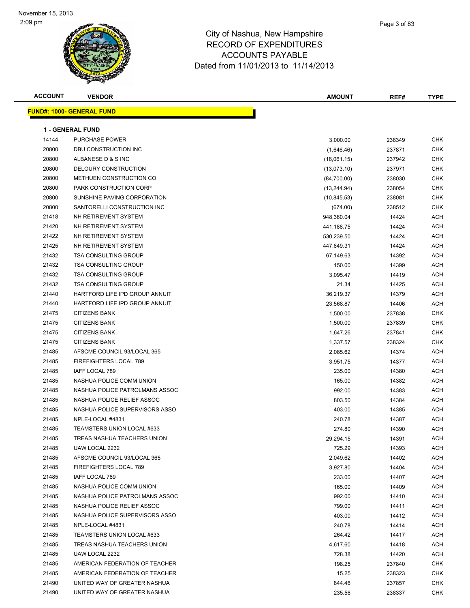

|   | Page 3 of 83 |
|---|--------------|
| е |              |
| ╮ |              |

| <b>ACCOUNT</b> | <b>VENDOR</b>                     | <b>AMOUNT</b> | REF#   | <b>TYPE</b> |
|----------------|-----------------------------------|---------------|--------|-------------|
|                | <u> FUND#: 1000- GENERAL FUND</u> |               |        |             |
|                |                                   |               |        |             |
|                | <b>1 - GENERAL FUND</b>           |               |        |             |
| 14144          | <b>PURCHASE POWER</b>             | 3,000.00      | 238349 | CHK         |
| 20800          | DBU CONSTRUCTION INC              | (1,646.46)    | 237871 | <b>CHK</b>  |
| 20800          | ALBANESE D & S INC                | (18,061.15)   | 237942 | CHK         |
| 20800          | DELOURY CONSTRUCTION              | (13,073.10)   | 237971 | <b>CHK</b>  |
| 20800          | METHUEN CONSTRUCTION CO           | (84,700.00)   | 238030 | <b>CHK</b>  |
| 20800          | PARK CONSTRUCTION CORP            | (13, 244.94)  | 238054 | CHK         |
| 20800          | SUNSHINE PAVING CORPORATION       | (10, 845.53)  | 238081 | CHK         |
| 20800          | SANTORELLI CONSTRUCTION INC       | (674.00)      | 238512 | <b>CHK</b>  |
| 21418          | NH RETIREMENT SYSTEM              | 948,360.04    | 14424  | <b>ACH</b>  |
| 21420          | NH RETIREMENT SYSTEM              | 441,188.75    | 14424  | <b>ACH</b>  |
| 21422          | NH RETIREMENT SYSTEM              | 530,239.50    | 14424  | ACH         |
| 21425          | NH RETIREMENT SYSTEM              | 447,649.31    | 14424  | ACH         |
| 21432          | <b>TSA CONSULTING GROUP</b>       | 67,149.63     | 14392  | ACH         |
| 21432          | <b>TSA CONSULTING GROUP</b>       | 150.00        | 14399  | ACH         |
| 21432          | <b>TSA CONSULTING GROUP</b>       | 3,095.47      | 14419  | ACH         |
| 21432          | <b>TSA CONSULTING GROUP</b>       | 21.34         | 14425  | ACH         |
| 21440          | HARTFORD LIFE IPD GROUP ANNUIT    | 36,219.37     | 14379  | ACH         |
| 21440          | HARTFORD LIFE IPD GROUP ANNUIT    | 23,568.87     | 14406  | ACH         |
| 21475          | <b>CITIZENS BANK</b>              | 1,500.00      | 237838 | <b>CHK</b>  |
| 21475          | <b>CITIZENS BANK</b>              | 1,500.00      | 237839 | <b>CHK</b>  |
| 21475          | <b>CITIZENS BANK</b>              | 1,647.26      | 237841 | <b>CHK</b>  |
| 21475          | <b>CITIZENS BANK</b>              | 1,337.57      | 238324 | <b>CHK</b>  |
| 21485          | AFSCME COUNCIL 93/LOCAL 365       | 2,085.62      | 14374  | ACH         |
| 21485          | FIREFIGHTERS LOCAL 789            | 3,951.75      | 14377  | ACH         |
| 21485          | IAFF LOCAL 789                    | 235.00        | 14380  | ACH         |
| 21485          | NASHUA POLICE COMM UNION          | 165.00        | 14382  | ACH         |
| 21485          | NASHUA POLICE PATROLMANS ASSOC    | 992.00        | 14383  | ACH         |
| 21485          | NASHUA POLICE RELIEF ASSOC        | 803.50        | 14384  | ACH         |
| 21485          | NASHUA POLICE SUPERVISORS ASSO    | 403.00        | 14385  | ACH         |
| 21485          | NPLE-LOCAL #4831                  | 240.78        | 14387  | ACH         |
| 21485          | TEAMSTERS UNION LOCAL #633        | 274.80        | 14390  | <b>ACH</b>  |
| 21485          | TREAS NASHUA TEACHERS UNION       | 29,294.15     | 14391  | ACH         |
| 21485          | UAW LOCAL 2232                    | 725.29        | 14393  | ACH         |
| 21485          | AFSCME COUNCIL 93/LOCAL 365       | 2,049.62      | 14402  | ACH         |
| 21485          | FIREFIGHTERS LOCAL 789            | 3,927.80      | 14404  | ACH         |
| 21485          | IAFF LOCAL 789                    | 233.00        | 14407  | ACH         |
| 21485          | NASHUA POLICE COMM UNION          | 165.00        | 14409  | ACH         |
| 21485          | NASHUA POLICE PATROLMANS ASSOC    | 992.00        | 14410  | ACH         |
| 21485          | NASHUA POLICE RELIEF ASSOC        | 799.00        | 14411  | ACH         |
| 21485          | NASHUA POLICE SUPERVISORS ASSO    | 403.00        | 14412  | ACH         |
| 21485          | NPLE-LOCAL #4831                  | 240.78        | 14414  | ACH         |
| 21485          | TEAMSTERS UNION LOCAL #633        | 264.42        | 14417  | ACH         |
| 21485          | TREAS NASHUA TEACHERS UNION       | 4,617.60      | 14418  | ACH         |
| 21485          | UAW LOCAL 2232                    | 728.38        | 14420  | ACH         |
| 21485          | AMERICAN FEDERATION OF TEACHER    | 198.25        | 237840 | <b>CHK</b>  |
| 21485          | AMERICAN FEDERATION OF TEACHER    | 15.25         | 238323 | CHK         |
| 21490          | UNITED WAY OF GREATER NASHUA      | 844.46        | 237857 | CHK         |
| 21490          | UNITED WAY OF GREATER NASHUA      | 235.56        | 238337 | <b>CHK</b>  |
|                |                                   |               |        |             |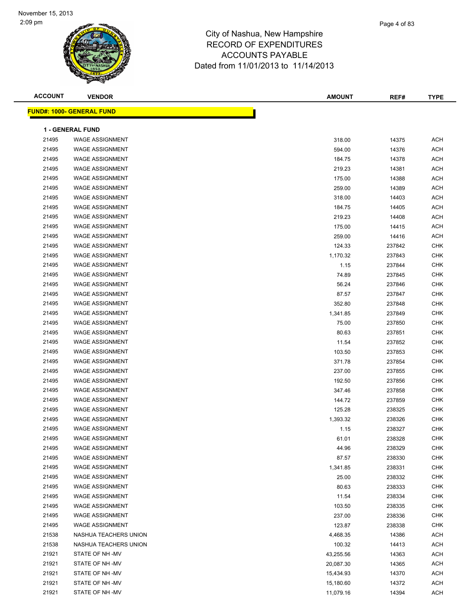| <b>ACCOUNT</b> | <b>VENDOR</b>                    | <b>AMOUNT</b> | REF#   | <b>TYPE</b> |
|----------------|----------------------------------|---------------|--------|-------------|
|                | <b>FUND#: 1000- GENERAL FUND</b> |               |        |             |
|                |                                  |               |        |             |
|                | <b>1 - GENERAL FUND</b>          |               |        |             |
| 21495          | <b>WAGE ASSIGNMENT</b>           | 318.00        | 14375  | <b>ACH</b>  |
| 21495          | <b>WAGE ASSIGNMENT</b>           | 594.00        | 14376  | <b>ACH</b>  |
| 21495          | <b>WAGE ASSIGNMENT</b>           | 184.75        | 14378  | <b>ACH</b>  |
| 21495          | <b>WAGE ASSIGNMENT</b>           | 219.23        | 14381  | <b>ACH</b>  |
| 21495          | <b>WAGE ASSIGNMENT</b>           | 175.00        | 14388  | <b>ACH</b>  |
| 21495          | <b>WAGE ASSIGNMENT</b>           | 259.00        | 14389  | <b>ACH</b>  |
| 21495          | <b>WAGE ASSIGNMENT</b>           | 318.00        | 14403  | <b>ACH</b>  |
| 21495          | <b>WAGE ASSIGNMENT</b>           | 184.75        | 14405  | <b>ACH</b>  |
| 21495          | <b>WAGE ASSIGNMENT</b>           | 219.23        | 14408  | <b>ACH</b>  |
| 21495          | <b>WAGE ASSIGNMENT</b>           | 175.00        | 14415  | <b>ACH</b>  |
| 21495          | <b>WAGE ASSIGNMENT</b>           | 259.00        | 14416  | <b>ACH</b>  |
| 21495          | <b>WAGE ASSIGNMENT</b>           | 124.33        | 237842 | CHK         |
| 21495          | <b>WAGE ASSIGNMENT</b>           | 1,170.32      | 237843 | CHK         |
| 21495          | <b>WAGE ASSIGNMENT</b>           | 1.15          | 237844 | CHK         |
| 21495          | <b>WAGE ASSIGNMENT</b>           | 74.89         | 237845 | CHK         |
| 21495          | <b>WAGE ASSIGNMENT</b>           | 56.24         | 237846 | CHK         |
| 21495          | <b>WAGE ASSIGNMENT</b>           | 87.57         | 237847 | CHK         |
| 21495          | <b>WAGE ASSIGNMENT</b>           | 352.80        | 237848 | CHK         |
| 21495          | <b>WAGE ASSIGNMENT</b>           | 1,341.85      | 237849 | CHK         |
| 21495          | <b>WAGE ASSIGNMENT</b>           | 75.00         | 237850 | <b>CHK</b>  |
| 21495          | <b>WAGE ASSIGNMENT</b>           | 80.63         | 237851 | <b>CHK</b>  |
| 21495          | <b>WAGE ASSIGNMENT</b>           | 11.54         | 237852 | CHK         |
| 21495          | <b>WAGE ASSIGNMENT</b>           | 103.50        | 237853 | <b>CHK</b>  |
| 21495          | <b>WAGE ASSIGNMENT</b>           | 371.78        | 237854 | <b>CHK</b>  |
| 21495          | <b>WAGE ASSIGNMENT</b>           | 237.00        | 237855 | <b>CHK</b>  |
| 21495          | <b>WAGE ASSIGNMENT</b>           | 192.50        | 237856 | <b>CHK</b>  |
| 21495          | <b>WAGE ASSIGNMENT</b>           | 347.46        | 237858 | CHK         |
| 21495          | <b>WAGE ASSIGNMENT</b>           | 144.72        | 237859 | CHK         |
| 21495          | <b>WAGE ASSIGNMENT</b>           | 125.28        | 238325 | CHK         |
| 21495          | <b>WAGE ASSIGNMENT</b>           | 1,393.32      | 238326 | CHK         |
| 21495          | <b>WAGE ASSIGNMENT</b>           | 1.15          | 238327 | <b>CHK</b>  |
| 21495          | WAGE ASSIGNMENT                  | 61.01         | 238328 | <b>CHK</b>  |
| 21495          | <b>WAGE ASSIGNMENT</b>           | 44.96         | 238329 | <b>CHK</b>  |
| 21495          | <b>WAGE ASSIGNMENT</b>           | 87.57         | 238330 | <b>CHK</b>  |
| 21495          | <b>WAGE ASSIGNMENT</b>           | 1,341.85      | 238331 | <b>CHK</b>  |
| 21495          | <b>WAGE ASSIGNMENT</b>           | 25.00         | 238332 | CHK         |
| 21495          | <b>WAGE ASSIGNMENT</b>           | 80.63         | 238333 | CHK         |
| 21495          | <b>WAGE ASSIGNMENT</b>           | 11.54         | 238334 | CHK         |
| 21495          | <b>WAGE ASSIGNMENT</b>           | 103.50        | 238335 | CHK         |
| 21495          | <b>WAGE ASSIGNMENT</b>           | 237.00        | 238336 | CHK         |
| 21495          | <b>WAGE ASSIGNMENT</b>           | 123.87        | 238338 | CHK         |
| 21538          | NASHUA TEACHERS UNION            | 4,468.35      | 14386  | ACH         |
| 21538          | NASHUA TEACHERS UNION            | 100.32        | 14413  | <b>ACH</b>  |
| 21921          | STATE OF NH-MV                   | 43,255.56     | 14363  | <b>ACH</b>  |
| 21921          | STATE OF NH-MV                   | 20,087.30     | 14365  | <b>ACH</b>  |
| 21921          | STATE OF NH-MV                   | 15,434.93     | 14370  | <b>ACH</b>  |
| 21921          | STATE OF NH-MV                   | 15,180.60     | 14372  | ACH         |
| 21921          | STATE OF NH-MV                   | 11,079.16     | 14394  | <b>ACH</b>  |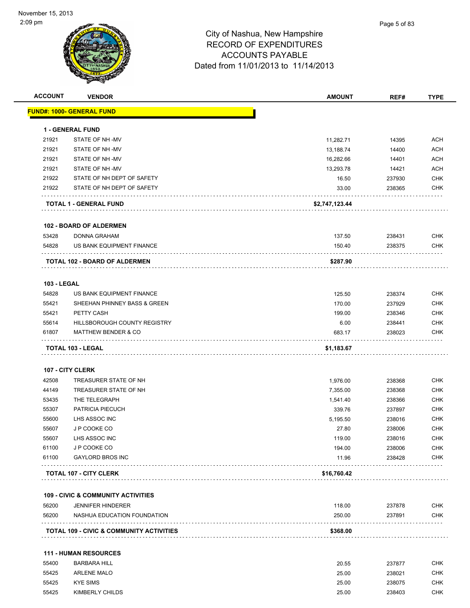

| <b>ACCOUNT</b>     | <b>VENDOR</b>                                           | <b>AMOUNT</b>      | REF#             | <b>TYPE</b>              |
|--------------------|---------------------------------------------------------|--------------------|------------------|--------------------------|
|                    | <u> FUND#: 1000- GENERAL FUND</u>                       |                    |                  |                          |
|                    | <b>1 - GENERAL FUND</b>                                 |                    |                  |                          |
| 21921              | STATE OF NH-MV                                          | 11,282.71          | 14395            | <b>ACH</b>               |
| 21921              | STATE OF NH-MV                                          | 13,188.74          | 14400            | <b>ACH</b>               |
| 21921              | STATE OF NH-MV                                          | 16,282.66          | 14401            | <b>ACH</b>               |
| 21921              | STATE OF NH-MV                                          | 13,293.78          | 14421            | <b>ACH</b>               |
| 21922              | STATE OF NH DEPT OF SAFETY                              | 16.50              | 237930           | <b>CHK</b>               |
| 21922              | STATE OF NH DEPT OF SAFETY                              | 33.00              | 238365           | <b>CHK</b>               |
|                    | <b>TOTAL 1 - GENERAL FUND</b>                           | \$2,747,123.44     |                  |                          |
|                    | 102 - BOARD OF ALDERMEN                                 |                    |                  |                          |
| 53428              | DONNA GRAHAM                                            | 137.50             | 238431           | <b>CHK</b>               |
| 54828              | US BANK EQUIPMENT FINANCE                               | 150.40             | 238375           | <b>CHK</b>               |
|                    | TOTAL 102 - BOARD OF ALDERMEN                           | \$287.90           |                  |                          |
| <b>103 - LEGAL</b> |                                                         |                    |                  |                          |
| 54828              | US BANK EQUIPMENT FINANCE                               | 125.50             | 238374           | <b>CHK</b>               |
| 55421              | SHEEHAN PHINNEY BASS & GREEN                            | 170.00             | 237929           | <b>CHK</b>               |
| 55421              | PETTY CASH                                              | 199.00             | 238346           | <b>CHK</b>               |
| 55614              | HILLSBOROUGH COUNTY REGISTRY                            | 6.00               | 238441           | <b>CHK</b>               |
| 61807              | <b>MATTHEW BENDER &amp; CO</b>                          | 683.17             | 238023           | CHK                      |
|                    | TOTAL 103 - LEGAL                                       | \$1,183.67         |                  |                          |
|                    |                                                         |                    |                  |                          |
|                    | 107 - CITY CLERK                                        |                    |                  |                          |
| 42508              | TREASURER STATE OF NH                                   | 1,976.00           | 238368           | <b>CHK</b>               |
| 44149<br>53435     | TREASURER STATE OF NH<br>THE TELEGRAPH                  | 7,355.00           | 238368           | <b>CHK</b>               |
| 55307              | PATRICIA PIECUCH                                        | 1,541.40           | 238366           | <b>CHK</b>               |
| 55600              | LHS ASSOC INC                                           | 339.76<br>5,195.50 | 237897<br>238016 | <b>CHK</b><br>CHK        |
| 55607              | J P COOKE CO                                            | 27.80              | 238006           | <b>CHK</b>               |
| 55607              | LHS ASSOC INC                                           | 119.00             | 238016           | <b>CHK</b>               |
| 61100              | J P COOKE CO                                            | 194.00             | 238006           | <b>CHK</b>               |
| 61100              | <b>GAYLORD BROS INC</b>                                 | 11.96              | 238428           | <b>CHK</b>               |
|                    | <b>TOTAL 107 - CITY CLERK</b>                           | \$16,760.42        |                  |                          |
|                    |                                                         |                    |                  |                          |
|                    | <b>109 - CIVIC &amp; COMMUNITY ACTIVITIES</b>           |                    |                  |                          |
| 56200<br>56200     | <b>JENNIFER HINDERER</b><br>NASHUA EDUCATION FOUNDATION | 118.00<br>250.00   | 237878<br>237891 | <b>CHK</b><br><b>CHK</b> |
|                    | .                                                       |                    | .                |                          |
|                    | TOTAL 109 - CIVIC & COMMUNITY ACTIVITIES                | \$368.00           |                  |                          |
|                    | <b>111 - HUMAN RESOURCES</b>                            |                    |                  |                          |
| 55400              | <b>BARBARA HILL</b>                                     | 20.55              | 237877           | <b>CHK</b>               |
| 55425              | <b>ARLENE MALO</b>                                      | 25.00              | 238021           | <b>CHK</b>               |

 55425 KYE SIMS 25.00 238075 CHK 55425 KIMBERLY CHILDS 25.00 238403 CHK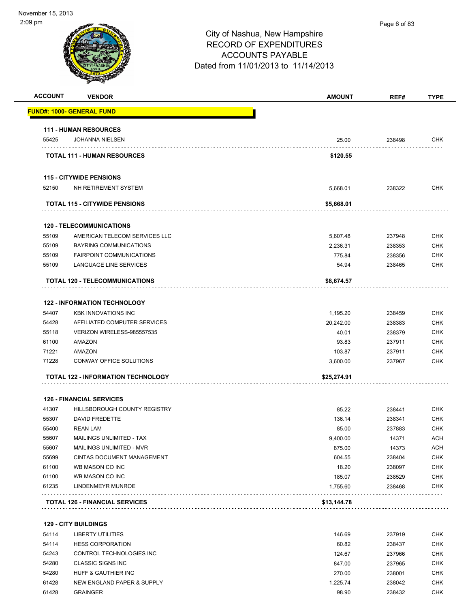-

| יייש פי        |                                           | City of Nashua, New Hampshire<br><b>RECORD OF EXPENDITURES</b><br><b>ACCOUNTS PAYABLE</b><br>Dated from 11/01/2013 to 11/14/2013 | Page 6 of 83 |             |
|----------------|-------------------------------------------|----------------------------------------------------------------------------------------------------------------------------------|--------------|-------------|
| <b>ACCOUNT</b> | <b>VENDOR</b>                             | <b>AMOUNT</b>                                                                                                                    | REF#         | <b>TYPE</b> |
|                | FUND#: 1000- GENERAL FUND                 |                                                                                                                                  |              |             |
|                | <b>111 - HUMAN RESOURCES</b>              |                                                                                                                                  |              |             |
| 55425          | <b>JOHANNA NIELSEN</b>                    | 25.00                                                                                                                            | 238498       | CHK         |
|                | <b>TOTAL 111 - HUMAN RESOURCES</b>        | \$120.55                                                                                                                         |              |             |
|                | <b>115 - CITYWIDE PENSIONS</b>            |                                                                                                                                  |              |             |
| 52150          | NH RETIREMENT SYSTEM                      | 5,668.01                                                                                                                         | 238322       | <b>CHK</b>  |
|                | <b>TOTAL 115 - CITYWIDE PENSIONS</b>      | \$5,668.01                                                                                                                       |              |             |
|                | <b>120 - TELECOMMUNICATIONS</b>           |                                                                                                                                  |              |             |
| 55109          | AMERICAN TELECOM SERVICES LLC             | 5,607.48                                                                                                                         | 237948       | <b>CHK</b>  |
| 55109          | <b>BAYRING COMMUNICATIONS</b>             | 2,236.31                                                                                                                         | 238353       | <b>CHK</b>  |
| 55109          | <b>FAIRPOINT COMMUNICATIONS</b>           | 775.84                                                                                                                           | 238356       | <b>CHK</b>  |
| 55109          | LANGUAGE LINE SERVICES                    | 54.94                                                                                                                            | 238465       | <b>CHK</b>  |
|                | TOTAL 120 - TELECOMMUNICATIONS            | \$8,674.57                                                                                                                       |              |             |
|                | <b>122 - INFORMATION TECHNOLOGY</b>       |                                                                                                                                  |              |             |
| 54407          | <b>KBK INNOVATIONS INC</b>                | 1,195.20                                                                                                                         | 238459       | <b>CHK</b>  |
| 54428          | AFFILIATED COMPUTER SERVICES              | 20,242.00                                                                                                                        | 238383       | <b>CHK</b>  |
| 55118          | VERIZON WIRELESS-985557535                | 40.01                                                                                                                            | 238379       | <b>CHK</b>  |
| 61100          | AMAZON                                    | 93.83                                                                                                                            | 237911       | <b>CHK</b>  |
| 71221          | AMAZON                                    | 103.87                                                                                                                           | 237911       | <b>CHK</b>  |
| 71228          | CONWAY OFFICE SOLUTIONS                   | 3,600.00                                                                                                                         | 237967       | <b>CHK</b>  |
|                | <b>TOTAL 122 - INFORMATION TECHNOLOGY</b> | \$25,274.91                                                                                                                      |              |             |
|                | <b>126 - FINANCIAL SERVICES</b>           |                                                                                                                                  |              |             |
| 41307          | HILLSBOROUGH COUNTY REGISTRY              | 85.22                                                                                                                            | 238441       | <b>CHK</b>  |
| 55307          | <b>DAVID FREDETTE</b>                     | 136.14                                                                                                                           | 238341       | <b>CHK</b>  |
| 55400          | <b>REAN LAM</b>                           | 85.00                                                                                                                            | 237883       | <b>CHK</b>  |
| 55607          | MAILINGS UNLIMITED - TAX                  | 9,400.00                                                                                                                         | 14371        | <b>ACH</b>  |
| 55607          | MAILINGS UNLIMITED - MVR                  | 875.00                                                                                                                           | 14373        | <b>ACH</b>  |
| 55699          | CINTAS DOCUMENT MANAGEMENT                | 604.55                                                                                                                           | 238404       | <b>CHK</b>  |
| 61100          | WB MASON CO INC                           | 18.20                                                                                                                            | 238097       | <b>CHK</b>  |
| 61100          | WB MASON CO INC                           | 185.07                                                                                                                           | 238529       | <b>CHK</b>  |
| 61235          | LINDENMEYR MUNROE                         | 1,755.60                                                                                                                         | 238468       | <b>CHK</b>  |
|                | <b>TOTAL 126 - FINANCIAL SERVICES</b>     | \$13,144.78                                                                                                                      |              |             |
|                |                                           |                                                                                                                                  |              |             |

|  |  |  | <b>129 - CITY BUILDINGS</b> |
|--|--|--|-----------------------------|
|--|--|--|-----------------------------|

| 54114 | LIBERTY UTILITIES          | 146.69   | 237919 | <b>CHK</b> |
|-------|----------------------------|----------|--------|------------|
| 54114 | <b>HESS CORPORATION</b>    | 60.82    | 238437 | <b>CHK</b> |
| 54243 | CONTROL TECHNOLOGIES INC   | 124.67   | 237966 | <b>CHK</b> |
| 54280 | CLASSIC SIGNS INC          | 847.00   | 237965 | <b>CHK</b> |
| 54280 | HUFF & GAUTHIER INC        | 270.00   | 238001 | <b>CHK</b> |
| 61428 | NEW ENGLAND PAPER & SUPPLY | 1.225.74 | 238042 | <b>CHK</b> |
| 61428 | <b>GRAINGER</b>            | 98.90    | 238432 | <b>CHK</b> |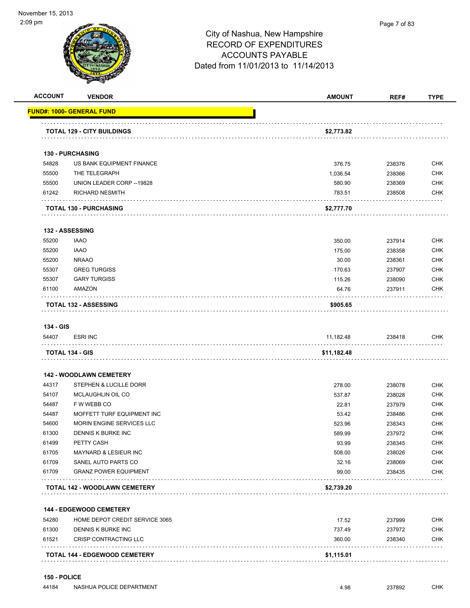|                                                                      | <b>VENDOR</b>                        | <b>AMOUNT</b> | REF#   | <b>TYPE</b>                                                                                                                                            |
|----------------------------------------------------------------------|--------------------------------------|---------------|--------|--------------------------------------------------------------------------------------------------------------------------------------------------------|
|                                                                      | FUND#: 1000- GENERAL FUND            |               |        |                                                                                                                                                        |
|                                                                      | <b>TOTAL 129 - CITY BUILDINGS</b>    | \$2,773.82    |        |                                                                                                                                                        |
|                                                                      | <b>130 - PURCHASING</b>              |               |        |                                                                                                                                                        |
| 54828                                                                | US BANK EQUIPMENT FINANCE            | 376.75        | 238376 | <b>CHK</b>                                                                                                                                             |
| 55500                                                                | THE TELEGRAPH                        | 1,036.54      | 238366 | <b>CHK</b>                                                                                                                                             |
| 55500                                                                | UNION LEADER CORP -- 19828           | 580.90        | 238369 | <b>CHK</b>                                                                                                                                             |
| 61242                                                                | <b>RICHARD NESMITH</b>               | 783.51        | 238508 | <b>CHK</b>                                                                                                                                             |
|                                                                      | .<br><b>TOTAL 130 - PURCHASING</b>   | \$2,777.70    |        |                                                                                                                                                        |
|                                                                      | <b>132 - ASSESSING</b>               |               |        |                                                                                                                                                        |
| 55200                                                                | <b>IAAO</b>                          | 350.00        | 237914 | <b>CHK</b>                                                                                                                                             |
| 55200                                                                | <b>IAAO</b>                          | 175.00        | 238358 | <b>CHK</b>                                                                                                                                             |
| 55200                                                                | <b>NRAAO</b>                         | 30.00         | 238361 | <b>CHK</b>                                                                                                                                             |
| 55307                                                                | <b>GREG TURGISS</b>                  | 170.63        | 237907 | <b>CHK</b>                                                                                                                                             |
| 55307                                                                | <b>GARY TURGISS</b>                  | 115.26        | 238090 | <b>CHK</b>                                                                                                                                             |
| 61100                                                                | AMAZON                               | 64.76         | 237911 | <b>CHK</b>                                                                                                                                             |
|                                                                      | <b>TOTAL 132 - ASSESSING</b>         | \$905.65      |        |                                                                                                                                                        |
| 134 - GIS                                                            |                                      |               |        |                                                                                                                                                        |
| 54407                                                                | <b>ESRI INC</b>                      | 11,182.48     | 238418 | <b>CHK</b>                                                                                                                                             |
|                                                                      | <b>TOTAL 134 - GIS</b>               | \$11,182.48   |        |                                                                                                                                                        |
|                                                                      |                                      |               |        |                                                                                                                                                        |
|                                                                      | <b>142 - WOODLAWN CEMETERY</b>       |               |        |                                                                                                                                                        |
| 44317                                                                | STEPHEN & LUCILLE DORR               | 278.00        | 238078 | <b>CHK</b>                                                                                                                                             |
| 54107                                                                | MCLAUGHLIN OIL CO                    | 537.87        | 238028 | <b>CHK</b>                                                                                                                                             |
| 54487                                                                | F W WEBB CO                          | 22.81         | 237979 |                                                                                                                                                        |
|                                                                      |                                      |               |        |                                                                                                                                                        |
|                                                                      | MOFFETT TURF EQUIPMENT INC           | 53.42         | 238486 |                                                                                                                                                        |
|                                                                      | MORIN ENGINE SERVICES LLC            | 523.96        | 238343 |                                                                                                                                                        |
|                                                                      | DENNIS K BURKE INC                   | 589.99        | 237972 |                                                                                                                                                        |
|                                                                      | PETTY CASH                           | 93.99         | 238345 |                                                                                                                                                        |
|                                                                      | MAYNARD & LESIEUR INC                | 508.00        | 238026 |                                                                                                                                                        |
|                                                                      | SANEL AUTO PARTS CO                  | 32.16         | 238069 |                                                                                                                                                        |
|                                                                      | <b>GRANZ POWER EQUIPMENT</b>         | 99.00         | 238435 |                                                                                                                                                        |
|                                                                      | <b>TOTAL 142 - WOODLAWN CEMETERY</b> | \$2,739.20    |        |                                                                                                                                                        |
|                                                                      | 144 - EDGEWOOD CEMETERY              |               |        |                                                                                                                                                        |
| 54487<br>54600<br>61300<br>61499<br>61705<br>61709<br>61709<br>54280 | HOME DEPOT CREDIT SERVICE 3065       | 17.52         | 237999 |                                                                                                                                                        |
|                                                                      | DENNIS K BURKE INC                   | 737.49        | 237972 |                                                                                                                                                        |
| 61300<br>61521                                                       | CRISP CONTRACTING LLC                | 360.00        | 238340 | <b>CHK</b><br><b>CHK</b><br><b>CHK</b><br><b>CHK</b><br><b>CHK</b><br><b>CHK</b><br><b>CHK</b><br><b>CHK</b><br><b>CHK</b><br><b>CHK</b><br><b>CHK</b> |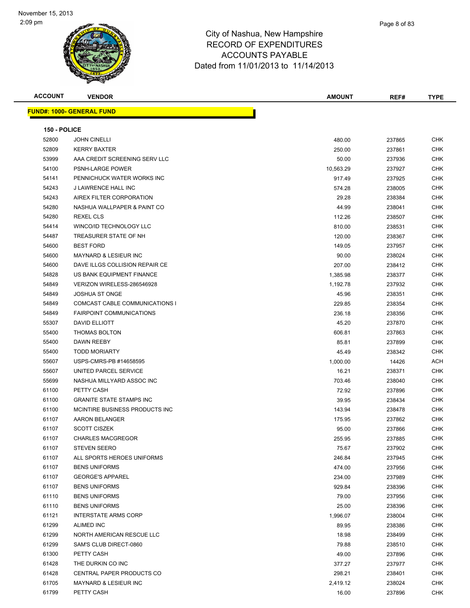| <b>ACCOUNT</b> | <b>VENDOR</b>                    | <b>AMOUNT</b> | REF#   | <b>TYPE</b> |
|----------------|----------------------------------|---------------|--------|-------------|
|                | <b>FUND#: 1000- GENERAL FUND</b> |               |        |             |
|                |                                  |               |        |             |
| 150 - POLICE   |                                  |               |        |             |
| 52800          | <b>JOHN CINELLI</b>              | 480.00        | 237865 | <b>CHK</b>  |
| 52809          | <b>KERRY BAXTER</b>              | 250.00        | 237861 | CHK         |
| 53999          | AAA CREDIT SCREENING SERV LLC    | 50.00         | 237936 | CHK         |
| 54100          | PSNH-LARGE POWER                 | 10,563.29     | 237927 | CHK         |
| 54141          | PENNICHUCK WATER WORKS INC       | 917.49        | 237925 | CHK         |
| 54243          | J LAWRENCE HALL INC              | 574.28        | 238005 | <b>CHK</b>  |
| 54243          | AIREX FILTER CORPORATION         | 29.28         | 238384 | <b>CHK</b>  |
| 54280          | NASHUA WALLPAPER & PAINT CO      | 44.99         | 238041 | CHK         |
| 54280          | REXEL CLS                        | 112.26        | 238507 | CHK         |
| 54414          | WINCO/ID TECHNOLOGY LLC          | 810.00        | 238531 | CHK         |
| 54487          | TREASURER STATE OF NH            | 120.00        | 238367 | CHK         |
| 54600          | <b>BEST FORD</b>                 | 149.05        | 237957 | CHK         |
| 54600          | <b>MAYNARD &amp; LESIEUR INC</b> | 90.00         | 238024 | CHK         |
| 54600          | DAVE ILLGS COLLISION REPAIR CE   | 207.00        | 238412 | CHK         |
| 54828          | US BANK EQUIPMENT FINANCE        | 1,385.98      | 238377 | CHK         |
| 54849          | VERIZON WIRELESS-286546928       | 1,192.78      | 237932 | CHK         |
| 54849          | <b>JOSHUA ST ONGE</b>            | 45.96         | 238351 | CHK         |
| 54849          | COMCAST CABLE COMMUNICATIONS I   | 229.85        | 238354 | <b>CHK</b>  |
| 54849          | <b>FAIRPOINT COMMUNICATIONS</b>  | 236.18        | 238356 | CHK         |
| 55307          | DAVID ELLIOTT                    | 45.20         | 237870 | <b>CHK</b>  |
| 55400          | <b>THOMAS BOLTON</b>             | 606.81        | 237863 | <b>CHK</b>  |
| 55400          | DAWN REEBY                       | 85.81         | 237899 | CHK         |
| 55400          | <b>TODD MORIARTY</b>             | 45.49         | 238342 | CHK         |
| 55607          | USPS-CMRS-PB #14658595           | 1,000.00      | 14426  | ACH         |
| 55607          | UNITED PARCEL SERVICE            | 16.21         | 238371 | CHK         |
| 55699          | NASHUA MILLYARD ASSOC INC        | 703.46        | 238040 | CHK         |
| 61100          | PETTY CASH                       | 72.92         | 237896 | CHK         |
| 61100          | <b>GRANITE STATE STAMPS INC</b>  | 39.95         | 238434 | <b>CHK</b>  |
| 61100          | MCINTIRE BUSINESS PRODUCTS INC   | 143.94        | 238478 | <b>CHK</b>  |
| 61107          | AARON BELANGER                   | 175.95        | 237862 | CHK         |
| 61107          | <b>SCOTT CISZEK</b>              | 95.00         | 237866 | CHK         |
| 61107          | <b>CHARLES MACGREGOR</b>         | 255.95        | 237885 | CHK         |
| 61107          | <b>STEVEN SEERO</b>              | 75.67         | 237902 | <b>CHK</b>  |
| 61107          | ALL SPORTS HEROES UNIFORMS       | 246.84        | 237945 | <b>CHK</b>  |
| 61107          | <b>BENS UNIFORMS</b>             | 474.00        | 237956 | CHK         |
| 61107          | <b>GEORGE'S APPAREL</b>          | 234.00        | 237989 | CHK         |
| 61107          | <b>BENS UNIFORMS</b>             | 929.84        | 238396 | <b>CHK</b>  |
| 61110          | <b>BENS UNIFORMS</b>             | 79.00         | 237956 | <b>CHK</b>  |
| 61110          | <b>BENS UNIFORMS</b>             | 25.00         | 238396 | <b>CHK</b>  |
| 61121          | <b>INTERSTATE ARMS CORP</b>      | 1,996.07      | 238004 | <b>CHK</b>  |
| 61299          | <b>ALIMED INC</b>                | 89.95         | 238386 | CHK         |
| 61299          | NORTH AMERICAN RESCUE LLC        | 18.98         | 238499 | <b>CHK</b>  |
| 61299          | SAM'S CLUB DIRECT-0860           | 79.88         | 238510 | <b>CHK</b>  |
| 61300          | PETTY CASH                       | 49.00         | 237896 | CHK         |
| 61428          | THE DURKIN CO INC                | 377.27        | 237977 | CHK         |
| 61428          | CENTRAL PAPER PRODUCTS CO        | 298.21        | 238401 | CHK         |
| 61705          | MAYNARD & LESIEUR INC            | 2,419.12      | 238024 | CHK         |
| 61799          | PETTY CASH                       | 16.00         | 237896 | <b>CHK</b>  |
|                |                                  |               |        |             |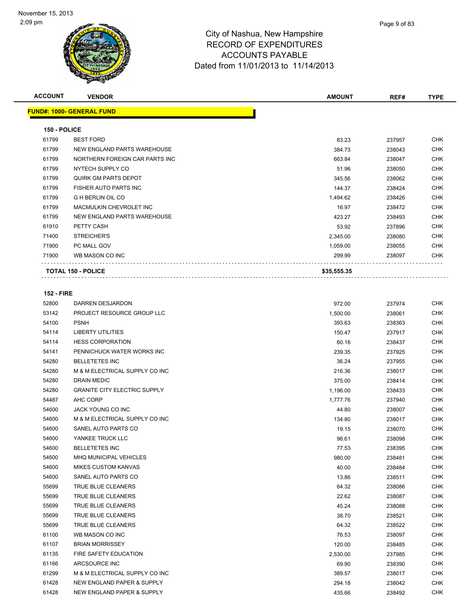| <b>ACCOUNT</b> | <b>VENDOR</b>                    | <b>AMOUNT</b> | REF#   | <b>TYPE</b> |
|----------------|----------------------------------|---------------|--------|-------------|
|                | <b>FUND#: 1000- GENERAL FUND</b> |               |        |             |
| 150 - POLICE   |                                  |               |        |             |
| 61799          | <b>BEST FORD</b>                 | 83.23         | 237957 | <b>CHK</b>  |
| 61799          | NEW ENGLAND PARTS WAREHOUSE      | 384.73        | 238043 | <b>CHK</b>  |
| 61799          | NORTHERN FOREIGN CAR PARTS INC   | 663.84        | 238047 | <b>CHK</b>  |
| 61799          | NYTECH SUPPLY CO                 | 51.96         | 238050 | <b>CHK</b>  |
| 61799          | QUIRK GM PARTS DEPOT             | 345.56        | 238062 | <b>CHK</b>  |
| 61799          | FISHER AUTO PARTS INC            | 144.37        | 238424 | <b>CHK</b>  |
| 61799          | <b>G H BERLIN OIL CO</b>         | 1,494.62      | 238426 | <b>CHK</b>  |
| 61799          | MACMULKIN CHEVROLET INC          | 16.97         | 238472 | <b>CHK</b>  |
| 61799          | NEW ENGLAND PARTS WAREHOUSE      | 423.27        | 238493 | <b>CHK</b>  |
| 61910          | PETTY CASH                       | 53.92         | 237896 | <b>CHK</b>  |
| 71400          | <b>STREICHER'S</b>               | 2,345.00      | 238080 | <b>CHK</b>  |
| 71900          | PC MALL GOV                      | 1.059.00      | 238055 | <b>CHK</b>  |
| 71900          | WB MASON CO INC                  | 299.99        | 238097 | <b>CHK</b>  |
|                | <b>TOTAL 150 - POLICE</b>        | \$35,555.35   |        |             |

### **152 - FIRE**

| 52800 | DARREN DESJARDON                      | 972.00   | 237974 | <b>CHK</b> |
|-------|---------------------------------------|----------|--------|------------|
| 53142 | <b>PROJECT RESOURCE GROUP LLC</b>     | 1,500.00 | 238061 | <b>CHK</b> |
| 54100 | <b>PSNH</b>                           | 393.63   | 238363 | <b>CHK</b> |
| 54114 | <b>LIBERTY UTILITIES</b>              | 150.47   | 237917 | <b>CHK</b> |
| 54114 | <b>HESS CORPORATION</b>               | 60.16    | 238437 | <b>CHK</b> |
| 54141 | PENNICHUCK WATER WORKS INC            | 239.35   | 237925 | <b>CHK</b> |
| 54280 | <b>BELLETETES INC</b>                 | 36.24    | 237955 | <b>CHK</b> |
| 54280 | M & M ELECTRICAL SUPPLY CO INC        | 216.36   | 238017 | <b>CHK</b> |
| 54280 | <b>DRAIN MEDIC</b>                    | 375.00   | 238414 | <b>CHK</b> |
| 54280 | <b>GRANITE CITY ELECTRIC SUPPLY</b>   | 1,196.00 | 238433 | <b>CHK</b> |
| 54487 | AHC CORP                              | 1,777.76 | 237940 | <b>CHK</b> |
| 54600 | JACK YOUNG CO INC                     | 44.80    | 238007 | <b>CHK</b> |
| 54600 | M & M ELECTRICAL SUPPLY CO INC        | 134.80   | 238017 | <b>CHK</b> |
| 54600 | SANEL AUTO PARTS CO                   | 19.15    | 238070 | <b>CHK</b> |
| 54600 | YANKEE TRUCK LLC                      | 96.61    | 238098 | <b>CHK</b> |
| 54600 | <b>BELLETETES INC</b>                 | 77.53    | 238395 | <b>CHK</b> |
| 54600 | <b>MHQ MUNICIPAL VEHICLES</b>         | 980.00   | 238481 | <b>CHK</b> |
| 54600 | <b>MIKES CUSTOM KANVAS</b>            | 40.00    | 238484 | <b>CHK</b> |
| 54600 | SANEL AUTO PARTS CO                   | 13.86    | 238511 | <b>CHK</b> |
| 55699 | TRUE BLUE CLEANERS                    | 64.32    | 238086 | <b>CHK</b> |
| 55699 | TRUE BLUE CLEANERS                    | 22.62    | 238087 | <b>CHK</b> |
| 55699 | TRUE BLUE CLEANERS                    | 45.24    | 238088 | <b>CHK</b> |
| 55699 | TRUE BLUE CLEANERS                    | 38.70    | 238521 | <b>CHK</b> |
| 55699 | TRUE BLUE CLEANERS                    | 64.32    | 238522 | <b>CHK</b> |
| 61100 | WB MASON CO INC                       | 76.53    | 238097 | <b>CHK</b> |
| 61107 | <b>BRIAN MORRISSEY</b>                | 120.00   | 238485 | <b>CHK</b> |
| 61135 | <b>FIRE SAFETY EDUCATION</b>          | 2,530.00 | 237985 | <b>CHK</b> |
| 61166 | ARCSOURCE INC                         | 69.90    | 238390 | <b>CHK</b> |
| 61299 | M & M ELECTRICAL SUPPLY CO INC        | 389.57   | 238017 | <b>CHK</b> |
| 61428 | <b>NEW ENGLAND PAPER &amp; SUPPLY</b> | 294.18   | 238042 | <b>CHK</b> |
| 61428 | NEW ENGLAND PAPER & SUPPLY            | 435.66   | 238492 | <b>CHK</b> |
|       |                                       |          |        |            |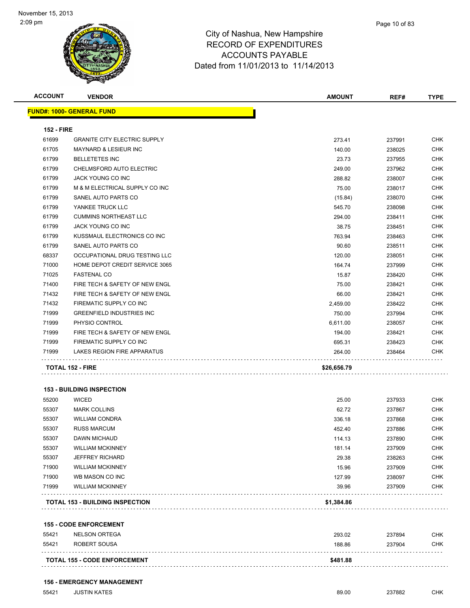

| <b>ACCOUNT</b>    | <b>VENDOR</b>                       | <b>AMOUNT</b> | REF#   | <b>TYPE</b> |
|-------------------|-------------------------------------|---------------|--------|-------------|
|                   | <b>FUND#: 1000- GENERAL FUND</b>    |               |        |             |
| <b>152 - FIRE</b> |                                     |               |        |             |
| 61699             | <b>GRANITE CITY ELECTRIC SUPPLY</b> | 273.41        | 237991 | <b>CHK</b>  |
| 61705             | <b>MAYNARD &amp; LESIEUR INC</b>    | 140.00        | 238025 | <b>CHK</b>  |
| 61799             | <b>BELLETETES INC</b>               | 23.73         | 237955 | <b>CHK</b>  |
| 61799             | CHELMSFORD AUTO ELECTRIC            | 249.00        | 237962 | <b>CHK</b>  |
| 61799             | JACK YOUNG CO INC                   | 288.82        | 238007 | <b>CHK</b>  |
| 61799             | M & M ELECTRICAL SUPPLY CO INC      | 75.00         | 238017 | <b>CHK</b>  |
| 61799             | SANEL AUTO PARTS CO                 | (15.84)       | 238070 | CHK         |
| 61799             | YANKEE TRUCK LLC                    | 545.70        | 238098 | <b>CHK</b>  |
| 61799             | <b>CUMMINS NORTHEAST LLC</b>        | 294.00        | 238411 | <b>CHK</b>  |
| 61799             | <b>JACK YOUNG CO INC</b>            | 38.75         | 238451 | <b>CHK</b>  |
| 61799             | KUSSMAUL ELECTRONICS CO INC         | 763.94        | 238463 | <b>CHK</b>  |
| 61799             | SANEL AUTO PARTS CO                 | 90.60         | 238511 | <b>CHK</b>  |
| 68337             | OCCUPATIONAL DRUG TESTING LLC       | 120.00        | 238051 | CHK         |
| 71000             | HOME DEPOT CREDIT SERVICE 3065      | 164.74        | 237999 | <b>CHK</b>  |
| 71025             | <b>FASTENAL CO</b>                  | 15.87         | 238420 | <b>CHK</b>  |
| 71400             | FIRE TECH & SAFETY OF NEW ENGL      | 75.00         | 238421 | <b>CHK</b>  |
| 71432             | FIRE TECH & SAFETY OF NEW ENGL      | 66.00         | 238421 | <b>CHK</b>  |
| 71432             | FIREMATIC SUPPLY CO INC             | 2,459.00      | 238422 | <b>CHK</b>  |
| 71999             | <b>GREENFIELD INDUSTRIES INC</b>    | 750.00        | 237994 | <b>CHK</b>  |
| 71999             | PHYSIO CONTROL                      | 6,611.00      | 238057 | <b>CHK</b>  |
| 71999             | FIRE TECH & SAFETY OF NEW ENGL      | 194.00        | 238421 | <b>CHK</b>  |
| 71999             | FIREMATIC SUPPLY CO INC             | 695.31        | 238423 | <b>CHK</b>  |
| 71999             | LAKES REGION FIRE APPARATUS         | 264.00        | 238464 | <b>CHK</b>  |
|                   | <b>TOTAL 152 - FIRE</b>             | \$26,656.79   |        |             |
|                   |                                     |               |        |             |
|                   | <b>153 - BUILDING INSPECTION</b>    |               |        |             |

|       | TOTAL 153 - BUILDING INSPECTION | \$1 384 86 |        |            |
|-------|---------------------------------|------------|--------|------------|
| 71999 | <b>WILLIAM MCKINNEY</b>         | 39.96      | 237909 | <b>CHK</b> |
| 71900 | WB MASON CO INC                 | 127.99     | 238097 | <b>CHK</b> |
| 71900 | <b>WILLIAM MCKINNEY</b>         | 15.96      | 237909 | <b>CHK</b> |
| 55307 | <b>JEFFREY RICHARD</b>          | 29.38      | 238263 | <b>CHK</b> |
| 55307 | <b>WILLIAM MCKINNEY</b>         | 181.14     | 237909 | <b>CHK</b> |
| 55307 | <b>DAWN MICHAUD</b>             | 114.13     | 237890 | <b>CHK</b> |
| 55307 | <b>RUSS MARCUM</b>              | 452.40     | 237886 | <b>CHK</b> |
| 55307 | <b>WILLIAM CONDRA</b>           | 336.18     | 237868 | <b>CHK</b> |
| 55307 | <b>MARK COLLINS</b>             | 62.72      | 237867 | <b>CHK</b> |
| 55200 | <b>WICED</b>                    | 25.00      | 237933 | <b>CHK</b> |
|       |                                 |            |        |            |

**TOTAL 153 - BUILDING INSPECTION \$1,384.86**

|       | <b>155 - CODE ENFORCEMENT</b>       |          |        |     |
|-------|-------------------------------------|----------|--------|-----|
| 55421 | NELSON ORTEGA                       | 293.02   | 237894 | СНК |
| 55421 | ROBERT SOUSA                        | 188.86   | 237904 | CHK |
|       | <b>TOTAL 155 - CODE ENFORCEMENT</b> | \$481.88 |        |     |

### **156 - EMERGENCY MANAGEMENT**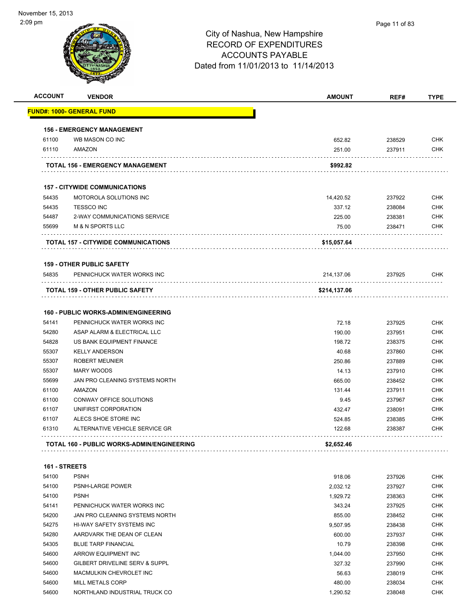| <b>ACCOUNT</b> | <b>VENDOR</b>                               | <b>AMOUNT</b> | REF#   | <b>TYPE</b> |
|----------------|---------------------------------------------|---------------|--------|-------------|
|                | FUND#: 1000- GENERAL FUND                   |               |        |             |
|                | <b>156 - EMERGENCY MANAGEMENT</b>           |               |        |             |
| 61100          | WB MASON CO INC                             | 652.82        | 238529 | <b>CHK</b>  |
| 61110          | AMAZON                                      | 251.00        | 237911 | <b>CHK</b>  |
|                | TOTAL 156 - EMERGENCY MANAGEMENT            | \$992.82      |        |             |
|                | <b>157 - CITYWIDE COMMUNICATIONS</b>        |               |        |             |
| 54435          | <b>MOTOROLA SOLUTIONS INC</b>               | 14,420.52     | 237922 | <b>CHK</b>  |
| 54435          | <b>TESSCO INC</b>                           | 337.12        | 238084 | <b>CHK</b>  |
| 54487          | 2-WAY COMMUNICATIONS SERVICE                | 225.00        | 238381 | <b>CHK</b>  |
| 55699          | <b>M &amp; N SPORTS LLC</b>                 | 75.00         | 238471 | <b>CHK</b>  |
|                | <b>TOTAL 157 - CITYWIDE COMMUNICATIONS</b>  | \$15,057.64   |        |             |
|                | <b>159 - OTHER PUBLIC SAFETY</b>            |               |        |             |
| 54835          | PENNICHUCK WATER WORKS INC                  | 214,137.06    | 237925 | CHK         |
|                | <b>TOTAL 159 - OTHER PUBLIC SAFETY</b>      | \$214,137.06  |        |             |
|                | <b>160 - PUBLIC WORKS-ADMIN/ENGINEERING</b> |               |        |             |
| 54141          | PENNICHUCK WATER WORKS INC                  | 72.18         | 237925 | <b>CHK</b>  |
| 54280          | ASAP ALARM & ELECTRICAL LLC                 | 190.00        | 237951 | <b>CHK</b>  |
| 54828          | US BANK EQUIPMENT FINANCE                   | 198.72        | 238375 | <b>CHK</b>  |
| 55307          | <b>KELLY ANDERSON</b>                       | 40.68         | 237860 | <b>CHK</b>  |
| 55307          | <b>ROBERT MEUNIER</b>                       | 250.86        | 237889 | <b>CHK</b>  |
| 55307          | MARY WOODS                                  | 14.13         | 237910 | <b>CHK</b>  |
| 55699          | JAN PRO CLEANING SYSTEMS NORTH              | 665.00        | 238452 | <b>CHK</b>  |
| 61100          | <b>AMAZON</b>                               | 131.44        | 237911 | <b>CHK</b>  |
| 61100          | CONWAY OFFICE SOLUTIONS                     | 9.45          | 237967 | <b>CHK</b>  |
| 61107          | UNIFIRST CORPORATION                        | 432.47        | 238091 | <b>CHK</b>  |
| 61107          | ALECS SHOE STORE INC                        | 524.85        | 238385 | <b>CHK</b>  |
| 61310          | ALTERNATIVE VEHICLE SERVICE GR              | 122.68        | 238387 | <b>CHK</b>  |
|                | TOTAL 160 - PUBLIC WORKS-ADMIN/ENGINEERING  | \$2,652.46    |        |             |
| 161 - STREETS  |                                             |               |        |             |
| 54100          | <b>PSNH</b>                                 | 918.06        | 237926 | <b>CHK</b>  |
| 54100          | PSNH-LARGE POWER                            | 2,032.12      | 237927 | <b>CHK</b>  |
| 54100          | <b>PSNH</b>                                 | 1,929.72      | 238363 | <b>CHK</b>  |
| 54141          | PENNICHUCK WATER WORKS INC                  | 343.24        | 237925 | <b>CHK</b>  |
| 54200          | JAN PRO CLEANING SYSTEMS NORTH              | 855.00        | 238452 | <b>CHK</b>  |
| 54275          | HI-WAY SAFETY SYSTEMS INC                   | 9,507.95      | 238438 | <b>CHK</b>  |
| 54280          | AARDVARK THE DEAN OF CLEAN                  | 600.00        | 237937 | <b>CHK</b>  |
| 54305          | <b>BLUE TARP FINANCIAL</b>                  | 10.79         | 238398 | <b>CHK</b>  |
| 54600          | ARROW EQUIPMENT INC                         | 1,044.00      | 237950 | <b>CHK</b>  |
| 54600          | GILBERT DRIVELINE SERV & SUPPL              | 327.32        | 237990 | <b>CHK</b>  |
| 54600          | MACMULKIN CHEVROLET INC                     | 56.63         | 238019 | <b>CHK</b>  |
| 54600          | MILL METALS CORP                            | 480.00        | 238034 | <b>CHK</b>  |
|                | NORTHLAND INDUSTRIAL TRUCK CO               | 1,290.52      | 238048 | <b>CHK</b>  |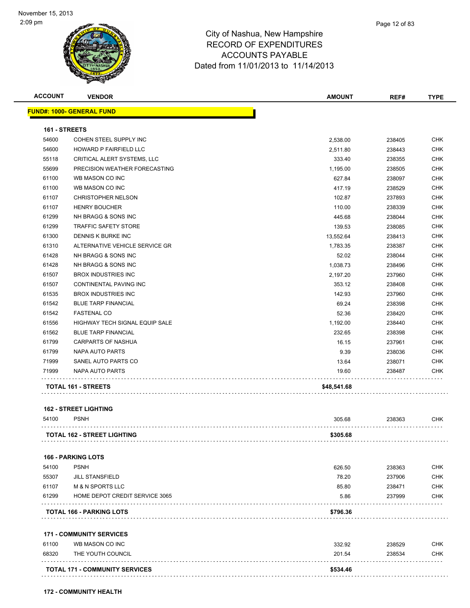

| <b>ACCOUNT</b> | <b>VENDOR</b>                                    | <b>AMOUNT</b> | REF#   | <b>TYPE</b> |
|----------------|--------------------------------------------------|---------------|--------|-------------|
|                | <b>FUND#: 1000- GENERAL FUND</b>                 |               |        |             |
| 161 - STREETS  |                                                  |               |        |             |
| 54600          | COHEN STEEL SUPPLY INC                           |               |        | <b>CHK</b>  |
| 54600          | HOWARD P FAIRFIELD LLC                           | 2,538.00      | 238405 | <b>CHK</b>  |
| 55118          |                                                  | 2,511.80      | 238443 |             |
|                | CRITICAL ALERT SYSTEMS, LLC                      | 333.40        | 238355 | <b>CHK</b>  |
| 55699          | PRECISION WEATHER FORECASTING<br>WB MASON CO INC | 1,195.00      | 238505 | <b>CHK</b>  |
| 61100          |                                                  | 627.84        | 238097 | <b>CHK</b>  |
| 61100          | WB MASON CO INC                                  | 417.19        | 238529 | <b>CHK</b>  |
| 61107          | <b>CHRISTOPHER NELSON</b>                        | 102.87        | 237893 | <b>CHK</b>  |
| 61107          | <b>HENRY BOUCHER</b>                             | 110.00        | 238339 | <b>CHK</b>  |
| 61299          | NH BRAGG & SONS INC                              | 445.68        | 238044 | <b>CHK</b>  |
| 61299          | <b>TRAFFIC SAFETY STORE</b>                      | 139.53        | 238085 | <b>CHK</b>  |
| 61300          | DENNIS K BURKE INC                               | 13,552.64     | 238413 | <b>CHK</b>  |
| 61310          | ALTERNATIVE VEHICLE SERVICE GR                   | 1,783.35      | 238387 | <b>CHK</b>  |
| 61428          | NH BRAGG & SONS INC                              | 52.02         | 238044 | <b>CHK</b>  |
| 61428          | NH BRAGG & SONS INC                              | 1,038.73      | 238496 | <b>CHK</b>  |
| 61507          | <b>BROX INDUSTRIES INC</b>                       | 2,197.20      | 237960 | <b>CHK</b>  |
| 61507          | <b>CONTINENTAL PAVING INC</b>                    | 353.12        | 238408 | <b>CHK</b>  |
| 61535          | <b>BROX INDUSTRIES INC</b>                       | 142.93        | 237960 | <b>CHK</b>  |
| 61542          | <b>BLUE TARP FINANCIAL</b>                       | 69.24         | 238398 | <b>CHK</b>  |
| 61542          | <b>FASTENAL CO</b>                               | 52.36         | 238420 | <b>CHK</b>  |
| 61556          | HIGHWAY TECH SIGNAL EQUIP SALE                   | 1,192.00      | 238440 | <b>CHK</b>  |
| 61562          | <b>BLUE TARP FINANCIAL</b>                       | 232.65        | 238398 | <b>CHK</b>  |
| 61799          | CARPARTS OF NASHUA                               | 16.15         | 237961 | <b>CHK</b>  |
| 61799          | <b>NAPA AUTO PARTS</b>                           | 9.39          | 238036 | <b>CHK</b>  |
| 71999          | SANEL AUTO PARTS CO                              | 13.64         | 238071 | <b>CHK</b>  |
| 71999          | NAPA AUTO PARTS                                  | 19.60         | 238487 | <b>CHK</b>  |
|                | TOTAL 161 - STREETS                              | \$48,541.68   |        |             |
|                | <b>162 - STREET LIGHTING</b>                     |               |        |             |
| 54100          | <b>PSNH</b>                                      | 305.68        | 238363 | <b>CHK</b>  |
|                | <b>TOTAL 162 - STREET LIGHTING</b>               | \$305.68      |        |             |
|                | <b>166 - PARKING LOTS</b>                        |               |        |             |
| 54100          | <b>PSNH</b>                                      | 626.50        | 238363 | <b>CHK</b>  |
| 55307          | <b>JILL STANSFIELD</b>                           | 78.20         | 237906 | <b>CHK</b>  |
| 61107          | <b>M &amp; N SPORTS LLC</b>                      | 85.80         | 238471 | <b>CHK</b>  |
| 61299          | HOME DEPOT CREDIT SERVICE 3065                   | 5.86          | 237999 | <b>CHK</b>  |
|                | <b>TOTAL 166 - PARKING LOTS</b>                  | \$796.36      |        |             |
|                | <b>171 - COMMUNITY SERVICES</b>                  |               |        |             |
|                | 61100 MR MASON COINC                             | າາາ ດາ        | 238520 | <b>CHK</b>  |

| 61100 | WB MASON CO INC                       | 332.92   | 238529 | СНК        |
|-------|---------------------------------------|----------|--------|------------|
| 68320 | THE YOUTH COUNCIL                     | 201.54   | 238534 | <b>CHK</b> |
|       | <b>TOTAL 171 - COMMUNITY SERVICES</b> | \$534.46 |        |            |
|       |                                       |          |        |            |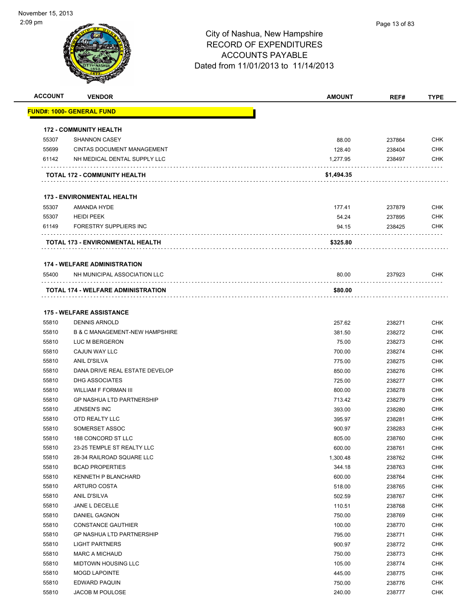| <b>ACCOUNT</b> | <b>VENDOR</b>                                           | <b>AMOUNT</b>    | REF#             | <b>TYPE</b>              |
|----------------|---------------------------------------------------------|------------------|------------------|--------------------------|
|                | <u> FUND#: 1000- GENERAL FUND</u>                       |                  |                  |                          |
|                |                                                         |                  |                  |                          |
|                | <b>172 - COMMUNITY HEALTH</b>                           |                  |                  |                          |
| 55307          | <b>SHANNON CASEY</b>                                    | 88.00            | 237864           | <b>CHK</b>               |
| 55699          | <b>CINTAS DOCUMENT MANAGEMENT</b>                       | 128.40           | 238404           | <b>CHK</b>               |
| 61142          | NH MEDICAL DENTAL SUPPLY LLC                            | 1,277.95         | 238497           | <b>CHK</b>               |
|                | TOTAL 172 - COMMUNITY HEALTH                            | \$1,494.35       |                  |                          |
|                | <b>173 - ENVIRONMENTAL HEALTH</b>                       |                  |                  |                          |
| 55307          | AMANDA HYDE                                             | 177.41           | 237879           | <b>CHK</b>               |
| 55307          | <b>HEIDI PEEK</b>                                       | 54.24            | 237895           | <b>CHK</b>               |
| 61149          | FORESTRY SUPPLIERS INC                                  | 94.15            | 238425           | CHK                      |
|                |                                                         |                  |                  |                          |
|                | TOTAL 173 - ENVIRONMENTAL HEALTH                        | \$325.80         |                  |                          |
|                | <b>174 - WELFARE ADMINISTRATION</b>                     |                  |                  |                          |
| 55400          | NH MUNICIPAL ASSOCIATION LLC                            | 80.00            | 237923           | CHK                      |
|                | TOTAL 174 - WELFARE ADMINISTRATION                      | \$80.00          |                  |                          |
|                | <b>175 - WELFARE ASSISTANCE</b>                         |                  |                  |                          |
|                |                                                         |                  |                  |                          |
| 55810          | <b>DENNIS ARNOLD</b>                                    | 257.62           | 238271           | <b>CHK</b>               |
| 55810          | <b>B &amp; C MANAGEMENT-NEW HAMPSHIRE</b>               | 381.50           | 238272           | <b>CHK</b><br><b>CHK</b> |
| 55810<br>55810 | LUC M BERGERON                                          | 75.00            | 238273           | <b>CHK</b>               |
| 55810          | CAJUN WAY LLC<br><b>ANIL D'SILVA</b>                    | 700.00           | 238274           |                          |
|                |                                                         | 775.00           | 238275           | <b>CHK</b><br><b>CHK</b> |
| 55810<br>55810 | DANA DRIVE REAL ESTATE DEVELOP<br><b>DHG ASSOCIATES</b> | 850.00           | 238276           | <b>CHK</b>               |
| 55810          | <b>WILLIAM F FORMAN III</b>                             | 725.00           | 238277<br>238278 | <b>CHK</b>               |
| 55810          | <b>GP NASHUA LTD PARTNERSHIP</b>                        | 800.00           |                  | <b>CHK</b>               |
| 55810          | JENSEN'S INC                                            | 713.42           | 238279           | <b>CHK</b>               |
| 55810          | OTD REALTY LLC                                          | 393.00<br>395.97 | 238280<br>238281 | <b>CHK</b>               |
| 55810          | SOMERSET ASSOC                                          |                  | 238283           | <b>CHK</b>               |
|                | 188 CONCORD ST LLC                                      | 900.97           |                  | <b>CHK</b>               |
| 55810<br>55810 | 23-25 TEMPLE ST REALTY LLC                              | 805.00<br>600.00 | 238760<br>238761 | <b>CHK</b>               |
| 55810          | 28-34 RAILROAD SQUARE LLC                               | 1,300.48         | 238762           | <b>CHK</b>               |
| 55810          | <b>BCAD PROPERTIES</b>                                  | 344.18           | 238763           | <b>CHK</b>               |
| 55810          | KENNETH P BLANCHARD                                     | 600.00           | 238764           | <b>CHK</b>               |
| 55810          | ARTURO COSTA                                            | 518.00           | 238765           | <b>CHK</b>               |
| 55810          | ANIL D'SILVA                                            | 502.59           | 238767           | <b>CHK</b>               |
| 55810          | JANE L DECELLE                                          | 110.51           | 238768           | <b>CHK</b>               |
| 55810          | DANIEL GAGNON                                           | 750.00           | 238769           | <b>CHK</b>               |
| 55810          | <b>CONSTANCE GAUTHIER</b>                               | 100.00           | 238770           | <b>CHK</b>               |
| 55810          | <b>GP NASHUA LTD PARTNERSHIP</b>                        | 795.00           | 238771           | <b>CHK</b>               |
| 55810          | <b>LIGHT PARTNERS</b>                                   | 900.97           | 238772           | <b>CHK</b>               |
| 55810          | <b>MARC A MICHAUD</b>                                   | 750.00           | 238773           | <b>CHK</b>               |
| 55810          | <b>MIDTOWN HOUSING LLC</b>                              | 105.00           | 238774           | <b>CHK</b>               |
| 55810          | <b>MOGD LAPOINTE</b>                                    | 445.00           | 238775           | <b>CHK</b>               |
| 55810          | EDWARD PAQUIN                                           | 750.00           | 238776           | <b>CHK</b>               |
| 55810          | JACOB M POULOSE                                         | 240.00           | 238777           | <b>CHK</b>               |
|                |                                                         |                  |                  |                          |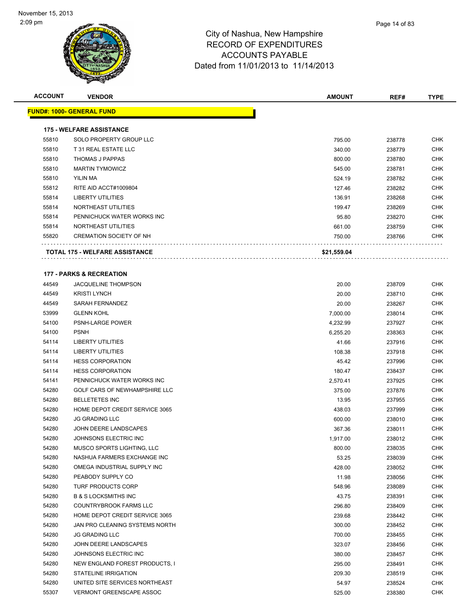| <b>ACCOUNT</b> | <b>VENDOR</b>                         | <b>AMOUNT</b> | REF#   | <b>TYPE</b> |
|----------------|---------------------------------------|---------------|--------|-------------|
|                | <b>FUND#: 1000- GENERAL FUND</b>      |               |        |             |
|                | <b>175 - WELFARE ASSISTANCE</b>       |               |        |             |
| 55810          | SOLO PROPERTY GROUP LLC               | 795.00        | 238778 | <b>CHK</b>  |
| 55810          | T 31 REAL ESTATE LLC                  | 340.00        | 238779 | <b>CHK</b>  |
| 55810          | <b>THOMAS J PAPPAS</b>                | 800.00        | 238780 | <b>CHK</b>  |
| 55810          | <b>MARTIN TYMOWICZ</b>                | 545.00        | 238781 | <b>CHK</b>  |
| 55810          | YILIN MA                              | 524.19        | 238782 | <b>CHK</b>  |
| 55812          | RITE AID ACCT#1009804                 | 127.46        | 238282 | <b>CHK</b>  |
| 55814          | <b>LIBERTY UTILITIES</b>              | 136.91        | 238268 | <b>CHK</b>  |
| 55814          | NORTHEAST UTILITIES                   | 199.47        | 238269 | <b>CHK</b>  |
| 55814          | PENNICHUCK WATER WORKS INC            | 95.80         | 238270 | <b>CHK</b>  |
| 55814          | NORTHEAST UTILITIES                   | 661.00        | 238759 | <b>CHK</b>  |
| 55820          | <b>CREMATION SOCIETY OF NH</b>        | 750.00        | 238766 | <b>CHK</b>  |
|                |                                       |               |        |             |
|                | <b>TOTAL 175 - WELFARE ASSISTANCE</b> | \$21,559.04   |        |             |
|                | <b>177 - PARKS &amp; RECREATION</b>   |               |        |             |
| 44549          | <b>JACQUELINE THOMPSON</b>            | 20.00         | 238709 | <b>CHK</b>  |
| 44549          | <b>KRISTI LYNCH</b>                   | 20.00         | 238710 | <b>CHK</b>  |
| 44549          | SARAH FERNANDEZ                       | 20.00         | 238267 | <b>CHK</b>  |
| 53999          | <b>GLENN KOHL</b>                     | 7,000.00      | 238014 | <b>CHK</b>  |
| 54100          | <b>PSNH-LARGE POWER</b>               | 4,232.99      | 237927 | <b>CHK</b>  |
| 54100          | <b>PSNH</b>                           | 6,255.20      | 238363 | <b>CHK</b>  |
| 54114          | <b>LIBERTY UTILITIES</b>              | 41.66         | 237916 | <b>CHK</b>  |
| 54114          | <b>LIBERTY UTILITIES</b>              | 108.38        | 237918 | <b>CHK</b>  |
| 54114          | <b>HESS CORPORATION</b>               | 45.42         | 237996 | <b>CHK</b>  |
| 54114          | <b>HESS CORPORATION</b>               | 180.47        | 238437 | <b>CHK</b>  |
| 54141          | PENNICHUCK WATER WORKS INC            | 2,570.41      | 237925 | <b>CHK</b>  |
| 54280          | GOLF CARS OF NEWHAMPSHIRE LLC         | 375.00        | 237876 | <b>CHK</b>  |
| 54280          | <b>BELLETETES INC</b>                 | 13.95         | 237955 | <b>CHK</b>  |
| 54280          | HOME DEPOT CREDIT SERVICE 3065        | 438.03        | 237999 | <b>CHK</b>  |
| 54280          | <b>JG GRADING LLC</b>                 | 600.00        | 238010 | <b>CHK</b>  |
| 54280          | JOHN DEERE LANDSCAPES                 | 367.36        | 238011 | <b>CHK</b>  |
| 54280          | JOHNSONS ELECTRIC INC                 | 1,917.00      | 238012 | <b>CHK</b>  |
| 54280          | MUSCO SPORTS LIGHTING, LLC            | 800.00        | 238035 | <b>CHK</b>  |
| 54280          | NASHUA FARMERS EXCHANGE INC           | 53.25         | 238039 | <b>CHK</b>  |
| 54280          | OMEGA INDUSTRIAL SUPPLY INC           | 428.00        | 238052 | CHK         |
| 54280          | PEABODY SUPPLY CO                     | 11.98         | 238056 | <b>CHK</b>  |
| 54280          | TURF PRODUCTS CORP                    | 548.96        | 238089 | <b>CHK</b>  |
| 54280          | <b>B &amp; S LOCKSMITHS INC</b>       | 43.75         | 238391 | <b>CHK</b>  |
| 54280          | <b>COUNTRYBROOK FARMS LLC</b>         | 296.80        | 238409 | <b>CHK</b>  |
| 54280          | HOME DEPOT CREDIT SERVICE 3065        | 239.68        | 238442 | <b>CHK</b>  |
| 54280          | JAN PRO CLEANING SYSTEMS NORTH        | 300.00        | 238452 | <b>CHK</b>  |
| 54280          | <b>JG GRADING LLC</b>                 | 700.00        | 238455 | <b>CHK</b>  |
| 54280          | JOHN DEERE LANDSCAPES                 | 323.07        | 238456 | <b>CHK</b>  |
| 54280          | JOHNSONS ELECTRIC INC                 | 380.00        | 238457 | <b>CHK</b>  |
| 54280          | NEW ENGLAND FOREST PRODUCTS, I        | 295.00        | 238491 | CHK         |
| 54280          | STATELINE IRRIGATION                  | 209.30        | 238519 | <b>CHK</b>  |
| 54280          | UNITED SITE SERVICES NORTHEAST        | 54.97         | 238524 | <b>CHK</b>  |
| 55307          | <b>VERMONT GREENSCAPE ASSOC</b>       | 525.00        | 238380 | <b>CHK</b>  |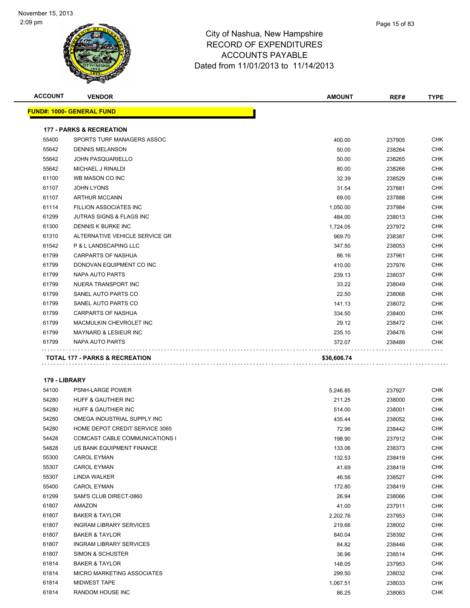| <b>ACCOUNT</b> | <b>VENDOR</b>                       | <b>AMOUNT</b>     | REF#             | <b>TYPE</b> |
|----------------|-------------------------------------|-------------------|------------------|-------------|
|                | <u> FUND#: 1000- GENERAL FUND</u>   |                   |                  |             |
|                | <b>177 - PARKS &amp; RECREATION</b> |                   |                  |             |
| 55400          | SPORTS TURF MANAGERS ASSOC          | 400.00            | 237905           | CHK         |
| 55642          | <b>DENNIS MELANSON</b>              | 50.00             | 238264           | <b>CHK</b>  |
| 55642          | <b>JOHN PASQUARIELLO</b>            | 50.00             | 238265           | <b>CHK</b>  |
| 55642          | MICHAEL J RINALDI                   | 80.00             | 238266           | CHK         |
| 61100          | WB MASON CO INC                     | 32.39             | 238529           | CHK         |
| 61107          | <b>JOHN LYONS</b>                   | 31.54             | 237881           | CHK         |
| 61107          | <b>ARTHUR MCCANN</b>                | 69.00             | 237888           | <b>CHK</b>  |
| 61114          | FILLION ASSOCIATES INC              | 1,050.00          | 237984           | CHK         |
| 61299          | JUTRAS SIGNS & FLAGS INC            | 484.00            | 238013           | CHK         |
| 61300          | DENNIS K BURKE INC                  | 1,724.05          | 237972           | CHK         |
| 61310          | ALTERNATIVE VEHICLE SERVICE GR      | 969.70            | 238387           | <b>CHK</b>  |
| 61542          | P & L LANDSCAPING LLC               | 347.50            | 238053           | CHK         |
| 61799          | CARPARTS OF NASHUA                  | 86.16             | 237961           | CHK         |
| 61799          | DONOVAN EQUIPMENT CO INC            | 410.00            | 237976           | <b>CHK</b>  |
| 61799          | NAPA AUTO PARTS                     | 239.13            | 238037           | CHK         |
| 61799          | NUERA TRANSPORT INC                 | 33.22             | 238049           | CHK         |
| 61799          | SANEL AUTO PARTS CO                 | 22.50             | 238068           | CHK         |
| 61799          | SANEL AUTO PARTS CO                 | 141.13            | 238072           | <b>CHK</b>  |
| 61799          | CARPARTS OF NASHUA                  | 334.50            | 238400           | CHK         |
| 61799          | MACMULKIN CHEVROLET INC             | 29.12             | 238472           | CHK         |
| 61799          | MAYNARD & LESIEUR INC               | 235.10            | 238476           | CHK         |
| 61799          | NAPA AUTO PARTS                     | 372.07            | 238489           | CHK         |
|                |                                     |                   |                  |             |
|                | TOTAL 177 - PARKS & RECREATION      | \$36,606.74       |                  |             |
| 179 - LIBRARY  |                                     |                   |                  |             |
| 54100          | PSNH-LARGE POWER                    | 5,246.85          | 237927           | <b>CHK</b>  |
| 54280          | <b>HUFF &amp; GAUTHIER INC</b>      | 211.25            | 238000           | CHK         |
| 54280          | HUFF & GAUTHIER INC                 | 514.00            | 238001           | <b>CHK</b>  |
| 54280          | OMEGA INDUSTRIAL SUPPLY INC         | 435.44            | 238052           | CHK         |
| 54280          | HOME DEPOT CREDIT SERVICE 3065      | 72.96             | 238442           | CHK         |
| 54428          | COMCAST CABLE COMMUNICATIONS I      | 198.90            | 237912           | <b>CHK</b>  |
| 54828          | US BANK EQUIPMENT FINANCE           | 133.06            | 238373           | CHK         |
| 55300          | CAROL EYMAN                         | 132.53            | 238419           | CHK         |
| 55307          | <b>CAROL EYMAN</b>                  | 41.69             | 238419           | CHK         |
| 55307          | <b>LINDA WALKER</b>                 | 46.56             | 238527           | CHK         |
| 55400          | <b>CAROL EYMAN</b>                  | 172.80            | 238419           | CHK         |
| 61299          | SAM'S CLUB DIRECT-0860              | 26.94             | 238066           | CHK         |
| 61807          | AMAZON                              | 41.00             | 237911           | CHK         |
| 61807          | <b>BAKER &amp; TAYLOR</b>           | 2,202.76          | 237953           | <b>CHK</b>  |
| 61807          | <b>INGRAM LIBRARY SERVICES</b>      | 219.66            | 238002           | CHK         |
| 61807          | <b>BAKER &amp; TAYLOR</b>           | 840.04            | 238392           | CHK         |
| 61807          | <b>INGRAM LIBRARY SERVICES</b>      | 84.82             |                  | CHK         |
| 61807          | SIMON & SCHUSTER                    | 36.96             | 238446<br>238514 | CHK         |
| 61814          | <b>BAKER &amp; TAYLOR</b>           | 148.05            | 237953           | CHK         |
| 61814          | MICRO MARKETING ASSOCIATES          | 299.50            | 238032           | CHK         |
| 61814          | MIDWEST TAPE                        |                   |                  | CHK         |
| 61814          | RANDOM HOUSE INC                    | 1,067.51<br>86.25 | 238033<br>238063 | CHK         |
|                |                                     |                   |                  |             |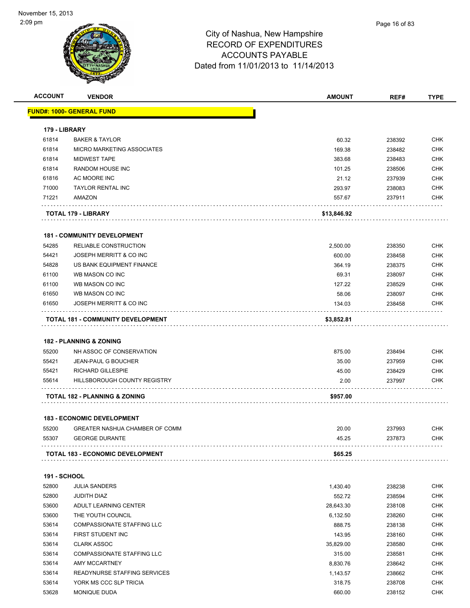| <b>ACCOUNT</b>      | <b>VENDOR</b>                            | <b>AMOUNT</b> | REF#   | <b>TYPE</b> |
|---------------------|------------------------------------------|---------------|--------|-------------|
|                     | <b>FUND#: 1000- GENERAL FUND</b>         |               |        |             |
| 179 - LIBRARY       |                                          |               |        |             |
| 61814               | <b>BAKER &amp; TAYLOR</b>                | 60.32         | 238392 | <b>CHK</b>  |
| 61814               | MICRO MARKETING ASSOCIATES               | 169.38        | 238482 | <b>CHK</b>  |
| 61814               | <b>MIDWEST TAPE</b>                      | 383.68        | 238483 | <b>CHK</b>  |
| 61814               | <b>RANDOM HOUSE INC</b>                  | 101.25        | 238506 | <b>CHK</b>  |
| 61816               | AC MOORE INC                             | 21.12         | 237939 | <b>CHK</b>  |
| 71000               | <b>TAYLOR RENTAL INC</b>                 | 293.97        | 238083 | <b>CHK</b>  |
| 71221               | AMAZON                                   | 557.67        | 237911 | <b>CHK</b>  |
|                     | TOTAL 179 - LIBRARY                      | \$13,846.92   |        |             |
|                     | <b>181 - COMMUNITY DEVELOPMENT</b>       |               |        |             |
| 54285               | RELIABLE CONSTRUCTION                    | 2,500.00      | 238350 | <b>CHK</b>  |
| 54421               | JOSEPH MERRITT & CO INC                  | 600.00        | 238458 | <b>CHK</b>  |
| 54828               | US BANK EQUIPMENT FINANCE                | 364.19        | 238375 | <b>CHK</b>  |
| 61100               | WB MASON CO INC                          | 69.31         | 238097 | <b>CHK</b>  |
| 61100               | WB MASON CO INC                          | 127.22        | 238529 | <b>CHK</b>  |
| 61650               | WB MASON CO INC                          | 58.06         | 238097 | <b>CHK</b>  |
| 61650               | JOSEPH MERRITT & CO INC                  |               | 238458 | <b>CHK</b>  |
|                     |                                          | 134.03        |        |             |
|                     | TOTAL 181 - COMMUNITY DEVELOPMENT        | \$3,852.81    |        |             |
|                     | <b>182 - PLANNING &amp; ZONING</b>       |               |        |             |
| 55200               | NH ASSOC OF CONSERVATION                 | 875.00        | 238494 | <b>CHK</b>  |
| 55421               | <b>JEAN-PAUL G BOUCHER</b>               | 35.00         | 237959 | <b>CHK</b>  |
| 55421               | <b>RICHARD GILLESPIE</b>                 | 45.00         | 238429 | <b>CHK</b>  |
| 55614               | HILLSBOROUGH COUNTY REGISTRY             | 2.00          | 237997 | <b>CHK</b>  |
|                     |                                          |               |        |             |
|                     | <b>TOTAL 182 - PLANNING &amp; ZONING</b> | \$957.00      |        |             |
|                     | <b>183 - ECONOMIC DEVELOPMENT</b>        |               |        |             |
| 55200               | GREATER NASHUA CHAMBER OF COMM           | 20.00         | 237993 | <b>CHK</b>  |
| 55307               | <b>GEORGE DURANTE</b>                    | 45.25         | 237873 | <b>CHK</b>  |
|                     | <b>TOTAL 183 - ECONOMIC DEVELOPMENT</b>  | \$65.25       |        |             |
| <b>191 - SCHOOL</b> |                                          |               |        |             |
| 52800               | <b>JULIA SANDERS</b>                     | 1,430.40      | 238238 | <b>CHK</b>  |
| 52800               | <b>JUDITH DIAZ</b>                       | 552.72        | 238594 | <b>CHK</b>  |
| 53600               | ADULT LEARNING CENTER                    | 28,643.30     | 238108 | <b>CHK</b>  |
| 53600               | THE YOUTH COUNCIL                        | 6,132.50      | 238260 | <b>CHK</b>  |
| 53614               | <b>COMPASSIONATE STAFFING LLC</b>        | 888.75        | 238138 | <b>CHK</b>  |
| 53614               | FIRST STUDENT INC                        | 143.95        | 238160 | <b>CHK</b>  |
| 53614               | <b>CLARK ASSOC</b>                       | 35,829.00     | 238580 | <b>CHK</b>  |
| 53614               | <b>COMPASSIONATE STAFFING LLC</b>        | 315.00        | 238581 | <b>CHK</b>  |
| 53614               | AMY MCCARTNEY                            | 8,830.76      | 238642 | <b>CHK</b>  |
| 53614               | READYNURSE STAFFING SERVICES             | 1,143.57      | 238662 | <b>CHK</b>  |
|                     | YORK MS CCC SLP TRICIA                   |               |        | <b>CHK</b>  |
| 53614               |                                          | 318.75        | 238708 |             |
| 53628               | MONIQUE DUDA                             | 660.00        | 238152 | <b>CHK</b>  |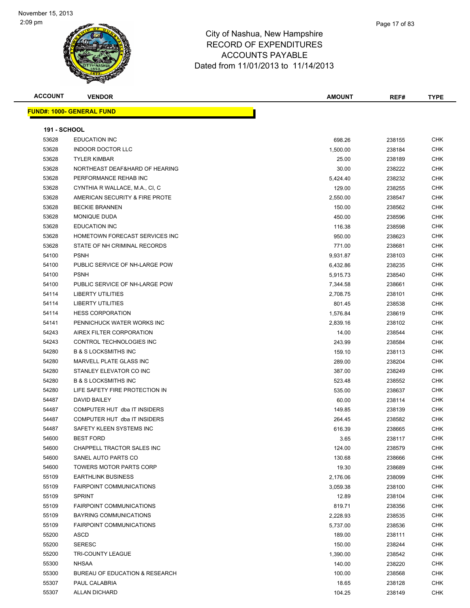|               | Page 17 of 83 |
|---------------|---------------|
| ampshire      |               |
| <b>ITURES</b> |               |

| <b>ACCOUNT</b>      | <b>VENDOR</b>                                            | <b>AMOUNT</b> | REF#   | <b>TYPE</b>              |
|---------------------|----------------------------------------------------------|---------------|--------|--------------------------|
|                     | <b>FUND#: 1000- GENERAL FUND</b>                         |               |        |                          |
|                     |                                                          |               |        |                          |
| <b>191 - SCHOOL</b> |                                                          |               |        |                          |
| 53628               | <b>EDUCATION INC</b>                                     | 698.26        | 238155 | <b>CHK</b>               |
| 53628               | <b>INDOOR DOCTOR LLC</b>                                 | 1,500.00      | 238184 | <b>CHK</b>               |
| 53628               | <b>TYLER KIMBAR</b>                                      | 25.00         | 238189 | CHK                      |
| 53628               | NORTHEAST DEAF&HARD OF HEARING                           | 30.00         | 238222 | <b>CHK</b>               |
| 53628               | PERFORMANCE REHAB INC                                    | 5,424.40      | 238232 | <b>CHK</b>               |
| 53628               | CYNTHIA R WALLACE, M.A., CI, C                           | 129.00        | 238255 | <b>CHK</b>               |
| 53628               | AMERICAN SECURITY & FIRE PROTE                           | 2,550.00      | 238547 | <b>CHK</b>               |
| 53628               | <b>BECKIE BRANNEN</b>                                    | 150.00        | 238562 | <b>CHK</b>               |
| 53628               | MONIQUE DUDA                                             | 450.00        | 238596 | <b>CHK</b>               |
| 53628               | <b>EDUCATION INC</b>                                     | 116.38        | 238598 | <b>CHK</b>               |
| 53628               | HOMETOWN FORECAST SERVICES INC                           | 950.00        | 238623 | <b>CHK</b>               |
| 53628               | STATE OF NH CRIMINAL RECORDS                             | 771.00        | 238681 | <b>CHK</b>               |
| 54100               | <b>PSNH</b>                                              | 9,931.87      | 238103 | <b>CHK</b>               |
| 54100               | PUBLIC SERVICE OF NH-LARGE POW                           | 6,432.86      | 238235 | <b>CHK</b>               |
| 54100               | <b>PSNH</b>                                              | 5,915.73      | 238540 | <b>CHK</b>               |
| 54100               | PUBLIC SERVICE OF NH-LARGE POW                           | 7,344.58      | 238661 | <b>CHK</b>               |
| 54114               | <b>LIBERTY UTILITIES</b>                                 | 2,708.75      | 238101 | <b>CHK</b>               |
| 54114               | <b>LIBERTY UTILITIES</b>                                 | 801.45        | 238538 | <b>CHK</b>               |
| 54114               | <b>HESS CORPORATION</b>                                  | 1,576.84      | 238619 | <b>CHK</b>               |
| 54141               | PENNICHUCK WATER WORKS INC                               | 2,839.16      | 238102 | <b>CHK</b>               |
| 54243               | AIREX FILTER CORPORATION                                 | 14.00         | 238544 | <b>CHK</b>               |
| 54243               | CONTROL TECHNOLOGIES INC                                 | 243.99        | 238584 | <b>CHK</b>               |
| 54280               | <b>B &amp; S LOCKSMITHS INC</b>                          |               |        | <b>CHK</b>               |
| 54280               | MARVELL PLATE GLASS INC                                  | 159.10        | 238113 |                          |
| 54280               | STANLEY ELEVATOR CO INC                                  | 289.00        | 238204 | <b>CHK</b><br><b>CHK</b> |
| 54280               | <b>B &amp; S LOCKSMITHS INC</b>                          | 387.00        | 238249 | <b>CHK</b>               |
|                     |                                                          | 523.48        | 238552 |                          |
| 54280<br>54487      | LIFE SAFETY FIRE PROTECTION IN<br><b>DAVID BAILEY</b>    | 535.00        | 238637 | <b>CHK</b><br><b>CHK</b> |
|                     | COMPUTER HUT dba IT INSIDERS                             | 60.00         | 238114 |                          |
| 54487               |                                                          | 149.85        | 238139 | <b>CHK</b>               |
| 54487               | COMPUTER HUT dba IT INSIDERS<br>SAFETY KLEEN SYSTEMS INC | 264.45        | 238582 | <b>CHK</b>               |
| 54487               | <b>BEST FORD</b>                                         | 616.39        | 238665 | <b>CHK</b>               |
| 54600               |                                                          | 3.65          | 238117 | <b>CHK</b>               |
| 54600               | CHAPPELL TRACTOR SALES INC                               | 124.00        | 238579 | <b>CHK</b>               |
| 54600               | SANEL AUTO PARTS CO                                      | 130.68        | 238666 | <b>CHK</b>               |
| 54600               | TOWERS MOTOR PARTS CORP                                  | 19.30         | 238689 | <b>CHK</b>               |
| 55109               | <b>EARTHLINK BUSINESS</b>                                | 2,176.06      | 238099 | <b>CHK</b>               |
| 55109               | <b>FAIRPOINT COMMUNICATIONS</b>                          | 3,059.38      | 238100 | <b>CHK</b>               |
| 55109               | <b>SPRINT</b>                                            | 12.89         | 238104 | <b>CHK</b>               |
| 55109               | <b>FAIRPOINT COMMUNICATIONS</b>                          | 819.71        | 238356 | <b>CHK</b>               |
| 55109               | BAYRING COMMUNICATIONS                                   | 2,228.93      | 238535 | <b>CHK</b>               |
| 55109               | <b>FAIRPOINT COMMUNICATIONS</b>                          | 5,737.00      | 238536 | <b>CHK</b>               |
| 55200               | <b>ASCD</b>                                              | 189.00        | 238111 | <b>CHK</b>               |
| 55200               | <b>SERESC</b>                                            | 150.00        | 238244 | <b>CHK</b>               |
| 55200               | TRI-COUNTY LEAGUE                                        | 1,390.00      | 238542 | <b>CHK</b>               |
| 55300               | <b>NHSAA</b>                                             | 140.00        | 238220 | <b>CHK</b>               |
| 55300               | BUREAU OF EDUCATION & RESEARCH                           | 100.00        | 238568 | <b>CHK</b>               |
| 55307               | PAUL CALABRIA                                            | 18.65         | 238128 | <b>CHK</b>               |
| 55307               | <b>ALLAN DICHARD</b>                                     | 104.25        | 238149 | <b>CHK</b>               |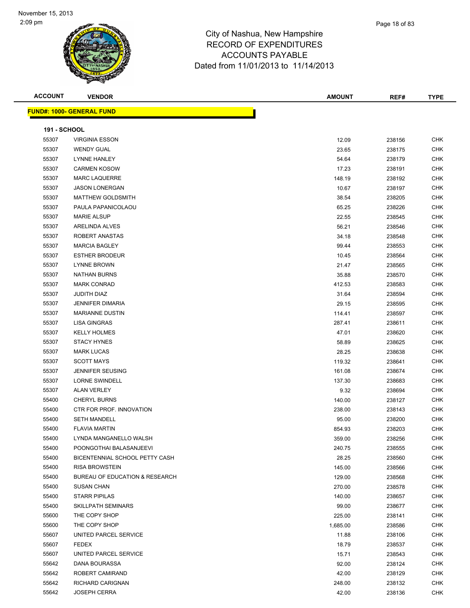| <b>ACCOUNT</b>      | <b>VENDOR</b>                                           | <b>AMOUNT</b>   | REF#   | <b>TYPE</b>       |
|---------------------|---------------------------------------------------------|-----------------|--------|-------------------|
|                     | <b>FUND#: 1000- GENERAL FUND</b>                        |                 |        |                   |
|                     |                                                         |                 |        |                   |
| <b>191 - SCHOOL</b> |                                                         |                 |        |                   |
| 55307               | <b>VIRGINIA ESSON</b>                                   | 12.09           | 238156 | <b>CHK</b>        |
| 55307               | <b>WENDY GUAL</b>                                       | 23.65           | 238175 | <b>CHK</b>        |
| 55307               | <b>LYNNE HANLEY</b>                                     | 54.64           | 238179 | <b>CHK</b>        |
| 55307               | <b>CARMEN KOSOW</b>                                     | 17.23           | 238191 | <b>CHK</b>        |
| 55307               | <b>MARC LAQUERRE</b>                                    | 148.19          | 238192 | <b>CHK</b>        |
| 55307               | <b>JASON LONERGAN</b>                                   | 10.67           | 238197 | <b>CHK</b>        |
| 55307               | <b>MATTHEW GOLDSMITH</b>                                | 38.54           | 238205 | <b>CHK</b>        |
| 55307               | PAULA PAPANICOLAOU                                      | 65.25           | 238226 | <b>CHK</b>        |
| 55307               | <b>MARIE ALSUP</b>                                      | 22.55           | 238545 | <b>CHK</b>        |
| 55307               | ARELINDA ALVES                                          | 56.21           | 238546 | <b>CHK</b>        |
| 55307               | ROBERT ANASTAS                                          | 34.18           | 238548 | <b>CHK</b>        |
| 55307               | <b>MARCIA BAGLEY</b>                                    | 99.44           | 238553 | <b>CHK</b>        |
| 55307               | <b>ESTHER BRODEUR</b>                                   | 10.45           | 238564 | <b>CHK</b>        |
| 55307               | <b>LYNNE BROWN</b>                                      | 21.47           | 238565 | <b>CHK</b>        |
| 55307               | <b>NATHAN BURNS</b>                                     | 35.88           | 238570 | <b>CHK</b>        |
| 55307               | <b>MARK CONRAD</b>                                      | 412.53          | 238583 | <b>CHK</b>        |
| 55307               | JUDITH DIAZ                                             | 31.64           | 238594 | <b>CHK</b>        |
| 55307               | <b>JENNIFER DIMARIA</b>                                 | 29.15           | 238595 | <b>CHK</b>        |
| 55307               | <b>MARIANNE DUSTIN</b>                                  | 114.41          | 238597 | <b>CHK</b>        |
| 55307               | LISA GINGRAS                                            | 287.41          | 238611 | <b>CHK</b>        |
| 55307               | <b>KELLY HOLMES</b>                                     | 47.01           | 238620 | <b>CHK</b>        |
| 55307               | <b>STACY HYNES</b>                                      | 58.89           | 238625 | <b>CHK</b>        |
| 55307               | <b>MARK LUCAS</b>                                       | 28.25           | 238638 | <b>CHK</b>        |
| 55307               | <b>SCOTT MAYS</b>                                       | 119.32          | 238641 | <b>CHK</b>        |
| 55307               | <b>JENNIFER SEUSING</b>                                 | 161.08          | 238674 | <b>CHK</b>        |
| 55307               | <b>LORNE SWINDELL</b>                                   | 137.30          | 238683 | <b>CHK</b>        |
| 55307               | <b>ALAN VERLEY</b>                                      | 9.32            | 238694 | <b>CHK</b>        |
| 55400               | <b>CHERYL BURNS</b>                                     | 140.00          | 238127 | <b>CHK</b>        |
| 55400               | CTR FOR PROF. INNOVATION                                | 238.00          | 238143 | <b>CHK</b>        |
| 55400               | <b>SETH MANDELL</b>                                     | 95.00           | 238200 | <b>CHK</b>        |
| 55400               | <b>FLAVIA MARTIN</b>                                    | 854.93          | 238203 | <b>CHK</b>        |
| 55400               | LYNDA MANGANELLO WALSH                                  | 359.00          | 238256 | CHK               |
| 55400               | POONGOTHAI BALASANJEEVI                                 | 240.75          | 238555 | <b>CHK</b>        |
| 55400               | BICENTENNIAL SCHOOL PETTY CASH<br><b>RISA BROWSTEIN</b> | 28.25           | 238560 | <b>CHK</b>        |
| 55400               |                                                         | 145.00          | 238566 | CHK               |
| 55400               | BUREAU OF EDUCATION & RESEARCH                          | 129.00          | 238568 | <b>CHK</b>        |
| 55400               | <b>SUSAN CHAN</b>                                       | 270.00          | 238578 | <b>CHK</b>        |
| 55400               | <b>STARR PIPILAS</b>                                    | 140.00          | 238657 | CHK               |
| 55400               | SKILLPATH SEMINARS                                      | 99.00           | 238677 | <b>CHK</b>        |
| 55600               | THE COPY SHOP                                           | 225.00          | 238141 | <b>CHK</b>        |
| 55600               | THE COPY SHOP                                           | 1,685.00        | 238586 | CHK               |
| 55607               | UNITED PARCEL SERVICE                                   | 11.88           | 238106 | <b>CHK</b>        |
| 55607               | <b>FEDEX</b>                                            | 18.79           | 238537 | <b>CHK</b>        |
| 55607               | UNITED PARCEL SERVICE                                   | 15.71           | 238543 | CHK               |
| 55642               | DANA BOURASSA                                           | 92.00           | 238124 | CHK               |
| 55642               | ROBERT CAMIRAND                                         | 42.00           | 238129 | CHK               |
| 55642<br>55642      | RICHARD CARIGNAN<br><b>JOSEPH CERRA</b>                 | 248.00<br>42.00 | 238132 | CHK<br><b>CHK</b> |
|                     |                                                         |                 | 238136 |                   |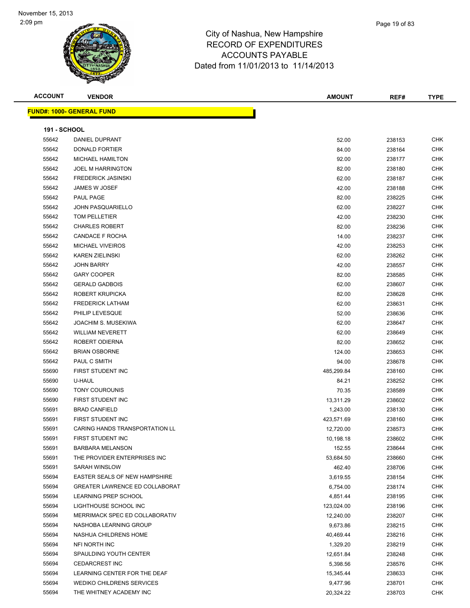| <b>ACCOUNT</b>      | <b>VENDOR</b>                    | <b>AMOUNT</b> | REF#   | <b>TYPE</b> |
|---------------------|----------------------------------|---------------|--------|-------------|
|                     | <b>FUND#: 1000- GENERAL FUND</b> |               |        |             |
|                     |                                  |               |        |             |
| <b>191 - SCHOOL</b> |                                  |               |        |             |
| 55642               | DANIEL DUPRANT                   | 52.00         | 238153 | CHK         |
| 55642               | DONALD FORTIER                   | 84.00         | 238164 | <b>CHK</b>  |
| 55642               | <b>MICHAEL HAMILTON</b>          | 92.00         | 238177 | <b>CHK</b>  |
| 55642               | JOEL M HARRINGTON                | 82.00         | 238180 | <b>CHK</b>  |
| 55642               | <b>FREDERICK JASINSKI</b>        | 62.00         | 238187 | <b>CHK</b>  |
| 55642               | JAMES W JOSEF                    | 42.00         | 238188 | <b>CHK</b>  |
| 55642               | PAUL PAGE                        | 82.00         | 238225 | <b>CHK</b>  |
| 55642               | <b>JOHN PASQUARIELLO</b>         | 62.00         | 238227 | <b>CHK</b>  |
| 55642               | TOM PELLETIER                    | 42.00         | 238230 | <b>CHK</b>  |
| 55642               | <b>CHARLES ROBERT</b>            | 82.00         | 238236 | CHK         |
| 55642               | CANDACE F ROCHA                  | 14.00         | 238237 | CHK         |
| 55642               | <b>MICHAEL VIVEIROS</b>          | 42.00         | 238253 | <b>CHK</b>  |
| 55642               | <b>KAREN ZIELINSKI</b>           | 62.00         | 238262 | <b>CHK</b>  |
| 55642               | <b>JOHN BARRY</b>                | 42.00         | 238557 | CHK         |
| 55642               | <b>GARY COOPER</b>               | 82.00         | 238585 | <b>CHK</b>  |
| 55642               | <b>GERALD GADBOIS</b>            | 62.00         | 238607 | CHK         |
| 55642               | ROBERT KRUPICKA                  | 82.00         | 238628 | <b>CHK</b>  |
| 55642               | <b>FREDERICK LATHAM</b>          | 62.00         | 238631 | <b>CHK</b>  |
| 55642               | PHILIP LEVESQUE                  | 52.00         | 238636 | CHK         |
| 55642               | JOACHIM S. MUSEKIWA              | 62.00         | 238647 | CHK         |
| 55642               | <b>WILLIAM NEVERETT</b>          | 62.00         | 238649 | CHK         |
| 55642               | ROBERT ODIERNA                   | 82.00         | 238652 | <b>CHK</b>  |
| 55642               | <b>BRIAN OSBORNE</b>             | 124.00        | 238653 | <b>CHK</b>  |
| 55642               | PAUL C SMITH                     | 94.00         | 238678 | <b>CHK</b>  |
| 55690               | FIRST STUDENT INC                | 485,299.84    | 238160 | <b>CHK</b>  |
| 55690               | U-HAUL                           | 84.21         | 238252 | <b>CHK</b>  |
| 55690               | <b>TONY COUROUNIS</b>            | 70.35         | 238589 | <b>CHK</b>  |
| 55690               | FIRST STUDENT INC                | 13,311.29     | 238602 | <b>CHK</b>  |
| 55691               | <b>BRAD CANFIELD</b>             | 1,243.00      | 238130 | <b>CHK</b>  |
| 55691               | FIRST STUDENT INC                | 423,571.69    | 238160 | CHK         |
| 55691               | CARING HANDS TRANSPORTATION LL   | 12,720.00     | 238573 | CHK         |
| 55691               | FIRST STUDENT INC                | 10,198.18     | 238602 | <b>CHK</b>  |
| 55691               | <b>BARBARA MELANSON</b>          | 152.55        | 238644 | <b>CHK</b>  |
| 55691               | THE PROVIDER ENTERPRISES INC     | 53,684.50     | 238660 | CHK         |
| 55691               | SARAH WINSLOW                    | 462.40        | 238706 | <b>CHK</b>  |
| 55694               | EASTER SEALS OF NEW HAMPSHIRE    | 3,619.55      | 238154 | CHK         |
| 55694               | GREATER LAWRENCE ED COLLABORAT   | 6,754.00      | 238174 | CHK         |
| 55694               | LEARNING PREP SCHOOL             | 4,851.44      | 238195 | <b>CHK</b>  |
| 55694               | LIGHTHOUSE SCHOOL INC            | 123,024.00    | 238196 | <b>CHK</b>  |
| 55694               | MERRIMACK SPEC ED COLLABORATIV   | 12,240.00     | 238207 | CHK         |
| 55694               | NASHOBA LEARNING GROUP           | 9,673.86      | 238215 | <b>CHK</b>  |
| 55694               | NASHUA CHILDRENS HOME            | 40,469.44     | 238216 | CHK         |
| 55694               | NFI NORTH INC                    | 1,329.20      | 238219 | CHK         |
| 55694               | SPAULDING YOUTH CENTER           | 12,651.84     | 238248 | CHK         |
| 55694               | <b>CEDARCREST INC</b>            | 5,398.56      | 238576 | CHK         |
| 55694               | LEARNING CENTER FOR THE DEAF     | 15,345.44     | 238633 | CHK         |
| 55694               | WEDIKO CHILDRENS SERVICES        | 9,477.96      | 238701 | CHK         |
| 55694               | THE WHITNEY ACADEMY INC          | 20,324.22     | 238703 | <b>CHK</b>  |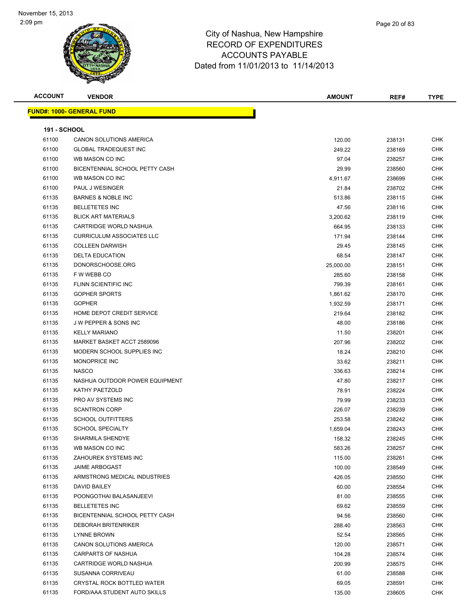| <b>ACCOUNT</b>      | <b>VENDOR</b>                    | <b>AMOUNT</b> | REF#   | <b>TYPE</b> |
|---------------------|----------------------------------|---------------|--------|-------------|
|                     | <b>FUND#: 1000- GENERAL FUND</b> |               |        |             |
|                     |                                  |               |        |             |
| <b>191 - SCHOOL</b> |                                  |               |        |             |
| 61100               | <b>CANON SOLUTIONS AMERICA</b>   | 120.00        | 238131 | <b>CHK</b>  |
| 61100               | <b>GLOBAL TRADEQUEST INC</b>     | 249.22        | 238169 | <b>CHK</b>  |
| 61100               | WB MASON CO INC                  | 97.04         | 238257 | <b>CHK</b>  |
| 61100               | BICENTENNIAL SCHOOL PETTY CASH   | 29.99         | 238560 | <b>CHK</b>  |
| 61100               | WB MASON CO INC                  | 4,911.67      | 238699 | <b>CHK</b>  |
| 61100               | PAUL J WESINGER                  | 21.84         | 238702 | <b>CHK</b>  |
| 61135               | <b>BARNES &amp; NOBLE INC</b>    | 513.86        | 238115 | <b>CHK</b>  |
| 61135               | <b>BELLETETES INC</b>            | 47.56         | 238116 | <b>CHK</b>  |
| 61135               | <b>BLICK ART MATERIALS</b>       | 3,200.62      | 238119 | <b>CHK</b>  |
| 61135               | CARTRIDGE WORLD NASHUA           | 664.95        | 238133 | <b>CHK</b>  |
| 61135               | <b>CURRICULUM ASSOCIATES LLC</b> | 171.94        | 238144 | <b>CHK</b>  |
| 61135               | <b>COLLEEN DARWISH</b>           | 29.45         | 238145 | <b>CHK</b>  |
| 61135               | <b>DELTA EDUCATION</b>           | 68.54         | 238147 | <b>CHK</b>  |
| 61135               | DONORSCHOOSE.ORG                 | 25,000.00     | 238151 | <b>CHK</b>  |
| 61135               | F W WEBB CO                      | 285.60        | 238158 | <b>CHK</b>  |
| 61135               | FLINN SCIENTIFIC INC             | 799.39        | 238161 | <b>CHK</b>  |
| 61135               | <b>GOPHER SPORTS</b>             | 1,861.62      | 238170 | <b>CHK</b>  |
| 61135               | <b>GOPHER</b>                    | 1,932.59      | 238171 | <b>CHK</b>  |
| 61135               | HOME DEPOT CREDIT SERVICE        | 219.64        | 238182 | <b>CHK</b>  |
| 61135               | J W PEPPER & SONS INC            | 48.00         | 238186 | <b>CHK</b>  |
| 61135               | <b>KELLY MARIANO</b>             | 11.50         | 238201 | <b>CHK</b>  |
| 61135               | MARKET BASKET ACCT 2589096       | 207.96        | 238202 | <b>CHK</b>  |
| 61135               | MODERN SCHOOL SUPPLIES INC       | 18.24         | 238210 | <b>CHK</b>  |
| 61135               | MONOPRICE INC                    | 33.62         | 238211 | <b>CHK</b>  |
| 61135               | <b>NASCO</b>                     | 336.63        | 238214 | <b>CHK</b>  |
| 61135               | NASHUA OUTDOOR POWER EQUIPMENT   | 47.80         | 238217 | <b>CHK</b>  |
| 61135               | KATHY PAETZOLD                   | 78.91         | 238224 | <b>CHK</b>  |
| 61135               | PRO AV SYSTEMS INC               | 79.99         | 238233 | <b>CHK</b>  |
| 61135               | <b>SCANTRON CORP</b>             | 226.07        | 238239 | <b>CHK</b>  |
| 61135               | <b>SCHOOL OUTFITTERS</b>         | 253.58        | 238242 | <b>CHK</b>  |
| 61135               | <b>SCHOOL SPECIALTY</b>          | 1,659.04      | 238243 | <b>CHK</b>  |
| 61135               | SHARMILA SHENDYE                 | 158.32        | 238245 | <b>CHK</b>  |
| 61135               | WB MASON CO INC                  | 583.26        | 238257 | <b>CHK</b>  |
| 61135               | ZAHOUREK SYSTEMS INC             | 115.00        | 238261 | <b>CHK</b>  |
| 61135               | <b>JAIME ARBOGAST</b>            | 100.00        | 238549 | <b>CHK</b>  |
| 61135               | ARMSTRONG MEDICAL INDUSTRIES     | 426.05        | 238550 | <b>CHK</b>  |
| 61135               | DAVID BAILEY                     | 60.00         | 238554 | <b>CHK</b>  |
| 61135               | POONGOTHAI BALASANJEEVI          | 81.00         | 238555 | <b>CHK</b>  |
| 61135               | <b>BELLETETES INC</b>            | 69.62         | 238559 | <b>CHK</b>  |
| 61135               | BICENTENNIAL SCHOOL PETTY CASH   | 94.56         | 238560 | <b>CHK</b>  |
| 61135               | <b>DEBORAH BRITENRIKER</b>       | 288.40        | 238563 | CHK         |
| 61135               | LYNNE BROWN                      | 52.54         | 238565 | <b>CHK</b>  |
| 61135               | CANON SOLUTIONS AMERICA          | 120.00        | 238571 | CHK         |
| 61135               | <b>CARPARTS OF NASHUA</b>        | 104.28        | 238574 | <b>CHK</b>  |
| 61135               | CARTRIDGE WORLD NASHUA           | 200.99        | 238575 | <b>CHK</b>  |
| 61135               | SUSANNA CORRIVEAU                | 61.00         | 238588 | <b>CHK</b>  |
| 61135               | CRYSTAL ROCK BOTTLED WATER       | 69.05         | 238591 | <b>CHK</b>  |
| 61135               | FORD/AAA STUDENT AUTO SKILLS     | 135.00        | 238605 | <b>CHK</b>  |
|                     |                                  |               |        |             |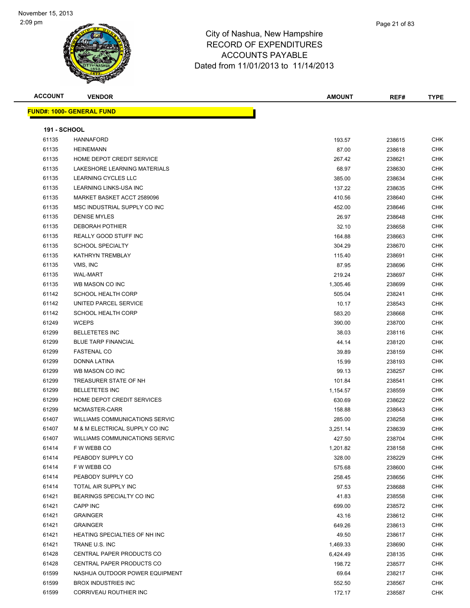| <b>ACCOUNT</b>      | <b>VENDOR</b>                         | <b>AMOUNT</b> | REF#   | <b>TYPE</b> |
|---------------------|---------------------------------------|---------------|--------|-------------|
|                     | <u> FUND#: 1000- GENERAL FUND</u>     |               |        |             |
|                     |                                       |               |        |             |
| <b>191 - SCHOOL</b> |                                       |               |        |             |
| 61135               | <b>HANNAFORD</b>                      | 193.57        | 238615 | <b>CHK</b>  |
| 61135               | <b>HEINEMANN</b>                      | 87.00         | 238618 | <b>CHK</b>  |
| 61135               | HOME DEPOT CREDIT SERVICE             | 267.42        | 238621 | <b>CHK</b>  |
| 61135               | LAKESHORE LEARNING MATERIALS          | 68.97         | 238630 | <b>CHK</b>  |
| 61135               | <b>LEARNING CYCLES LLC</b>            | 385.00        | 238634 | <b>CHK</b>  |
| 61135               | LEARNING LINKS-USA INC                | 137.22        | 238635 | <b>CHK</b>  |
| 61135               | MARKET BASKET ACCT 2589096            | 410.56        | 238640 | <b>CHK</b>  |
| 61135               | MSC INDUSTRIAL SUPPLY CO INC          | 452.00        | 238646 | <b>CHK</b>  |
| 61135               | <b>DENISE MYLES</b>                   | 26.97         | 238648 | CHK         |
| 61135               | <b>DEBORAH POTHIER</b>                | 32.10         | 238658 | CHK         |
| 61135               | REALLY GOOD STUFF INC                 | 164.88        | 238663 | CHK         |
| 61135               | <b>SCHOOL SPECIALTY</b>               | 304.29        | 238670 | CHK         |
| 61135               | KATHRYN TREMBLAY                      | 115.40        | 238691 | <b>CHK</b>  |
| 61135               | VMS, INC                              | 87.95         | 238696 | <b>CHK</b>  |
| 61135               | <b>WAL-MART</b>                       | 219.24        | 238697 | CHK         |
| 61135               | WB MASON CO INC                       | 1,305.46      | 238699 | CHK         |
| 61142               | <b>SCHOOL HEALTH CORP</b>             | 505.04        | 238241 | CHK         |
| 61142               | UNITED PARCEL SERVICE                 | 10.17         | 238543 | <b>CHK</b>  |
| 61142               | <b>SCHOOL HEALTH CORP</b>             | 583.20        | 238668 | <b>CHK</b>  |
| 61249               | <b>WCEPS</b>                          | 390.00        | 238700 | CHK         |
| 61299               | <b>BELLETETES INC</b>                 | 38.03         | 238116 | CHK         |
| 61299               | <b>BLUE TARP FINANCIAL</b>            | 44.14         | 238120 | <b>CHK</b>  |
| 61299               | <b>FASTENAL CO</b>                    | 39.89         | 238159 | <b>CHK</b>  |
| 61299               | DONNA LATINA                          | 15.99         | 238193 | CHK         |
| 61299               | WB MASON CO INC                       | 99.13         | 238257 | CHK         |
| 61299               | TREASURER STATE OF NH                 | 101.84        | 238541 | <b>CHK</b>  |
| 61299               | <b>BELLETETES INC</b>                 | 1,154.57      | 238559 | <b>CHK</b>  |
| 61299               | HOME DEPOT CREDIT SERVICES            | 630.69        | 238622 | <b>CHK</b>  |
| 61299               | MCMASTER-CARR                         | 158.88        | 238643 | <b>CHK</b>  |
| 61407               | <b>WILLIAMS COMMUNICATIONS SERVIC</b> | 285.00        | 238258 | <b>CHK</b>  |
| 61407               | M & M ELECTRICAL SUPPLY CO INC        | 3,251.14      | 238639 | CHK         |
| 61407               | <b>WILLIAMS COMMUNICATIONS SERVIC</b> | 427.50        | 238704 | <b>CHK</b>  |
| 61414               | F W WEBB CO                           | 1,201.82      | 238158 | <b>CHK</b>  |
| 61414               | PEABODY SUPPLY CO                     | 328.00        | 238229 | CHK         |
| 61414               | F W WEBB CO                           | 575.68        | 238600 | <b>CHK</b>  |
| 61414               | PEABODY SUPPLY CO                     | 258.45        | 238656 | <b>CHK</b>  |
| 61414               | TOTAL AIR SUPPLY INC                  | 97.53         | 238688 | <b>CHK</b>  |
| 61421               | BEARINGS SPECIALTY CO INC             | 41.83         | 238558 | CHK         |
| 61421               | <b>CAPP INC</b>                       | 699.00        | 238572 | CHK         |
| 61421               | <b>GRAINGER</b>                       | 43.16         | 238612 | <b>CHK</b>  |
| 61421               | <b>GRAINGER</b>                       | 649.26        | 238613 | <b>CHK</b>  |
| 61421               | HEATING SPECIALTIES OF NH INC         | 49.50         | 238617 | CHK         |
| 61421               | TRANE U.S. INC                        | 1,469.33      | 238690 | CHK         |
| 61428               | CENTRAL PAPER PRODUCTS CO             | 6,424.49      | 238135 | CHK         |
| 61428               | CENTRAL PAPER PRODUCTS CO             | 198.72        | 238577 | <b>CHK</b>  |
| 61599               | NASHUA OUTDOOR POWER EQUIPMENT        | 69.64         | 238217 | <b>CHK</b>  |
| 61599               | <b>BROX INDUSTRIES INC</b>            | 552.50        | 238567 | CHK         |
| 61599               | CORRIVEAU ROUTHIER INC                | 172.17        | 238587 | CHK         |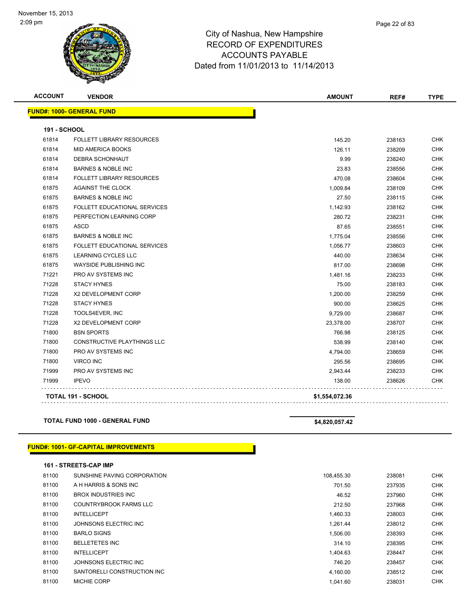| <b>ACCOUNT</b> | <b>VENDOR</b>                    | <b>AMOUNT</b>  | REF#   | <b>TYPE</b> |
|----------------|----------------------------------|----------------|--------|-------------|
|                | <b>FUND#: 1000- GENERAL FUND</b> |                |        |             |
| 191 - SCHOOL   |                                  |                |        |             |
| 61814          | <b>FOLLETT LIBRARY RESOURCES</b> | 145.20         | 238163 | <b>CHK</b>  |
| 61814          | <b>MID AMERICA BOOKS</b>         | 126.11         | 238209 | <b>CHK</b>  |
| 61814          | <b>DEBRA SCHONHAUT</b>           | 9.99           | 238240 | <b>CHK</b>  |
| 61814          | <b>BARNES &amp; NOBLE INC</b>    | 23.83          | 238556 | <b>CHK</b>  |
| 61814          | <b>FOLLETT LIBRARY RESOURCES</b> | 470.08         | 238604 | <b>CHK</b>  |
| 61875          | <b>AGAINST THE CLOCK</b>         | 1,009.84       | 238109 | <b>CHK</b>  |
| 61875          | <b>BARNES &amp; NOBLE INC</b>    | 27.50          | 238115 | <b>CHK</b>  |
| 61875          | FOLLETT EDUCATIONAL SERVICES     | 1,142.93       | 238162 | <b>CHK</b>  |
| 61875          | PERFECTION LEARNING CORP         | 280.72         | 238231 | <b>CHK</b>  |
| 61875          | <b>ASCD</b>                      | 87.65          | 238551 | <b>CHK</b>  |
| 61875          | <b>BARNES &amp; NOBLE INC</b>    | 1,775.04       | 238556 | <b>CHK</b>  |
| 61875          | FOLLETT EDUCATIONAL SERVICES     | 1,056.77       | 238603 | <b>CHK</b>  |
| 61875          | <b>LEARNING CYCLES LLC</b>       | 440.00         | 238634 | <b>CHK</b>  |
| 61875          | WAYSIDE PUBLISHING INC           | 817.00         | 238698 | <b>CHK</b>  |
| 71221          | <b>PRO AV SYSTEMS INC</b>        | 1,481.16       | 238233 | <b>CHK</b>  |
| 71228          | <b>STACY HYNES</b>               | 75.00          | 238183 | <b>CHK</b>  |
| 71228          | <b>X2 DEVELOPMENT CORP</b>       | 1,200.00       | 238259 | <b>CHK</b>  |
| 71228          | <b>STACY HYNES</b>               | 900.00         | 238625 | <b>CHK</b>  |
| 71228          | TOOLS4EVER, INC                  | 9,729.00       | 238687 | <b>CHK</b>  |
| 71228          | X2 DEVELOPMENT CORP              | 23,378.00      | 238707 | <b>CHK</b>  |
| 71800          | <b>BSN SPORTS</b>                | 766.98         | 238125 | <b>CHK</b>  |
| 71800          | CONSTRUCTIVE PLAYTHINGS LLC      | 538.99         | 238140 | <b>CHK</b>  |
| 71800          | <b>PRO AV SYSTEMS INC</b>        | 4,794.00       | 238659 | <b>CHK</b>  |
| 71800          | <b>VIRCO INC</b>                 | 295.56         | 238695 | <b>CHK</b>  |
| 71999          | PRO AV SYSTEMS INC               | 2,943.44       | 238233 | <b>CHK</b>  |
| 71999          | <b>IPEVO</b>                     | 138.00         | 238626 | <b>CHK</b>  |
|                | <b>TOTAL 191 - SCHOOL</b>        | \$1,554,072.36 |        |             |

### **TOTAL FUND 1000 - GENERAL FUND \$4,820,057.42**

### **FUND#: 1001- GF-CAPITAL IMPROVEMENTS**

**161 - STREETS-CAP IMP**

| 81100 | SUNSHINE PAVING CORPORATION | 108.455.30 | 238081 | <b>CHK</b> |
|-------|-----------------------------|------------|--------|------------|
| 81100 | A H HARRIS & SONS INC       | 701.50     | 237935 | <b>CHK</b> |
| 81100 | <b>BROX INDUSTRIES INC.</b> | 46.52      | 237960 | <b>CHK</b> |
| 81100 | COUNTRYBROOK FARMS LLC      | 212.50     | 237968 | <b>CHK</b> |
| 81100 | <b>INTELLICEPT</b>          | 1,460.33   | 238003 | <b>CHK</b> |
| 81100 | JOHNSONS ELECTRIC INC       | 1.261.44   | 238012 | <b>CHK</b> |
| 81100 | <b>BARLO SIGNS</b>          | 1,506.00   | 238393 | <b>CHK</b> |
| 81100 | <b>BELLETETES INC</b>       | 314.10     | 238395 | <b>CHK</b> |
| 81100 | <b>INTELLICEPT</b>          | 1.404.63   | 238447 | <b>CHK</b> |
| 81100 | JOHNSONS ELECTRIC INC       | 746.20     | 238457 | <b>CHK</b> |
| 81100 | SANTORELLI CONSTRUCTION INC | 4,160.00   | 238512 | <b>CHK</b> |
| 81100 | <b>MICHIE CORP</b>          | 1,041.60   | 238031 | <b>CHK</b> |
|       |                             |            |        |            |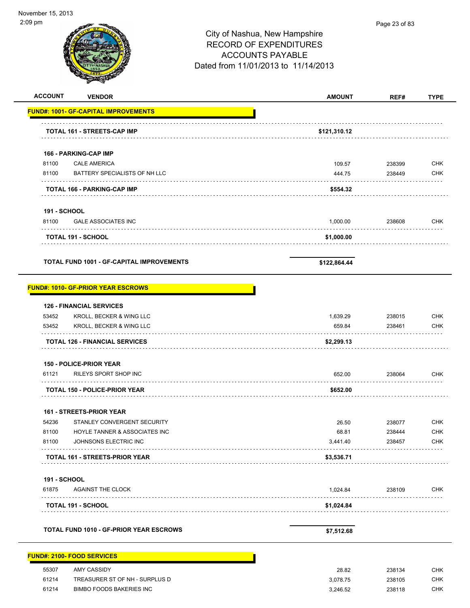÷

| <b>ACCOUNT</b>      | <b>VENDOR</b>                                    | <b>AMOUNT</b> | REF#   | <b>TYPE</b> |
|---------------------|--------------------------------------------------|---------------|--------|-------------|
|                     | <b>FUND#: 1001- GF-CAPITAL IMPROVEMENTS</b>      |               |        |             |
|                     | <b>TOTAL 161 - STREETS-CAP IMP</b>               | \$121,310.12  |        |             |
|                     | 166 - PARKING-CAP IMP                            |               |        |             |
| 81100               | <b>CALE AMERICA</b>                              | 109.57        | 238399 | <b>CHK</b>  |
| 81100               | BATTERY SPECIALISTS OF NH LLC                    | 444.75        | 238449 | <b>CHK</b>  |
|                     | TOTAL 166 - PARKING-CAP IMP                      | \$554.32      |        |             |
| <b>191 - SCHOOL</b> |                                                  |               |        |             |
| 81100               | <b>GALE ASSOCIATES INC</b>                       | 1,000.00      | 238608 | <b>CHK</b>  |
|                     | <b>TOTAL 191 - SCHOOL</b>                        | \$1,000.00    |        |             |
|                     | <b>TOTAL FUND 1001 - GF-CAPITAL IMPROVEMENTS</b> | \$122,864.44  |        |             |
|                     | <b>FUND#: 1010- GF-PRIOR YEAR ESCROWS</b>        |               |        |             |
|                     | <b>126 - FINANCIAL SERVICES</b>                  |               |        |             |
| 53452               | KROLL, BECKER & WING LLC                         | 1,639.29      | 238015 | <b>CHK</b>  |
| 53452               | KROLL, BECKER & WING LLC                         | 659.84        | 238461 | <b>CHK</b>  |
|                     | <b>TOTAL 126 - FINANCIAL SERVICES</b>            | \$2,299.13    |        |             |
|                     | <b>150 - POLICE-PRIOR YEAR</b>                   |               |        |             |
| 61121               | RILEYS SPORT SHOP INC                            | 652.00        | 238064 | <b>CHK</b>  |
|                     | <b>TOTAL 150 - POLICE-PRIOR YEAR</b>             | \$652.00      |        |             |
|                     | 161 - STREETS-PRIOR YEAR                         |               |        |             |
| 54236               | STANLEY CONVERGENT SECURITY                      | 26.50         | 238077 | <b>CHK</b>  |
| 81100               | HOYLE TANNER & ASSOCIATES INC                    | 68.81         | 238444 | <b>CHK</b>  |
| 81100               | JOHNSONS ELECTRIC INC                            | 3,441.40      | 238457 | <b>CHK</b>  |
|                     | <b>TOTAL 161 - STREETS-PRIOR YEAR</b>            | \$3,536.71    |        |             |
| <b>191 - SCHOOL</b> |                                                  |               |        |             |
| 61875               | <b>AGAINST THE CLOCK</b>                         | 1,024.84      | 238109 | <b>CHK</b>  |
|                     | <b>TOTAL 191 - SCHOOL</b>                        | \$1,024.84    |        |             |
|                     | TOTAL FUND 1010 - GF-PRIOR YEAR ESCROWS          | \$7,512.68    |        |             |
|                     | <b>FUND#: 2100- FOOD SERVICES</b>                |               |        |             |
| 55307               | AMY CASSIDY                                      | 28.82         | 238134 | <b>CHK</b>  |
| 61214               | TREASURER ST OF NH - SURPLUS D                   | 3,078.75      | 238105 | <b>CHK</b>  |
| 61214               | BIMBO FOODS BAKERIES INC                         | 3,246.52      | 238118 | <b>CHK</b>  |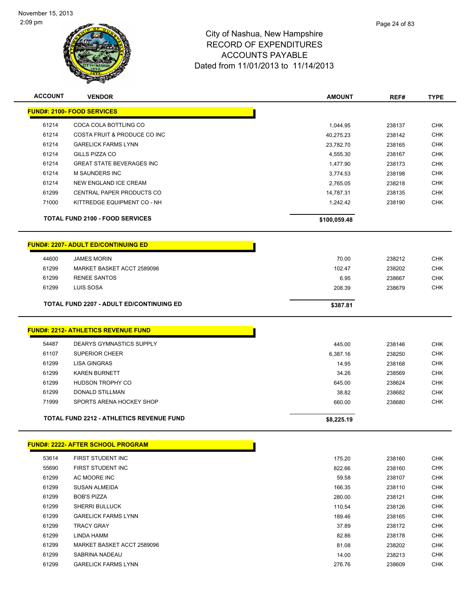

| <b>ACCOUNT</b> | <b>VENDOR</b>                                   | <b>AMOUNT</b> | REF#   | <b>TYPE</b> |
|----------------|-------------------------------------------------|---------------|--------|-------------|
|                | <b>FUND#: 2100- FOOD SERVICES</b>               |               |        |             |
| 61214          | COCA COLA BOTTLING CO                           | 1,044.95      | 238137 | <b>CHK</b>  |
| 61214          | COSTA FRUIT & PRODUCE CO INC                    | 40,275.23     | 238142 | <b>CHK</b>  |
| 61214          | <b>GARELICK FARMS LYNN</b>                      | 23,782.70     | 238165 | <b>CHK</b>  |
| 61214          | GILLS PIZZA CO                                  | 4,555.30      | 238167 | <b>CHK</b>  |
| 61214          | <b>GREAT STATE BEVERAGES INC</b>                | 1,477.90      | 238173 | <b>CHK</b>  |
| 61214          | M SAUNDERS INC                                  | 3,774.53      | 238198 | <b>CHK</b>  |
| 61214          | NEW ENGLAND ICE CREAM                           | 2,765.05      | 238218 | <b>CHK</b>  |
| 61299          | CENTRAL PAPER PRODUCTS CO                       | 14,787.31     | 238135 | CHK         |
| 71000          | KITTREDGE EQUIPMENT CO - NH                     | 1,242.42      | 238190 | <b>CHK</b>  |
|                | <b>TOTAL FUND 2100 - FOOD SERVICES</b>          | \$100,059.48  |        |             |
|                | <b>FUND#: 2207- ADULT ED/CONTINUING ED</b>      |               |        |             |
| 44600          | <b>JAMES MORIN</b>                              | 70.00         | 238212 | <b>CHK</b>  |
| 61299          | MARKET BASKET ACCT 2589096                      | 102.47        | 238202 | <b>CHK</b>  |
| 61299          | <b>RENEE SANTOS</b>                             | 6.95          | 238667 | <b>CHK</b>  |
| 61299          | LUIS SOSA                                       | 208.39        | 238679 | <b>CHK</b>  |
|                | <b>TOTAL FUND 2207 - ADULT ED/CONTINUING ED</b> | \$387.81      |        |             |
|                | <b>FUND#: 2212- ATHLETICS REVENUE FUND</b>      |               |        |             |
| 54487          | DEARYS GYMNASTICS SUPPLY                        | 445.00        | 238146 | <b>CHK</b>  |
| 61107          | <b>SUPERIOR CHEER</b>                           | 6,387.16      | 238250 | <b>CHK</b>  |
| 61299          | <b>LISA GINGRAS</b>                             | 14.95         | 238168 | <b>CHK</b>  |
| 61299          | <b>KAREN BURNETT</b>                            | 34.26         | 238569 | <b>CHK</b>  |
| 61299          | HUDSON TROPHY CO                                | 645.00        | 238624 | <b>CHK</b>  |
| 61299          | <b>DONALD STILLMAN</b>                          | 38.82         | 238682 | <b>CHK</b>  |
| 71999          | SPORTS ARENA HOCKEY SHOP                        | 660.00        | 238680 | <b>CHK</b>  |
|                | TOTAL FUND 2212 - ATHLETICS REVENUE FUND        | \$8,225.19    |        |             |
|                | FUND#: 2222- AFTER SCHOOL PROGRAM               |               |        |             |
| 53614          | FIRST STUDENT INC                               | 175.20        | 238160 | <b>CHK</b>  |
| 55690          | FIRST STUDENT INC                               | 822.66        | 238160 | <b>CHK</b>  |
| 61299          | AC MOORE INC                                    | 59.58         | 238107 | <b>CHK</b>  |
| 61299          | <b>SUSAN ALMEIDA</b>                            | 166.35        | 238110 | <b>CHK</b>  |
| 61299          | <b>BOB'S PIZZA</b>                              | 280.00        | 238121 | CHK         |
| 61299          | <b>SHERRI BULLUCK</b>                           | 110.54        | 238126 | <b>CHK</b>  |
| 61299          | <b>GARELICK FARMS LYNN</b>                      | 189.46        | 238165 | <b>CHK</b>  |
| 61299          | TRACY GRAY                                      | 37.89         | 238172 | <b>CHK</b>  |

 LINDA HAMM 82.86 238178 CHK MARKET BASKET ACCT 2589096 81.08 238202 CHK SABRINA NADEAU 14.00 238213 CHK GARELICK FARMS LYNN 276.76 238609 CHK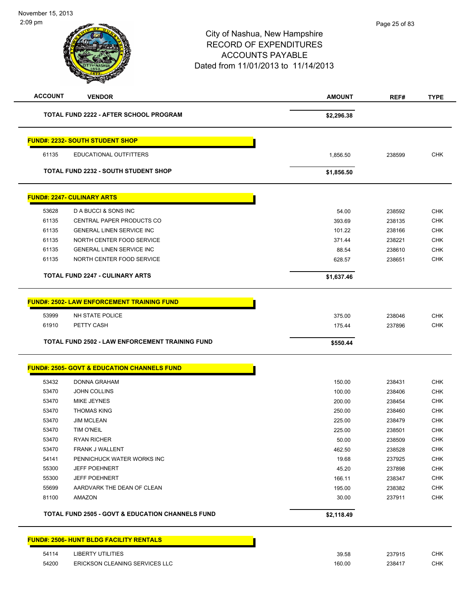# City of Nashua, New Hampshire RECORD OF EXPENDITURES ACCOUNTS PAYABLE Dated from 11/01/2013 to 11/14/2013 **ACCOUNT VENDOR AMOUNT REF# TYPE TOTAL FUND 2222 - AFTER SCHOOL PROGRAM \$2,296.38 FUND#: 2232- SOUTH STUDENT SHOP** educational outfitters and the control of the control of the control of the control of the control of the control of the control of the control of the control of the control of the control of the control of the control of **TOTAL FUND 2232 - SOUTH STUDENT SHOP \$1,856.50 FUND#: 2247- CULINARY ARTS** 53628 D A BUCCI & SONS INC 54.00 238592 CHK 61135 CENTRAL PAPER PRODUCTS CO 393.69 238135 CHK

| 61135 | NORTH CENTER FOOD SERVICE                         | 371.44     | 238221 | <b>CHK</b> |
|-------|---------------------------------------------------|------------|--------|------------|
| 61135 | <b>GENERAL LINEN SERVICE INC</b>                  | 88.54      | 238610 | <b>CHK</b> |
| 61135 | NORTH CENTER FOOD SERVICE                         | 628.57     | 238651 | <b>CHK</b> |
|       | <b>TOTAL FUND 2247 - CULINARY ARTS</b>            | \$1,637.46 |        |            |
|       | <b>FUND#: 2502- LAW ENFORCEMENT TRAINING FUND</b> |            |        |            |
| 53999 | NH STATE POLICE                                   | 375.00     | 238046 | <b>CHK</b> |
| 61910 | PETTY CASH                                        | 175.44     | 237896 | <b>CHK</b> |
|       |                                                   |            |        |            |

61135 GENERAL LINEN SERVICE INC 101.22 238166 CHK

| TOTAL FUND 2502 - LAW ENFORCEMENT TRAINING FUND | \$550.44 |
|-------------------------------------------------|----------|

| 53432 | <b>DONNA GRAHAM</b>                                         | 150.00     | 238431 | <b>CHK</b> |
|-------|-------------------------------------------------------------|------------|--------|------------|
| 53470 | <b>JOHN COLLINS</b>                                         | 100.00     | 238406 | <b>CHK</b> |
| 53470 | MIKE JEYNES                                                 | 200.00     | 238454 | <b>CHK</b> |
| 53470 | <b>THOMAS KING</b>                                          | 250.00     | 238460 | <b>CHK</b> |
| 53470 | <b>JIM MCLEAN</b>                                           | 225.00     | 238479 | <b>CHK</b> |
| 53470 | <b>TIM O'NEIL</b>                                           | 225.00     | 238501 | <b>CHK</b> |
| 53470 | <b>RYAN RICHER</b>                                          | 50.00      | 238509 | <b>CHK</b> |
| 53470 | <b>FRANK J WALLENT</b>                                      | 462.50     | 238528 | <b>CHK</b> |
| 54141 | PENNICHUCK WATER WORKS INC                                  | 19.68      | 237925 | <b>CHK</b> |
| 55300 | <b>JEFF POEHNERT</b>                                        | 45.20      | 237898 | <b>CHK</b> |
| 55300 | <b>JEFF POEHNERT</b>                                        | 166.11     | 238347 | <b>CHK</b> |
| 55699 | AARDVARK THE DEAN OF CLEAN                                  | 195.00     | 238382 | <b>CHK</b> |
| 81100 | AMAZON                                                      | 30.00      | 237911 | <b>CHK</b> |
|       | <b>TOTAL FUND 2505 - GOVT &amp; EDUCATION CHANNELS FUND</b> | \$2,118.49 |        |            |

| 39.58  | 237915 | <b>CHK</b> |
|--------|--------|------------|
| 160.00 | 238417 | <b>CHK</b> |
|        |        |            |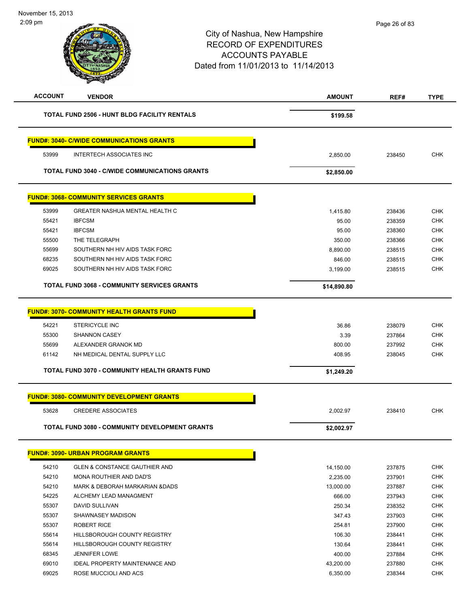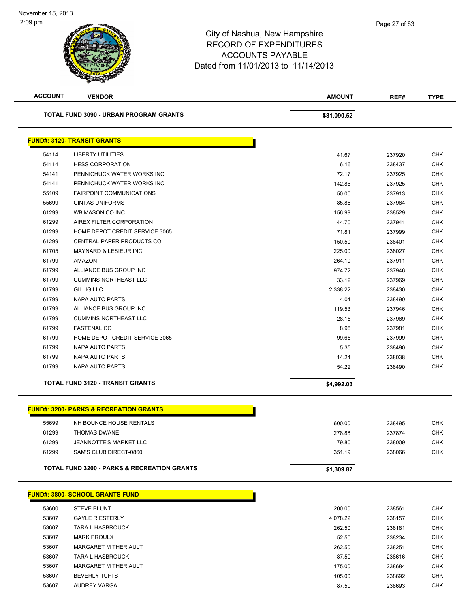| <b>ACCOUNT</b> | <b>VENDOR</b>                                          | <b>AMOUNT</b> | REF#   | <b>TYPE</b> |
|----------------|--------------------------------------------------------|---------------|--------|-------------|
|                | <b>TOTAL FUND 3090 - URBAN PROGRAM GRANTS</b>          | \$81,090.52   |        |             |
|                | <b>FUND#: 3120- TRANSIT GRANTS</b>                     |               |        |             |
| 54114          | LIBERTY UTILITIES                                      | 41.67         | 237920 | <b>CHK</b>  |
| 54114          | <b>HESS CORPORATION</b>                                | 6.16          | 238437 | <b>CHK</b>  |
| 54141          | PENNICHUCK WATER WORKS INC                             | 72.17         | 237925 | <b>CHK</b>  |
| 54141          | PENNICHUCK WATER WORKS INC                             | 142.85        | 237925 | <b>CHK</b>  |
| 55109          | <b>FAIRPOINT COMMUNICATIONS</b>                        | 50.00         | 237913 | <b>CHK</b>  |
| 55699          | <b>CINTAS UNIFORMS</b>                                 | 85.86         | 237964 | <b>CHK</b>  |
| 61299          | WB MASON CO INC                                        | 156.99        | 238529 | <b>CHK</b>  |
| 61299          | AIREX FILTER CORPORATION                               | 44.70         | 237941 | <b>CHK</b>  |
| 61299          | HOME DEPOT CREDIT SERVICE 3065                         | 71.81         | 237999 | <b>CHK</b>  |
| 61299          | CENTRAL PAPER PRODUCTS CO                              | 150.50        | 238401 | <b>CHK</b>  |
| 61705          | <b>MAYNARD &amp; LESIEUR INC</b>                       | 225.00        | 238027 | <b>CHK</b>  |
| 61799          | AMAZON                                                 | 264.10        | 237911 | <b>CHK</b>  |
| 61799          | ALLIANCE BUS GROUP INC                                 | 974.72        | 237946 | <b>CHK</b>  |
| 61799          | <b>CUMMINS NORTHEAST LLC</b>                           | 33.12         | 237969 | <b>CHK</b>  |
| 61799          | <b>GILLIG LLC</b>                                      | 2,338.22      | 238430 | <b>CHK</b>  |
| 61799          | NAPA AUTO PARTS                                        | 4.04          | 238490 | <b>CHK</b>  |
| 61799          | ALLIANCE BUS GROUP INC                                 | 119.53        | 237946 | <b>CHK</b>  |
| 61799          | <b>CUMMINS NORTHEAST LLC</b>                           | 28.15         | 237969 | <b>CHK</b>  |
| 61799          | <b>FASTENAL CO</b>                                     | 8.98          | 237981 | <b>CHK</b>  |
| 61799          | HOME DEPOT CREDIT SERVICE 3065                         | 99.65         | 237999 | <b>CHK</b>  |
| 61799          | NAPA AUTO PARTS                                        | 5.35          | 238490 | <b>CHK</b>  |
| 61799          | NAPA AUTO PARTS                                        | 14.24         | 238038 | <b>CHK</b>  |
| 61799          | <b>NAPA AUTO PARTS</b>                                 | 54.22         | 238490 | <b>CHK</b>  |
|                | <b>TOTAL FUND 3120 - TRANSIT GRANTS</b>                | \$4,992.03    |        |             |
|                |                                                        |               |        |             |
|                | <b>FUND#: 3200- PARKS &amp; RECREATION GRANTS</b>      |               |        |             |
| 55699          | NH BOUNCE HOUSE RENTALS                                | 600.00        | 238495 | <b>CHK</b>  |
| 61299          | <b>THOMAS DWANE</b>                                    | 278.88        | 237874 | <b>CHK</b>  |
| 61299          | JEANNOTTE'S MARKET LLC                                 | 79.80         | 238009 | <b>CHK</b>  |
| 61299          | SAM'S CLUB DIRECT-0860                                 | 351.19        | 238066 | <b>CHK</b>  |
|                | <b>TOTAL FUND 3200 - PARKS &amp; RECREATION GRANTS</b> | \$1,309.87    |        |             |
|                | <b>FUND#: 3800- SCHOOL GRANTS FUND</b>                 |               |        |             |
| 53600          | <b>STEVE BLUNT</b>                                     | 200.00        | 238561 | <b>CHK</b>  |
| 53607          | <b>GAYLE R ESTERLY</b>                                 | 4,078.22      | 238157 | <b>CHK</b>  |
| 53607          | <b>TARA L HASBROUCK</b>                                | 262.50        | 238181 | <b>CHK</b>  |
| 53607          | <b>MARK PROULX</b>                                     | 52.50         | 238234 | <b>CHK</b>  |
| 53607          | MARGARET M THERIAULT                                   | 262.50        | 238251 | <b>CHK</b>  |
| 53607          | <b>TARA L HASBROUCK</b>                                | 87.50         | 238616 | <b>CHK</b>  |
| 53607          | MARGARET M THERIAULT                                   | 175.00        | 238684 | <b>CHK</b>  |
| 53607          | <b>BEVERLY TUFTS</b>                                   | 105.00        | 238692 | <b>CHK</b>  |
| 53607          | <b>AUDREY VARGA</b>                                    | 87.50         | 238693 | CHK         |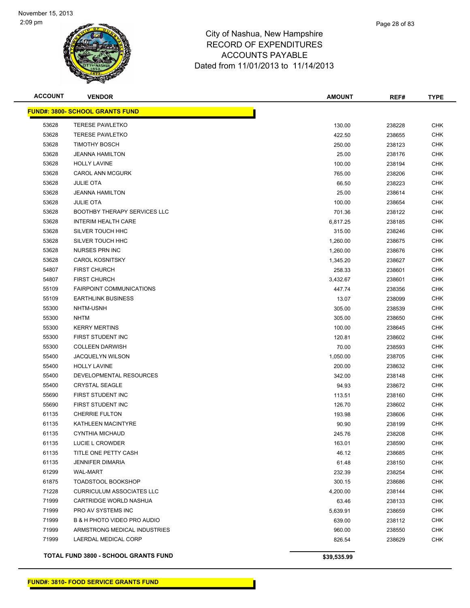

| <b>ACCOUNT</b> | <b>VENDOR</b>                          | <b>AMOUNT</b> | REF#   | <b>TYPE</b> |
|----------------|----------------------------------------|---------------|--------|-------------|
|                | <b>FUND#: 3800- SCHOOL GRANTS FUND</b> |               |        |             |
| 53628          | <b>TERESE PAWLETKO</b>                 | 130.00        | 238228 | <b>CHK</b>  |
| 53628          | <b>TERESE PAWLETKO</b>                 | 422.50        | 238655 | CHK         |
| 53628          | <b>TIMOTHY BOSCH</b>                   | 250.00        | 238123 | CHK         |
| 53628          | <b>JEANNA HAMILTON</b>                 | 25.00         | 238176 | <b>CHK</b>  |
| 53628          | <b>HOLLY LAVINE</b>                    | 100.00        | 238194 | <b>CHK</b>  |
| 53628          | <b>CAROL ANN MCGURK</b>                | 765.00        | 238206 | <b>CHK</b>  |
| 53628          | <b>JULIE OTA</b>                       | 66.50         | 238223 | <b>CHK</b>  |
| 53628          | <b>JEANNA HAMILTON</b>                 | 25.00         | 238614 | <b>CHK</b>  |
| 53628          | <b>JULIE OTA</b>                       | 100.00        | 238654 | <b>CHK</b>  |
| 53628          | <b>BOOTHBY THERAPY SERVICES LLC</b>    | 701.36        | 238122 | CHK         |
| 53628          | <b>INTERIM HEALTH CARE</b>             | 6,817.25      | 238185 | <b>CHK</b>  |
| 53628          | SILVER TOUCH HHC                       | 315.00        | 238246 | CHK         |
| 53628          | SILVER TOUCH HHC                       | 1,260.00      | 238675 | CHK         |
| 53628          | <b>NURSES PRN INC</b>                  | 1,260.00      | 238676 | CHK         |
| 53628          | <b>CAROL KOSNITSKY</b>                 | 1,345.20      | 238627 | CHK         |
| 54807          | <b>FIRST CHURCH</b>                    | 258.33        | 238601 | CHK         |
| 54807          | <b>FIRST CHURCH</b>                    | 3,432.67      | 238601 | <b>CHK</b>  |
| 55109          | <b>FAIRPOINT COMMUNICATIONS</b>        | 447.74        | 238356 | <b>CHK</b>  |
| 55109          | <b>EARTHLINK BUSINESS</b>              | 13.07         | 238099 | <b>CHK</b>  |
| 55300          | NHTM-USNH                              | 305.00        | 238539 | <b>CHK</b>  |
| 55300          | <b>NHTM</b>                            | 305.00        | 238650 | CHK         |
| 55300          | <b>KERRY MERTINS</b>                   | 100.00        | 238645 | <b>CHK</b>  |
| 55300          | FIRST STUDENT INC                      | 120.81        | 238602 | CHK         |
| 55300          | <b>COLLEEN DARWISH</b>                 | 70.00         | 238593 | CHK         |
| 55400          | <b>JACQUELYN WILSON</b>                | 1,050.00      | 238705 | CHK         |
| 55400          | <b>HOLLY LAVINE</b>                    | 200.00        | 238632 | <b>CHK</b>  |
| 55400          | DEVELOPMENTAL RESOURCES                | 342.00        | 238148 | <b>CHK</b>  |
| 55400          | <b>CRYSTAL SEAGLE</b>                  | 94.93         | 238672 | <b>CHK</b>  |
| 55690          | FIRST STUDENT INC                      | 113.51        | 238160 | <b>CHK</b>  |
| 55690          | FIRST STUDENT INC                      | 126.70        | 238602 | <b>CHK</b>  |
| 61135          | <b>CHERRIE FULTON</b>                  | 193.98        | 238606 | CHK         |
| 61135          | KATHLEEN MACINTYRE                     | 90.90         | 238199 | CHK         |
| 61135          | <b>CYNTHIA MICHAUD</b>                 | 245.76        | 238208 | <b>CHK</b>  |
| 61135          | LUCIE L CROWDER                        | 163.01        | 238590 | CHK         |
| 61135          | TITLE ONE PETTY CASH                   | 46.12         | 238685 | CHK         |
| 61135          | <b>JENNIFER DIMARIA</b>                | 61.48         | 238150 | <b>CHK</b>  |
| 61299          | <b>WAL-MART</b>                        | 232.39        | 238254 | <b>CHK</b>  |
| 61875          | <b>TOADSTOOL BOOKSHOP</b>              | 300.15        | 238686 | <b>CHK</b>  |
| 71228          | <b>CURRICULUM ASSOCIATES LLC</b>       | 4,200.00      | 238144 | <b>CHK</b>  |
| 71999          | CARTRIDGE WORLD NASHUA                 | 63.46         | 238133 | CHK         |
| 71999          | PRO AV SYSTEMS INC                     | 5,639.91      | 238659 | <b>CHK</b>  |
| 71999          | B & H PHOTO VIDEO PRO AUDIO            | 639.00        | 238112 | <b>CHK</b>  |
| 71999          | ARMSTRONG MEDICAL INDUSTRIES           | 960.00        | 238550 | <b>CHK</b>  |
| 71999          | LAERDAL MEDICAL CORP                   | 826.54        | 238629 | CHK         |
|                |                                        |               |        |             |

**TOTAL FUND 3800 - SCHOOL GRANTS FUND \$39,535.99**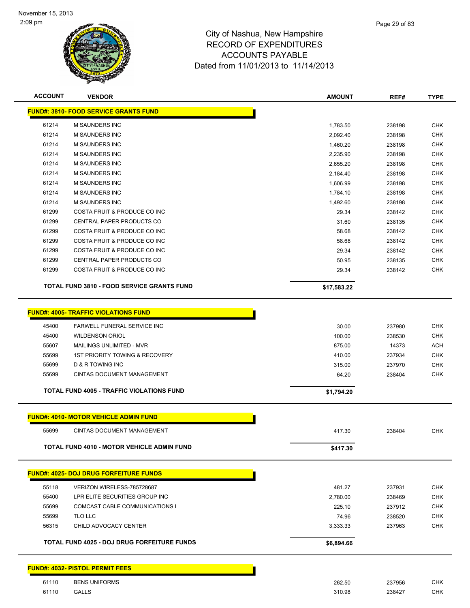

| <b>ACCOUNT</b> | <b>VENDOR</b>                                         | <b>AMOUNT</b>   | REF#             | <b>TYPE</b>       |
|----------------|-------------------------------------------------------|-----------------|------------------|-------------------|
|                | <b>FUND#: 3810- FOOD SERVICE GRANTS FUND</b>          |                 |                  |                   |
| 61214          | M SAUNDERS INC                                        | 1,783.50        | 238198           | CHK               |
| 61214          | <b>M SAUNDERS INC</b>                                 | 2,092.40        | 238198           | <b>CHK</b>        |
| 61214          | <b>M SAUNDERS INC</b>                                 | 1,460.20        | 238198           | CHK               |
| 61214          | <b>M SAUNDERS INC</b>                                 | 2,235.90        | 238198           | CHK               |
| 61214          | <b>M SAUNDERS INC</b>                                 | 2,655.20        | 238198           | CHK               |
| 61214          | <b>M SAUNDERS INC</b>                                 | 2,184.40        | 238198           | <b>CHK</b>        |
| 61214          | <b>M SAUNDERS INC</b>                                 | 1,606.99        | 238198           | <b>CHK</b>        |
| 61214          | <b>M SAUNDERS INC</b>                                 | 1,784.10        | 238198           | <b>CHK</b>        |
| 61214          | M SAUNDERS INC                                        | 1,492.60        | 238198           | <b>CHK</b>        |
| 61299          | COSTA FRUIT & PRODUCE CO INC                          | 29.34           | 238142           | CHK               |
| 61299          | CENTRAL PAPER PRODUCTS CO                             | 31.60           | 238135           | <b>CHK</b>        |
| 61299          | COSTA FRUIT & PRODUCE CO INC                          | 58.68           | 238142           | CHK               |
| 61299          | COSTA FRUIT & PRODUCE CO INC                          | 58.68           | 238142           | <b>CHK</b>        |
| 61299          | COSTA FRUIT & PRODUCE CO INC                          | 29.34           | 238142           | CHK               |
| 61299          | CENTRAL PAPER PRODUCTS CO                             | 50.95           | 238135           | <b>CHK</b>        |
| 61299          | COSTA FRUIT & PRODUCE CO INC                          | 29.34           | 238142           | CHK               |
|                | TOTAL FUND 3810 - FOOD SERVICE GRANTS FUND            | \$17,583.22     |                  |                   |
|                | <b>FUND#: 4005- TRAFFIC VIOLATIONS FUND</b>           |                 |                  |                   |
|                |                                                       |                 |                  |                   |
| 45400          | <b>FARWELL FUNERAL SERVICE INC</b>                    | 30.00           | 237980           | <b>CHK</b>        |
| 45400          | <b>WILDENSON ORIOL</b>                                | 100.00          | 238530           | <b>CHK</b>        |
| 55607          | MAILINGS UNLIMITED - MVR                              | 875.00          | 14373            | ACH               |
| 55699          | 1ST PRIORITY TOWING & RECOVERY                        | 410.00          | 237934           | CHK               |
| 55699<br>55699 | D & R TOWING INC<br><b>CINTAS DOCUMENT MANAGEMENT</b> | 315.00<br>64.20 | 237970<br>238404 | CHK<br><b>CHK</b> |
|                |                                                       |                 |                  |                   |
|                | <b>TOTAL FUND 4005 - TRAFFIC VIOLATIONS FUND</b>      | \$1,794.20      |                  |                   |
|                | <b>FUND#: 4010- MOTOR VEHICLE ADMIN FUND</b>          |                 |                  |                   |
| 55699          | <b>CINTAS DOCUMENT MANAGEMENT</b>                     | 417.30          | 238404           | <b>CHK</b>        |
|                | TOTAL FUND 4010 - MOTOR VEHICLE ADMIN FUND            | \$417.30        |                  |                   |
|                | <b>FUND#: 4025- DOJ DRUG FORFEITURE FUNDS</b>         |                 |                  |                   |
|                |                                                       |                 |                  |                   |
| 55118          | VERIZON WIRELESS-785728687                            | 481.27          | 237931           | <b>CHK</b>        |
| 55400          | LPR ELITE SECURITIES GROUP INC                        | 2,780.00        | 238469           | <b>CHK</b>        |
| 55699          | <b>COMCAST CABLE COMMUNICATIONS I</b>                 | 225.10          | 237912           | <b>CHK</b>        |
| 55699          | TLO LLC                                               | 74.96           | 238520           | <b>CHK</b>        |
| 56315          | CHILD ADVOCACY CENTER                                 | 3,333.33        | 237963           | CHK               |
|                | <b>TOTAL FUND 4025 - DOJ DRUG FORFEITURE FUNDS</b>    | \$6,894.66      |                  |                   |
|                | <b>FUND#: 4032- PISTOL PERMIT FEES</b>                |                 |                  |                   |
| 61110          | <b>BENS UNIFORMS</b>                                  | 262.50          | 237956           | <b>CHK</b>        |
| 61110          | <b>GALLS</b>                                          | 310.98          | 238427           | <b>CHK</b>        |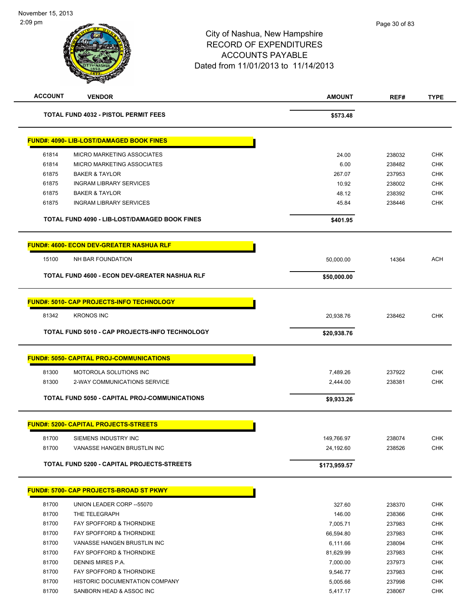# City of Nashua, New Hampshire RECORD OF EXPENDITURES ACCOUNTS PAYABLE Dated from 11/01/2013 to 11/14/2013 **ACCOUNT VENDOR AMOUNT REF# TYPE TOTAL FUND 4032 - PISTOL PERMIT FEES** \$573.48 **FUND#: 4090- LIB-LOST/DAMAGED BOOK FINES** 61814 MICRO MARKETING ASSOCIATES 24.00 238032 CHK

|       | FUND#: 4090- LIB-LOST/DAMAGED BOOK FINES             |              |        |            |
|-------|------------------------------------------------------|--------------|--------|------------|
| 61814 | MICRO MARKETING ASSOCIATES                           | 24.00        | 238032 | <b>CHK</b> |
| 61814 | MICRO MARKETING ASSOCIATES                           | 6.00         | 238482 | <b>CHK</b> |
| 61875 | <b>BAKER &amp; TAYLOR</b>                            | 267.07       | 237953 | <b>CHK</b> |
| 61875 | <b>INGRAM LIBRARY SERVICES</b>                       | 10.92        | 238002 | <b>CHK</b> |
| 61875 | <b>BAKER &amp; TAYLOR</b>                            | 48.12        | 238392 | <b>CHK</b> |
| 61875 | <b>INGRAM LIBRARY SERVICES</b>                       | 45.84        | 238446 | <b>CHK</b> |
|       | TOTAL FUND 4090 - LIB-LOST/DAMAGED BOOK FINES        | \$401.95     |        |            |
|       | <u> FUND#: 4600- ECON DEV-GREATER NASHUA RLF</u>     |              |        |            |
| 15100 | NH BAR FOUNDATION                                    | 50,000.00    | 14364  | <b>ACH</b> |
|       | TOTAL FUND 4600 - ECON DEV-GREATER NASHUA RLF        | \$50,000.00  |        |            |
|       | <u> FUND#: 5010- CAP PROJECTS-INFO TECHNOLOGY</u>    |              |        |            |
| 81342 | <b>KRONOS INC</b>                                    | 20,938.76    | 238462 | <b>CHK</b> |
|       | TOTAL FUND 5010 - CAP PROJECTS-INFO TECHNOLOGY       | \$20,938.76  |        |            |
|       | <b>FUND#: 5050- CAPITAL PROJ-COMMUNICATIONS</b>      |              |        |            |
| 81300 | MOTOROLA SOLUTIONS INC                               | 7,489.26     | 237922 | <b>CHK</b> |
| 81300 | 2-WAY COMMUNICATIONS SERVICE                         | 2,444.00     | 238381 | <b>CHK</b> |
|       | <b>TOTAL FUND 5050 - CAPITAL PROJ-COMMUNICATIONS</b> | \$9,933.26   |        |            |
|       | <u> FUND#: 5200- CAPITAL PROJECTS-STREETS</u>        |              |        |            |
| 81700 | SIEMENS INDUSTRY INC                                 | 149,766.97   | 238074 | <b>CHK</b> |
| 81700 | VANASSE HANGEN BRUSTLIN INC                          | 24,192.60    | 238526 | <b>CHK</b> |
|       | <b>TOTAL FUND 5200 - CAPITAL PROJECTS-STREETS</b>    | \$173,959.57 |        |            |
|       | <u> FUND#: 5700- CAP PROJECTS-BROAD ST PKWY</u>      |              |        |            |
| 81700 | UNION LEADER CORP -- 55070                           | 327.60       | 238370 | <b>CHK</b> |
| 81700 | THE TELEGRAPH                                        | 146.00       | 238366 | CHK        |
| 81700 | FAY SPOFFORD & THORNDIKE                             | 7,005.71     | 237983 | <b>CHK</b> |
| 81700 | FAY SPOFFORD & THORNDIKE                             | 66,594.80    | 237983 | <b>CHK</b> |
| 81700 | VANASSE HANGEN BRUSTLIN INC                          | 6,111.66     | 238094 | <b>CHK</b> |
| 81700 | FAY SPOFFORD & THORNDIKE                             | 81,629.99    | 237983 | <b>CHK</b> |
| 81700 | DENNIS MIRES P.A.                                    | 7,000.00     | 237973 | <b>CHK</b> |

81700 FAY SPOFFORD & THORNDIKE **FACK ASSAULT A CHARGE 1999** SAGE 1999 9,546.77 237983 CHK 81700 HISTORIC DOCUMENTATION COMPANY 5,005.66 237998 CHK 81700 SANBORN HEAD & ASSOC INC 6 ASSOC INC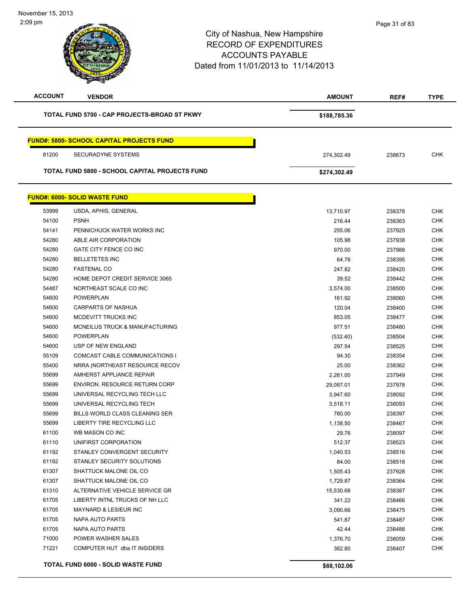| <b>ACCOUNT</b> | <b>VENDOR</b>                                         | <b>AMOUNT</b> | REF#   | <b>TYPE</b> |
|----------------|-------------------------------------------------------|---------------|--------|-------------|
|                | TOTAL FUND 5700 - CAP PROJECTS-BROAD ST PKWY          | \$188,785.36  |        |             |
|                |                                                       |               |        |             |
|                | <b>FUND#: 5800- SCHOOL CAPITAL PROJECTS FUND</b>      |               |        |             |
| 81200          | <b>SECURADYNE SYSTEMS</b>                             | 274,302.49    | 238673 | <b>CHK</b>  |
|                | <b>TOTAL FUND 5800 - SCHOOL CAPITAL PROJECTS FUND</b> | \$274,302.49  |        |             |
|                | <b>FUND#: 6000- SOLID WASTE FUND</b>                  |               |        |             |
|                |                                                       |               |        |             |
| 53999          | USDA, APHIS, GENERAL                                  | 13,710.97     | 238378 | <b>CHK</b>  |
| 54100          | <b>PSNH</b>                                           | 216.44        | 238363 | <b>CHK</b>  |
| 54141          | PENNICHUCK WATER WORKS INC                            | 255.06        | 237925 | <b>CHK</b>  |
| 54280          | ABLE AIR CORPORATION                                  | 105.98        | 237938 | <b>CHK</b>  |
| 54280          | GATE CITY FENCE CO INC                                | 970.00        | 237988 | <b>CHK</b>  |
| 54280          | <b>BELLETETES INC</b>                                 | 64.76         | 238395 | <b>CHK</b>  |
| 54280          | <b>FASTENAL CO</b>                                    | 247.82        | 238420 | <b>CHK</b>  |
| 54280          | HOME DEPOT CREDIT SERVICE 3065                        | 39.52         | 238442 | <b>CHK</b>  |
| 54487          | NORTHEAST SCALE CO INC                                | 3,574.00      | 238500 | <b>CHK</b>  |
| 54600          | <b>POWERPLAN</b>                                      | 161.92        | 238060 | <b>CHK</b>  |
| 54600          | <b>CARPARTS OF NASHUA</b>                             | 120.04        | 238400 | <b>CHK</b>  |
| 54600          | MCDEVITT TRUCKS INC                                   | 853.05        | 238477 | <b>CHK</b>  |
| 54600          | MCNEILUS TRUCK & MANUFACTURING                        | 977.51        | 238480 | <b>CHK</b>  |
| 54600          | <b>POWERPLAN</b>                                      | (532.40)      | 238504 | <b>CHK</b>  |
| 54600          | USP OF NEW ENGLAND                                    | 297.54        | 238525 | <b>CHK</b>  |
| 55109          | COMCAST CABLE COMMUNICATIONS I                        | 94.30         | 238354 | <b>CHK</b>  |
| 55400          | NRRA (NORTHEAST RESOURCE RECOV                        | 25.00         | 238362 | <b>CHK</b>  |
| 55699          | AMHERST APPLIANCE REPAIR                              | 2,261.00      | 237949 | <b>CHK</b>  |
| 55699          | ENVIRON. RESOURCE RETURN CORP                         | 29,087.01     | 237978 | <b>CHK</b>  |
| 55699          | UNIVERSAL RECYCLING TECH LLC                          | 3,947.60      | 238092 | <b>CHK</b>  |
| 55699          | UNIVERSAL RECYCLING TECH                              | 3,518.11      | 238093 | <b>CHK</b>  |
| 55699          | BILLS WORLD CLASS CLEANING SER                        | 780.00        | 238397 | <b>CHK</b>  |
| 55699          | LIBERTY TIRE RECYCLING LLC                            | 1,138.50      | 238467 | <b>CHK</b>  |
| 61100          | WB MASON CO INC                                       | 29.76         | 238097 | <b>CHK</b>  |
| 61110          | UNIFIRST CORPORATION                                  | 512.37        | 238523 | CHK         |
| 61192          | STANLEY CONVERGENT SECURITY                           | 1,040.53      | 238516 | <b>CHK</b>  |
| 61192          | STANLEY SECURITY SOLUTIONS                            | 84.00         | 238518 | <b>CHK</b>  |
| 61307          | SHATTUCK MALONE OIL CO                                | 1,505.43      | 237928 | <b>CHK</b>  |
| 61307          | SHATTUCK MALONE OIL CO                                | 1,729.87      | 238364 | <b>CHK</b>  |
| 61310          | ALTERNATIVE VEHICLE SERVICE GR                        | 15,530.68     | 238387 | <b>CHK</b>  |
| 61705          | LIBERTY INTNL TRUCKS OF NH LLC                        | 341.22        | 238466 | <b>CHK</b>  |
| 61705          | <b>MAYNARD &amp; LESIEUR INC</b>                      | 3,090.66      | 238475 | <b>CHK</b>  |
| 61705          | NAPA AUTO PARTS                                       | 541.87        | 238487 | <b>CHK</b>  |
| 61705          | <b>NAPA AUTO PARTS</b>                                | 42.44         | 238488 | <b>CHK</b>  |
| 71000          | POWER WASHER SALES                                    | 1,376.70      | 238059 | <b>CHK</b>  |
| 71221          | COMPUTER HUT dba IT INSIDERS                          | 362.80        | 238407 | <b>CHK</b>  |
|                |                                                       |               |        |             |
|                | TOTAL FUND 6000 - SOLID WASTE FUND                    | \$88,102.06   |        |             |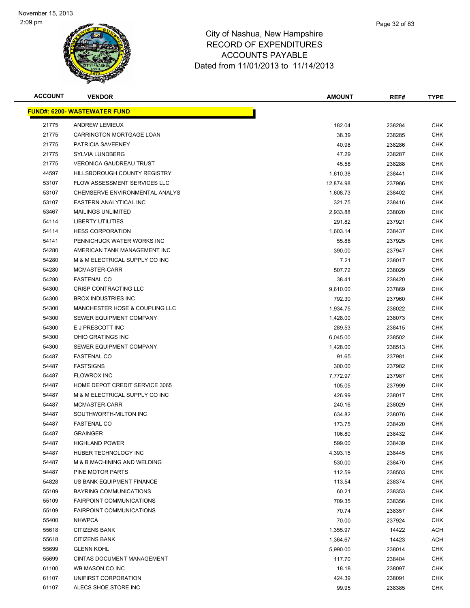

| <b>ACCOUNT</b> | <b>VENDOR</b>                       | <b>AMOUNT</b> | REF#   | <b>TYPE</b> |
|----------------|-------------------------------------|---------------|--------|-------------|
|                | <b>FUND#: 6200- WASTEWATER FUND</b> |               |        |             |
| 21775          | <b>ANDREW LEMIEUX</b>               | 182.04        | 238284 | <b>CHK</b>  |
| 21775          | <b>CARRINGTON MORTGAGE LOAN</b>     | 38.39         | 238285 | <b>CHK</b>  |
| 21775          | PATRICIA SAVEENEY                   | 40.98         | 238286 | <b>CHK</b>  |
| 21775          | <b>SYLVIA LUNDBERG</b>              | 47.29         | 238287 | <b>CHK</b>  |
| 21775          | <b>VERONICA GAUDREAU TRUST</b>      | 45.58         | 238288 | <b>CHK</b>  |
| 44597          | HILLSBOROUGH COUNTY REGISTRY        | 1,610.38      | 238441 | <b>CHK</b>  |
| 53107          | <b>FLOW ASSESSMENT SERVICES LLC</b> | 12,874.98     | 237986 | CHK         |
| 53107          | CHEMSERVE ENVIRONMENTAL ANALYS      | 1.608.73      | 238402 | CHK         |
| 53107          | EASTERN ANALYTICAL INC              | 321.75        | 238416 | CHK         |
| 53467          | <b>MAILINGS UNLIMITED</b>           | 2,933.88      | 238020 | CHK         |
| 54114          | <b>LIBERTY UTILITIES</b>            | 291.82        | 237921 | CHK         |
| 54114          | <b>HESS CORPORATION</b>             | 1,603.14      | 238437 | <b>CHK</b>  |
| 54141          | PENNICHUCK WATER WORKS INC          | 55.88         | 237925 | CHK         |
| 54280          | AMERICAN TANK MANAGEMENT INC        | 390.00        | 237947 | <b>CHK</b>  |
| 54280          | M & M ELECTRICAL SUPPLY CO INC      | 7.21          | 238017 | <b>CHK</b>  |
| 54280          | MCMASTER-CARR                       | 507.72        | 238029 | <b>CHK</b>  |
| 54280          | <b>FASTENAL CO</b>                  | 38.41         | 238420 | <b>CHK</b>  |
| 54300          | <b>CRISP CONTRACTING LLC</b>        | 9,610.00      | 237869 | CHK         |
| 54300          | <b>BROX INDUSTRIES INC</b>          | 792.30        | 237960 | <b>CHK</b>  |
| 54300          | MANCHESTER HOSE & COUPLING LLC      | 1,934.75      | 238022 | <b>CHK</b>  |
| 54300          | SEWER EQUIPMENT COMPANY             | 1,428.00      | 238073 | CHK         |
| 54300          | E J PRESCOTT INC                    | 289.53        | 238415 | <b>CHK</b>  |
| 54300          | OHIO GRATINGS INC                   | 6,045.00      | 238502 | <b>CHK</b>  |
| 54300          | SEWER EQUIPMENT COMPANY             | 1,428.00      | 238513 | <b>CHK</b>  |
| 54487          | <b>FASTENAL CO</b>                  | 91.65         | 237981 | <b>CHK</b>  |
| 54487          | <b>FASTSIGNS</b>                    | 300.00        | 237982 | <b>CHK</b>  |
| 54487          | <b>FLOWROX INC</b>                  | 7,772.97      | 237987 | <b>CHK</b>  |
| 54487          | HOME DEPOT CREDIT SERVICE 3065      | 105.05        | 237999 | <b>CHK</b>  |
| 54487          | M & M ELECTRICAL SUPPLY CO INC      | 426.99        | 238017 | CHK         |
| 54487          | MCMASTER-CARR                       | 240.16        | 238029 | <b>CHK</b>  |
| 54487          | SOUTHWORTH-MILTON INC               | 634.82        | 238076 | CHK         |
| 54487          | <b>FASTENAL CO</b>                  | 173.75        | 238420 | CHK         |
| 54487          | <b>GRAINGER</b>                     | 106.80        | 238432 | <b>CHK</b>  |
| 54487          | <b>HIGHLAND POWER</b>               | 599.00        | 238439 | <b>CHK</b>  |
| 54487          | HUBER TECHNOLOGY INC                | 4,393.15      | 238445 | <b>CHK</b>  |
| 54487          | M & B MACHINING AND WELDING         | 530.00        | 238470 | <b>CHK</b>  |
| 54487          | PINE MOTOR PARTS                    | 112.59        | 238503 | <b>CHK</b>  |
| 54828          | US BANK EQUIPMENT FINANCE           | 113.54        | 238374 | <b>CHK</b>  |
| 55109          | BAYRING COMMUNICATIONS              | 60.21         | 238353 | <b>CHK</b>  |
| 55109          | <b>FAIRPOINT COMMUNICATIONS</b>     | 709.35        | 238356 | CHK         |
| 55109          | <b>FAIRPOINT COMMUNICATIONS</b>     | 70.74         | 238357 | CHK         |
| 55400          | <b>NHWPCA</b>                       | 70.00         | 237924 | <b>CHK</b>  |
| 55618          | <b>CITIZENS BANK</b>                | 1,355.97      | 14422  | <b>ACH</b>  |
| 55618          | <b>CITIZENS BANK</b>                | 1,364.67      | 14423  | <b>ACH</b>  |
| 55699          | <b>GLENN KOHL</b>                   | 5,990.00      | 238014 | <b>CHK</b>  |
| 55699          | <b>CINTAS DOCUMENT MANAGEMENT</b>   | 117.70        | 238404 | CHK         |
| 61100          | WB MASON CO INC                     | 18.18         | 238097 | <b>CHK</b>  |
| 61107          | UNIFIRST CORPORATION                | 424.39        | 238091 | <b>CHK</b>  |
| 61107          | ALECS SHOE STORE INC                | 99.95         | 238385 | <b>CHK</b>  |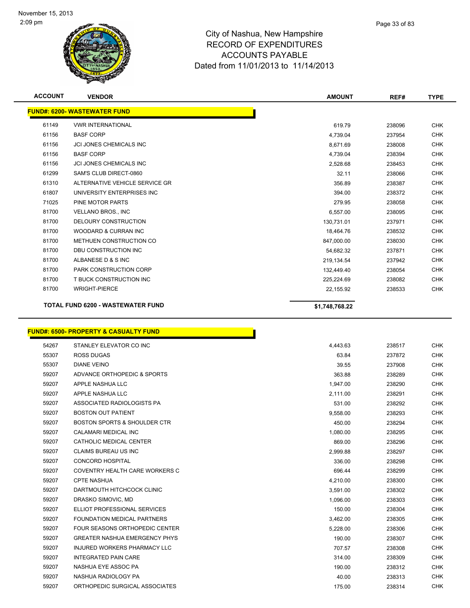

| <b>ACCOUNT</b> | <b>VENDOR</b>                            | <b>AMOUNT</b>  | REF#   | <b>TYPE</b> |
|----------------|------------------------------------------|----------------|--------|-------------|
|                | <b>FUND#: 6200- WASTEWATER FUND</b>      |                |        |             |
| 61149          | <b>VWR INTERNATIONAL</b>                 | 619.79         | 238096 | <b>CHK</b>  |
| 61156          | <b>BASF CORP</b>                         | 4,739.04       | 237954 | <b>CHK</b>  |
| 61156          | <b>JCI JONES CHEMICALS INC</b>           | 8,671.69       | 238008 | <b>CHK</b>  |
| 61156          | <b>BASF CORP</b>                         | 4,739.04       | 238394 | <b>CHK</b>  |
| 61156          | <b>JCI JONES CHEMICALS INC</b>           | 2,528.68       | 238453 | <b>CHK</b>  |
| 61299          | SAM'S CLUB DIRECT-0860                   | 32.11          | 238066 | <b>CHK</b>  |
| 61310          | ALTERNATIVE VEHICLE SERVICE GR           | 356.89         | 238387 | <b>CHK</b>  |
| 61807          | UNIVERSITY ENTERPRISES INC               | 394.00         | 238372 | <b>CHK</b>  |
| 71025          | PINE MOTOR PARTS                         | 279.95         | 238058 | <b>CHK</b>  |
| 81700          | <b>VELLANO BROS., INC</b>                | 6,557.00       | 238095 | <b>CHK</b>  |
| 81700          | DELOURY CONSTRUCTION                     | 130,731.01     | 237971 | <b>CHK</b>  |
| 81700          | <b>WOODARD &amp; CURRAN INC</b>          | 18,464.76      | 238532 | <b>CHK</b>  |
| 81700          | METHUEN CONSTRUCTION CO                  | 847,000.00     | 238030 | <b>CHK</b>  |
| 81700          | DBU CONSTRUCTION INC                     | 54,682.32      | 237871 | <b>CHK</b>  |
| 81700          | ALBANESE D & S INC                       | 219,134.54     | 237942 | <b>CHK</b>  |
| 81700          | PARK CONSTRUCTION CORP                   | 132,449.40     | 238054 | <b>CHK</b>  |
| 81700          | T BUCK CONSTRUCTION INC                  | 225,224.69     | 238082 | <b>CHK</b>  |
| 81700          | <b>WRIGHT-PIERCE</b>                     | 22,155.92      | 238533 | <b>CHK</b>  |
|                | <b>TOTAL FUND 6200 - WASTEWATER FUND</b> | \$1,748,768.22 |        |             |

**FUND#: 6500- PROPERTY & CASUALTY FUND**

|       | <u> UND#: 6500- PROPERTY &amp; CASUALTY FUND</u> |          |        |            |
|-------|--------------------------------------------------|----------|--------|------------|
| 54267 | STANLEY ELEVATOR CO INC                          | 4,443.63 | 238517 | <b>CHK</b> |
| 55307 | <b>ROSS DUGAS</b>                                | 63.84    | 237872 | <b>CHK</b> |
| 55307 | <b>DIANE VEINO</b>                               | 39.55    | 237908 | <b>CHK</b> |
| 59207 | ADVANCE ORTHOPEDIC & SPORTS                      | 363.88   | 238289 | <b>CHK</b> |
| 59207 | APPLE NASHUA LLC                                 | 1,947.00 | 238290 | <b>CHK</b> |
| 59207 | APPLE NASHUA LLC                                 | 2,111.00 | 238291 | <b>CHK</b> |
| 59207 | ASSOCIATED RADIOLOGISTS PA                       | 531.00   | 238292 | <b>CHK</b> |
| 59207 | <b>BOSTON OUT PATIENT</b>                        | 9,558.00 | 238293 | <b>CHK</b> |
| 59207 | <b>BOSTON SPORTS &amp; SHOULDER CTR</b>          | 450.00   | 238294 | <b>CHK</b> |
| 59207 | <b>CALAMARI MEDICAL INC</b>                      | 1,080.00 | 238295 | <b>CHK</b> |
| 59207 | CATHOLIC MEDICAL CENTER                          | 869.00   | 238296 | <b>CHK</b> |
| 59207 | CLAIMS BUREAU US INC                             | 2,999.88 | 238297 | <b>CHK</b> |
| 59207 | <b>CONCORD HOSPITAL</b>                          | 336.00   | 238298 | <b>CHK</b> |
| 59207 | COVENTRY HEALTH CARE WORKERS C                   | 696.44   | 238299 | <b>CHK</b> |
| 59207 | <b>CPTE NASHUA</b>                               | 4,210.00 | 238300 | <b>CHK</b> |
| 59207 | DARTMOUTH HITCHCOCK CLINIC                       | 3,591.00 | 238302 | <b>CHK</b> |
| 59207 | DRASKO SIMOVIC, MD                               | 1,096.00 | 238303 | <b>CHK</b> |
| 59207 | ELLIOT PROFESSIONAL SERVICES                     | 150.00   | 238304 | <b>CHK</b> |
| 59207 | <b>FOUNDATION MEDICAL PARTNERS</b>               | 3,462.00 | 238305 | <b>CHK</b> |
| 59207 | <b>FOUR SEASONS ORTHOPEDIC CENTER</b>            | 5,228.00 | 238306 | <b>CHK</b> |
| 59207 | <b>GREATER NASHUA EMERGENCY PHYS</b>             | 190.00   | 238307 | <b>CHK</b> |
| 59207 | <b>INJURED WORKERS PHARMACY LLC</b>              | 707.57   | 238308 | <b>CHK</b> |
| 59207 | <b>INTEGRATED PAIN CARE</b>                      | 314.00   | 238309 | <b>CHK</b> |
| 59207 | NASHUA EYE ASSOC PA                              | 190.00   | 238312 | <b>CHK</b> |
| 59207 | NASHUA RADIOLOGY PA                              | 40.00    | 238313 | <b>CHK</b> |
| 59207 | ORTHOPEDIC SURGICAL ASSOCIATES                   | 175.00   | 238314 | <b>CHK</b> |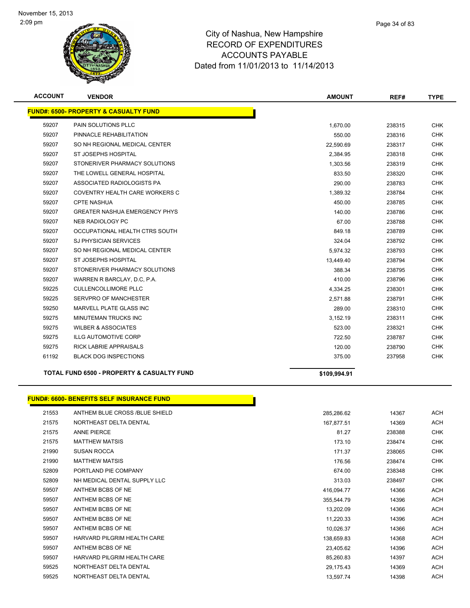

| <b>ACCOUNT</b> | <b>VENDOR</b>                                    | <b>AMOUNT</b> | REF#   | <b>TYPE</b> |
|----------------|--------------------------------------------------|---------------|--------|-------------|
|                | <b>FUND#: 6500- PROPERTY &amp; CASUALTY FUND</b> |               |        |             |
| 59207          | PAIN SOLUTIONS PLLC                              | 1,670.00      | 238315 | <b>CHK</b>  |
| 59207          | PINNACLE REHABILITATION                          | 550.00        | 238316 | <b>CHK</b>  |
| 59207          | SO NH REGIONAL MEDICAL CENTER                    | 22,590.69     | 238317 | <b>CHK</b>  |
| 59207          | ST JOSEPHS HOSPITAL                              | 2,384.95      | 238318 | <b>CHK</b>  |
| 59207          | STONERIVER PHARMACY SOLUTIONS                    | 1,303.56      | 238319 | <b>CHK</b>  |
| 59207          | THE LOWELL GENERAL HOSPITAL                      | 833.50        | 238320 | <b>CHK</b>  |
| 59207          | ASSOCIATED RADIOLOGISTS PA                       | 290.00        | 238783 | <b>CHK</b>  |
| 59207          | COVENTRY HEALTH CARE WORKERS C                   | 1,389.32      | 238784 | <b>CHK</b>  |
| 59207          | <b>CPTE NASHUA</b>                               | 450.00        | 238785 | <b>CHK</b>  |
| 59207          | <b>GREATER NASHUA EMERGENCY PHYS</b>             | 140.00        | 238786 | <b>CHK</b>  |
| 59207          | <b>NEB RADIOLOGY PC</b>                          | 67.00         | 238788 | <b>CHK</b>  |
| 59207          | OCCUPATIONAL HEALTH CTRS SOUTH                   | 849.18        | 238789 | <b>CHK</b>  |
| 59207          | <b>SJ PHYSICIAN SERVICES</b>                     | 324.04        | 238792 | <b>CHK</b>  |
| 59207          | SO NH REGIONAL MEDICAL CENTER                    | 5,974.32      | 238793 | <b>CHK</b>  |
| 59207          | ST JOSEPHS HOSPITAL                              | 13,449.40     | 238794 | <b>CHK</b>  |
| 59207          | STONERIVER PHARMACY SOLUTIONS                    | 388.34        | 238795 | <b>CHK</b>  |
| 59207          | WARREN R BARCLAY, D.C. P.A.                      | 410.00        | 238796 | <b>CHK</b>  |
| 59225          | CULLENCOLLIMORE PLLC                             | 4,334.25      | 238301 | <b>CHK</b>  |
| 59225          | SERVPRO OF MANCHESTER                            | 2,571.88      | 238791 | <b>CHK</b>  |
| 59250          | MARVELL PLATE GLASS INC                          | 289.00        | 238310 | <b>CHK</b>  |
| 59275          | <b>MINUTEMAN TRUCKS INC</b>                      | 3,152.19      | 238311 | <b>CHK</b>  |
| 59275          | <b>WILBER &amp; ASSOCIATES</b>                   | 523.00        | 238321 | <b>CHK</b>  |
| 59275          | <b>ILLG AUTOMOTIVE CORP</b>                      | 722.50        | 238787 | <b>CHK</b>  |
| 59275          | <b>RICK LABRIE APPRAISALS</b>                    | 120.00        | 238790 | <b>CHK</b>  |
| 61192          | <b>BLACK DOG INSPECTIONS</b>                     | 375.00        | 237958 | <b>CHK</b>  |
|                |                                                  |               |        |             |

**TOTAL FUND 6500 - PROPERTY & CASUALTY FUND \$109,994.91** 

**FUND#: 6600- BENEFITS SELF INSURANCE FUND** 21553 ANTHEM BLUE CROSS /BLUE SHIELD 285,286.62 285,286.62 14367 ACH 21575 NORTHEAST DELTA DENTAL 2007 12 21575 157877.51 157,877.51 14369 ACH ANNE PIERCE 81.27 238388 CHK MATTHEW MATSIS 173.10 238474 CHK SUSAN ROCCA 171.37 238065 CHK MATTHEW MATSIS 176.56 238474 CHK PORTLAND PIE COMPANY 674.00 238348 CHK NH MEDICAL DENTAL SUPPLY LLC 313.03 238497 CHK 59507 ANTHEM BCBS OF NE 2007 AND RESERVE TO A CHECK ACH A LOCAL AND RESERVE TO A LOCAL AND RESERVE TO A LOCAL ACH ANTHEM BCBS OF NE 355,544.79 14396 ACH ANTHEM BCBS OF NE 13,202.09 14366 ACH 59507 ANTHEM BCBS OF NE 2009 ACH 2009 11,220.33 14396 ACH 59507 ANTHEM BCBS OF NE 10,026.37 14366 ACH 59507 HARVARD PILGRIM HEALTH CARE 138,659.83 138,659.83 14368 ACH ANTHEM BCBS OF NE 23,405.62 14396 ACH 59507 HARVARD PILGRIM HEALTH CARE NEWSLEY AND RESERVE AND RESERVE ASSESSED AND RESERVE ASSESSED AND RESERVE A STREET AND RESERVE AND RESERVE A STREET AND RESERVE A STREET AND RESERVE A STREET AND RESERVE A STREET AND RESER NORTHEAST DELTA DENTAL 29,175.43 14369 ACH

NORTHEAST DELTA DENTAL 13,597.74 14398 ACH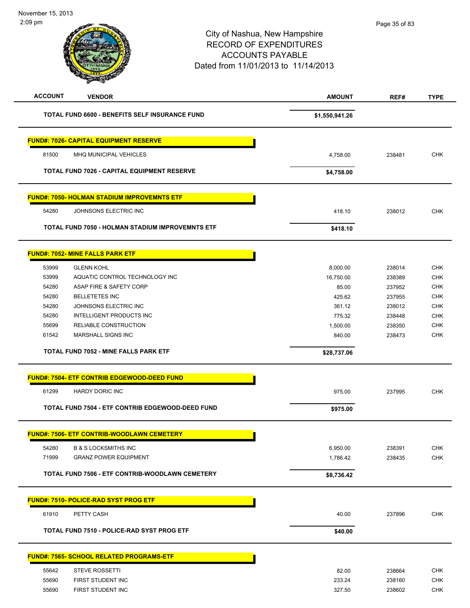# City of Nashua, New Hampshire RECORD OF EXPENDITURES ACCOUNTS PAYABLE Dated from 11/01/2013 to 11/14/2013 2:09 pm **ACCOUNT VENDOR AMOUNT REF# TYPE TOTAL FUND 6600 - BENEFITS SELF INSURANCE FUND \$1,550,941.26 FUND#: 7026- CAPITAL EQUIPMENT RESERVE** 81500 MHQ MUNICIPAL VEHICLES 4,758.00 238481 CHK **TOTAL FUND 7026 - CAPITAL EQUIPMENT RESERVE \$4,758.00 FUND#: 7050- HOLMAN STADIUM IMPROVEMNTS ETF** 54280 JOHNSONS ELECTRIC INC 418.10 238012 CHK **TOTAL FUND 7050 - HOLMAN STADIUM IMPROVEMNTS ETF** \$418.10 **FUND#: 7052- MINE FALLS PARK ETF** 53999 GLENN KOHL 8,000.00 238014 CHK 53999 AQUATIC CONTROL TECHNOLOGY INC 16,750.00 238389 CHK 54280 ASAP FIRE & SAFETY CORP 85.00 237952 CHK 54280 BELLETETES INC 425.62 237955 CHK 54280 JOHNSONS ELECTRIC INC **Server All the Server All the Server All the Server All the Server All the Server All the Server All the Server All the Server All the Server All the Server All the Server All the Server All th**  54280 INTELLIGENT PRODUCTS INC 775.32 238448 CHK 55699 RELIABLE CONSTRUCTION 1,500.00 238350 CHK 61542 MARSHALL SIGNS INC 840.00 238473 CHK **TOTAL FUND 7052 - MINE FALLS PARK ETF \$28,737.06 FUND#: 7504- ETF CONTRIB EDGEWOOD-DEED FUND** 61299 HARDY DORIC INC 975.00 237995 CHK **TOTAL FUND 7504 - ETF CONTRIB EDGEWOOD-DEED FUND \begin{array}{c} \bullet \text{ } \bullet \text{ } \bullet \text{ } \bullet \text{ } \bullet \text{ } \bullet \text{ } \bullet \text{ } \bullet \text{ } \bullet \text{ } \bullet \text{ } \bullet \text{ } \bullet \text{ } \bullet \text{ } \bullet \text{ } \bullet \text{ } \bullet \text{ } \bullet \text{ } \bullet \text{ } \bullet \text{ } \bullet \text{ } \bullet \text{ } \bullet \text{ } \bullet \text{ } \bullet \text{ } \bullet \text{ } \bullet \text{ } \bullet \text{ } \bullet FUND#: 7506- ETF CONTRIB-WOODLAWN CEMETERY** 54280 B & S LOCKSMITHS INC 6,950.00 238391 CHK 71999 GRANZ POWER EQUIPMENT 1,786.42 238435 CHK **TOTAL FUND 7506 - ETF CONTRIB-WOODLAWN CEMETERY \$8,736.42 FUND#: 7510- POLICE-RAD SYST PROG ETF** 61910 PETTY CASH 40.00 237896 CHK **TOTAL FUND 7510 - POLICE-RAD SYST PROG ETF \$40.00**  Page 35 of 83

| <b>FUND#: 7565- SCHOOL RELATED PROGRAMS-ETF</b> |  |
|-------------------------------------------------|--|
|-------------------------------------------------|--|

| 55642<br><b>STEVE ROSSETTI</b> | 238664<br>82.00  | <b>CHK</b> |
|--------------------------------|------------------|------------|
| 55690<br>FIRST STUDENT INC     | 233.24<br>238160 | <b>CHK</b> |
| 55690<br>FIRST STUDENT INC     | 238602<br>327.50 | <b>CHK</b> |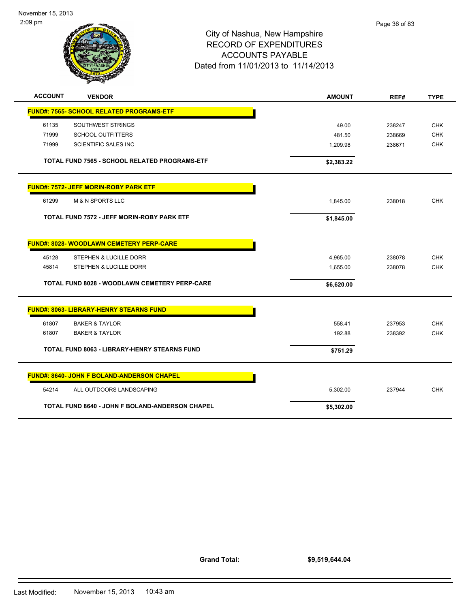

| <b>ACCOUNT</b>                                       | <b>VENDOR</b>                                     | <b>AMOUNT</b> | REF#   | <b>TYPE</b> |
|------------------------------------------------------|---------------------------------------------------|---------------|--------|-------------|
|                                                      | <b>FUND#: 7565- SCHOOL RELATED PROGRAMS-ETF</b>   |               |        |             |
| 61135                                                | SOUTHWEST STRINGS                                 | 49.00         | 238247 | <b>CHK</b>  |
| 71999                                                | <b>SCHOOL OUTFITTERS</b>                          | 481.50        | 238669 | <b>CHK</b>  |
| 71999                                                | SCIENTIFIC SALES INC                              | 1,209.98      | 238671 | <b>CHK</b>  |
| TOTAL FUND 7565 - SCHOOL RELATED PROGRAMS-ETF        |                                                   | \$2,383.22    |        |             |
|                                                      | <b>FUND#: 7572- JEFF MORIN-ROBY PARK ETF</b>      |               |        |             |
| 61299                                                | <b>M &amp; N SPORTS LLC</b>                       | 1,845.00      | 238018 | <b>CHK</b>  |
|                                                      | <b>TOTAL FUND 7572 - JEFF MORIN-ROBY PARK ETF</b> | \$1,845.00    |        |             |
| <b>FUND#: 8028- WOODLAWN CEMETERY PERP-CARE</b>      |                                                   |               |        |             |
| 45128                                                | STEPHEN & LUCILLE DORR                            | 4,965.00      | 238078 | <b>CHK</b>  |
| 45814                                                | STEPHEN & LUCILLE DORR                            | 1,655.00      | 238078 | <b>CHK</b>  |
| <b>TOTAL FUND 8028 - WOODLAWN CEMETERY PERP-CARE</b> |                                                   | \$6,620.00    |        |             |
|                                                      | <b>FUND#: 8063- LIBRARY-HENRY STEARNS FUND</b>    |               |        |             |
| 61807                                                | <b>BAKER &amp; TAYLOR</b>                         | 558.41        | 237953 | <b>CHK</b>  |
| 61807                                                | <b>BAKER &amp; TAYLOR</b>                         | 192.88        | 238392 | <b>CHK</b>  |
| TOTAL FUND 8063 - LIBRARY-HENRY STEARNS FUND         |                                                   | \$751.29      |        |             |
|                                                      | <b>FUND#: 8640- JOHN F BOLAND-ANDERSON CHAPEL</b> |               |        |             |
| 54214                                                | ALL OUTDOORS LANDSCAPING                          | 5,302.00      | 237944 | <b>CHK</b>  |
|                                                      | TOTAL FUND 8640 - JOHN F BOLAND-ANDERSON CHAPEL   | \$5,302.00    |        |             |

**Grand Total:**

**\$9,519,644.04**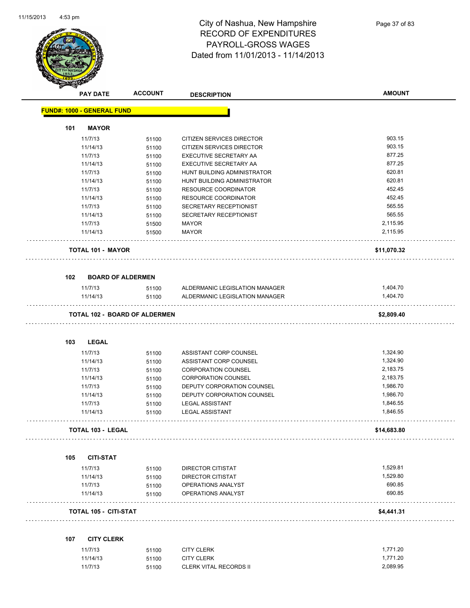

|     | <b>PAY DATE</b>                   | <b>ACCOUNT</b>                | <b>DESCRIPTION</b>             | <b>AMOUNT</b>        |
|-----|-----------------------------------|-------------------------------|--------------------------------|----------------------|
|     | <b>FUND#: 1000 - GENERAL FUND</b> |                               |                                |                      |
| 101 | <b>MAYOR</b>                      |                               |                                |                      |
|     | 11/7/13                           | 51100                         | CITIZEN SERVICES DIRECTOR      | 903.15               |
|     | 11/14/13                          | 51100                         | CITIZEN SERVICES DIRECTOR      | 903.15               |
|     | 11/7/13                           | 51100                         | EXECUTIVE SECRETARY AA         | 877.25               |
|     | 11/14/13                          | 51100                         | EXECUTIVE SECRETARY AA         | 877.25               |
|     | 11/7/13                           | 51100                         | HUNT BUILDING ADMINISTRATOR    | 620.81               |
|     | 11/14/13                          | 51100                         | HUNT BUILDING ADMINISTRATOR    | 620.81               |
|     | 11/7/13                           | 51100                         | RESOURCE COORDINATOR           | 452.45               |
|     | 11/14/13                          | 51100                         | RESOURCE COORDINATOR           | 452.45               |
|     | 11/7/13                           | 51100                         | SECRETARY RECEPTIONIST         | 565.55               |
|     | 11/14/13                          | 51100                         | SECRETARY RECEPTIONIST         | 565.55               |
|     | 11/7/13                           | 51500                         | MAYOR                          | 2,115.95             |
|     | 11/14/13                          | 51500                         | <b>MAYOR</b>                   | 2,115.95             |
|     | <b>TOTAL 101 - MAYOR</b>          |                               |                                | \$11,070.32          |
| 102 | <b>BOARD OF ALDERMEN</b>          |                               |                                |                      |
|     | 11/7/13                           | 51100                         | ALDERMANIC LEGISLATION MANAGER | 1,404.70             |
|     | 11/14/13                          | 51100                         | ALDERMANIC LEGISLATION MANAGER | 1,404.70             |
|     |                                   | TOTAL 102 - BOARD OF ALDERMEN |                                | \$2,809.40           |
| 103 | <b>LEGAL</b>                      |                               |                                |                      |
|     | 11/7/13                           | 51100                         | ASSISTANT CORP COUNSEL         | 1,324.90             |
|     | 11/14/13                          | 51100                         | ASSISTANT CORP COUNSEL         | 1,324.90             |
|     | 11/7/13                           | 51100                         | <b>CORPORATION COUNSEL</b>     | 2,183.75             |
|     | 11/14/13                          | 51100                         | <b>CORPORATION COUNSEL</b>     | 2,183.75             |
|     | 11/7/13                           | 51100                         | DEPUTY CORPORATION COUNSEL     | 1,986.70             |
|     | 11/14/13                          | 51100                         | DEPUTY CORPORATION COUNSEL     | 1,986.70             |
|     | 11/7/13                           | 51100                         | <b>LEGAL ASSISTANT</b>         | 1,846.55             |
|     | 11/14/13                          | 51100                         | <b>LEGAL ASSISTANT</b>         | 1,846.55             |
|     | TOTAL 103 - LEGAL                 |                               |                                | \$14,683.80          |
| 105 | <b>CITI-STAT</b>                  |                               |                                |                      |
|     | 11/7/13                           | 51100                         | DIRECTOR CITISTAT              | 1,529.81             |
|     | 11/14/13                          | 51100                         | <b>DIRECTOR CITISTAT</b>       | 1,529.80             |
|     | 11/7/13                           | 51100                         | OPERATIONS ANALYST             | 690.85               |
|     | 11/14/13                          | 51100                         | OPERATIONS ANALYST             | 690.85               |
|     | TOTAL 105 - CITI-STAT             |                               |                                | \$4,441.31           |
|     |                                   |                               |                                |                      |
| 107 | <b>CITY CLERK</b>                 |                               |                                |                      |
|     | 11/7/13<br>11/14/13               | 51100                         | <b>CITY CLERK</b>              | 1,771.20<br>1,771.20 |
|     |                                   | 51100                         | <b>CITY CLERK</b>              |                      |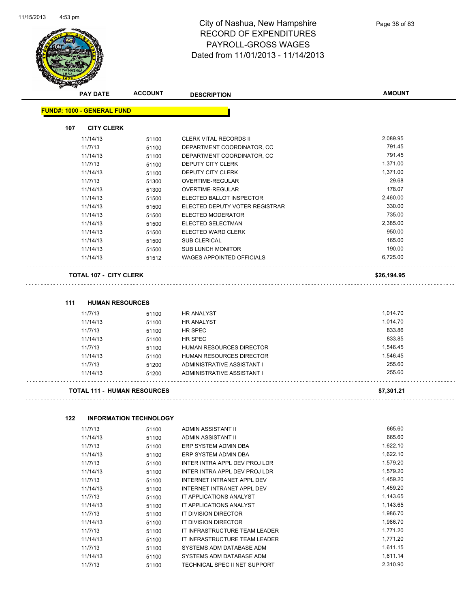

| <b>PAY DATE</b>                   | <b>ACCOUNT</b> | <b>DESCRIPTION</b>               | <b>AMOUNT</b> |
|-----------------------------------|----------------|----------------------------------|---------------|
| <b>FUND#: 1000 - GENERAL FUND</b> |                |                                  |               |
| <b>CITY CLERK</b><br>107          |                |                                  |               |
| 11/14/13                          | 51100          | <b>CLERK VITAL RECORDS II</b>    | 2,089.95      |
| 11/7/13                           | 51100          | DEPARTMENT COORDINATOR, CC       | 791.45        |
| 11/14/13                          | 51100          | DEPARTMENT COORDINATOR, CC       | 791.45        |
| 11/7/13                           | 51100          | DEPUTY CITY CLERK                | 1,371.00      |
| 11/14/13                          | 51100          | <b>DEPUTY CITY CLERK</b>         | 1,371.00      |
| 11/7/13                           | 51300          | <b>OVERTIME-REGULAR</b>          | 29.68         |
| 11/14/13                          | 51300          | <b>OVERTIME-REGULAR</b>          | 178.07        |
| 11/14/13                          | 51500          | ELECTED BALLOT INSPECTOR         | 2,460.00      |
| 11/14/13                          | 51500          | ELECTED DEPUTY VOTER REGISTRAR   | 330.00        |
| 11/14/13                          | 51500          | <b>ELECTED MODERATOR</b>         | 735.00        |
| 11/14/13                          | 51500          | ELECTED SELECTMAN                | 2,385.00      |
| 11/14/13                          | 51500          | ELECTED WARD CLERK               | 950.00        |
| 11/14/13                          | 51500          | <b>SUB CLERICAL</b>              | 165.00        |
| 11/14/13                          | 51500          | <b>SUB LUNCH MONITOR</b>         | 190.00        |
| 11/14/13                          | 51512          | <b>WAGES APPOINTED OFFICIALS</b> | 6,725.00      |
| <b>TOTAL 107 - CITY CLERK</b>     |                |                                  | \$26,194.95   |

11/7/13 51100 HR ANALYST 1,014.70 11/14/13 51100 HR ANALYST 1,014.70 11/7/13 51100 HR SPEC 833.86 11/14/13 51100 HR SPEC 833.85 11/7/13 51100 HUMAN RESOURCES DIRECTOR 1,546.45 11/14/13 51100 HUMAN RESOURCES DIRECTOR 1,546.45 11/7/13 51200 ADMINISTRATIVE ASSISTANT I 255.60 11/14/13 51200 ADMINISTRATIVE ASSISTANT I 255.60

#### 

**111 HUMAN RESOURCES**

**TOTAL 111 - HUMAN RESOURCES \$7,301.21**

#### **122 INFORMATION TECHNOLOGY**

| 11/7/13  | 51100 | ADMIN ASSISTANT II            | 665.60   |
|----------|-------|-------------------------------|----------|
| 11/14/13 | 51100 | ADMIN ASSISTANT II            | 665.60   |
| 11/7/13  | 51100 | ERP SYSTEM ADMIN DBA          | 1,622.10 |
| 11/14/13 | 51100 | ERP SYSTEM ADMIN DBA          | 1,622.10 |
| 11/7/13  | 51100 | INTER INTRA APPL DEV PROJ LDR | 1,579.20 |
| 11/14/13 | 51100 | INTER INTRA APPL DEV PROJ LDR | 1,579.20 |
| 11/7/13  | 51100 | INTERNET INTRANET APPL DEV    | 1,459.20 |
| 11/14/13 | 51100 | INTERNET INTRANET APPL DEV    | 1,459.20 |
| 11/7/13  | 51100 | IT APPLICATIONS ANALYST       | 1,143.65 |
| 11/14/13 | 51100 | IT APPLICATIONS ANALYST       | 1,143.65 |
| 11/7/13  | 51100 | IT DIVISION DIRECTOR          | 1,986.70 |
| 11/14/13 | 51100 | IT DIVISION DIRECTOR          | 1,986.70 |
| 11/7/13  | 51100 | IT INFRASTRUCTURE TEAM LEADER | 1,771.20 |
| 11/14/13 | 51100 | IT INFRASTRUCTURE TEAM LEADER | 1,771.20 |
| 11/7/13  | 51100 | SYSTEMS ADM DATABASE ADM      | 1,611.15 |
| 11/14/13 | 51100 | SYSTEMS ADM DATABASE ADM      | 1,611.14 |
| 11/7/13  | 51100 | TECHNICAL SPEC II NET SUPPORT | 2,310.90 |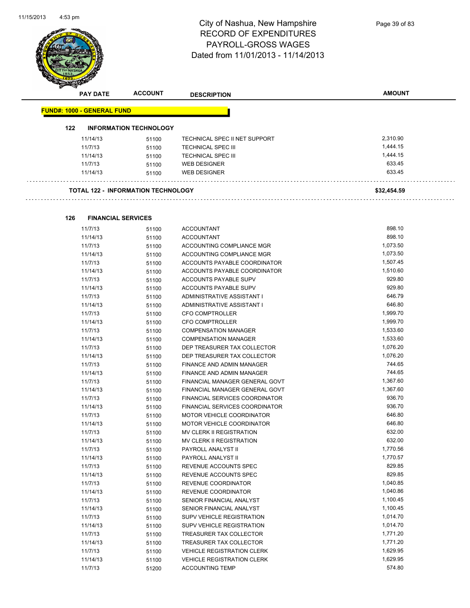

|     | <b>PAY DATE</b>                   | <b>ACCOUNT</b>                            | <b>DESCRIPTION</b>            | <b>AMOUNT</b> |
|-----|-----------------------------------|-------------------------------------------|-------------------------------|---------------|
|     | <b>FUND#: 1000 - GENERAL FUND</b> |                                           |                               |               |
| 122 |                                   | <b>INFORMATION TECHNOLOGY</b>             |                               |               |
|     | 11/14/13                          | 51100                                     | TECHNICAL SPEC II NET SUPPORT | 2,310.90      |
|     | 11/7/13                           | 51100                                     | <b>TECHNICAL SPEC III</b>     | 1,444.15      |
|     | 11/14/13                          | 51100                                     | <b>TECHNICAL SPEC III</b>     | 1,444.15      |
|     | 11/7/13                           | 51100                                     | <b>WEB DESIGNER</b>           | 633.45        |
|     | 11/14/13                          | 51100                                     | <b>WEB DESIGNER</b>           | 633.45        |
|     |                                   | <b>TOTAL 122 - INFORMATION TECHNOLOGY</b> |                               | \$32,454.59   |
| 126 | <b>FINANCIAL SERVICES</b>         |                                           |                               |               |
|     | 11/7/13                           | 51100                                     | <b>ACCOUNTANT</b>             | 898.10        |
|     | 11/14/13                          | 51100                                     | <b>ACCOUNTANT</b>             | 898.10        |
|     | 11/7/13                           | 51100                                     | ACCOUNTING COMPLIANCE MGR     | 1,073.50      |
|     | 11/14/13                          | 51100                                     | ACCOUNTING COMPLIANCE MGR     | 1,073.50      |
|     | 11/7/13                           | 51100                                     | ACCOUNTS PAYABLE COORDINATOR  | 1,507.45      |
|     |                                   |                                           |                               |               |

| 11/14/13 | 51100 | ACCOUNTS PAYABLE COORDINATOR      | 1,510.60 |
|----------|-------|-----------------------------------|----------|
| 11/7/13  | 51100 | ACCOUNTS PAYABLE SUPV             | 929.80   |
| 11/14/13 | 51100 | <b>ACCOUNTS PAYABLE SUPV</b>      | 929.80   |
| 11/7/13  | 51100 | ADMINISTRATIVE ASSISTANT I        | 646.79   |
| 11/14/13 | 51100 | ADMINISTRATIVE ASSISTANT I        | 646.80   |
| 11/7/13  | 51100 | <b>CFO COMPTROLLER</b>            | 1,999.70 |
| 11/14/13 | 51100 | <b>CFO COMPTROLLER</b>            | 1,999.70 |
| 11/7/13  | 51100 | <b>COMPENSATION MANAGER</b>       | 1,533.60 |
| 11/14/13 | 51100 | <b>COMPENSATION MANAGER</b>       | 1,533.60 |
| 11/7/13  | 51100 | DEP TREASURER TAX COLLECTOR       | 1,076.20 |
| 11/14/13 | 51100 | DEP TREASURER TAX COLLECTOR       | 1,076.20 |
| 11/7/13  | 51100 | <b>FINANCE AND ADMIN MANAGER</b>  | 744.65   |
| 11/14/13 | 51100 | <b>FINANCE AND ADMIN MANAGER</b>  | 744.65   |
| 11/7/13  | 51100 | FINANCIAL MANAGER GENERAL GOVT    | 1,367.60 |
| 11/14/13 | 51100 | FINANCIAL MANAGER GENERAL GOVT    | 1,367.60 |
| 11/7/13  | 51100 | FINANCIAL SERVICES COORDINATOR    | 936.70   |
| 11/14/13 | 51100 | FINANCIAL SERVICES COORDINATOR    | 936.70   |
| 11/7/13  | 51100 | <b>MOTOR VEHICLE COORDINATOR</b>  | 646.80   |
| 11/14/13 | 51100 | MOTOR VEHICLE COORDINATOR         | 646.80   |
| 11/7/13  | 51100 | MV CLERK II REGISTRATION          | 632.00   |
| 11/14/13 | 51100 | MV CLERK II REGISTRATION          | 632.00   |
| 11/7/13  | 51100 | PAYROLL ANALYST II                | 1,770.56 |
| 11/14/13 | 51100 | PAYROLL ANALYST II                | 1,770.57 |
| 11/7/13  | 51100 | REVENUE ACCOUNTS SPEC             | 829.85   |
| 11/14/13 | 51100 | REVENUE ACCOUNTS SPEC             | 829.85   |
| 11/7/13  | 51100 | REVENUE COORDINATOR               | 1,040.85 |
| 11/14/13 | 51100 | REVENUE COORDINATOR               | 1,040.86 |
| 11/7/13  | 51100 | SENIOR FINANCIAL ANALYST          | 1,100.45 |
| 11/14/13 | 51100 | SENIOR FINANCIAL ANALYST          | 1,100.45 |
| 11/7/13  | 51100 | <b>SUPV VEHICLE REGISTRATION</b>  | 1,014.70 |
| 11/14/13 | 51100 | <b>SUPV VEHICLE REGISTRATION</b>  | 1,014.70 |
| 11/7/13  | 51100 | TREASURER TAX COLLECTOR           | 1,771.20 |
| 11/14/13 | 51100 | TREASURER TAX COLLECTOR           | 1,771.20 |
| 11/7/13  | 51100 | <b>VEHICLE REGISTRATION CLERK</b> | 1,629.95 |
| 11/14/13 | 51100 | <b>VEHICLE REGISTRATION CLERK</b> | 1,629.95 |
| 11/7/13  | 51200 | <b>ACCOUNTING TEMP</b>            | 574.80   |
|          |       |                                   |          |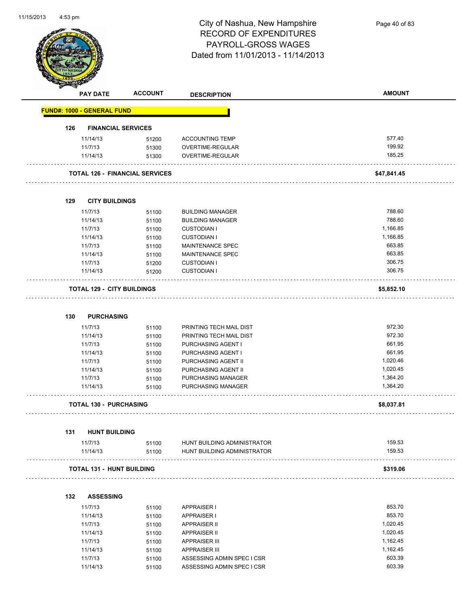

Page 40 of 83

|     | <b>PAY DATE</b>                   | <b>ACCOUNT</b>                        | <b>DESCRIPTION</b>                         | <b>AMOUNT</b> |
|-----|-----------------------------------|---------------------------------------|--------------------------------------------|---------------|
|     | <b>FUND#: 1000 - GENERAL FUND</b> |                                       |                                            |               |
| 126 |                                   | <b>FINANCIAL SERVICES</b>             |                                            |               |
|     | 11/14/13                          | 51200                                 | <b>ACCOUNTING TEMP</b>                     | 577.40        |
|     | 11/7/13                           | 51300                                 | OVERTIME-REGULAR                           | 199.92        |
|     | 11/14/13                          | 51300                                 | OVERTIME-REGULAR                           | 185.25        |
|     |                                   | <b>TOTAL 126 - FINANCIAL SERVICES</b> |                                            | \$47,841.45   |
|     |                                   |                                       |                                            |               |
| 129 | <b>CITY BUILDINGS</b>             |                                       |                                            |               |
|     | 11/7/13                           | 51100                                 | <b>BUILDING MANAGER</b>                    | 788.60        |
|     | 11/14/13                          | 51100                                 | <b>BUILDING MANAGER</b>                    | 788.60        |
|     | 11/7/13                           | 51100                                 | <b>CUSTODIAN I</b>                         | 1,166.85      |
|     | 11/14/13                          | 51100                                 | <b>CUSTODIAN I</b>                         | 1,166.85      |
|     | 11/7/13                           | 51100                                 | <b>MAINTENANCE SPEC</b>                    | 663.85        |
|     | 11/14/13                          | 51100                                 | MAINTENANCE SPEC                           | 663.85        |
|     | 11/7/13                           | 51200                                 | <b>CUSTODIAN I</b>                         | 306.75        |
|     | 11/14/13                          | 51200                                 | <b>CUSTODIAN I</b>                         | 306.75        |
|     | <b>TOTAL 129 - CITY BUILDINGS</b> |                                       |                                            | \$5,852.10    |
| 130 | <b>PURCHASING</b>                 |                                       |                                            |               |
|     | 11/7/13                           | 51100                                 | PRINTING TECH MAIL DIST                    | 972.30        |
|     | 11/14/13                          | 51100                                 | PRINTING TECH MAIL DIST                    | 972.30        |
|     | 11/7/13                           | 51100                                 | PURCHASING AGENT I                         | 661.95        |
|     | 11/14/13                          | 51100                                 | PURCHASING AGENT I                         | 661.95        |
|     | 11/7/13                           | 51100                                 | PURCHASING AGENT II                        | 1,020.46      |
|     | 11/14/13                          | 51100                                 | PURCHASING AGENT II                        | 1,020.45      |
|     | 11/7/13                           | 51100                                 | PURCHASING MANAGER                         | 1,364.20      |
|     | 11/14/13                          | 51100                                 | PURCHASING MANAGER                         | 1,364.20      |
|     | <b>TOTAL 130 - PURCHASING</b>     |                                       |                                            | \$8,037.81    |
| 131 | <b>HUNT BUILDING</b>              |                                       |                                            |               |
|     | 11/7/13                           | 51100                                 | HUNT BUILDING ADMINISTRATOR                | 159.53        |
|     | 11/14/13                          | 51100                                 | HUNT BUILDING ADMINISTRATOR                | 159.53        |
|     | <b>TOTAL 131 - HUNT BUILDING</b>  |                                       |                                            | \$319.06      |
| 132 | <b>ASSESSING</b>                  |                                       |                                            |               |
|     | 11/7/13                           |                                       | <b>APPRAISER I</b>                         | 853.70        |
|     |                                   | 51100                                 |                                            | 853.70        |
|     | 11/14/13<br>11/7/13               | 51100                                 | <b>APPRAISER I</b>                         | 1,020.45      |
|     | 11/14/13                          | 51100                                 | <b>APPRAISER II</b><br><b>APPRAISER II</b> | 1,020.45      |

| 11/14/13 | 51100 | APPRAISER II              | 1.020.45 |
|----------|-------|---------------------------|----------|
| 11/7/13  | 51100 | APPRAISER III             | 1.162.45 |
| 11/14/13 | 51100 | APPRAISER III             | 1.162.45 |
| 11/7/13  | 51100 | ASSESSING ADMIN SPEC LCSR | 603.39   |
| 11/14/13 | 51100 | ASSESSING ADMIN SPEC LCSR | 603.39   |
|          |       |                           |          |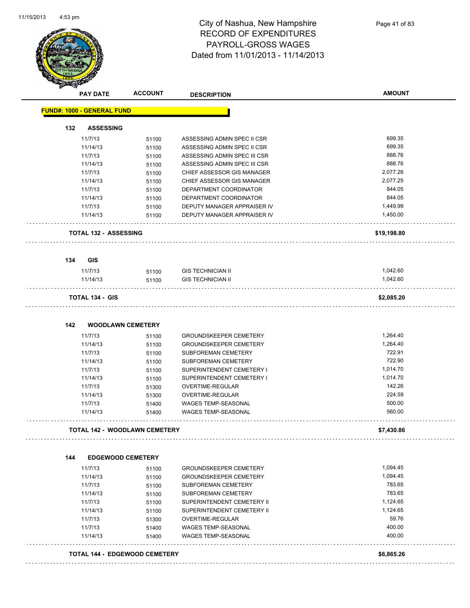

|     | <b>PAY DATE</b>                   | <b>ACCOUNT</b>                       | <b>DESCRIPTION</b>            |             |
|-----|-----------------------------------|--------------------------------------|-------------------------------|-------------|
|     | <b>FUND#: 1000 - GENERAL FUND</b> |                                      |                               |             |
| 132 | <b>ASSESSING</b>                  |                                      |                               |             |
|     | 11/7/13                           | 51100                                | ASSESSING ADMIN SPEC II CSR   | 699.35      |
|     | 11/14/13                          | 51100                                | ASSESSING ADMIN SPEC II CSR   | 699.35      |
|     | 11/7/13                           | 51100                                | ASSESSING ADMIN SPEC III CSR  | 888.76      |
|     | 11/14/13                          | 51100                                | ASSESSING ADMIN SPEC III CSR  | 888.76      |
|     | 11/7/13                           | 51100                                | CHIEF ASSESSOR GIS MANAGER    | 2,077.26    |
|     | 11/14/13                          | 51100                                | CHIEF ASSESSOR GIS MANAGER    | 2,077.25    |
|     | 11/7/13                           | 51100                                | DEPARTMENT COORDINATOR        | 844.05      |
|     | 11/14/13                          | 51100                                | DEPARTMENT COORDINATOR        | 844.05      |
|     | 11/7/13                           | 51100                                | DEPUTY MANAGER APPRAISER IV   | 1,449.99    |
|     | 11/14/13                          | 51100                                | DEPUTY MANAGER APPRAISER IV   | 1,450.00    |
|     | <b>TOTAL 132 - ASSESSING</b>      |                                      |                               | \$19,198.80 |
| 134 | <b>GIS</b>                        |                                      |                               |             |
|     | 11/7/13                           | 51100                                | <b>GIS TECHNICIAN II</b>      | 1,042.60    |
|     | 11/14/13                          | 51100                                | <b>GIS TECHNICIAN II</b>      | 1,042.60    |
|     | <b>TOTAL 134 - GIS</b>            |                                      |                               | \$2,085.20  |
| 142 | <b>WOODLAWN CEMETERY</b>          |                                      |                               |             |
|     | 11/7/13                           | 51100                                | <b>GROUNDSKEEPER CEMETERY</b> | 1,264.40    |
|     | 11/14/13                          | 51100                                | <b>GROUNDSKEEPER CEMETERY</b> | 1,264.40    |
|     | 11/7/13                           | 51100                                | SUBFOREMAN CEMETERY           | 722.91      |
|     | 11/14/13                          | 51100                                | SUBFOREMAN CEMETERY           | 722.90      |
|     | 11/7/13                           | 51100                                | SUPERINTENDENT CEMETERY I     | 1,014.70    |
|     | 11/14/13                          | 51100                                | SUPERINTENDENT CEMETERY I     | 1,014.70    |
|     | 11/7/13                           | 51300                                | OVERTIME-REGULAR              | 142.26      |
|     | 11/14/13                          | 51300                                | <b>OVERTIME-REGULAR</b>       | 224.59      |
|     | 11/7/13                           | 51400                                | WAGES TEMP-SEASONAL           | 500.00      |
|     | 11/14/13                          | 51400                                | <b>WAGES TEMP-SEASONAL</b>    | 560.00      |
|     |                                   | TOTAL 142 - WOODLAWN CEMETERY        |                               | \$7,430.86  |
|     |                                   |                                      |                               |             |
| 144 | <b>EDGEWOOD CEMETERY</b>          |                                      |                               |             |
|     | 11/7/13                           | 51100                                | <b>GROUNDSKEEPER CEMETERY</b> | 1,094.45    |
|     | 11/14/13                          | 51100                                | <b>GROUNDSKEEPER CEMETERY</b> | 1,094.45    |
|     | 11/7/13                           | 51100                                | SUBFOREMAN CEMETERY           | 783.65      |
|     | 11/14/13                          | 51100                                | SUBFOREMAN CEMETERY           | 783.65      |
|     | 11/7/13                           | 51100                                | SUPERINTENDENT CEMETERY II    | 1,124.65    |
|     | 11/14/13                          | 51100                                | SUPERINTENDENT CEMETERY II    | 1,124.65    |
|     | 11/7/13                           | 51300                                | OVERTIME-REGULAR              | 59.76       |
|     | 11/7/13                           | 51400                                | WAGES TEMP-SEASONAL           | 400.00      |
|     | 11/14/13                          | 51400                                | WAGES TEMP-SEASONAL           | 400.00      |
|     |                                   |                                      |                               |             |
|     |                                   | <b>TOTAL 144 - EDGEWOOD CEMETERY</b> |                               | \$6,865.26  |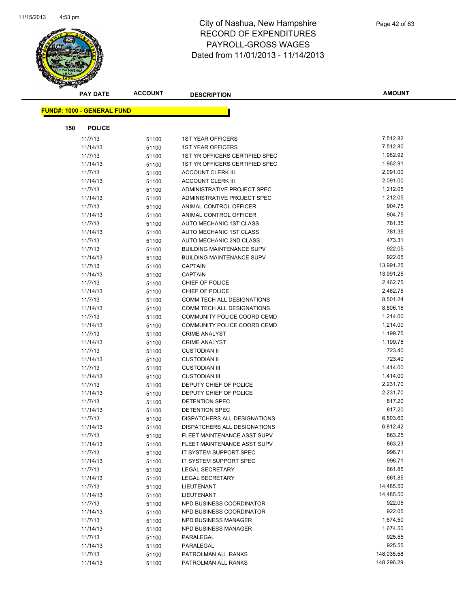

| <b>PAY DATE</b>                   | <b>ACCOUNT</b> | <b>DESCRIPTION</b>               | <b>AMOUNT</b> |
|-----------------------------------|----------------|----------------------------------|---------------|
| <b>FUND#: 1000 - GENERAL FUND</b> |                |                                  |               |
|                                   |                |                                  |               |
| 150<br><b>POLICE</b>              |                |                                  |               |
| 11/7/13                           | 51100          | <b>1ST YEAR OFFICERS</b>         | 7,512.82      |
| 11/14/13                          | 51100          | <b>1ST YEAR OFFICERS</b>         | 7,512.80      |
| 11/7/13                           | 51100          | 1ST YR OFFICERS CERTIFIED SPEC   | 1,962.92      |
| 11/14/13                          | 51100          | 1ST YR OFFICERS CERTIFIED SPEC   | 1,962.91      |
| 11/7/13                           | 51100          | <b>ACCOUNT CLERK III</b>         | 2,091.00      |
| 11/14/13                          | 51100          | <b>ACCOUNT CLERK III</b>         | 2,091.00      |
| 11/7/13                           | 51100          | ADMINISTRATIVE PROJECT SPEC      | 1,212.05      |
| 11/14/13                          | 51100          | ADMINISTRATIVE PROJECT SPEC      | 1,212.05      |
| 11/7/13                           | 51100          | ANIMAL CONTROL OFFICER           | 904.75        |
| 11/14/13                          | 51100          | ANIMAL CONTROL OFFICER           | 904.75        |
| 11/7/13                           | 51100          | AUTO MECHANIC 1ST CLASS          | 781.35        |
| 11/14/13                          | 51100          | AUTO MECHANIC 1ST CLASS          | 781.35        |
| 11/7/13                           | 51100          | AUTO MECHANIC 2ND CLASS          | 473.31        |
| 11/7/13                           | 51100          | <b>BUILDING MAINTENANCE SUPV</b> | 922.05        |
| 11/14/13                          | 51100          | <b>BUILDING MAINTENANCE SUPV</b> | 922.05        |
| 11/7/13                           | 51100          | <b>CAPTAIN</b>                   | 13,991.25     |
| 11/14/13                          | 51100          | <b>CAPTAIN</b>                   | 13,991.25     |
| 11/7/13                           | 51100          | CHIEF OF POLICE                  | 2,462.75      |
| 11/14/13                          | 51100          | CHIEF OF POLICE                  | 2,462.75      |
| 11/7/13                           | 51100          | COMM TECH ALL DESIGNATIONS       | 8,501.24      |
| 11/14/13                          | 51100          | COMM TECH ALL DESIGNATIONS       | 8,506.15      |
| 11/7/13                           | 51100          | COMMUNITY POLICE COORD CEMD      | 1,214.00      |
| 11/14/13                          | 51100          | COMMUNITY POLICE COORD CEMD      | 1,214.00      |
| 11/7/13                           | 51100          | <b>CRIME ANALYST</b>             | 1,199.75      |
| 11/14/13                          | 51100          | <b>CRIME ANALYST</b>             | 1,199.75      |
| 11/7/13                           | 51100          | <b>CUSTODIAN II</b>              | 723.40        |
| 11/14/13                          | 51100          | <b>CUSTODIAN II</b>              | 723.40        |
| 11/7/13                           | 51100          | <b>CUSTODIAN III</b>             | 1,414.00      |
| 11/14/13                          | 51100          | <b>CUSTODIAN III</b>             | 1,414.00      |
| 11/7/13                           | 51100          | DEPUTY CHIEF OF POLICE           | 2,231.70      |
| 11/14/13                          | 51100          | DEPUTY CHIEF OF POLICE           | 2,231.70      |
| 11/7/13                           | 51100          | DETENTION SPEC                   | 817.20        |
| 11/14/13                          | 51100          | DETENTION SPEC                   | 817.20        |
| 11/7/13                           | 51100          | DISPATCHERS ALL DESIGNATIONS     | 6,803.60      |
| 11/14/13                          | 51100          | DISPATCHERS ALL DESIGNATIONS     | 6,812.42      |
| 11/7/13                           | 51100          | FLEET MAINTENANCE ASST SUPV      | 863.25        |
| 11/14/13                          | 51100          | FLEET MAINTENANCE ASST SUPV      | 863.23        |
| 11/7/13                           | 51100          | IT SYSTEM SUPPORT SPEC           | 996.71        |
| 11/14/13                          | 51100          | IT SYSTEM SUPPORT SPEC           | 996.71        |
| 11/7/13                           | 51100          | <b>LEGAL SECRETARY</b>           | 661.85        |
| 11/14/13                          | 51100          | <b>LEGAL SECRETARY</b>           | 661.85        |
| 11/7/13                           | 51100          | LIEUTENANT                       | 14,485.50     |
| 11/14/13                          | 51100          | LIEUTENANT                       | 14,485.50     |
| 11/7/13                           | 51100          | NPD BUSINESS COORDINATOR         | 922.05        |
| 11/14/13                          | 51100          | NPD BUSINESS COORDINATOR         | 922.05        |
| 11/7/13                           | 51100          | <b>NPD BUSINESS MANAGER</b>      | 1,674.50      |
| 11/14/13                          | 51100          | NPD BUSINESS MANAGER             | 1,674.50      |
| 11/7/13                           | 51100          | PARALEGAL                        | 925.55        |
| 11/14/13                          | 51100          | PARALEGAL                        | 925.55        |
| 11/7/13                           | 51100          | PATROLMAN ALL RANKS              | 148,035.58    |
| 11/14/13                          | 51100          | PATROLMAN ALL RANKS              | 148,296.29    |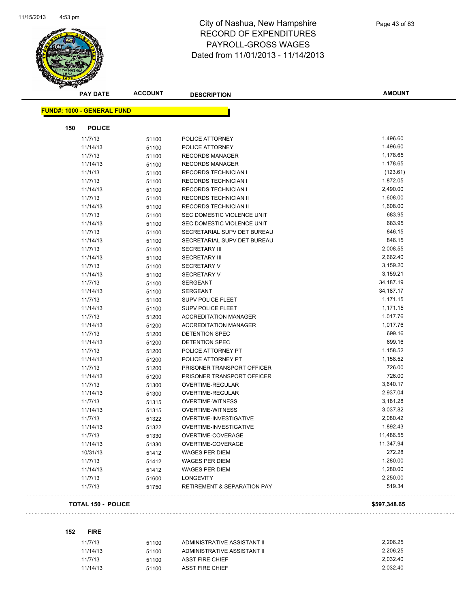

|     | <b>PAY DATE</b>                   | <b>ACCOUNT</b> | <b>DESCRIPTION</b>                     | <b>AMOUNT</b> |
|-----|-----------------------------------|----------------|----------------------------------------|---------------|
|     | <b>FUND#: 1000 - GENERAL FUND</b> |                |                                        |               |
|     |                                   |                |                                        |               |
| 150 | <b>POLICE</b>                     |                |                                        |               |
|     | 11/7/13                           | 51100          | POLICE ATTORNEY                        | 1,496.60      |
|     | 11/14/13                          | 51100          | POLICE ATTORNEY                        | 1,496.60      |
|     | 11/7/13                           | 51100          | <b>RECORDS MANAGER</b>                 | 1,178.65      |
|     | 11/14/13                          | 51100          | <b>RECORDS MANAGER</b>                 | 1,178.65      |
|     | 11/1/13                           | 51100          | <b>RECORDS TECHNICIAN I</b>            | (123.61)      |
|     | 11/7/13                           | 51100          | <b>RECORDS TECHNICIAN I</b>            | 1,872.05      |
|     | 11/14/13                          | 51100          | <b>RECORDS TECHNICIAN I</b>            | 2,490.00      |
|     | 11/7/13                           | 51100          | <b>RECORDS TECHNICIAN II</b>           | 1,608.00      |
|     | 11/14/13                          | 51100          | <b>RECORDS TECHNICIAN II</b>           | 1,608.00      |
|     | 11/7/13                           | 51100          | SEC DOMESTIC VIOLENCE UNIT             | 683.95        |
|     | 11/14/13                          | 51100          | SEC DOMESTIC VIOLENCE UNIT             | 683.95        |
|     | 11/7/13                           | 51100          | SECRETARIAL SUPV DET BUREAU            | 846.15        |
|     | 11/14/13                          | 51100          | SECRETARIAL SUPV DET BUREAU            | 846.15        |
|     | 11/7/13                           | 51100          | <b>SECRETARY III</b>                   | 2,008.55      |
|     | 11/14/13                          | 51100          | <b>SECRETARY III</b>                   | 2,662.40      |
|     | 11/7/13                           | 51100          | <b>SECRETARY V</b>                     | 3,159.20      |
|     | 11/14/13                          | 51100          | <b>SECRETARY V</b>                     | 3,159.21      |
|     | 11/7/13                           | 51100          | <b>SERGEANT</b>                        | 34,187.19     |
|     | 11/14/13                          | 51100          | <b>SERGEANT</b>                        | 34,187.17     |
|     | 11/7/13                           | 51100          | <b>SUPV POLICE FLEET</b>               | 1,171.15      |
|     | 11/14/13                          | 51100          | SUPV POLICE FLEET                      | 1,171.15      |
|     | 11/7/13                           | 51200          | <b>ACCREDITATION MANAGER</b>           | 1,017.76      |
|     | 11/14/13                          | 51200          | <b>ACCREDITATION MANAGER</b>           | 1,017.76      |
|     | 11/7/13                           | 51200          | DETENTION SPEC                         | 699.16        |
|     | 11/14/13                          | 51200          | DETENTION SPEC                         | 699.16        |
|     | 11/7/13                           | 51200          | POLICE ATTORNEY PT                     | 1,158.52      |
|     | 11/14/13                          | 51200          | POLICE ATTORNEY PT                     | 1,158.52      |
|     | 11/7/13                           | 51200          | PRISONER TRANSPORT OFFICER             | 726.00        |
|     | 11/14/13                          | 51200          | PRISONER TRANSPORT OFFICER             | 726.00        |
|     | 11/7/13                           | 51300          | OVERTIME-REGULAR                       | 3,640.17      |
|     | 11/14/13                          | 51300          | OVERTIME-REGULAR                       | 2,937.04      |
|     | 11/7/13                           | 51315          | <b>OVERTIME-WITNESS</b>                | 3,181.28      |
|     | 11/14/13                          | 51315          | <b>OVERTIME-WITNESS</b>                | 3,037.82      |
|     | 11/7/13                           | 51322          | OVERTIME-INVESTIGATIVE                 | 2,080.42      |
|     | 11/14/13                          | 51322          | OVERTIME-INVESTIGATIVE                 | 1,892.43      |
|     | 11/7/13                           | 51330          | OVERTIME-COVERAGE                      | 11,486.55     |
|     | 11/14/13                          | 51330          | OVERTIME-COVERAGE                      | 11,347.94     |
|     | 10/31/13                          | 51412          | <b>WAGES PER DIEM</b>                  | 272.28        |
|     | 11/7/13                           | 51412          | <b>WAGES PER DIEM</b>                  | 1,280.00      |
|     | 11/14/13                          |                | <b>WAGES PER DIEM</b>                  | 1,280.00      |
|     | 11/7/13                           | 51412          | <b>LONGEVITY</b>                       | 2,250.00      |
|     | 11/7/13                           | 51600<br>51750 | <b>RETIREMENT &amp; SEPARATION PAY</b> | 519.34        |
|     |                                   |                |                                        |               |
|     | <b>TOTAL 150 - POLICE</b>         |                |                                        | \$597,348.65  |

#### 

#### **152 FIRE**

| 11/7/13  | 51100 | ADMINISTRATIVE ASSISTANT II | 2.206.25 |
|----------|-------|-----------------------------|----------|
| 11/14/13 | 51100 | ADMINISTRATIVE ASSISTANT II | 2.206.25 |
| 11/7/13  | 51100 | ASST FIRE CHIEF             | 2.032.40 |
| 11/14/13 | 51100 | ASST FIRE CHIEF             | 2.032.40 |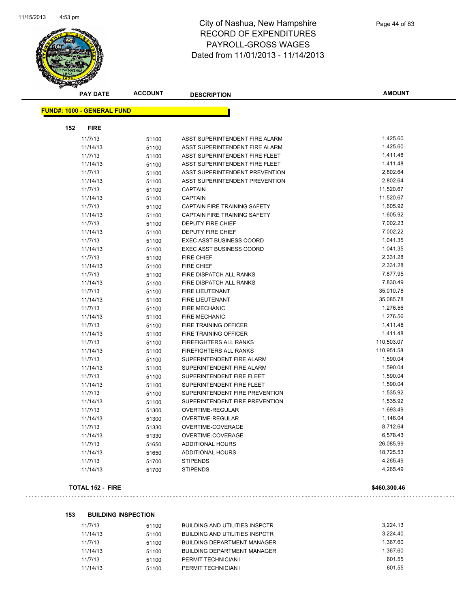

|                                   | <b>PAY DATE</b> | <b>ACCOUNT</b> | <b>DESCRIPTION</b>              | <b>AMOUNT</b> |  |  |  |
|-----------------------------------|-----------------|----------------|---------------------------------|---------------|--|--|--|
| <b>FUND#: 1000 - GENERAL FUND</b> |                 |                |                                 |               |  |  |  |
|                                   |                 |                |                                 |               |  |  |  |
| 152                               | <b>FIRE</b>     |                |                                 |               |  |  |  |
|                                   | 11/7/13         | 51100          | ASST SUPERINTENDENT FIRE ALARM  | 1,425.60      |  |  |  |
|                                   | 11/14/13        | 51100          | ASST SUPERINTENDENT FIRE ALARM  | 1,425.60      |  |  |  |
|                                   | 11/7/13         | 51100          | ASST SUPERINTENDENT FIRE FLEET  | 1,411.48      |  |  |  |
|                                   | 11/14/13        | 51100          | ASST SUPERINTENDENT FIRE FLEET  | 1,411.48      |  |  |  |
|                                   | 11/7/13         | 51100          | ASST SUPERINTENDENT PREVENTION  | 2,802.64      |  |  |  |
|                                   | 11/14/13        | 51100          | ASST SUPERINTENDENT PREVENTION  | 2,802.64      |  |  |  |
|                                   | 11/7/13         | 51100          | <b>CAPTAIN</b>                  | 11,520.67     |  |  |  |
|                                   | 11/14/13        | 51100          | <b>CAPTAIN</b>                  | 11,520.67     |  |  |  |
|                                   | 11/7/13         | 51100          | CAPTAIN FIRE TRAINING SAFETY    | 1,605.92      |  |  |  |
|                                   | 11/14/13        | 51100          | CAPTAIN FIRE TRAINING SAFETY    | 1,605.92      |  |  |  |
|                                   | 11/7/13         | 51100          | DEPUTY FIRE CHIEF               | 7,002.23      |  |  |  |
|                                   | 11/14/13        | 51100          | <b>DEPUTY FIRE CHIEF</b>        | 7,002.22      |  |  |  |
|                                   | 11/7/13         | 51100          | <b>EXEC ASST BUSINESS COORD</b> | 1,041.35      |  |  |  |
|                                   | 11/14/13        | 51100          | <b>EXEC ASST BUSINESS COORD</b> | 1,041.35      |  |  |  |
|                                   | 11/7/13         | 51100          | <b>FIRE CHIEF</b>               | 2,331.28      |  |  |  |
|                                   | 11/14/13        | 51100          | <b>FIRE CHIEF</b>               | 2,331.28      |  |  |  |
|                                   | 11/7/13         | 51100          | FIRE DISPATCH ALL RANKS         | 7,877.95      |  |  |  |
|                                   | 11/14/13        | 51100          | FIRE DISPATCH ALL RANKS         | 7,830.49      |  |  |  |
|                                   | 11/7/13         | 51100          | <b>FIRE LIEUTENANT</b>          | 35,010.78     |  |  |  |
|                                   | 11/14/13        | 51100          | FIRE LIEUTENANT                 | 35,085.78     |  |  |  |
|                                   | 11/7/13         | 51100          | <b>FIRE MECHANIC</b>            | 1,276.56      |  |  |  |
|                                   | 11/14/13        | 51100          | <b>FIRE MECHANIC</b>            | 1,276.56      |  |  |  |
|                                   | 11/7/13         | 51100          | <b>FIRE TRAINING OFFICER</b>    | 1,411.48      |  |  |  |
|                                   | 11/14/13        | 51100          | FIRE TRAINING OFFICER           | 1,411.48      |  |  |  |
|                                   | 11/7/13         | 51100          | FIREFIGHTERS ALL RANKS          | 110,503.07    |  |  |  |
|                                   | 11/14/13        | 51100          | FIREFIGHTERS ALL RANKS          | 110,951.58    |  |  |  |
|                                   | 11/7/13         | 51100          | SUPERINTENDENT FIRE ALARM       | 1,590.04      |  |  |  |
|                                   | 11/14/13        | 51100          | SUPERINTENDENT FIRE ALARM       | 1,590.04      |  |  |  |
|                                   | 11/7/13         | 51100          | SUPERINTENDENT FIRE FLEET       | 1,590.04      |  |  |  |
|                                   | 11/14/13        | 51100          | SUPERINTENDENT FIRE FLEET       | 1,590.04      |  |  |  |
|                                   | 11/7/13         | 51100          | SUPERINTENDENT FIRE PREVENTION  | 1,535.92      |  |  |  |
|                                   | 11/14/13        | 51100          | SUPERINTENDENT FIRE PREVENTION  | 1,535.92      |  |  |  |
|                                   | 11/7/13         | 51300          | <b>OVERTIME-REGULAR</b>         | 1,693.49      |  |  |  |
|                                   | 11/14/13        | 51300          | OVERTIME-REGULAR                | 1,146.04      |  |  |  |
|                                   | 11/7/13         | 51330          | OVERTIME-COVERAGE               | 8,712.64      |  |  |  |
|                                   | 11/14/13        | 51330          | OVERTIME-COVERAGE               | 6,578.43      |  |  |  |
|                                   | 11/7/13         | 51650          | <b>ADDITIONAL HOURS</b>         | 26,085.99     |  |  |  |
|                                   | 11/14/13        | 51650          | ADDITIONAL HOURS                | 18,725.53     |  |  |  |
|                                   | 11/7/13         | 51700          | <b>STIPENDS</b>                 | 4,265.49      |  |  |  |
|                                   | 11/14/13        | 51700          | <b>STIPENDS</b>                 | 4,265.49      |  |  |  |
|                                   |                 |                |                                 |               |  |  |  |

#### **TOTAL 152 - FIRE \$460,300.46**

#### **153 BUILDING INSPECTION**

| 11/7/13  | 51100 | BUILDING AND UTILITIES INSPCTR     | 3.224.13 |
|----------|-------|------------------------------------|----------|
| 11/14/13 | 51100 | BUILDING AND UTILITIES INSPCTR     | 3.224.40 |
| 11/7/13  | 51100 | <b>BUILDING DEPARTMENT MANAGER</b> | 1.367.60 |
| 11/14/13 | 51100 | <b>BUILDING DEPARTMENT MANAGER</b> | 1.367.60 |
| 11/7/13  | 51100 | PERMIT TECHNICIAN I                | 601.55   |
| 11/14/13 | 51100 | PERMIT TECHNICIAN I                | 601.55   |
|          |       |                                    |          |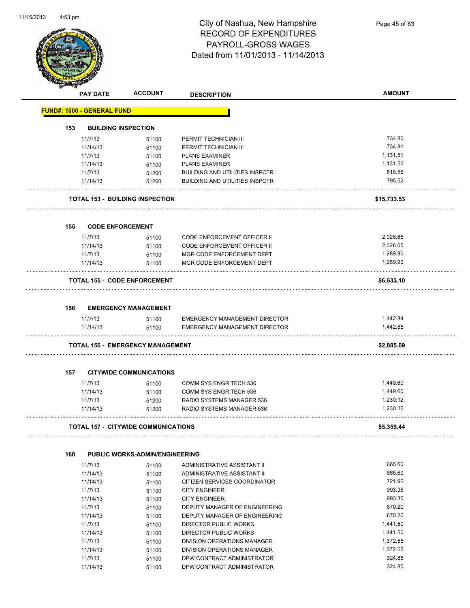

Page 45 of 83

|     | <b>PAY DATE</b>                                                                                                                                    | <b>ACCOUNT</b>                                                                                                                                      | <b>DESCRIPTION</b>                                                                                                                                                                                                                                                                                                                                                                       | <b>AMOUNT</b>                                                                                                                          |
|-----|----------------------------------------------------------------------------------------------------------------------------------------------------|-----------------------------------------------------------------------------------------------------------------------------------------------------|------------------------------------------------------------------------------------------------------------------------------------------------------------------------------------------------------------------------------------------------------------------------------------------------------------------------------------------------------------------------------------------|----------------------------------------------------------------------------------------------------------------------------------------|
|     | <b>FUND#: 1000 - GENERAL FUND</b>                                                                                                                  |                                                                                                                                                     |                                                                                                                                                                                                                                                                                                                                                                                          |                                                                                                                                        |
| 153 |                                                                                                                                                    | <b>BUILDING INSPECTION</b>                                                                                                                          |                                                                                                                                                                                                                                                                                                                                                                                          |                                                                                                                                        |
|     | 11/7/13                                                                                                                                            | 51100                                                                                                                                               | PERMIT TECHNICIAN III                                                                                                                                                                                                                                                                                                                                                                    | 734.80                                                                                                                                 |
|     | 11/14/13                                                                                                                                           | 51100                                                                                                                                               | PERMIT TECHNICIAN III                                                                                                                                                                                                                                                                                                                                                                    | 734.81                                                                                                                                 |
|     | 11/7/13                                                                                                                                            | 51100                                                                                                                                               | <b>PLANS EXAMINER</b>                                                                                                                                                                                                                                                                                                                                                                    | 1,131.51                                                                                                                               |
|     | 11/14/13                                                                                                                                           | 51100                                                                                                                                               | <b>PLANS EXAMINER</b>                                                                                                                                                                                                                                                                                                                                                                    | 1,131.50                                                                                                                               |
|     | 11/7/13                                                                                                                                            | 51200                                                                                                                                               | <b>BUILDING AND UTILITIES INSPCTR</b>                                                                                                                                                                                                                                                                                                                                                    | 818.56                                                                                                                                 |
|     | 11/14/13                                                                                                                                           | 51200                                                                                                                                               | <b>BUILDING AND UTILITIES INSPCTR</b>                                                                                                                                                                                                                                                                                                                                                    | 795.52                                                                                                                                 |
|     |                                                                                                                                                    | <b>TOTAL 153 - BUILDING INSPECTION</b>                                                                                                              |                                                                                                                                                                                                                                                                                                                                                                                          | \$15,733.53                                                                                                                            |
| 155 | <b>CODE ENFORCEMENT</b>                                                                                                                            |                                                                                                                                                     |                                                                                                                                                                                                                                                                                                                                                                                          |                                                                                                                                        |
|     | 11/7/13                                                                                                                                            | 51100                                                                                                                                               | <b>CODE ENFORCEMENT OFFICER II</b>                                                                                                                                                                                                                                                                                                                                                       | 2,026.65                                                                                                                               |
|     | 11/14/13                                                                                                                                           | 51100                                                                                                                                               | <b>CODE ENFORCEMENT OFFICER II</b>                                                                                                                                                                                                                                                                                                                                                       | 2,026.65                                                                                                                               |
|     | 11/7/13                                                                                                                                            | 51100                                                                                                                                               | MGR CODE ENFORCEMENT DEPT                                                                                                                                                                                                                                                                                                                                                                | 1,289.90                                                                                                                               |
|     | 11/14/13                                                                                                                                           | 51100                                                                                                                                               | MGR CODE ENFORCEMENT DEPT                                                                                                                                                                                                                                                                                                                                                                | 1,289.90                                                                                                                               |
|     |                                                                                                                                                    | <b>TOTAL 155 - CODE ENFORCEMENT</b>                                                                                                                 |                                                                                                                                                                                                                                                                                                                                                                                          | \$6,633.10                                                                                                                             |
| 156 |                                                                                                                                                    | <b>EMERGENCY MANAGEMENT</b>                                                                                                                         |                                                                                                                                                                                                                                                                                                                                                                                          |                                                                                                                                        |
|     | 11/7/13                                                                                                                                            | 51100                                                                                                                                               | <b>EMERGENCY MANAGEMENT DIRECTOR</b>                                                                                                                                                                                                                                                                                                                                                     | 1,442.84                                                                                                                               |
|     | 11/14/13                                                                                                                                           | 51100                                                                                                                                               | <b>EMERGENCY MANAGEMENT DIRECTOR</b>                                                                                                                                                                                                                                                                                                                                                     | 1,442.85                                                                                                                               |
|     |                                                                                                                                                    |                                                                                                                                                     |                                                                                                                                                                                                                                                                                                                                                                                          |                                                                                                                                        |
|     |                                                                                                                                                    | <b>TOTAL 156 - EMERGENCY MANAGEMENT</b>                                                                                                             |                                                                                                                                                                                                                                                                                                                                                                                          | \$2,885.69                                                                                                                             |
| 157 |                                                                                                                                                    | <b>CITYWIDE COMMUNICATIONS</b>                                                                                                                      |                                                                                                                                                                                                                                                                                                                                                                                          |                                                                                                                                        |
|     | 11/7/13                                                                                                                                            | 51100                                                                                                                                               | <b>COMM SYS ENGR TECH 536</b>                                                                                                                                                                                                                                                                                                                                                            | 1,449.60                                                                                                                               |
|     | 11/14/13                                                                                                                                           | 51100                                                                                                                                               | <b>COMM SYS ENGR TECH 536</b>                                                                                                                                                                                                                                                                                                                                                            | 1,449.60                                                                                                                               |
|     | 11/7/13                                                                                                                                            | 51200                                                                                                                                               | RADIO SYSTEMS MANAGER 536                                                                                                                                                                                                                                                                                                                                                                | 1,230.12                                                                                                                               |
|     | 11/14/13                                                                                                                                           | 51200                                                                                                                                               | RADIO SYSTEMS MANAGER 536                                                                                                                                                                                                                                                                                                                                                                | 1,230.12                                                                                                                               |
|     |                                                                                                                                                    | TOTAL 157 - CITYWIDE COMMUNICATIONS                                                                                                                 |                                                                                                                                                                                                                                                                                                                                                                                          | \$5,359.44                                                                                                                             |
|     |                                                                                                                                                    |                                                                                                                                                     |                                                                                                                                                                                                                                                                                                                                                                                          |                                                                                                                                        |
|     |                                                                                                                                                    |                                                                                                                                                     |                                                                                                                                                                                                                                                                                                                                                                                          |                                                                                                                                        |
|     |                                                                                                                                                    |                                                                                                                                                     |                                                                                                                                                                                                                                                                                                                                                                                          |                                                                                                                                        |
|     |                                                                                                                                                    |                                                                                                                                                     |                                                                                                                                                                                                                                                                                                                                                                                          |                                                                                                                                        |
|     |                                                                                                                                                    |                                                                                                                                                     |                                                                                                                                                                                                                                                                                                                                                                                          |                                                                                                                                        |
|     |                                                                                                                                                    |                                                                                                                                                     |                                                                                                                                                                                                                                                                                                                                                                                          |                                                                                                                                        |
|     |                                                                                                                                                    |                                                                                                                                                     |                                                                                                                                                                                                                                                                                                                                                                                          |                                                                                                                                        |
|     |                                                                                                                                                    |                                                                                                                                                     |                                                                                                                                                                                                                                                                                                                                                                                          |                                                                                                                                        |
|     |                                                                                                                                                    |                                                                                                                                                     |                                                                                                                                                                                                                                                                                                                                                                                          |                                                                                                                                        |
|     |                                                                                                                                                    |                                                                                                                                                     |                                                                                                                                                                                                                                                                                                                                                                                          |                                                                                                                                        |
|     |                                                                                                                                                    |                                                                                                                                                     |                                                                                                                                                                                                                                                                                                                                                                                          |                                                                                                                                        |
|     |                                                                                                                                                    |                                                                                                                                                     |                                                                                                                                                                                                                                                                                                                                                                                          |                                                                                                                                        |
|     |                                                                                                                                                    |                                                                                                                                                     |                                                                                                                                                                                                                                                                                                                                                                                          |                                                                                                                                        |
|     |                                                                                                                                                    |                                                                                                                                                     |                                                                                                                                                                                                                                                                                                                                                                                          |                                                                                                                                        |
| 160 | 11/7/13<br>11/14/13<br>11/14/13<br>11/7/13<br>11/14/13<br>11/7/13<br>11/14/13<br>11/7/13<br>11/14/13<br>11/7/13<br>11/14/13<br>11/7/13<br>11/14/13 | PUBLIC WORKS-ADMIN/ENGINEERING<br>51100<br>51100<br>51100<br>51100<br>51100<br>51100<br>51100<br>51100<br>51100<br>51100<br>51100<br>51100<br>51100 | ADMINISTRATIVE ASSISTANT II<br>ADMINISTRATIVE ASSISTANT II<br>CITIZEN SERVICES COORDINATOR<br><b>CITY ENGINEER</b><br><b>CITY ENGINEER</b><br>DEPUTY MANAGER OF ENGINEERING<br>DEPUTY MANAGER OF ENGINEERING<br>DIRECTOR PUBLIC WORKS<br>DIRECTOR PUBLIC WORKS<br>DIVISION OPERATIONS MANAGER<br>DIVISION OPERATIONS MANAGER<br>DPW CONTRACT ADMINISTRATOR<br>DPW CONTRACT ADMINISTRATOR | 665.60<br>665.60<br>721.92<br>993.35<br>993.35<br>670.20<br>670.20<br>1,441.50<br>1,441.50<br>1,372.55<br>1,372.55<br>324.85<br>324.85 |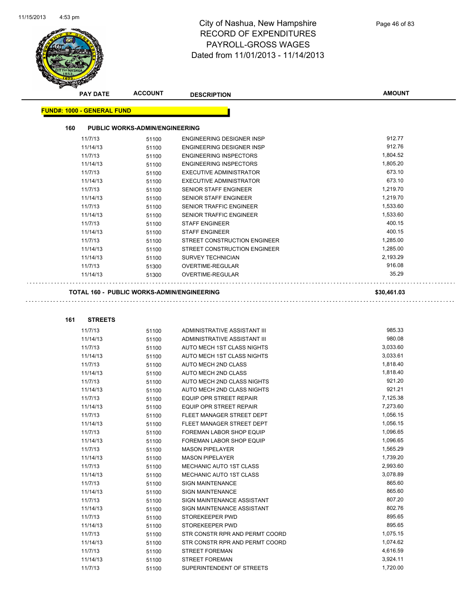

| <b>PAY DATE</b>                   | <b>ACCOUNT</b>                             | <b>DESCRIPTION</b>               | <b>AMOUNT</b> |
|-----------------------------------|--------------------------------------------|----------------------------------|---------------|
| <b>FUND#: 1000 - GENERAL FUND</b> |                                            |                                  |               |
| 160                               | <b>PUBLIC WORKS-ADMIN/ENGINEERING</b>      |                                  |               |
| 11/7/13                           | 51100                                      | <b>ENGINEERING DESIGNER INSP</b> | 912.77        |
| 11/14/13                          | 51100                                      | <b>ENGINEERING DESIGNER INSP</b> | 912.76        |
| 11/7/13                           | 51100                                      | <b>ENGINEERING INSPECTORS</b>    | 1,804.52      |
| 11/14/13                          | 51100                                      | <b>ENGINEERING INSPECTORS</b>    | 1,805.20      |
| 11/7/13                           | 51100                                      | <b>EXECUTIVE ADMINISTRATOR</b>   | 673.10        |
| 11/14/13                          | 51100                                      | <b>EXECUTIVE ADMINISTRATOR</b>   | 673.10        |
| 11/7/13                           | 51100                                      | <b>SENIOR STAFF ENGINEER</b>     | 1,219.70      |
| 11/14/13                          | 51100                                      | <b>SENIOR STAFF ENGINEER</b>     | 1,219.70      |
| 11/7/13                           | 51100                                      | <b>SENIOR TRAFFIC ENGINEER</b>   | 1,533.60      |
| 11/14/13                          | 51100                                      | <b>SENIOR TRAFFIC ENGINEER</b>   | 1,533.60      |
| 11/7/13                           | 51100                                      | <b>STAFF ENGINEER</b>            | 400.15        |
| 11/14/13                          | 51100                                      | <b>STAFF ENGINEER</b>            | 400.15        |
| 11/7/13                           | 51100                                      | STREET CONSTRUCTION ENGINEER     | 1,285.00      |
| 11/14/13                          | 51100                                      | STREET CONSTRUCTION ENGINEER     | 1,285.00      |
| 11/14/13                          | 51100                                      | <b>SURVEY TECHNICIAN</b>         | 2,193.29      |
| 11/7/13                           | 51300                                      | OVERTIME-REGULAR                 | 916.08        |
| 11/14/13                          | 51300                                      | OVERTIME-REGULAR                 | 35.29         |
|                                   | TOTAL 160 - PUBLIC WORKS-ADMIN/ENGINEERING |                                  | \$30,461.03   |
|                                   |                                            |                                  |               |
| 161<br><b>STREETS</b>             |                                            |                                  |               |
| 11/7/13                           | 51100                                      | ADMINISTRATIVE ASSISTANT III     | 985.33        |
| 11/14/13                          | 51100                                      | ADMINISTRATIVE ASSISTANT III     | 980.08        |
| 11/7/13                           | 51100                                      | AUTO MECH 1ST CLASS NIGHTS       | 3,033.60      |
| 11/14/13                          | 51100                                      | AUTO MECH 1ST CLASS NIGHTS       | 3,033.61      |
| 11/7/13                           | 51100                                      | AUTO MECH 2ND CLASS              | 1,818.40      |
| 11/14/13                          | 51100                                      | AUTO MECH 2ND CLASS              | 1,818.40      |
| 11/7/13                           | 51100                                      | AUTO MECH 2ND CLASS NIGHTS       | 921.20        |
| 11/14/13                          | 51100                                      | AUTO MECH 2ND CLASS NIGHTS       | 921.21        |
| 11/7/13                           | 51100                                      | <b>EQUIP OPR STREET REPAIR</b>   | 7,125.38      |
| 11/14/13                          | 51100                                      | EQUIP OPR STREET REPAIR          | 7.273.60      |

| 11/14/13 | 51100 | AUTO MECH ZND CLASS NIGHTS      | 92 I.Z I |
|----------|-------|---------------------------------|----------|
| 11/7/13  | 51100 | <b>EQUIP OPR STREET REPAIR</b>  | 7,125.38 |
| 11/14/13 | 51100 | <b>EQUIP OPR STREET REPAIR</b>  | 7,273.60 |
| 11/7/13  | 51100 | FLEET MANAGER STREET DEPT       | 1,056.15 |
| 11/14/13 | 51100 | FLEET MANAGER STREET DEPT       | 1,056.15 |
| 11/7/13  | 51100 | <b>FOREMAN LABOR SHOP EQUIP</b> | 1,096.65 |
| 11/14/13 | 51100 | <b>FOREMAN LABOR SHOP EQUIP</b> | 1,096.65 |
| 11/7/13  | 51100 | <b>MASON PIPELAYER</b>          | 1,565.29 |
| 11/14/13 | 51100 | <b>MASON PIPELAYER</b>          | 1,739.20 |
| 11/7/13  | 51100 | <b>MECHANIC AUTO 1ST CLASS</b>  | 2,993.60 |
| 11/14/13 | 51100 | <b>MECHANIC AUTO 1ST CLASS</b>  | 3,078.89 |
| 11/7/13  | 51100 | <b>SIGN MAINTENANCE</b>         | 865.60   |
| 11/14/13 | 51100 | <b>SIGN MAINTENANCE</b>         | 865.60   |
| 11/7/13  | 51100 | SIGN MAINTENANCE ASSISTANT      | 807.20   |
| 11/14/13 | 51100 | SIGN MAINTENANCE ASSISTANT      | 802.76   |
| 11/7/13  | 51100 | STOREKEEPER PWD                 | 895.65   |
| 11/14/13 | 51100 | STOREKEEPER PWD                 | 895.65   |
| 11/7/13  | 51100 | STR CONSTR RPR AND PERMT COORD  | 1,075.15 |
| 11/14/13 | 51100 | STR CONSTR RPR AND PERMT COORD  | 1,074.62 |
| 11/7/13  | 51100 | <b>STREET FOREMAN</b>           | 4,616.59 |
| 11/14/13 | 51100 | <b>STREET FOREMAN</b>           | 3,924.11 |
| 11/7/13  | 51100 | SUPERINTENDENT OF STREETS       | 1,720.00 |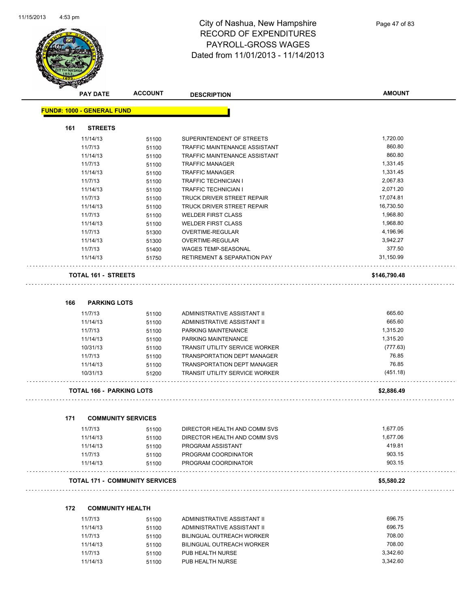

**AMOUNT**

| 161<br><b>STREETS</b>            |                |                                        |              |
|----------------------------------|----------------|----------------------------------------|--------------|
| 11/14/13                         | 51100          | SUPERINTENDENT OF STREETS              | 1,720.00     |
| 11/7/13                          | 51100          | <b>TRAFFIC MAINTENANCE ASSISTANT</b>   | 860.80       |
| 11/14/13                         | 51100          | TRAFFIC MAINTENANCE ASSISTANT          | 860.80       |
| 11/7/13                          | 51100          | <b>TRAFFIC MANAGER</b>                 | 1,331.45     |
| 11/14/13                         | 51100          | <b>TRAFFIC MANAGER</b>                 | 1,331.45     |
| 11/7/13                          | 51100          | <b>TRAFFIC TECHNICIAN I</b>            | 2,067.83     |
| 11/14/13                         | 51100          | <b>TRAFFIC TECHNICIAN I</b>            | 2,071.20     |
| 11/7/13                          | 51100          | TRUCK DRIVER STREET REPAIR             | 17,074.81    |
| 11/14/13                         | 51100          | TRUCK DRIVER STREET REPAIR             | 16,730.50    |
| 11/7/13                          | 51100          | <b>WELDER FIRST CLASS</b>              | 1,968.80     |
| 11/14/13                         | 51100          | <b>WELDER FIRST CLASS</b>              | 1,968.80     |
| 11/7/13                          | 51300          | <b>OVERTIME-REGULAR</b>                | 4,196.96     |
| 11/14/13                         | 51300          | <b>OVERTIME-REGULAR</b>                | 3,942.27     |
| 11/7/13                          | 51400          | WAGES TEMP-SEASONAL                    | 377.50       |
| 11/14/13                         | 51750          | <b>RETIREMENT &amp; SEPARATION PAY</b> | 31,150.99    |
| TOTAL 161 - STREETS<br>.         |                |                                        | \$146,790.48 |
| 166<br><b>PARKING LOTS</b>       |                |                                        |              |
| 11/7/13                          |                | ADMINISTRATIVE ASSISTANT II            | 665.60       |
| 11/14/13                         | 51100<br>51100 | ADMINISTRATIVE ASSISTANT II            | 665.60       |
| 11/7/13                          |                | PARKING MAINTENANCE                    | 1,315.20     |
| 11/14/13                         | 51100<br>51100 | PARKING MAINTENANCE                    | 1,315.20     |
| 10/31/13                         |                | <b>TRANSIT UTILITY SERVICE WORKER</b>  | (777.63)     |
| 11/7/13                          | 51100<br>51100 | <b>TRANSPORTATION DEPT MANAGER</b>     | 76.85        |
| 11/14/13                         | 51100          | <b>TRANSPORTATION DEPT MANAGER</b>     | 76.85        |
| 10/31/13                         | 51200          | <b>TRANSIT UTILITY SERVICE WORKER</b>  | (451.18)     |
| <b>TOTAL 166 - PARKING LOTS</b>  |                |                                        | \$2,886.49   |
|                                  |                |                                        |              |
| 171<br><b>COMMUNITY SERVICES</b> |                |                                        |              |
| 11/7/13                          | 51100          | DIRECTOR HEALTH AND COMM SVS           | 1,677.05     |
| 11/14/13                         | 51100          | DIRECTOR HEALTH AND COMM SVS           | 1,677.06     |
| 11/14/13                         | 51100          | PROGRAM ASSISTANT                      | 419.81       |
| 11/7/13                          | 51100          | PROGRAM COORDINATOR                    | 903.15       |
|                                  |                |                                        | 903.15       |

| <b>COMMUNITY HEALTH</b><br>172 |  |
|--------------------------------|--|
|--------------------------------|--|

| 11/7/13  | 51100 | ADMINISTRATIVE ASSISTANT II | 696.75   |
|----------|-------|-----------------------------|----------|
| 11/14/13 | 51100 | ADMINISTRATIVE ASSISTANT II | 696.75   |
| 11/7/13  | 51100 | BILINGUAL OUTREACH WORKER   | 708.00   |
| 11/14/13 | 51100 | BILINGUAL OUTREACH WORKER   | 708.00   |
| 11/7/13  | 51100 | PUB HEALTH NURSE            | 3.342.60 |
| 11/14/13 | 51100 | PUB HEALTH NURSE            | 3.342.60 |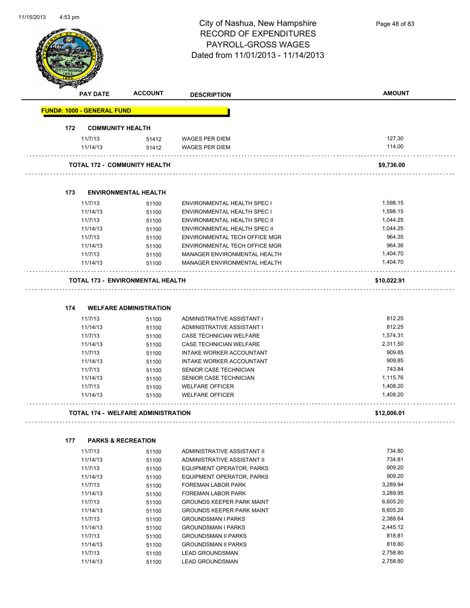

Page 48 of 83

|     | <b>PAY DATE</b>                   | <b>ACCOUNT</b>                            | <b>DESCRIPTION</b>                               | <b>AMOUNT</b>        |
|-----|-----------------------------------|-------------------------------------------|--------------------------------------------------|----------------------|
|     | <b>FUND#: 1000 - GENERAL FUND</b> |                                           |                                                  |                      |
| 172 |                                   | <b>COMMUNITY HEALTH</b>                   |                                                  |                      |
|     | 11/7/13                           | 51412                                     | <b>WAGES PER DIEM</b>                            | 127.30               |
|     | 11/14/13                          | 51412                                     | <b>WAGES PER DIEM</b>                            | 114.00               |
|     |                                   | <b>TOTAL 172 - COMMUNITY HEALTH</b>       |                                                  | \$9,736.00           |
|     |                                   |                                           |                                                  |                      |
| 173 |                                   | <b>ENVIRONMENTAL HEALTH</b>               |                                                  |                      |
|     | 11/7/13                           | 51100                                     | ENVIRONMENTAL HEALTH SPEC I                      | 1,598.15             |
|     | 11/14/13                          | 51100                                     | ENVIRONMENTAL HEALTH SPEC I                      | 1,598.15             |
|     | 11/7/13                           | 51100                                     | ENVIRONMENTAL HEALTH SPEC II                     | 1,044.25             |
|     | 11/14/13                          | 51100                                     | ENVIRONMENTAL HEALTH SPEC II                     | 1,044.25             |
|     | 11/7/13                           | 51100                                     | ENVIRONMENTAL TECH OFFICE MGR                    | 964.35               |
|     | 11/14/13                          | 51100                                     | ENVIRONMENTAL TECH OFFICE MGR                    | 964.36               |
|     | 11/7/13                           | 51100                                     | MANAGER ENVIRONMENTAL HEALTH                     | 1,404.70             |
|     | 11/14/13                          | 51100                                     | <b>MANAGER ENVIRONMENTAL HEALTH</b>              | 1,404.70             |
|     |                                   | TOTAL 173 - ENVIRONMENTAL HEALTH          |                                                  | \$10,022.91          |
|     |                                   |                                           |                                                  |                      |
| 174 |                                   | <b>WELFARE ADMINISTRATION</b>             |                                                  |                      |
|     | 11/7/13                           | 51100                                     | ADMINISTRATIVE ASSISTANT I                       | 812.25               |
|     | 11/14/13                          | 51100                                     | ADMINISTRATIVE ASSISTANT I                       | 812.25               |
|     | 11/7/13                           | 51100                                     | CASE TECHNICIAN WELFARE                          | 1,574.31             |
|     | 11/14/13                          | 51100                                     | CASE TECHNICIAN WELFARE                          | 2,311.50             |
|     | 11/7/13                           | 51100                                     | INTAKE WORKER ACCOUNTANT                         | 909.85               |
|     | 11/14/13                          | 51100                                     | INTAKE WORKER ACCOUNTANT                         | 909.85               |
|     | 11/7/13                           | 51100                                     | SENIOR CASE TECHNICIAN                           | 743.84               |
|     | 11/14/13                          | 51100                                     | SENIOR CASE TECHNICIAN                           | 1,115.76             |
|     | 11/7/13<br>11/14/13               | 51100                                     | <b>WELFARE OFFICER</b><br><b>WELFARE OFFICER</b> | 1,408.20<br>1,408.20 |
|     |                                   | 51100                                     |                                                  |                      |
|     |                                   | <b>TOTAL 174 - WELFARE ADMINISTRATION</b> |                                                  | \$12,006.01          |
| 177 |                                   | <b>PARKS &amp; RECREATION</b>             |                                                  |                      |
|     | 11/7/13                           | 51100                                     | ADMINISTRATIVE ASSISTANT II                      | 734.80               |
|     | 11/14/13                          | 51100                                     | ADMINISTRATIVE ASSISTANT II                      | 734.81               |
|     | 11/7/13                           | 51100                                     | EQUIPMENT OPERATOR, PARKS                        | 909.20               |
|     | 11/14/13                          | 51100                                     | <b>EQUIPMENT OPERATOR, PARKS</b>                 | 909.20               |
|     | 11/7/13                           | 51100                                     | FOREMAN LABOR PARK                               | 3,289.94             |
|     | 11/14/13                          | 51100                                     | FOREMAN LABOR PARK                               | 3,289.95             |
|     | 11/7/13                           | 51100                                     | <b>GROUNDS KEEPER PARK MAINT</b>                 | 6,605.20             |
|     | 11/14/13                          | 51100                                     | <b>GROUNDS KEEPER PARK MAINT</b>                 | 6,605.20             |
|     | 11/7/13                           | 51100                                     | <b>GROUNDSMAN I PARKS</b>                        | 2,388.64             |
|     | 11/14/13                          | 51100                                     | <b>GROUNDSMAN I PARKS</b>                        | 2,445.12             |
|     | 11/7/13                           | 51100                                     | <b>GROUNDSMAN II PARKS</b>                       | 818.81               |
|     | 11/14/13                          | 51100                                     | <b>GROUNDSMAN II PARKS</b>                       | 818.80               |
|     | 11/7/13                           | 51100                                     | <b>LEAD GROUNDSMAN</b>                           | 2,758.80             |
|     | 11/14/13                          | 51100                                     | <b>LEAD GROUNDSMAN</b>                           | 2,758.80             |
|     |                                   |                                           |                                                  |                      |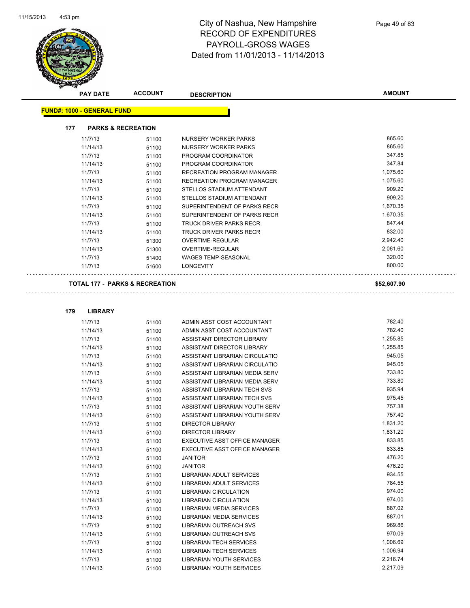

| <b>PAY DATE</b>                           | <b>ACCOUNT</b> | <b>DESCRIPTION</b>                | <b>AMOUNT</b> |
|-------------------------------------------|----------------|-----------------------------------|---------------|
| <b>FUND#: 1000 - GENERAL FUND</b>         |                |                                   |               |
| 177<br><b>PARKS &amp; RECREATION</b>      |                |                                   |               |
| 11/7/13                                   | 51100          | NURSERY WORKER PARKS              | 865.60        |
| 11/14/13                                  | 51100          | NURSERY WORKER PARKS              | 865.60        |
| 11/7/13                                   | 51100          | PROGRAM COORDINATOR               | 347.85        |
| 11/14/13                                  | 51100          | PROGRAM COORDINATOR               | 347.84        |
| 11/7/13                                   | 51100          | <b>RECREATION PROGRAM MANAGER</b> | 1,075.60      |
| 11/14/13                                  | 51100          | <b>RECREATION PROGRAM MANAGER</b> | 1,075.60      |
| 11/7/13                                   | 51100          | STELLOS STADIUM ATTENDANT         | 909.20        |
| 11/14/13                                  | 51100          | STELLOS STADIUM ATTENDANT         | 909.20        |
| 11/7/13                                   | 51100          | SUPERINTENDENT OF PARKS RECR      | 1,670.35      |
| 11/14/13                                  | 51100          | SUPERINTENDENT OF PARKS RECR      | 1,670.35      |
| 11/7/13                                   | 51100          | <b>TRUCK DRIVER PARKS RECR</b>    | 847.44        |
| 11/14/13                                  | 51100          | <b>TRUCK DRIVER PARKS RECR</b>    | 832.00        |
| 11/7/13                                   | 51300          | OVERTIME-REGULAR                  | 2,942.40      |
| 11/14/13                                  | 51300          | OVERTIME-REGULAR                  | 2,061.60      |
| 11/7/13                                   | 51400          | <b>WAGES TEMP-SEASONAL</b>        | 320.00        |
| 11/7/13                                   | 51600          | <b>LONGEVITY</b>                  | 800.00        |
| <b>TOTAL 177 - PARKS &amp; RECREATION</b> |                |                                   | \$52,607.90   |

| 179 | <b>LIBRARY</b> |       |                                 |          |
|-----|----------------|-------|---------------------------------|----------|
|     | 11/7/13        | 51100 | ADMIN ASST COST ACCOUNTANT      | 782.40   |
|     | 11/14/13       | 51100 | ADMIN ASST COST ACCOUNTANT      | 782.40   |
|     | 11/7/13        | 51100 | ASSISTANT DIRECTOR LIBRARY      | 1,255.85 |
|     | 11/14/13       | 51100 | ASSISTANT DIRECTOR LIBRARY      | 1,255.85 |
|     | 11/7/13        | 51100 | ASSISTANT LIBRARIAN CIRCULATIO  | 945.05   |
|     | 11/14/13       | 51100 | ASSISTANT LIBRARIAN CIRCULATIO  | 945.05   |
|     | 11/7/13        | 51100 | ASSISTANT LIBRARIAN MEDIA SERV  | 733.80   |
|     | 11/14/13       | 51100 | ASSISTANT LIBRARIAN MEDIA SERV  | 733.80   |
|     | 11/7/13        | 51100 | ASSISTANT LIBRARIAN TECH SVS    | 935.94   |
|     | 11/14/13       | 51100 | ASSISTANT LIBRARIAN TECH SVS    | 975.45   |
|     | 11/7/13        | 51100 | ASSISTANT LIBRARIAN YOUTH SERV  | 757.38   |
|     | 11/14/13       | 51100 | ASSISTANT LIBRARIAN YOUTH SERV  | 757.40   |
|     | 11/7/13        | 51100 | <b>DIRECTOR LIBRARY</b>         | 1,831.20 |
|     | 11/14/13       | 51100 | <b>DIRECTOR LIBRARY</b>         | 1,831.20 |
|     | 11/7/13        | 51100 | EXECUTIVE ASST OFFICE MANAGER   | 833.85   |
|     | 11/14/13       | 51100 | EXECUTIVE ASST OFFICE MANAGER   | 833.85   |
|     | 11/7/13        | 51100 | <b>JANITOR</b>                  | 476.20   |
|     | 11/14/13       | 51100 | <b>JANITOR</b>                  | 476.20   |
|     | 11/7/13        | 51100 | <b>LIBRARIAN ADULT SERVICES</b> | 934.55   |
|     | 11/14/13       | 51100 | <b>LIBRARIAN ADULT SERVICES</b> | 784.55   |
|     | 11/7/13        | 51100 | <b>LIBRARIAN CIRCULATION</b>    | 974.00   |
|     | 11/14/13       | 51100 | <b>LIBRARIAN CIRCULATION</b>    | 974.00   |
|     | 11/7/13        | 51100 | <b>LIBRARIAN MEDIA SERVICES</b> | 887.02   |
|     | 11/14/13       | 51100 | <b>LIBRARIAN MEDIA SERVICES</b> | 887.01   |
|     | 11/7/13        | 51100 | <b>LIBRARIAN OUTREACH SVS</b>   | 969.86   |
|     | 11/14/13       | 51100 | <b>LIBRARIAN OUTREACH SVS</b>   | 970.09   |
|     | 11/7/13        | 51100 | <b>LIBRARIAN TECH SERVICES</b>  | 1,006.69 |
|     | 11/14/13       | 51100 | <b>LIBRARIAN TECH SERVICES</b>  | 1,006.94 |
|     | 11/7/13        | 51100 | <b>LIBRARIAN YOUTH SERVICES</b> | 2,216.74 |
|     | 11/14/13       | 51100 | <b>LIBRARIAN YOUTH SERVICES</b> | 2.217.09 |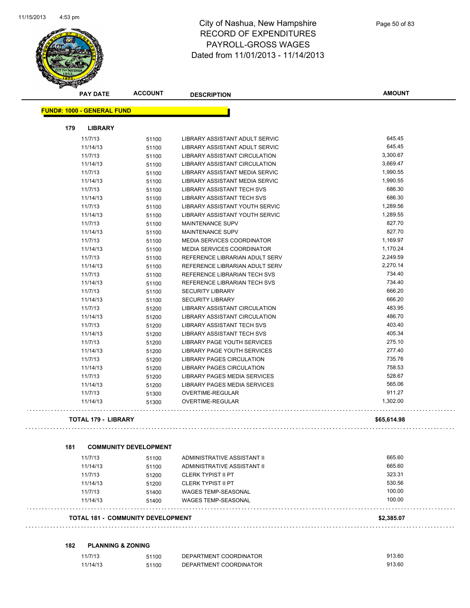

| <b>PAY DATE</b>                   | <b>ACCOUNT</b>               | <b>DESCRIPTION</b>                                       | <b>AMOUNT</b> |
|-----------------------------------|------------------------------|----------------------------------------------------------|---------------|
| <b>FUND#: 1000 - GENERAL FUND</b> |                              |                                                          |               |
| 179<br><b>LIBRARY</b>             |                              |                                                          |               |
| 11/7/13                           | 51100                        | LIBRARY ASSISTANT ADULT SERVIC                           | 645.45        |
| 11/14/13                          | 51100                        | LIBRARY ASSISTANT ADULT SERVIC                           | 645.45        |
| 11/7/13                           | 51100                        | LIBRARY ASSISTANT CIRCULATION                            | 3,300.67      |
| 11/14/13                          | 51100                        | LIBRARY ASSISTANT CIRCULATION                            | 3,669.47      |
| 11/7/13                           | 51100                        | LIBRARY ASSISTANT MEDIA SERVIC                           | 1,990.55      |
| 11/14/13                          | 51100                        | LIBRARY ASSISTANT MEDIA SERVIC                           | 1,990.55      |
| 11/7/13                           | 51100                        | LIBRARY ASSISTANT TECH SVS                               | 686.30        |
| 11/14/13                          | 51100                        | <b>LIBRARY ASSISTANT TECH SVS</b>                        | 686.30        |
| 11/7/13                           | 51100                        | LIBRARY ASSISTANT YOUTH SERVIC                           | 1,289.56      |
| 11/14/13                          | 51100                        | LIBRARY ASSISTANT YOUTH SERVIC                           | 1,289.55      |
| 11/7/13                           | 51100                        | MAINTENANCE SUPV                                         | 827.70        |
| 11/14/13                          | 51100                        | <b>MAINTENANCE SUPV</b>                                  | 827.70        |
| 11/7/13                           | 51100                        | <b>MEDIA SERVICES COORDINATOR</b>                        | 1,169.97      |
| 11/14/13                          | 51100                        | MEDIA SERVICES COORDINATOR                               | 1,170.24      |
| 11/7/13                           | 51100                        | REFERENCE LIBRARIAN ADULT SERV                           | 2,249.59      |
| 11/14/13                          | 51100                        | REFERENCE LIBRARIAN ADULT SERV                           | 2,270.14      |
| 11/7/13                           | 51100                        | REFERENCE LIBRARIAN TECH SVS                             | 734.40        |
| 11/14/13                          | 51100                        | REFERENCE LIBRARIAN TECH SVS                             | 734.40        |
| 11/7/13                           | 51100                        | <b>SECURITY LIBRARY</b>                                  | 666.20        |
| 11/14/13                          | 51100                        | <b>SECURITY LIBRARY</b>                                  | 666.20        |
| 11/7/13                           | 51200                        | <b>LIBRARY ASSISTANT CIRCULATION</b>                     | 483.95        |
| 11/14/13                          | 51200                        | LIBRARY ASSISTANT CIRCULATION                            | 486.70        |
| 11/7/13                           | 51200                        | LIBRARY ASSISTANT TECH SVS                               | 403.40        |
| 11/14/13                          | 51200                        | LIBRARY ASSISTANT TECH SVS                               | 405.34        |
| 11/7/13                           | 51200                        | LIBRARY PAGE YOUTH SERVICES                              | 275.10        |
| 11/14/13                          | 51200                        | LIBRARY PAGE YOUTH SERVICES                              | 277.40        |
| 11/7/13                           | 51200                        | <b>LIBRARY PAGES CIRCULATION</b>                         | 735.76        |
| 11/14/13                          | 51200                        | LIBRARY PAGES CIRCULATION                                | 758.53        |
| 11/7/13                           | 51200                        | LIBRARY PAGES MEDIA SERVICES                             | 528.67        |
| 11/14/13                          | 51200                        | LIBRARY PAGES MEDIA SERVICES                             | 565.06        |
| 11/7/13                           | 51300                        | <b>OVERTIME-REGULAR</b>                                  | 911.27        |
| 11/14/13                          | 51300                        | <b>OVERTIME-REGULAR</b>                                  | 1,302.00      |
| <b>TOTAL 179 - LIBRARY</b>        |                              |                                                          | \$65,614.98   |
| 181                               | <b>COMMUNITY DEVELOPMENT</b> |                                                          |               |
| 11/7/13                           |                              | ADMINISTRATIVE ASSISTANT II                              | 665.60        |
|                                   | 51100                        |                                                          | 665.60        |
| 11/14/13<br>11/7/13               | 51100                        | ADMINISTRATIVE ASSISTANT II<br><b>CLERK TYPIST II PT</b> | 323.31        |
|                                   | 51200                        |                                                          | 530.56        |
| 11/14/13                          | 51200                        | <b>CLERK TYPIST II PT</b>                                | 100.00        |
| 11/7/13<br>11/14/13               | 51400<br>51400               | <b>WAGES TEMP-SEASONAL</b><br><b>WAGES TEMP-SEASONAL</b> | 100.00        |
|                                   |                              |                                                          |               |

**182 PLANNING & ZONING**

| 11/7/13  | 51100 | DEPARTMENT COORDINATOR | 913.60 |
|----------|-------|------------------------|--------|
| 11/14/13 | 51100 | DEPARTMENT COORDINATOR | 913.60 |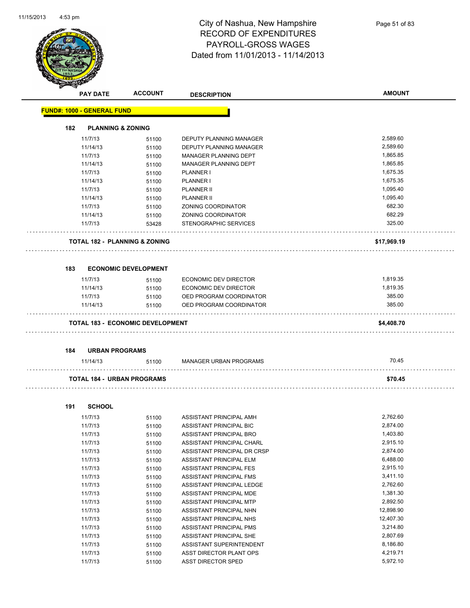

|     | <b>PAY DATE</b>                   | <b>ACCOUNT</b>                           | <b>DESCRIPTION</b>             | <b>AMOUNT</b> |
|-----|-----------------------------------|------------------------------------------|--------------------------------|---------------|
|     | <b>FUND#: 1000 - GENERAL FUND</b> |                                          |                                |               |
| 182 |                                   | <b>PLANNING &amp; ZONING</b>             |                                |               |
|     | 11/7/13                           | 51100                                    | <b>DEPUTY PLANNING MANAGER</b> | 2,589.60      |
|     | 11/14/13                          | 51100                                    | <b>DEPUTY PLANNING MANAGER</b> | 2,589.60      |
|     | 11/7/13                           | 51100                                    | <b>MANAGER PLANNING DEPT</b>   | 1,865.85      |
|     | 11/14/13                          | 51100                                    | MANAGER PLANNING DEPT          | 1,865.85      |
|     | 11/7/13                           | 51100                                    | PLANNER I                      | 1,675.35      |
|     | 11/14/13                          | 51100                                    | <b>PLANNER I</b>               | 1,675.35      |
|     | 11/7/13                           | 51100                                    | <b>PLANNER II</b>              | 1,095.40      |
|     | 11/14/13                          | 51100                                    | <b>PLANNER II</b>              | 1,095.40      |
|     | 11/7/13                           | 51100                                    | ZONING COORDINATOR             | 682.30        |
|     | 11/14/13                          | 51100                                    | ZONING COORDINATOR             | 682.29        |
|     | 11/7/13                           | 53428                                    | STENOGRAPHIC SERVICES          | 325.00        |
|     |                                   | <b>TOTAL 182 - PLANNING &amp; ZONING</b> |                                | \$17,969.19   |
| 183 |                                   | <b>ECONOMIC DEVELOPMENT</b>              |                                |               |
|     | 11/7/13                           | 51100                                    | <b>ECONOMIC DEV DIRECTOR</b>   | 1,819.35      |
|     | 11/14/13                          | 51100                                    | ECONOMIC DEV DIRECTOR          | 1,819.35      |
|     | 11/7/13                           | 51100                                    | OED PROGRAM COORDINATOR        | 385.00        |
|     | 11/14/13                          | 51100                                    | OED PROGRAM COORDINATOR        | 385.00        |
|     |                                   | <b>TOTAL 183 - ECONOMIC DEVELOPMENT</b>  |                                | \$4,408.70    |
| 184 | <b>URBAN PROGRAMS</b>             |                                          |                                |               |
|     | 11/14/13                          | 51100                                    | <b>MANAGER URBAN PROGRAMS</b>  | 70.45         |
|     |                                   | <b>TOTAL 184 - URBAN PROGRAMS</b>        |                                | \$70.45       |
| 191 | <b>SCHOOL</b>                     |                                          |                                |               |
|     | 11/7/13                           | 51100                                    | ASSISTANT PRINCIPAL AMH        | 2,762.60      |
|     | 11/7/13                           | 51100                                    | ASSISTANT PRINCIPAL BIC        | 2,874.00      |
|     | 11/7/13                           | 51100                                    | ASSISTANT PRINCIPAL BRO        | 1,403.80      |
|     | 11/7/13                           | 51100                                    | ASSISTANT PRINCIPAL CHARL      | 2,915.10      |
|     | 11/7/13                           | 51100                                    | ASSISTANT PRINCIPAL DR CRSP    | 2,874.00      |
|     | 11/7/13                           | 51100                                    | ASSISTANT PRINCIPAL ELM        | 6,488.00      |
|     | 11/7/13                           | 51100                                    | ASSISTANT PRINCIPAL FES        | 2,915.10      |

11/7/13 51100 ASSISTANT PRINCIPAL FMS 3,411.10 11/7/13 51100 ASSISTANT PRINCIPAL LEDGE 2,762.60 11/7/13 51100 ASSISTANT PRINCIPAL MDE 11/7/13 51100 ASSISTANT PRINCIPAL MTP 6 2,892.50 11/7/13 51100 ASSISTANT PRINCIPAL NHN 12,898.90 11/7/13 51100 ASSISTANT PRINCIPAL NHS 12,407.30 11/7/13 51100 ASSISTANT PRINCIPAL PMS 55/214.80 11/7/13 51100 ASSISTANT PRINCIPAL SHE 2,807.69 11/7/13 51100 ASSISTANT SUPERINTENDENT 65186.80 11/7/13 51100 ASST DIRECTOR PLANT OPS 4,219.71 11/7/13 51100 ASST DIRECTOR SPED 5,972.10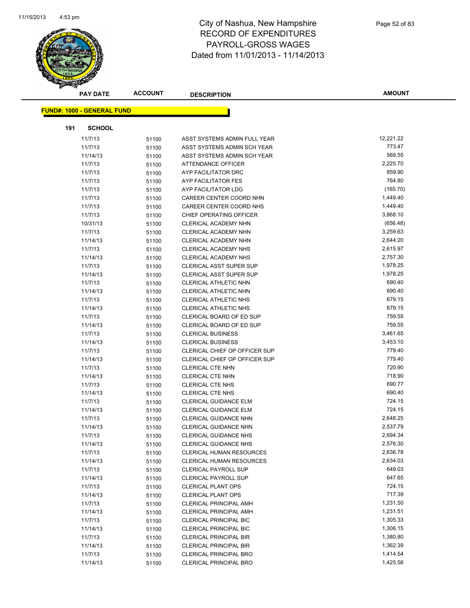

| <b>PAY DATE</b>                    | <b>ACCOUNT</b> | <b>DESCRIPTION</b>                                          | <b>AMOUNT</b> |
|------------------------------------|----------------|-------------------------------------------------------------|---------------|
| <u> FUND#: 1000 - GENERAL FUND</u> |                |                                                             |               |
| 191<br><b>SCHOOL</b>               |                |                                                             |               |
| 11/7/13                            |                |                                                             | 12,221.22     |
| 11/7/13                            | 51100          | ASST SYSTEMS ADMIN FULL YEAR<br>ASST SYSTEMS ADMIN SCH YEAR | 773.47        |
| 11/14/13                           | 51100          | ASST SYSTEMS ADMIN SCH YEAR                                 | 569.55        |
| 11/7/13                            | 51100          | <b>ATTENDANCE OFFICER</b>                                   | 2,225.70      |
| 11/7/13                            | 51100<br>51100 | AYP FACILITATOR DRC                                         | 859.90        |
| 11/7/13                            | 51100          | AYP FACILITATOR FES                                         | 764.80        |
| 11/7/13                            | 51100          | AYP FACILITATOR LDG                                         | (165.70)      |
| 11/7/13                            | 51100          | CAREER CENTER COORD NHN                                     | 1,449.40      |
| 11/7/13                            | 51100          | CAREER CENTER COORD NHS                                     | 1,449.40      |
| 11/7/13                            | 51100          | CHIEF OPERATING OFFICER                                     | 3,868.10      |
| 10/31/13                           | 51100          | CLERICAL ACADEMY NHN                                        | (656.48)      |
| 11/7/13                            | 51100          | CLERICAL ACADEMY NHN                                        | 3,259.63      |
| 11/14/13                           | 51100          | CLERICAL ACADEMY NHN                                        | 2,644.20      |
| 11/7/13                            | 51100          | CLERICAL ACADEMY NHS                                        | 2,615.97      |
| 11/14/13                           | 51100          | <b>CLERICAL ACADEMY NHS</b>                                 | 2,757.30      |
| 11/7/13                            | 51100          | <b>CLERICAL ASST SUPER SUP</b>                              | 1,978.25      |
| 11/14/13                           | 51100          | <b>CLERICAL ASST SUPER SUP</b>                              | 1,978.25      |
| 11/7/13                            | 51100          | CLERICAL ATHLETIC NHN                                       | 690.40        |
| 11/14/13                           | 51100          | CLERICAL ATHLETIC NHN                                       | 690.40        |
| 11/7/13                            | 51100          | CLERICAL ATHLETIC NHS                                       | 679.15        |
| 11/14/13                           | 51100          | <b>CLERICAL ATHLETIC NHS</b>                                | 679.15        |
| 11/7/13                            | 51100          | CLERICAL BOARD OF ED SUP                                    | 759.55        |
| 11/14/13                           | 51100          | CLERICAL BOARD OF ED SUP                                    | 759.55        |
| 11/7/13                            | 51100          | <b>CLERICAL BUSINESS</b>                                    | 3,461.65      |
| 11/14/13                           | 51100          | <b>CLERICAL BUSINESS</b>                                    | 3,453.10      |
| 11/7/13                            | 51100          | CLERICAL CHIEF OP OFFICER SUP                               | 779.40        |
| 11/14/13                           | 51100          | CLERICAL CHIEF OP OFFICER SUP                               | 779.40        |
| 11/7/13                            | 51100          | <b>CLERICAL CTE NHN</b>                                     | 720.90        |
| 11/14/13                           | 51100          | <b>CLERICAL CTE NHN</b>                                     | 718.90        |
| 11/7/13                            | 51100          | <b>CLERICAL CTE NHS</b>                                     | 690.77        |
| 11/14/13                           | 51100          | <b>CLERICAL CTE NHS</b>                                     | 690.40        |
| 11/7/13                            | 51100          | <b>CLERICAL GUIDANCE ELM</b>                                | 724.15        |
| 11/14/13                           | 51100          | CLERICAL GUIDANCE ELM                                       | 724.15        |
| 11/7/13                            | 51100          | <b>CLERICAL GUIDANCE NHN</b>                                | 2,648.25      |
| 11/14/13                           | 51100          | CLERICAL GUIDANCE NHN                                       | 2,537.79      |
| 11/7/13                            | 51100          | <b>CLERICAL GUIDANCE NHS</b>                                | 2,694.34      |
| 11/14/13                           | 51100          | <b>CLERICAL GUIDANCE NHS</b>                                | 2,576.30      |
| 11/7/13                            | 51100          | <b>CLERICAL HUMAN RESOURCES</b>                             | 2,636.78      |
| 11/14/13                           | 51100          | <b>CLERICAL HUMAN RESOURCES</b>                             | 2,634.03      |
| 11/7/13                            | 51100          | <b>CLERICAL PAYROLL SUP</b>                                 | 649.03        |
| 11/14/13                           | 51100          | <b>CLERICAL PAYROLL SUP</b>                                 | 647.65        |
| 11/7/13                            | 51100          | <b>CLERICAL PLANT OPS</b>                                   | 724.15        |
| 11/14/13                           | 51100          | <b>CLERICAL PLANT OPS</b>                                   | 717.39        |
| 11/7/13                            | 51100          | <b>CLERICAL PRINCIPAL AMH</b>                               | 1,231.50      |
| 11/14/13                           | 51100          | <b>CLERICAL PRINCIPAL AMH</b>                               | 1,231.51      |
| 11/7/13                            | 51100          | <b>CLERICAL PRINCIPAL BIC</b>                               | 1,305.33      |
| 11/14/13                           | 51100          | <b>CLERICAL PRINCIPAL BIC</b>                               | 1,306.15      |
| 11/7/13                            | 51100          | <b>CLERICAL PRINCIPAL BIR</b>                               | 1,380.80      |
| 11/14/13                           | 51100          | <b>CLERICAL PRINCIPAL BIR</b>                               | 1,362.39      |
| 11/7/13                            | 51100          | CLERICAL PRINCIPAL BRO                                      | 1,414.54      |
| 11/14/13                           | 51100          | <b>CLERICAL PRINCIPAL BRO</b>                               | 1,425.56      |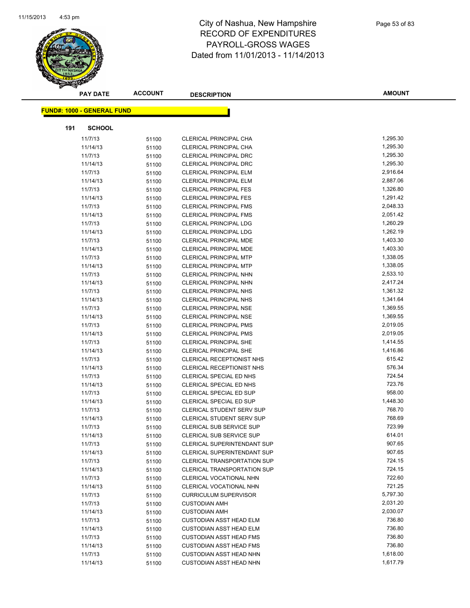

|     | <b>PAY DATE</b>                   | <b>ACCOUNT</b> | <b>DESCRIPTION</b>                                     | <b>AMOUNT</b>        |
|-----|-----------------------------------|----------------|--------------------------------------------------------|----------------------|
|     |                                   |                |                                                        |                      |
|     | <b>FUND#: 1000 - GENERAL FUND</b> |                |                                                        |                      |
| 191 | <b>SCHOOL</b>                     |                |                                                        |                      |
|     | 11/7/13                           | 51100          | CLERICAL PRINCIPAL CHA                                 | 1,295.30             |
|     | 11/14/13                          | 51100          | CLERICAL PRINCIPAL CHA                                 | 1,295.30             |
|     | 11/7/13                           | 51100          | <b>CLERICAL PRINCIPAL DRC</b>                          | 1,295.30             |
|     | 11/14/13                          | 51100          | <b>CLERICAL PRINCIPAL DRC</b>                          | 1,295.30             |
|     | 11/7/13                           | 51100          | <b>CLERICAL PRINCIPAL ELM</b>                          | 2,916.64             |
|     | 11/14/13                          | 51100          | <b>CLERICAL PRINCIPAL ELM</b>                          | 2,887.06             |
|     | 11/7/13                           | 51100          | <b>CLERICAL PRINCIPAL FES</b>                          | 1,326.80             |
|     | 11/14/13                          | 51100          | <b>CLERICAL PRINCIPAL FES</b>                          | 1,291.42             |
|     | 11/7/13                           | 51100          | <b>CLERICAL PRINCIPAL FMS</b>                          | 2,048.33             |
|     | 11/14/13                          | 51100          | <b>CLERICAL PRINCIPAL FMS</b>                          | 2,051.42             |
|     | 11/7/13                           | 51100          | <b>CLERICAL PRINCIPAL LDG</b>                          | 1,260.29             |
|     | 11/14/13                          | 51100          | <b>CLERICAL PRINCIPAL LDG</b>                          | 1,262.19             |
|     | 11/7/13                           | 51100          | <b>CLERICAL PRINCIPAL MDE</b>                          | 1,403.30             |
|     | 11/14/13                          | 51100          | <b>CLERICAL PRINCIPAL MDE</b>                          | 1,403.30             |
|     | 11/7/13                           | 51100          | <b>CLERICAL PRINCIPAL MTP</b>                          | 1,338.05             |
|     | 11/14/13                          | 51100          | <b>CLERICAL PRINCIPAL MTP</b>                          | 1,338.05             |
|     | 11/7/13                           | 51100          | <b>CLERICAL PRINCIPAL NHN</b>                          | 2,533.10             |
|     | 11/14/13                          | 51100          | <b>CLERICAL PRINCIPAL NHN</b>                          | 2,417.24             |
|     | 11/7/13                           | 51100          | <b>CLERICAL PRINCIPAL NHS</b>                          | 1,361.32             |
|     | 11/14/13                          | 51100          | <b>CLERICAL PRINCIPAL NHS</b>                          | 1,341.64             |
|     | 11/7/13                           | 51100          | <b>CLERICAL PRINCIPAL NSE</b>                          | 1,369.55             |
|     | 11/14/13                          | 51100          | <b>CLERICAL PRINCIPAL NSE</b>                          | 1,369.55             |
|     | 11/7/13                           | 51100          | <b>CLERICAL PRINCIPAL PMS</b>                          | 2,019.05             |
|     | 11/14/13                          | 51100          | <b>CLERICAL PRINCIPAL PMS</b>                          | 2,019.05             |
|     | 11/7/13                           | 51100          | <b>CLERICAL PRINCIPAL SHE</b>                          | 1,414.55             |
|     | 11/14/13                          | 51100          | <b>CLERICAL PRINCIPAL SHE</b>                          | 1,416.86             |
|     | 11/7/13                           | 51100          | <b>CLERICAL RECEPTIONIST NHS</b>                       | 615.42               |
|     | 11/14/13                          | 51100          | CLERICAL RECEPTIONIST NHS                              | 576.34               |
|     | 11/7/13                           | 51100          | CLERICAL SPECIAL ED NHS                                | 724.54               |
|     | 11/14/13                          | 51100          | CLERICAL SPECIAL ED NHS                                | 723.76               |
|     | 11/7/13                           | 51100          | CLERICAL SPECIAL ED SUP                                | 958.00               |
|     | 11/14/13                          | 51100          | CLERICAL SPECIAL ED SUP                                | 1,448.30             |
|     | 11/7/13                           | 51100          | <b>CLERICAL STUDENT SERV SUP</b>                       | 768.70               |
|     | 11/14/13                          | 51100          | <b>CLERICAL STUDENT SERV SUP</b>                       | 768.69               |
|     | 11/7/13                           | 51100          | CLERICAL SUB SERVICE SUP                               | 723.99               |
|     | 11/14/13                          | 51100          | CLERICAL SUB SERVICE SUP                               | 614.01               |
|     | 11/7/13                           | 51100          | <b>CLERICAL SUPERINTENDANT SUP</b>                     | 907.65               |
|     | 11/14/13                          | 51100          | CLERICAL SUPERINTENDANT SUP                            | 907.65               |
|     | 11/7/13                           | 51100          | <b>CLERICAL TRANSPORTATION SUP</b>                     | 724.15               |
|     | 11/14/13                          | 51100          | <b>CLERICAL TRANSPORTATION SUP</b>                     | 724.15               |
|     | 11/7/13                           | 51100          | CLERICAL VOCATIONAL NHN                                | 722.60<br>721.25     |
|     | 11/14/13                          | 51100          | CLERICAL VOCATIONAL NHN                                |                      |
|     | 11/7/13                           | 51100          | <b>CURRICULUM SUPERVISOR</b>                           | 5,797.30<br>2,031.20 |
|     | 11/7/13                           | 51100          | <b>CUSTODIAN AMH</b>                                   | 2,030.07             |
|     | 11/14/13                          | 51100          | <b>CUSTODIAN AMH</b><br><b>CUSTODIAN ASST HEAD ELM</b> | 736.80               |
|     | 11/7/13<br>11/14/13               | 51100          | <b>CUSTODIAN ASST HEAD ELM</b>                         | 736.80               |
|     | 11/7/13                           | 51100          | <b>CUSTODIAN ASST HEAD FMS</b>                         | 736.80               |
|     | 11/14/13                          | 51100          | <b>CUSTODIAN ASST HEAD FMS</b>                         | 736.80               |
|     | 11/7/13                           | 51100<br>51100 | <b>CUSTODIAN ASST HEAD NHN</b>                         | 1,618.00             |
|     | 11/14/13                          | 51100          | <b>CUSTODIAN ASST HEAD NHN</b>                         | 1,617.79             |
|     |                                   |                |                                                        |                      |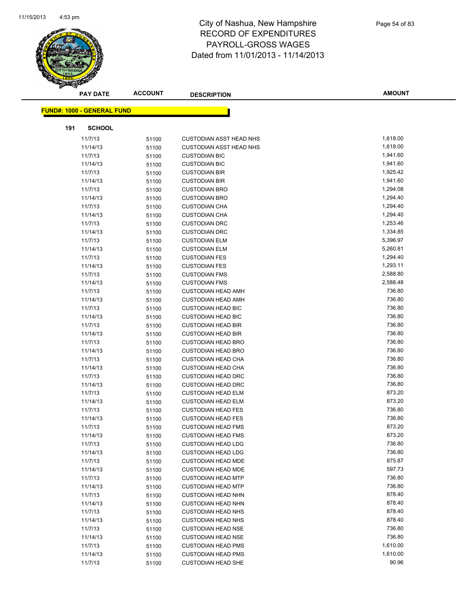

|     | <b>PAY DATE</b>                   | <b>ACCOUNT</b> | <b>DESCRIPTION</b>             | <b>AMOUNT</b> |
|-----|-----------------------------------|----------------|--------------------------------|---------------|
|     | <b>FUND#: 1000 - GENERAL FUND</b> |                |                                |               |
|     |                                   |                |                                |               |
| 191 | <b>SCHOOL</b>                     |                |                                | 1,618.00      |
|     | 11/7/13                           | 51100          | <b>CUSTODIAN ASST HEAD NHS</b> |               |
|     | 11/14/13                          | 51100          | <b>CUSTODIAN ASST HEAD NHS</b> | 1,618.00      |
|     | 11/7/13                           | 51100          | <b>CUSTODIAN BIC</b>           | 1,941.60      |
|     | 11/14/13                          | 51100          | <b>CUSTODIAN BIC</b>           | 1,941.60      |
|     | 11/7/13                           | 51100          | <b>CUSTODIAN BIR</b>           | 1,925.42      |
|     | 11/14/13                          | 51100          | <b>CUSTODIAN BIR</b>           | 1,941.60      |
|     | 11/7/13                           | 51100          | <b>CUSTODIAN BRO</b>           | 1,294.08      |
|     | 11/14/13                          | 51100          | <b>CUSTODIAN BRO</b>           | 1,294.40      |
|     | 11/7/13                           | 51100          | <b>CUSTODIAN CHA</b>           | 1,294.40      |
|     | 11/14/13                          | 51100          | <b>CUSTODIAN CHA</b>           | 1,294.40      |
|     | 11/7/13                           | 51100          | <b>CUSTODIAN DRC</b>           | 1,253.46      |
|     | 11/14/13                          | 51100          | <b>CUSTODIAN DRC</b>           | 1,334.85      |
|     | 11/7/13                           | 51100          | <b>CUSTODIAN ELM</b>           | 5,396.97      |
|     | 11/14/13                          | 51100          | <b>CUSTODIAN ELM</b>           | 5,260.81      |
|     | 11/7/13                           | 51100          | <b>CUSTODIAN FES</b>           | 1,294.40      |
|     | 11/14/13                          | 51100          | <b>CUSTODIAN FES</b>           | 1,293.11      |
|     | 11/7/13                           | 51100          | <b>CUSTODIAN FMS</b>           | 2,588.80      |
|     | 11/14/13                          | 51100          | <b>CUSTODIAN FMS</b>           | 2,588.48      |
|     | 11/7/13                           | 51100          | <b>CUSTODIAN HEAD AMH</b>      | 736.80        |
|     | 11/14/13                          | 51100          | <b>CUSTODIAN HEAD AMH</b>      | 736.80        |
|     | 11/7/13                           | 51100          | <b>CUSTODIAN HEAD BIC</b>      | 736.80        |
|     | 11/14/13                          | 51100          | <b>CUSTODIAN HEAD BIC</b>      | 736.80        |
|     | 11/7/13                           | 51100          | <b>CUSTODIAN HEAD BIR</b>      | 736.80        |
|     | 11/14/13                          | 51100          | <b>CUSTODIAN HEAD BIR</b>      | 736.80        |
|     | 11/7/13                           | 51100          | <b>CUSTODIAN HEAD BRO</b>      | 736.80        |
|     | 11/14/13                          | 51100          | <b>CUSTODIAN HEAD BRO</b>      | 736.80        |
|     | 11/7/13                           | 51100          | <b>CUSTODIAN HEAD CHA</b>      | 736.80        |
|     | 11/14/13                          | 51100          | <b>CUSTODIAN HEAD CHA</b>      | 736.80        |
|     | 11/7/13                           | 51100          | <b>CUSTODIAN HEAD DRC</b>      | 736.80        |
|     | 11/14/13                          | 51100          | <b>CUSTODIAN HEAD DRC</b>      | 736.80        |
|     | 11/7/13                           | 51100          | <b>CUSTODIAN HEAD ELM</b>      | 873.20        |
|     | 11/14/13                          | 51100          | <b>CUSTODIAN HEAD ELM</b>      | 873.20        |
|     | 11/7/13                           | 51100          | <b>CUSTODIAN HEAD FES</b>      | 736.80        |
|     | 11/14/13                          | 51100          | <b>CUSTODIAN HEAD FES</b>      | 736.80        |
|     | 11/7/13                           | 51100          | <b>CUSTODIAN HEAD FMS</b>      | 873.20        |
|     | 11/14/13                          | 51100          | <b>CUSTODIAN HEAD FMS</b>      | 873.20        |
|     | 11/7/13                           | 51100          | <b>CUSTODIAN HEAD LDG</b>      | 736.80        |
|     | 11/14/13                          | 51100          | <b>CUSTODIAN HEAD LDG</b>      | 736.80        |
|     | 11/7/13                           | 51100          | <b>CUSTODIAN HEAD MDE</b>      | 875.87        |
|     | 11/14/13                          | 51100          | <b>CUSTODIAN HEAD MDE</b>      | 597.73        |
|     | 11/7/13                           | 51100          | <b>CUSTODIAN HEAD MTP</b>      | 736.80        |
|     | 11/14/13                          | 51100          | <b>CUSTODIAN HEAD MTP</b>      | 736.80        |
|     | 11/7/13                           | 51100          | <b>CUSTODIAN HEAD NHN</b>      | 878.40        |
|     | 11/14/13                          | 51100          | <b>CUSTODIAN HEAD NHN</b>      | 878.40        |
|     | 11/7/13                           | 51100          | <b>CUSTODIAN HEAD NHS</b>      | 878.40        |
|     | 11/14/13                          | 51100          | <b>CUSTODIAN HEAD NHS</b>      | 878.40        |
|     | 11/7/13                           | 51100          | <b>CUSTODIAN HEAD NSE</b>      | 736.80        |
|     | 11/14/13                          | 51100          | <b>CUSTODIAN HEAD NSE</b>      | 736.80        |
|     | 11/7/13                           | 51100          | <b>CUSTODIAN HEAD PMS</b>      | 1,610.00      |
|     | 11/14/13                          | 51100          | <b>CUSTODIAN HEAD PMS</b>      | 1,610.00      |
|     | 11/7/13                           | 51100          | <b>CUSTODIAN HEAD SHE</b>      | 90.96         |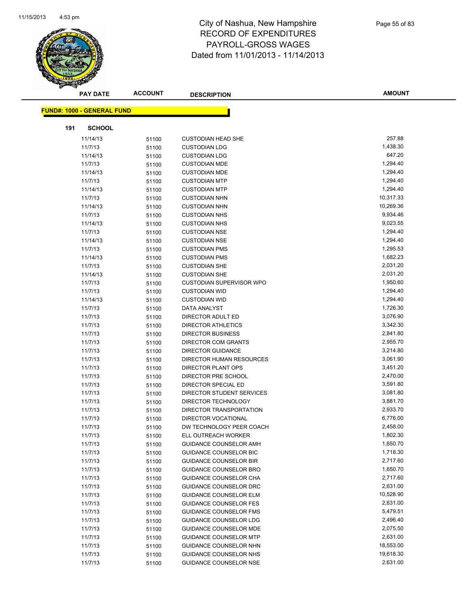

|     | <b>PAY DATE</b>                   | <b>ACCOUNT</b> | <b>DESCRIPTION</b>              | <b>AMOUNT</b> |
|-----|-----------------------------------|----------------|---------------------------------|---------------|
|     | <b>FUND#: 1000 - GENERAL FUND</b> |                |                                 |               |
|     |                                   |                |                                 |               |
| 191 | <b>SCHOOL</b>                     |                |                                 |               |
|     | 11/14/13                          | 51100          | <b>CUSTODIAN HEAD SHE</b>       | 257.88        |
|     | 11/7/13                           | 51100          | <b>CUSTODIAN LDG</b>            | 1,438.30      |
|     | 11/14/13                          | 51100          | <b>CUSTODIAN LDG</b>            | 647.20        |
|     | 11/7/13                           | 51100          | <b>CUSTODIAN MDE</b>            | 1,294.40      |
|     | 11/14/13                          | 51100          | <b>CUSTODIAN MDE</b>            | 1,294.40      |
|     | 11/7/13                           | 51100          | <b>CUSTODIAN MTP</b>            | 1,294.40      |
|     | 11/14/13                          | 51100          | <b>CUSTODIAN MTP</b>            | 1,294.40      |
|     | 11/7/13                           | 51100          | <b>CUSTODIAN NHN</b>            | 10,317.33     |
|     | 11/14/13                          | 51100          | <b>CUSTODIAN NHN</b>            | 10,269.36     |
|     | 11/7/13                           | 51100          | <b>CUSTODIAN NHS</b>            | 9,934.46      |
|     | 11/14/13                          | 51100          | <b>CUSTODIAN NHS</b>            | 9,023.55      |
|     | 11/7/13                           | 51100          | <b>CUSTODIAN NSE</b>            | 1,294.40      |
|     | 11/14/13                          | 51100          | <b>CUSTODIAN NSE</b>            | 1,294.40      |
|     | 11/7/13                           | 51100          | <b>CUSTODIAN PMS</b>            | 1,295.53      |
|     | 11/14/13                          | 51100          | <b>CUSTODIAN PMS</b>            | 1,682.23      |
|     | 11/7/13                           | 51100          | <b>CUSTODIAN SHE</b>            | 2,031.20      |
|     | 11/14/13                          | 51100          | <b>CUSTODIAN SHE</b>            | 2,031.20      |
|     | 11/7/13                           | 51100          | <b>CUSTODIAN SUPERVISOR WPO</b> | 1,950.60      |
|     | 11/7/13                           | 51100          | <b>CUSTODIAN WID</b>            | 1,294.40      |
|     | 11/14/13                          | 51100          | <b>CUSTODIAN WID</b>            | 1,294.40      |
|     | 11/7/13                           | 51100          | DATA ANALYST                    | 1,726.30      |
|     | 11/7/13                           | 51100          | DIRECTOR ADULT ED               | 3,076.90      |
|     | 11/7/13                           | 51100          | <b>DIRECTOR ATHLETICS</b>       | 3,342.30      |
|     | 11/7/13                           | 51100          | <b>DIRECTOR BUSINESS</b>        | 2,841.80      |
|     | 11/7/13                           | 51100          | DIRECTOR COM GRANTS             | 2,955.70      |
|     | 11/7/13                           | 51100          | <b>DIRECTOR GUIDANCE</b>        | 3,214.80      |
|     | 11/7/13                           | 51100          | DIRECTOR HUMAN RESOURCES        | 3,061.90      |
|     | 11/7/13                           | 51100          | DIRECTOR PLANT OPS              | 3,451.20      |
|     | 11/7/13                           | 51100          | DIRECTOR PRE SCHOOL             | 2,470.00      |
|     | 11/7/13                           | 51100          | DIRECTOR SPECIAL ED             | 3,591.80      |
|     | 11/7/13                           | 51100          | DIRECTOR STUDENT SERVICES       | 3,081.80      |
|     | 11/7/13                           | 51100          | DIRECTOR TECHNOLOGY             | 3,881.70      |
|     | 11/7/13                           | 51100          | DIRECTOR TRANSPORTATION         | 2,933.70      |
|     | 11/7/13                           | 51100          | DIRECTOR VOCATIONAL             | 6,776.00      |
|     | 11/7/13                           | 51100          | DW TECHNOLOGY PEER COACH        | 2,458.00      |
|     | 11/7/13                           | 51100          | ELL OUTREACH WORKER             | 1,802.30      |
|     | 11/7/13                           | 51100          | <b>GUIDANCE COUNSELOR AMH</b>   | 1,650.70      |
|     | 11/7/13                           | 51100          | <b>GUIDANCE COUNSELOR BIC</b>   | 1,718.30      |
|     | 11/7/13                           | 51100          | <b>GUIDANCE COUNSELOR BIR</b>   | 2,717.60      |
|     | 11/7/13                           | 51100          | GUIDANCE COUNSELOR BRO          | 1,650.70      |
|     | 11/7/13                           | 51100          | <b>GUIDANCE COUNSELOR CHA</b>   | 2,717.60      |
|     | 11/7/13                           | 51100          | GUIDANCE COUNSELOR DRC          | 2,631.00      |
|     | 11/7/13                           | 51100          | GUIDANCE COUNSELOR ELM          | 10,528.90     |
|     | 11/7/13                           | 51100          | <b>GUIDANCE COUNSELOR FES</b>   | 2,631.00      |
|     | 11/7/13                           | 51100          | <b>GUIDANCE COUNSELOR FMS</b>   | 5,479.51      |
|     | 11/7/13                           | 51100          | <b>GUIDANCE COUNSELOR LDG</b>   | 2,496.40      |
|     | 11/7/13                           | 51100          | GUIDANCE COUNSELOR MDE          | 2,075.50      |
|     | 11/7/13                           | 51100          | <b>GUIDANCE COUNSELOR MTP</b>   | 2,631.00      |
|     | 11/7/13                           | 51100          | GUIDANCE COUNSELOR NHN          | 18,553.00     |
|     | 11/7/13                           | 51100          | GUIDANCE COUNSELOR NHS          | 19,618.30     |
|     | 11/7/13                           | 51100          | GUIDANCE COUNSELOR NSE          | 2,631.00      |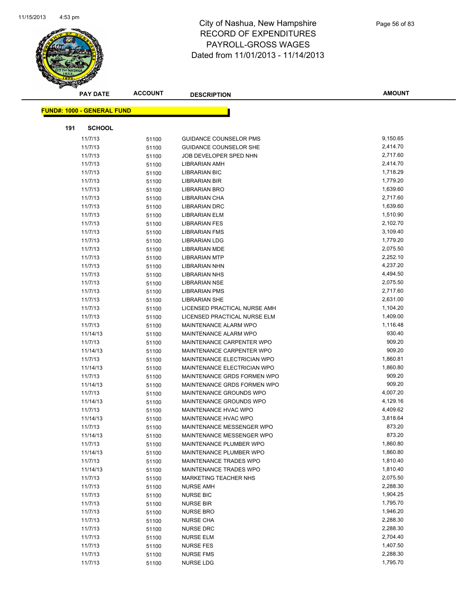

|     | <b>PAY DATE</b>                   | <b>ACCOUNT</b> | <b>DESCRIPTION</b>                 | <b>AMOUNT</b> |
|-----|-----------------------------------|----------------|------------------------------------|---------------|
|     | <b>FUND#: 1000 - GENERAL FUND</b> |                |                                    |               |
|     |                                   |                |                                    |               |
| 191 | <b>SCHOOL</b>                     |                |                                    |               |
|     | 11/7/13                           | 51100          | <b>GUIDANCE COUNSELOR PMS</b>      | 9,150.65      |
|     | 11/7/13                           | 51100          | GUIDANCE COUNSELOR SHE             | 2,414.70      |
|     | 11/7/13                           | 51100          | JOB DEVELOPER SPED NHN             | 2,717.60      |
|     | 11/7/13                           | 51100          | <b>LIBRARIAN AMH</b>               | 2,414.70      |
|     | 11/7/13                           | 51100          | LIBRARIAN BIC                      | 1,718.29      |
|     | 11/7/13                           | 51100          | LIBRARIAN BIR                      | 1,779.20      |
|     | 11/7/13                           | 51100          | <b>LIBRARIAN BRO</b>               | 1,639.60      |
|     | 11/7/13                           | 51100          | LIBRARIAN CHA                      | 2,717.60      |
|     | 11/7/13                           | 51100          | <b>LIBRARIAN DRC</b>               | 1,639.60      |
|     | 11/7/13                           | 51100          | <b>LIBRARIAN ELM</b>               | 1,510.90      |
|     | 11/7/13                           | 51100          | <b>LIBRARIAN FES</b>               | 2,102.70      |
|     | 11/7/13                           | 51100          | <b>LIBRARIAN FMS</b>               | 3,109.40      |
|     | 11/7/13                           | 51100          | <b>LIBRARIAN LDG</b>               | 1,779.20      |
|     | 11/7/13                           | 51100          | <b>LIBRARIAN MDE</b>               | 2,075.50      |
|     | 11/7/13                           | 51100          | <b>LIBRARIAN MTP</b>               | 2,252.10      |
|     | 11/7/13                           | 51100          | <b>LIBRARIAN NHN</b>               | 4,237.20      |
|     | 11/7/13                           | 51100          | <b>LIBRARIAN NHS</b>               | 4,494.50      |
|     | 11/7/13                           | 51100          | <b>LIBRARIAN NSE</b>               | 2,075.50      |
|     | 11/7/13                           | 51100          | <b>LIBRARIAN PMS</b>               | 2,717.60      |
|     | 11/7/13                           | 51100          | <b>LIBRARIAN SHE</b>               | 2,631.00      |
|     | 11/7/13                           | 51100          | LICENSED PRACTICAL NURSE AMH       | 1,104.20      |
|     | 11/7/13                           | 51100          | LICENSED PRACTICAL NURSE ELM       | 1,409.00      |
|     | 11/7/13                           | 51100          | MAINTENANCE ALARM WPO              | 1,116.48      |
|     | 11/14/13                          | 51100          | MAINTENANCE ALARM WPO              | 930.40        |
|     | 11/7/13                           | 51100          | MAINTENANCE CARPENTER WPO          | 909.20        |
|     | 11/14/13                          | 51100          | MAINTENANCE CARPENTER WPO          | 909.20        |
|     | 11/7/13                           | 51100          | MAINTENANCE ELECTRICIAN WPO        | 1,860.81      |
|     | 11/14/13                          | 51100          | <b>MAINTENANCE ELECTRICIAN WPO</b> | 1,860.80      |
|     | 11/7/13                           | 51100          | MAINTENANCE GRDS FORMEN WPO        | 909.20        |
|     | 11/14/13                          | 51100          | MAINTENANCE GRDS FORMEN WPO        | 909.20        |
|     | 11/7/13                           | 51100          | MAINTENANCE GROUNDS WPO            | 4,007.20      |
|     | 11/14/13                          | 51100          | MAINTENANCE GROUNDS WPO            | 4,129.16      |
|     | 11/7/13                           | 51100          | MAINTENANCE HVAC WPO               | 4,409.62      |
|     | 11/14/13                          | 51100          | <b>MAINTENANCE HVAC WPO</b>        | 3,818.64      |
|     | 11/7/13                           | 51100          | MAINTENANCE MESSENGER WPO          | 873.20        |
|     | 11/14/13                          | 51100          | MAINTENANCE MESSENGER WPO          | 873.20        |
|     | 11/7/13                           | 51100          | MAINTENANCE PLUMBER WPO            | 1,860.80      |
|     | 11/14/13                          | 51100          | MAINTENANCE PLUMBER WPO            | 1,860.80      |
|     | 11/7/13                           | 51100          | MAINTENANCE TRADES WPO             | 1,810.40      |
|     | 11/14/13                          | 51100          | MAINTENANCE TRADES WPO             | 1,810.40      |
|     | 11/7/13                           | 51100          | MARKETING TEACHER NHS              | 2,075.50      |
|     | 11/7/13                           | 51100          | <b>NURSE AMH</b>                   | 2,288.30      |
|     | 11/7/13                           | 51100          | <b>NURSE BIC</b>                   | 1,904.25      |
|     | 11/7/13                           | 51100          | <b>NURSE BIR</b>                   | 1,795.70      |
|     | 11/7/13                           | 51100          | <b>NURSE BRO</b>                   | 1,946.20      |
|     | 11/7/13                           | 51100          | <b>NURSE CHA</b>                   | 2,288.30      |
|     | 11/7/13                           | 51100          | <b>NURSE DRC</b>                   | 2,288.30      |
|     | 11/7/13                           | 51100          | NURSE ELM                          | 2,704.40      |
|     | 11/7/13                           | 51100          | <b>NURSE FES</b>                   | 1,407.50      |
|     | 11/7/13                           | 51100          | <b>NURSE FMS</b>                   | 2,288.30      |
|     | 11/7/13                           | 51100          | <b>NURSE LDG</b>                   | 1,795.70      |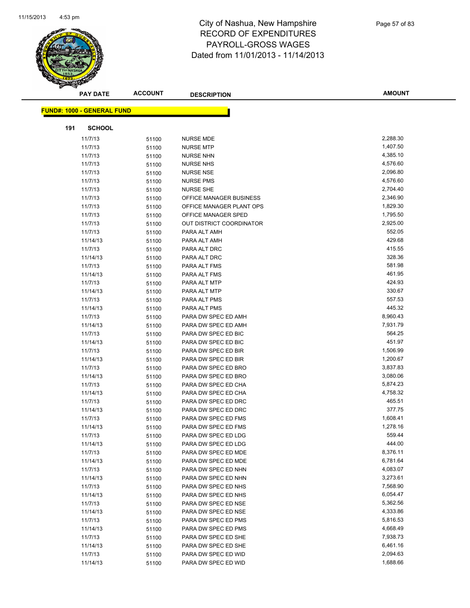

|     | <b>PAY DATE</b>                   | <b>ACCOUNT</b> | <b>DESCRIPTION</b>                         | <b>AMOUNT</b>        |
|-----|-----------------------------------|----------------|--------------------------------------------|----------------------|
|     |                                   |                |                                            |                      |
|     | <b>FUND#: 1000 - GENERAL FUND</b> |                |                                            |                      |
| 191 | <b>SCHOOL</b>                     |                |                                            |                      |
|     | 11/7/13                           | 51100          | <b>NURSE MDE</b>                           | 2,288.30             |
|     | 11/7/13                           | 51100          | <b>NURSE MTP</b>                           | 1,407.50             |
|     | 11/7/13                           | 51100          | <b>NURSE NHN</b>                           | 4,385.10             |
|     | 11/7/13                           | 51100          | <b>NURSE NHS</b>                           | 4,576.60             |
|     | 11/7/13                           | 51100          | <b>NURSE NSE</b>                           | 2,096.80             |
|     | 11/7/13                           | 51100          | <b>NURSE PMS</b>                           | 4,576.60             |
|     | 11/7/13                           | 51100          | <b>NURSE SHE</b>                           | 2,704.40             |
|     | 11/7/13                           | 51100          | OFFICE MANAGER BUSINESS                    | 2,346.90             |
|     | 11/7/13                           | 51100          | OFFICE MANAGER PLANT OPS                   | 1,829.30             |
|     | 11/7/13                           | 51100          | OFFICE MANAGER SPED                        | 1,795.50             |
|     | 11/7/13                           | 51100          | OUT DISTRICT COORDINATOR                   | 2,925.00             |
|     | 11/7/13                           | 51100          | PARA ALT AMH                               | 552.05               |
|     | 11/14/13                          | 51100          | PARA ALT AMH                               | 429.68               |
|     | 11/7/13                           | 51100          | PARA ALT DRC                               | 415.55               |
|     | 11/14/13                          | 51100          | PARA ALT DRC                               | 328.36               |
|     | 11/7/13                           | 51100          | PARA ALT FMS                               | 581.98               |
|     | 11/14/13                          | 51100          | PARA ALT FMS                               | 461.95               |
|     | 11/7/13                           | 51100          | PARA ALT MTP                               | 424.93               |
|     | 11/14/13                          | 51100          | PARA ALT MTP                               | 330.67               |
|     | 11/7/13                           | 51100          | PARA ALT PMS                               | 557.53               |
|     | 11/14/13                          | 51100          | PARA ALT PMS                               | 445.32               |
|     | 11/7/13                           | 51100          | PARA DW SPEC ED AMH                        | 8,960.43             |
|     | 11/14/13                          | 51100          | PARA DW SPEC ED AMH                        | 7,931.79             |
|     | 11/7/13                           | 51100          | PARA DW SPEC ED BIC                        | 564.25               |
|     | 11/14/13                          | 51100          | PARA DW SPEC ED BIC                        | 451.97               |
|     | 11/7/13                           | 51100          | PARA DW SPEC ED BIR                        | 1,506.99             |
|     | 11/14/13                          | 51100          | PARA DW SPEC ED BIR                        | 1,200.67             |
|     | 11/7/13                           | 51100          | PARA DW SPEC ED BRO                        | 3,837.83             |
|     | 11/14/13                          | 51100          | PARA DW SPEC ED BRO                        | 3,080.06             |
|     | 11/7/13                           | 51100          | PARA DW SPEC ED CHA                        | 5,874.23             |
|     | 11/14/13                          | 51100          | PARA DW SPEC ED CHA                        | 4,758.32             |
|     | 11/7/13                           | 51100          | PARA DW SPEC ED DRC                        | 465.51               |
|     | 11/14/13                          | 51100          | PARA DW SPEC ED DRC                        | 377.75               |
|     | 11/7/13                           | 51100          | PARA DW SPEC ED FMS                        | 1,608.41             |
|     | 11/14/13                          | 51100          | PARA DW SPEC ED FMS                        | 1,278.16             |
|     | 11/7/13                           | 51100          | PARA DW SPEC ED LDG                        | 559.44               |
|     | 11/14/13                          | 51100          | PARA DW SPEC ED LDG                        | 444.00               |
|     | 11/7/13                           | 51100          | PARA DW SPEC ED MDE                        | 8,376.11             |
|     | 11/14/13                          | 51100          | PARA DW SPEC ED MDE                        | 6,781.64             |
|     | 11/7/13                           | 51100          | PARA DW SPEC ED NHN                        | 4,083.07             |
|     | 11/14/13                          | 51100          | PARA DW SPEC ED NHN                        | 3,273.61             |
|     | 11/7/13                           | 51100          | PARA DW SPEC ED NHS                        | 7,568.90             |
|     | 11/14/13                          | 51100          | PARA DW SPEC ED NHS                        | 6,054.47             |
|     | 11/7/13                           | 51100          | PARA DW SPEC ED NSE                        | 5,362.56             |
|     | 11/14/13                          | 51100          | PARA DW SPEC ED NSE                        | 4,333.86             |
|     | 11/7/13                           | 51100          | PARA DW SPEC ED PMS                        | 5,816.53<br>4,668.49 |
|     | 11/14/13<br>11/7/13               | 51100          | PARA DW SPEC ED PMS<br>PARA DW SPEC ED SHE | 7,938.73             |
|     | 11/14/13                          | 51100          | PARA DW SPEC ED SHE                        | 6,461.16             |
|     | 11/7/13                           | 51100          | PARA DW SPEC ED WID                        | 2,094.63             |
|     | 11/14/13                          | 51100          | PARA DW SPEC ED WID                        | 1,688.66             |
|     |                                   | 51100          |                                            |                      |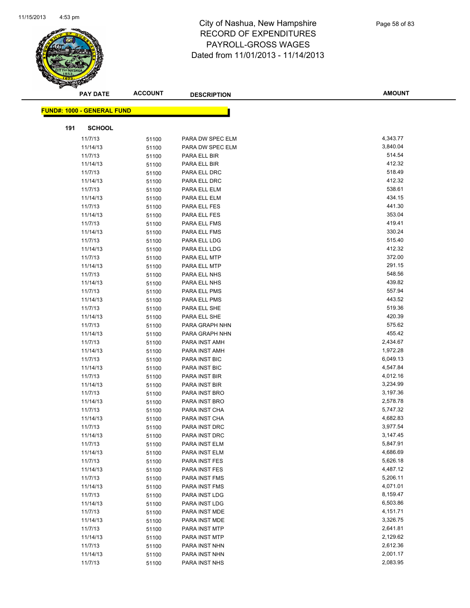

|     | <b>PAY DATE</b>                   | <b>ACCOUNT</b> | <b>DESCRIPTION</b>             | <b>AMOUNT</b>        |
|-----|-----------------------------------|----------------|--------------------------------|----------------------|
|     | <b>FUND#: 1000 - GENERAL FUND</b> |                |                                |                      |
|     |                                   |                |                                |                      |
| 191 | <b>SCHOOL</b>                     |                |                                |                      |
|     | 11/7/13                           | 51100          | PARA DW SPEC ELM               | 4,343.77             |
|     | 11/14/13                          | 51100          | PARA DW SPEC ELM               | 3,840.04             |
|     | 11/7/13                           | 51100          | PARA ELL BIR                   | 514.54               |
|     | 11/14/13                          | 51100          | PARA ELL BIR                   | 412.32               |
|     | 11/7/13                           | 51100          | PARA ELL DRC                   | 518.49               |
|     | 11/14/13                          | 51100          | PARA ELL DRC                   | 412.32               |
|     | 11/7/13                           | 51100          | PARA ELL ELM                   | 538.61               |
|     | 11/14/13                          | 51100          | PARA ELL ELM                   | 434.15               |
|     | 11/7/13                           | 51100          | PARA ELL FES                   | 441.30               |
|     | 11/14/13                          | 51100          | PARA ELL FES                   | 353.04               |
|     | 11/7/13                           | 51100          | PARA ELL FMS                   | 419.41               |
|     | 11/14/13                          | 51100          | PARA ELL FMS                   | 330.24               |
|     | 11/7/13                           | 51100          | PARA ELL LDG                   | 515.40               |
|     | 11/14/13                          | 51100          | PARA ELL LDG                   | 412.32               |
|     | 11/7/13                           | 51100          | PARA ELL MTP                   | 372.00               |
|     | 11/14/13                          | 51100          | PARA ELL MTP                   | 291.15               |
|     | 11/7/13                           | 51100          | PARA ELL NHS                   | 548.56               |
|     | 11/14/13                          | 51100          | PARA ELL NHS                   | 439.82               |
|     | 11/7/13                           | 51100          | PARA ELL PMS                   | 557.94               |
|     | 11/14/13                          | 51100          | PARA ELL PMS                   | 443.52               |
|     | 11/7/13                           | 51100          | PARA ELL SHE                   | 519.36               |
|     | 11/14/13                          | 51100          | PARA ELL SHE                   | 420.39               |
|     | 11/7/13                           | 51100          | PARA GRAPH NHN                 | 575.62               |
|     | 11/14/13                          | 51100          | PARA GRAPH NHN                 | 455.42               |
|     | 11/7/13                           | 51100          | PARA INST AMH                  | 2,434.67             |
|     | 11/14/13                          | 51100          | PARA INST AMH                  | 1,972.28             |
|     | 11/7/13                           | 51100          | PARA INST BIC                  | 6,049.13             |
|     | 11/14/13                          | 51100          | PARA INST BIC                  | 4,547.84             |
|     | 11/7/13                           | 51100          | PARA INST BIR                  | 4,012.16             |
|     | 11/14/13                          | 51100          | PARA INST BIR                  | 3,234.99             |
|     | 11/7/13                           | 51100          | PARA INST BRO                  | 3,197.36             |
|     | 11/14/13                          | 51100          | PARA INST BRO                  | 2,578.78<br>5,747.32 |
|     | 11/7/13<br>11/14/13               | 51100          | PARA INST CHA<br>PARA INST CHA | 4,682.83             |
|     | 11/7/13                           | 51100          | PARA INST DRC                  | 3,977.54             |
|     | 11/14/13                          | 51100          | PARA INST DRC                  | 3,147.45             |
|     | 11/7/13                           | 51100<br>51100 | PARA INST ELM                  | 5,847.91             |
|     | 11/14/13                          | 51100          | PARA INST ELM                  | 4,686.69             |
|     | 11/7/13                           | 51100          | PARA INST FES                  | 5,626.18             |
|     | 11/14/13                          | 51100          | PARA INST FES                  | 4,487.12             |
|     | 11/7/13                           | 51100          | PARA INST FMS                  | 5,206.11             |
|     | 11/14/13                          | 51100          | PARA INST FMS                  | 4,071.01             |
|     | 11/7/13                           | 51100          | PARA INST LDG                  | 8,159.47             |
|     | 11/14/13                          | 51100          | PARA INST LDG                  | 6,503.86             |
|     | 11/7/13                           | 51100          | PARA INST MDE                  | 4,151.71             |
|     | 11/14/13                          | 51100          | PARA INST MDE                  | 3,326.75             |
|     | 11/7/13                           | 51100          | PARA INST MTP                  | 2,641.81             |
|     | 11/14/13                          | 51100          | PARA INST MTP                  | 2,129.62             |
|     | 11/7/13                           | 51100          | PARA INST NHN                  | 2,612.36             |
|     | 11/14/13                          | 51100          | PARA INST NHN                  | 2,001.17             |
|     | 11/7/13                           | 51100          | PARA INST NHS                  | 2,083.95             |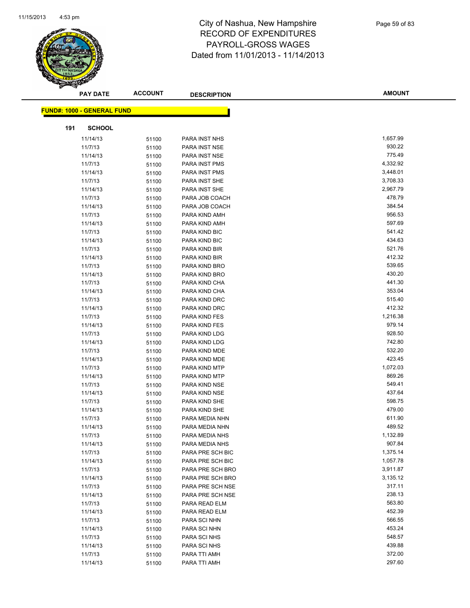

|     | <b>PAY DATE</b>                   | <b>ACCOUNT</b> | <b>DESCRIPTION</b>                   | <b>AMOUNT</b>        |
|-----|-----------------------------------|----------------|--------------------------------------|----------------------|
|     | <b>FUND#: 1000 - GENERAL FUND</b> |                |                                      |                      |
|     |                                   |                |                                      |                      |
| 191 | <b>SCHOOL</b>                     |                |                                      |                      |
|     | 11/14/13                          | 51100          | PARA INST NHS                        | 1,657.99             |
|     | 11/7/13                           | 51100          | PARA INST NSE                        | 930.22               |
|     | 11/14/13                          | 51100          | PARA INST NSE                        | 775.49               |
|     | 11/7/13                           | 51100          | PARA INST PMS                        | 4,332.92             |
|     | 11/14/13                          | 51100          | PARA INST PMS                        | 3,448.01             |
|     | 11/7/13                           | 51100          | PARA INST SHE                        | 3,708.33             |
|     | 11/14/13                          | 51100          | PARA INST SHE                        | 2,967.79             |
|     | 11/7/13                           | 51100          | PARA JOB COACH                       | 478.79               |
|     | 11/14/13                          | 51100          | PARA JOB COACH                       | 384.54               |
|     | 11/7/13                           | 51100          | PARA KIND AMH                        | 956.53               |
|     | 11/14/13                          | 51100          | PARA KIND AMH                        | 597.69               |
|     | 11/7/13                           | 51100          | PARA KIND BIC                        | 541.42               |
|     | 11/14/13                          | 51100          | PARA KIND BIC                        | 434.63               |
|     | 11/7/13                           | 51100          | PARA KIND BIR                        | 521.76               |
|     | 11/14/13                          | 51100          | PARA KIND BIR                        | 412.32               |
|     | 11/7/13                           | 51100          | PARA KIND BRO                        | 539.65               |
|     | 11/14/13                          | 51100          | PARA KIND BRO                        | 430.20               |
|     | 11/7/13                           | 51100          | PARA KIND CHA                        | 441.30               |
|     | 11/14/13                          | 51100          | PARA KIND CHA                        | 353.04               |
|     | 11/7/13                           | 51100          | PARA KIND DRC                        | 515.40               |
|     | 11/14/13                          | 51100          | PARA KIND DRC                        | 412.32               |
|     | 11/7/13                           | 51100          | PARA KIND FES                        | 1,216.38             |
|     | 11/14/13                          | 51100          | PARA KIND FES                        | 979.14               |
|     | 11/7/13                           | 51100          | PARA KIND LDG                        | 928.50               |
|     | 11/14/13                          | 51100          | PARA KIND LDG                        | 742.80               |
|     | 11/7/13                           | 51100          | PARA KIND MDE                        | 532.20               |
|     | 11/14/13                          | 51100          | PARA KIND MDE                        | 423.45               |
|     | 11/7/13                           | 51100          | PARA KIND MTP                        | 1,072.03             |
|     | 11/14/13                          | 51100          | PARA KIND MTP                        | 869.26               |
|     | 11/7/13                           | 51100          | PARA KIND NSE                        | 549.41               |
|     | 11/14/13                          | 51100          | PARA KIND NSE                        | 437.64               |
|     | 11/7/13                           | 51100          | PARA KIND SHE                        | 598.75               |
|     | 11/14/13                          | 51100          | PARA KIND SHE                        | 479.00               |
|     | 11/7/13                           | 51100          | PARA MEDIA NHN                       | 611.90               |
|     | 11/14/13                          | 51100          | PARA MEDIA NHN                       | 489.52<br>1,132.89   |
|     | 11/7/13                           | 51100          | PARA MEDIA NHS                       |                      |
|     | 11/14/13                          | 51100          | PARA MEDIA NHS                       | 907.84               |
|     | 11/7/13                           | 51100          | PARA PRE SCH BIC                     | 1,375.14<br>1,057.78 |
|     | 11/14/13<br>11/7/13               | 51100          | PARA PRE SCH BIC<br>PARA PRE SCH BRO | 3,911.87             |
|     | 11/14/13                          | 51100          | PARA PRE SCH BRO                     | 3,135.12             |
|     | 11/7/13                           | 51100          | PARA PRE SCH NSE                     | 317.11               |
|     | 11/14/13                          | 51100          | PARA PRE SCH NSE                     | 238.13               |
|     | 11/7/13                           | 51100          | PARA READ ELM                        | 563.80               |
|     | 11/14/13                          | 51100<br>51100 | PARA READ ELM                        | 452.39               |
|     | 11/7/13                           | 51100          | PARA SCI NHN                         | 566.55               |
|     | 11/14/13                          | 51100          | PARA SCI NHN                         | 453.24               |
|     | 11/7/13                           | 51100          | PARA SCI NHS                         | 548.57               |
|     | 11/14/13                          | 51100          | PARA SCI NHS                         | 439.88               |
|     | 11/7/13                           | 51100          | PARA TTI AMH                         | 372.00               |
|     | 11/14/13                          | 51100          | PARA TTI AMH                         | 297.60               |
|     |                                   |                |                                      |                      |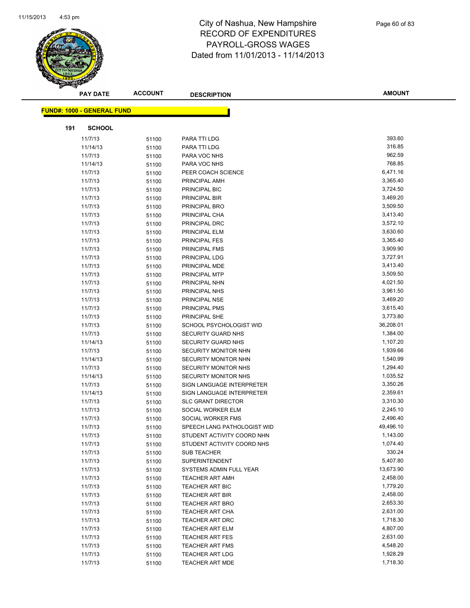

|     | <b>PAY DATE</b>                   | <b>ACCOUNT</b> | <b>DESCRIPTION</b>                               | <b>AMOUNT</b>        |
|-----|-----------------------------------|----------------|--------------------------------------------------|----------------------|
|     |                                   |                |                                                  |                      |
|     | <b>FUND#: 1000 - GENERAL FUND</b> |                |                                                  |                      |
| 191 | <b>SCHOOL</b>                     |                |                                                  |                      |
|     | 11/7/13                           | 51100          | PARA TTI LDG                                     | 393.60               |
|     | 11/14/13                          | 51100          | PARA TTI LDG                                     | 316.85               |
|     | 11/7/13                           | 51100          | PARA VOC NHS                                     | 962.59               |
|     | 11/14/13                          | 51100          | PARA VOC NHS                                     | 768.85               |
|     | 11/7/13                           | 51100          | PEER COACH SCIENCE                               | 6,471.16             |
|     | 11/7/13                           | 51100          | PRINCIPAL AMH                                    | 3,365.40             |
|     | 11/7/13                           | 51100          | PRINCIPAL BIC                                    | 3,724.50             |
|     | 11/7/13                           | 51100          | PRINCIPAL BIR                                    | 3,469.20             |
|     | 11/7/13                           | 51100          | PRINCIPAL BRO                                    | 3,509.50             |
|     | 11/7/13                           | 51100          | PRINCIPAL CHA                                    | 3,413.40             |
|     | 11/7/13                           | 51100          | PRINCIPAL DRC                                    | 3,572.10             |
|     | 11/7/13                           | 51100          | PRINCIPAL ELM                                    | 3,630.60             |
|     | 11/7/13                           | 51100          | PRINCIPAL FES                                    | 3,365.40             |
|     | 11/7/13                           | 51100          | PRINCIPAL FMS                                    | 3,909.90             |
|     | 11/7/13                           | 51100          | PRINCIPAL LDG                                    | 3,727.91             |
|     | 11/7/13                           | 51100          | PRINCIPAL MDE                                    | 3,413.40             |
|     | 11/7/13                           | 51100          | PRINCIPAL MTP                                    | 3,509.50             |
|     | 11/7/13                           | 51100          | PRINCIPAL NHN                                    | 4,021.50             |
|     | 11/7/13                           | 51100          | PRINCIPAL NHS                                    | 3,961.50             |
|     | 11/7/13                           | 51100          | PRINCIPAL NSE                                    | 3,469.20             |
|     | 11/7/13                           | 51100          | PRINCIPAL PMS                                    | 3,615.40             |
|     | 11/7/13                           | 51100          | PRINCIPAL SHE                                    | 3,773.80             |
|     | 11/7/13                           | 51100          | SCHOOL PSYCHOLOGIST WID                          | 36,208.01            |
|     | 11/7/13                           | 51100          | <b>SECURITY GUARD NHS</b>                        | 1,384.00             |
|     | 11/14/13                          | 51100          | SECURITY GUARD NHS                               | 1,107.20             |
|     | 11/7/13                           | 51100          | SECURITY MONITOR NHN                             | 1,939.66             |
|     | 11/14/13                          | 51100          | SECURITY MONITOR NHN                             | 1,540.99             |
|     | 11/7/13                           | 51100          | SECURITY MONITOR NHS                             | 1,294.40             |
|     | 11/14/13                          | 51100          | SECURITY MONITOR NHS                             | 1,035.52             |
|     | 11/7/13                           | 51100          | SIGN LANGUAGE INTERPRETER                        | 3,350.26             |
|     | 11/14/13                          | 51100          | SIGN LANGUAGE INTERPRETER                        | 2,359.61             |
|     | 11/7/13                           | 51100          | <b>SLC GRANT DIRECTOR</b>                        | 3,310.30             |
|     | 11/7/13                           | 51100          | SOCIAL WORKER ELM                                | 2,245.10             |
|     | 11/7/13                           | 51100          | SOCIAL WORKER FMS                                | 2,496.40             |
|     | 11/7/13                           | 51100          | SPEECH LANG PATHOLOGIST WID                      | 49,496.10            |
|     | 11/7/13                           | 51100          | STUDENT ACTIVITY COORD NHN                       | 1,143.00             |
|     | 11/7/13                           | 51100          | STUDENT ACTIVITY COORD NHS                       | 1,074.40             |
|     | 11/7/13                           | 51100          | <b>SUB TEACHER</b>                               | 330.24               |
|     | 11/7/13                           | 51100          | SUPERINTENDENT                                   | 5,407.80             |
|     | 11/7/13                           | 51100          | SYSTEMS ADMIN FULL YEAR                          | 13,673.90            |
|     | 11/7/13                           | 51100          | <b>TEACHER ART AMH</b>                           | 2,458.00             |
|     | 11/7/13                           | 51100          | <b>TEACHER ART BIC</b>                           | 1,779.20             |
|     | 11/7/13                           | 51100          | <b>TEACHER ART BIR</b><br><b>TEACHER ART BRO</b> | 2,458.00<br>2,653.30 |
|     | 11/7/13<br>11/7/13                | 51100          | <b>TEACHER ART CHA</b>                           | 2,631.00             |
|     | 11/7/13                           | 51100          | <b>TEACHER ART DRC</b>                           | 1,718.30             |
|     | 11/7/13                           | 51100          | TEACHER ART ELM                                  | 4,807.00             |
|     | 11/7/13                           | 51100<br>51100 | <b>TEACHER ART FES</b>                           | 2,631.00             |
|     | 11/7/13                           | 51100          | <b>TEACHER ART FMS</b>                           | 4,548.20             |
|     | 11/7/13                           | 51100          | <b>TEACHER ART LDG</b>                           | 1,928.29             |
|     | 11/7/13                           | 51100          | <b>TEACHER ART MDE</b>                           | 1,718.30             |
|     |                                   |                |                                                  |                      |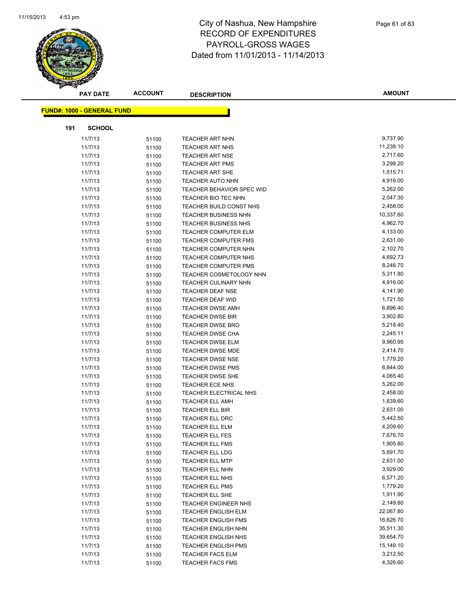

|     | <b>PAY DATE</b>                   | <b>ACCOUNT</b> | <b>DESCRIPTION</b>               | <b>AMOUNT</b> |
|-----|-----------------------------------|----------------|----------------------------------|---------------|
|     | <b>FUND#: 1000 - GENERAL FUND</b> |                |                                  |               |
|     |                                   |                |                                  |               |
| 191 | <b>SCHOOL</b>                     |                |                                  |               |
|     | 11/7/13                           | 51100          | <b>TEACHER ART NHN</b>           | 9,737.90      |
|     | 11/7/13                           | 51100          | <b>TEACHER ART NHS</b>           | 11,239.10     |
|     | 11/7/13                           | 51100          | <b>TEACHER ART NSE</b>           | 2,717.60      |
|     | 11/7/13                           | 51100          | <b>TEACHER ART PMS</b>           | 3,298.20      |
|     | 11/7/13                           | 51100          | <b>TEACHER ART SHE</b>           | 1,515.71      |
|     | 11/7/13                           | 51100          | <b>TEACHER AUTO NHN</b>          | 4,916.00      |
|     | 11/7/13                           | 51100          | <b>TEACHER BEHAVIOR SPEC WID</b> | 5,262.00      |
|     | 11/7/13                           | 51100          | TEACHER BIO TEC NHN              | 2,047.30      |
|     | 11/7/13                           | 51100          | TEACHER BUILD CONST NHS          | 2,458.00      |
|     | 11/7/13                           | 51100          | TEACHER BUSINESS NHN             | 10,337.60     |
|     | 11/7/13                           | 51100          | <b>TEACHER BUSINESS NHS</b>      | 4,962.70      |
|     | 11/7/13                           | 51100          | TEACHER COMPUTER ELM             | 4,133.00      |
|     | 11/7/13                           | 51100          | <b>TEACHER COMPUTER FMS</b>      | 2,631.00      |
|     | 11/7/13                           | 51100          | <b>TEACHER COMPUTER NHN</b>      | 2,102.70      |
|     | 11/7/13                           | 51100          | TEACHER COMPUTER NHS             | 4,692.73      |
|     | 11/7/13                           | 51100          | <b>TEACHER COMPUTER PMS</b>      | 8,246.70      |
|     | 11/7/13                           | 51100          | TEACHER COSMETOLOGY NHN          | 5,311.80      |
|     | 11/7/13                           | 51100          | <b>TEACHER CULINARY NHN</b>      | 4,916.00      |
|     | 11/7/13                           | 51100          | <b>TEACHER DEAF NSE</b>          | 4,141.90      |
|     | 11/7/13                           | 51100          | <b>TEACHER DEAF WID</b>          | 1,721.50      |
|     | 11/7/13                           | 51100          | <b>TEACHER DWSE AMH</b>          | 6,696.40      |
|     | 11/7/13                           | 51100          | <b>TEACHER DWSE BIR</b>          | 3,902.80      |
|     | 11/7/13                           | 51100          | <b>TEACHER DWSE BRO</b>          | 5,218.40      |
|     | 11/7/13                           | 51100          | <b>TEACHER DWSE CHA</b>          | 2,245.11      |
|     | 11/7/13                           | 51100          | <b>TEACHER DWSE ELM</b>          | 9,960.95      |
|     | 11/7/13                           | 51100          | TEACHER DWSE MDE                 | 2,414.70      |
|     | 11/7/13                           | 51100          | <b>TEACHER DWSE NSE</b>          | 1,779.20      |
|     | 11/7/13                           | 51100          | <b>TEACHER DWSE PMS</b>          | 6,844.00      |
|     | 11/7/13                           | 51100          | TEACHER DWSE SHE                 | 4,065.40      |
|     | 11/7/13                           | 51100          | TEACHER ECE NHS                  | 5,262.00      |
|     | 11/7/13                           | 51100          | TEACHER ELECTRICAL NHS           | 2,458.00      |
|     | 11/7/13                           | 51100          | <b>TEACHER ELL AMH</b>           | 1,639.60      |
|     | 11/7/13                           | 51100          | TEACHER ELL BIR                  | 2,631.00      |
|     | 11/7/13                           | 51100          | TEACHER ELL DRC                  | 5,442.50      |
|     | 11/7/13                           | 51100          | <b>TEACHER ELL ELM</b>           | 4,209.60      |
|     | 11/7/13                           | 51100          | <b>TEACHER ELL FES</b>           | 7,676.70      |
|     | 11/7/13                           | 51100          | TEACHER ELL FMS                  | 1,905.80      |
|     | 11/7/13                           | 51100          | <b>TEACHER ELL LDG</b>           | 5,691.70      |
|     | 11/7/13                           | 51100          | <b>TEACHER ELL MTP</b>           | 2,631.00      |
|     | 11/7/13                           | 51100          | <b>TEACHER ELL NHN</b>           | 3,929.00      |
|     | 11/7/13                           | 51100          | TEACHER ELL NHS                  | 6,571.20      |
|     | 11/7/13                           | 51100          | <b>TEACHER ELL PMS</b>           | 1,779.20      |
|     | 11/7/13                           | 51100          | TEACHER ELL SHE                  | 1,911.90      |
|     | 11/7/13                           | 51100          | TEACHER ENGINEER NHS             | 2,149.80      |
|     | 11/7/13                           | 51100          | <b>TEACHER ENGLISH ELM</b>       | 22,067.80     |
|     | 11/7/13                           | 51100          | <b>TEACHER ENGLISH FMS</b>       | 16,626.70     |
|     | 11/7/13                           | 51100          | <b>TEACHER ENGLISH NHN</b>       | 35,511.30     |
|     | 11/7/13                           | 51100          | TEACHER ENGLISH NHS              | 39,654.70     |
|     | 11/7/13                           | 51100          | <b>TEACHER ENGLISH PMS</b>       | 15,149.10     |
|     | 11/7/13                           | 51100          | <b>TEACHER FACS ELM</b>          | 3,212.50      |
|     | 11/7/13                           | 51100          | <b>TEACHER FACS FMS</b>          | 4,326.60      |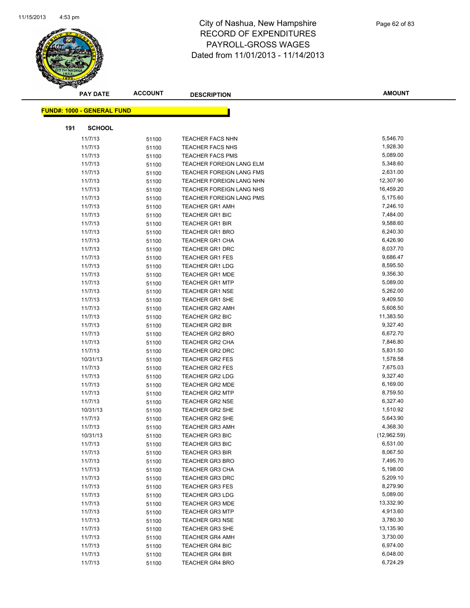

|     | <b>PAY DATE</b>                   | <b>ACCOUNT</b> | <b>DESCRIPTION</b>              | <b>AMOUNT</b> |
|-----|-----------------------------------|----------------|---------------------------------|---------------|
|     |                                   |                |                                 |               |
|     | <b>FUND#: 1000 - GENERAL FUND</b> |                |                                 |               |
| 191 | <b>SCHOOL</b>                     |                |                                 |               |
|     | 11/7/13                           | 51100          | <b>TEACHER FACS NHN</b>         | 5,546.70      |
|     | 11/7/13                           | 51100          | TEACHER FACS NHS                | 1,928.30      |
|     | 11/7/13                           | 51100          | <b>TEACHER FACS PMS</b>         | 5,089.00      |
|     | 11/7/13                           | 51100          | TEACHER FOREIGN LANG ELM        | 5,348.60      |
|     | 11/7/13                           | 51100          | TEACHER FOREIGN LANG FMS        | 2,631.00      |
|     | 11/7/13                           | 51100          | TEACHER FOREIGN LANG NHN        | 12,307.90     |
|     | 11/7/13                           | 51100          | <b>TEACHER FOREIGN LANG NHS</b> | 16,459.20     |
|     | 11/7/13                           | 51100          | TEACHER FOREIGN LANG PMS        | 5,175.60      |
|     | 11/7/13                           | 51100          | <b>TEACHER GR1 AMH</b>          | 7,246.10      |
|     | 11/7/13                           | 51100          | <b>TEACHER GR1 BIC</b>          | 7,484.00      |
|     | 11/7/13                           | 51100          | <b>TEACHER GR1 BIR</b>          | 9,588.60      |
|     | 11/7/13                           | 51100          | TEACHER GR1 BRO                 | 6,240.30      |
|     | 11/7/13                           | 51100          | <b>TEACHER GR1 CHA</b>          | 6,426.90      |
|     | 11/7/13                           | 51100          | <b>TEACHER GR1 DRC</b>          | 8,037.70      |
|     | 11/7/13                           | 51100          | <b>TEACHER GR1 FES</b>          | 9,686.47      |
|     | 11/7/13                           | 51100          | <b>TEACHER GR1 LDG</b>          | 8,595.50      |
|     | 11/7/13                           | 51100          | <b>TEACHER GR1 MDE</b>          | 9,356.30      |
|     | 11/7/13                           | 51100          | <b>TEACHER GR1 MTP</b>          | 5,089.00      |
|     | 11/7/13                           | 51100          | <b>TEACHER GR1 NSE</b>          | 5,262.00      |
|     | 11/7/13                           | 51100          | <b>TEACHER GR1 SHE</b>          | 9,409.50      |
|     | 11/7/13                           | 51100          | <b>TEACHER GR2 AMH</b>          | 5,608.50      |
|     | 11/7/13                           | 51100          | <b>TEACHER GR2 BIC</b>          | 11,383.50     |
|     | 11/7/13                           | 51100          | TEACHER GR2 BIR                 | 9,327.40      |
|     | 11/7/13                           | 51100          | <b>TEACHER GR2 BRO</b>          | 6,672.70      |
|     | 11/7/13                           | 51100          | TEACHER GR2 CHA                 | 7,846.80      |
|     | 11/7/13                           | 51100          | <b>TEACHER GR2 DRC</b>          | 5,831.50      |
|     | 10/31/13                          | 51100          | <b>TEACHER GR2 FES</b>          | 1,578.58      |
|     | 11/7/13                           | 51100          | <b>TEACHER GR2 FES</b>          | 7,675.03      |
|     | 11/7/13                           | 51100          | TEACHER GR2 LDG                 | 9,327.40      |
|     | 11/7/13                           | 51100          | <b>TEACHER GR2 MDE</b>          | 6,169.00      |
|     | 11/7/13                           | 51100          | <b>TEACHER GR2 MTP</b>          | 8,759.50      |
|     | 11/7/13                           | 51100          | <b>TEACHER GR2 NSE</b>          | 6,327.40      |
|     | 10/31/13                          | 51100          | TEACHER GR2 SHE                 | 1,510.92      |
|     | 11/7/13                           | 51100          | <b>TEACHER GR2 SHE</b>          | 5,643.90      |
|     | 11/7/13                           | 51100          | <b>TEACHER GR3 AMH</b>          | 4,368.30      |
|     | 10/31/13                          | 51100          | TEACHER GR3 BIC                 | (12,962.59)   |
|     | 11/7/13                           | 51100          | <b>TEACHER GR3 BIC</b>          | 6,531.00      |
|     | 11/7/13                           | 51100          | <b>TEACHER GR3 BIR</b>          | 8,067.50      |
|     | 11/7/13                           | 51100          | <b>TEACHER GR3 BRO</b>          | 7,495.70      |
|     | 11/7/13                           | 51100          | <b>TEACHER GR3 CHA</b>          | 5,198.00      |
|     | 11/7/13                           | 51100          | <b>TEACHER GR3 DRC</b>          | 5,209.10      |
|     | 11/7/13                           | 51100          | <b>TEACHER GR3 FES</b>          | 8,279.90      |
|     | 11/7/13                           | 51100          | <b>TEACHER GR3 LDG</b>          | 5,089.00      |
|     | 11/7/13                           | 51100          | <b>TEACHER GR3 MDE</b>          | 13,332.90     |
|     | 11/7/13                           | 51100          | <b>TEACHER GR3 MTP</b>          | 4,913.60      |
|     | 11/7/13                           | 51100          | <b>TEACHER GR3 NSE</b>          | 3,780.30      |
|     | 11/7/13                           | 51100          | <b>TEACHER GR3 SHE</b>          | 13,135.90     |
|     | 11/7/13                           | 51100          | <b>TEACHER GR4 AMH</b>          | 3,730.00      |
|     | 11/7/13                           | 51100          | <b>TEACHER GR4 BIC</b>          | 6,974.00      |
|     | 11/7/13                           | 51100          | <b>TEACHER GR4 BIR</b>          | 6,048.00      |
|     | 11/7/13                           | 51100          | <b>TEACHER GR4 BRO</b>          | 6,724.29      |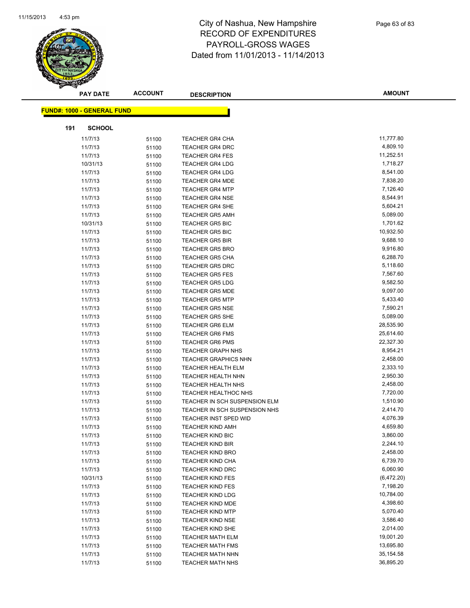

|     | <b>PAY DATE</b>                   | <b>ACCOUNT</b> | <b>DESCRIPTION</b>            | <b>AMOUNT</b> |
|-----|-----------------------------------|----------------|-------------------------------|---------------|
|     |                                   |                |                               |               |
|     | <b>FUND#: 1000 - GENERAL FUND</b> |                |                               |               |
| 191 | <b>SCHOOL</b>                     |                |                               |               |
|     | 11/7/13                           | 51100          | TEACHER GR4 CHA               | 11,777.80     |
|     | 11/7/13                           | 51100          | <b>TEACHER GR4 DRC</b>        | 4,809.10      |
|     | 11/7/13                           | 51100          | <b>TEACHER GR4 FES</b>        | 11,252.51     |
|     | 10/31/13                          | 51100          | <b>TEACHER GR4 LDG</b>        | 1,718.27      |
|     | 11/7/13                           | 51100          | <b>TEACHER GR4 LDG</b>        | 8,541.00      |
|     | 11/7/13                           | 51100          | <b>TEACHER GR4 MDE</b>        | 7,838.20      |
|     | 11/7/13                           | 51100          | <b>TEACHER GR4 MTP</b>        | 7,126.40      |
|     | 11/7/13                           | 51100          | <b>TEACHER GR4 NSE</b>        | 8,544.91      |
|     | 11/7/13                           | 51100          | <b>TEACHER GR4 SHE</b>        | 5,604.21      |
|     | 11/7/13                           | 51100          | <b>TEACHER GR5 AMH</b>        | 5,089.00      |
|     | 10/31/13                          | 51100          | <b>TEACHER GR5 BIC</b>        | 1,701.62      |
|     | 11/7/13                           | 51100          | <b>TEACHER GR5 BIC</b>        | 10,932.50     |
|     | 11/7/13                           | 51100          | <b>TEACHER GR5 BIR</b>        | 9,688.10      |
|     | 11/7/13                           | 51100          | <b>TEACHER GR5 BRO</b>        | 9,916.80      |
|     | 11/7/13                           | 51100          | <b>TEACHER GR5 CHA</b>        | 6,288.70      |
|     | 11/7/13                           | 51100          | <b>TEACHER GR5 DRC</b>        | 5,118.60      |
|     | 11/7/13                           | 51100          | <b>TEACHER GR5 FES</b>        | 7,567.60      |
|     | 11/7/13                           | 51100          | <b>TEACHER GR5 LDG</b>        | 9,582.50      |
|     | 11/7/13                           | 51100          | <b>TEACHER GR5 MDE</b>        | 9,097.00      |
|     | 11/7/13                           | 51100          | <b>TEACHER GR5 MTP</b>        | 5,433.40      |
|     | 11/7/13                           | 51100          | <b>TEACHER GR5 NSE</b>        | 7,590.21      |
|     | 11/7/13                           | 51100          | <b>TEACHER GR5 SHE</b>        | 5,089.00      |
|     | 11/7/13                           | 51100          | TEACHER GR6 ELM               | 28,535.90     |
|     | 11/7/13                           | 51100          | <b>TEACHER GR6 FMS</b>        | 25,614.60     |
|     | 11/7/13                           | 51100          | <b>TEACHER GR6 PMS</b>        | 22,327.30     |
|     | 11/7/13                           | 51100          | <b>TEACHER GRAPH NHS</b>      | 8,954.21      |
|     | 11/7/13                           | 51100          | <b>TEACHER GRAPHICS NHN</b>   | 2,458.00      |
|     | 11/7/13                           | 51100          | <b>TEACHER HEALTH ELM</b>     | 2,333.10      |
|     | 11/7/13                           | 51100          | <b>TEACHER HEALTH NHN</b>     | 2,950.30      |
|     | 11/7/13                           | 51100          | <b>TEACHER HEALTH NHS</b>     | 2,458.00      |
|     | 11/7/13                           | 51100          | TEACHER HEALTHOC NHS          | 7,720.00      |
|     | 11/7/13                           | 51100          | TEACHER IN SCH SUSPENSION ELM | 1,510.90      |
|     | 11/7/13                           | 51100          | TEACHER IN SCH SUSPENSION NHS | 2,414.70      |
|     | 11/7/13                           | 51100          | TEACHER INST SPED WID         | 4,076.39      |
|     | 11/7/13                           | 51100          | <b>TEACHER KIND AMH</b>       | 4,659.80      |
|     | 11/7/13                           | 51100          | TEACHER KIND BIC              | 3,860.00      |
|     | 11/7/13                           | 51100          | <b>TEACHER KIND BIR</b>       | 2,244.10      |
|     | 11/7/13                           | 51100          | <b>TEACHER KIND BRO</b>       | 2,458.00      |
|     | 11/7/13                           | 51100          | <b>TEACHER KIND CHA</b>       | 6,739.70      |
|     | 11/7/13                           | 51100          | <b>TEACHER KIND DRC</b>       | 6,060.90      |
|     | 10/31/13                          | 51100          | <b>TEACHER KIND FES</b>       | (6,472.20)    |
|     | 11/7/13                           | 51100          | <b>TEACHER KIND FES</b>       | 7,198.20      |
|     | 11/7/13                           | 51100          | <b>TEACHER KIND LDG</b>       | 10,784.00     |
|     | 11/7/13                           | 51100          | <b>TEACHER KIND MDE</b>       | 4,398.60      |
|     | 11/7/13                           | 51100          | <b>TEACHER KIND MTP</b>       | 5,070.40      |
|     | 11/7/13                           | 51100          | <b>TEACHER KIND NSE</b>       | 3,586.40      |
|     | 11/7/13                           | 51100          | TEACHER KIND SHE              | 2,014.00      |
|     | 11/7/13                           | 51100          | <b>TEACHER MATH ELM</b>       | 19,001.20     |
|     | 11/7/13                           | 51100          | <b>TEACHER MATH FMS</b>       | 13,695.80     |
|     | 11/7/13                           | 51100          | <b>TEACHER MATH NHN</b>       | 35, 154. 58   |
|     | 11/7/13                           | 51100          | <b>TEACHER MATH NHS</b>       | 36,895.20     |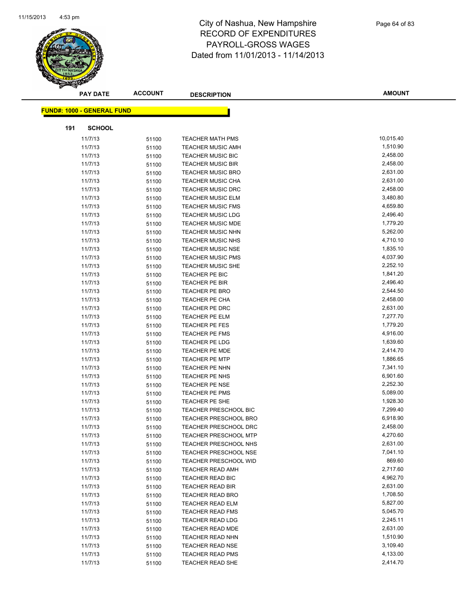

|     | <b>PAY DATE</b>                   | <b>ACCOUNT</b> | <b>DESCRIPTION</b>           | <b>AMOUNT</b> |
|-----|-----------------------------------|----------------|------------------------------|---------------|
|     | <b>FUND#: 1000 - GENERAL FUND</b> |                |                              |               |
|     |                                   |                |                              |               |
| 191 | <b>SCHOOL</b>                     |                |                              |               |
|     | 11/7/13                           | 51100          | <b>TEACHER MATH PMS</b>      | 10,015.40     |
|     | 11/7/13                           | 51100          | <b>TEACHER MUSIC AMH</b>     | 1,510.90      |
|     | 11/7/13                           | 51100          | <b>TEACHER MUSIC BIC</b>     | 2,458.00      |
|     | 11/7/13                           | 51100          | <b>TEACHER MUSIC BIR</b>     | 2,458.00      |
|     | 11/7/13                           | 51100          | TEACHER MUSIC BRO            | 2,631.00      |
|     | 11/7/13                           | 51100          | TEACHER MUSIC CHA            | 2,631.00      |
|     | 11/7/13                           | 51100          | <b>TEACHER MUSIC DRC</b>     | 2,458.00      |
|     | 11/7/13                           | 51100          | <b>TEACHER MUSIC ELM</b>     | 3,480.80      |
|     | 11/7/13                           | 51100          | <b>TEACHER MUSIC FMS</b>     | 4,659.80      |
|     | 11/7/13                           | 51100          | <b>TEACHER MUSIC LDG</b>     | 2,496.40      |
|     | 11/7/13                           | 51100          | <b>TEACHER MUSIC MDE</b>     | 1,779.20      |
|     | 11/7/13                           | 51100          | <b>TEACHER MUSIC NHN</b>     | 5,262.00      |
|     | 11/7/13                           | 51100          | TEACHER MUSIC NHS            | 4,710.10      |
|     | 11/7/13                           | 51100          | <b>TEACHER MUSIC NSE</b>     | 1,835.10      |
|     | 11/7/13                           | 51100          | <b>TEACHER MUSIC PMS</b>     | 4,037.90      |
|     | 11/7/13                           | 51100          | TEACHER MUSIC SHE            | 2,252.10      |
|     | 11/7/13                           | 51100          | TEACHER PE BIC               | 1,841.20      |
|     | 11/7/13                           | 51100          | <b>TEACHER PE BIR</b>        | 2,496.40      |
|     | 11/7/13                           | 51100          | TEACHER PE BRO               | 2,544.50      |
|     | 11/7/13                           | 51100          | TEACHER PE CHA               | 2,458.00      |
|     | 11/7/13                           | 51100          | TEACHER PE DRC               | 2,631.00      |
|     | 11/7/13                           | 51100          | TEACHER PE ELM               | 7,277.70      |
|     | 11/7/13                           | 51100          | TEACHER PE FES               | 1,779.20      |
|     | 11/7/13                           | 51100          | TEACHER PE FMS               | 4,916.00      |
|     | 11/7/13                           | 51100          | TEACHER PE LDG               | 1,639.60      |
|     | 11/7/13                           | 51100          | <b>TEACHER PE MDE</b>        | 2,414.70      |
|     | 11/7/13                           | 51100          | <b>TEACHER PE MTP</b>        | 1,886.65      |
|     | 11/7/13                           | 51100          | TEACHER PE NHN               | 7,341.10      |
|     | 11/7/13                           | 51100          | TEACHER PE NHS               | 6,901.60      |
|     | 11/7/13                           | 51100          | TEACHER PE NSE               | 2,252.30      |
|     | 11/7/13                           | 51100          | TEACHER PE PMS               | 5,089.00      |
|     | 11/7/13                           | 51100          | TEACHER PE SHE               | 1,928.30      |
|     | 11/7/13                           | 51100          | <b>TEACHER PRESCHOOL BIC</b> | 7,299.40      |
|     | 11/7/13                           | 51100          | <b>TEACHER PRESCHOOL BRO</b> | 6,918.90      |
|     | 11/7/13                           | 51100          | <b>TEACHER PRESCHOOL DRC</b> | 2,458.00      |
|     | 11/7/13                           | 51100          | <b>TEACHER PRESCHOOL MTP</b> | 4,270.60      |
|     | 11/7/13                           | 51100          | TEACHER PRESCHOOL NHS        | 2,631.00      |
|     | 11/7/13                           | 51100          | <b>TEACHER PRESCHOOL NSE</b> | 7,041.10      |
|     | 11/7/13                           | 51100          | <b>TEACHER PRESCHOOL WID</b> | 869.60        |
|     | 11/7/13                           | 51100          | TEACHER READ AMH             | 2,717.60      |
|     | 11/7/13                           | 51100          | <b>TEACHER READ BIC</b>      | 4,962.70      |
|     | 11/7/13                           | 51100          | <b>TEACHER READ BIR</b>      | 2,631.00      |
|     | 11/7/13                           | 51100          | TEACHER READ BRO             | 1,708.50      |
|     | 11/7/13                           | 51100          | <b>TEACHER READ ELM</b>      | 5,827.00      |
|     | 11/7/13                           | 51100          | <b>TEACHER READ FMS</b>      | 5,045.70      |
|     | 11/7/13                           | 51100          | <b>TEACHER READ LDG</b>      | 2,245.11      |
|     | 11/7/13                           | 51100          | <b>TEACHER READ MDE</b>      | 2,631.00      |
|     | 11/7/13                           | 51100          | <b>TEACHER READ NHN</b>      | 1,510.90      |
|     | 11/7/13                           | 51100          | <b>TEACHER READ NSE</b>      | 3,109.40      |
|     | 11/7/13                           | 51100          | <b>TEACHER READ PMS</b>      | 4,133.00      |
|     | 11/7/13                           | 51100          | TEACHER READ SHE             | 2,414.70      |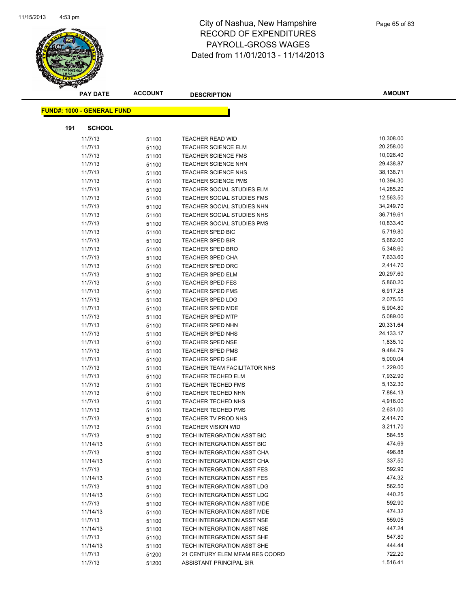

|     | <b>PAY DATE</b>                   | <b>ACCOUNT</b> | <b>DESCRIPTION</b>                                        | <b>AMOUNT</b>    |
|-----|-----------------------------------|----------------|-----------------------------------------------------------|------------------|
|     |                                   |                |                                                           |                  |
|     | <b>FUND#: 1000 - GENERAL FUND</b> |                |                                                           |                  |
| 191 | <b>SCHOOL</b>                     |                |                                                           |                  |
|     | 11/7/13                           | 51100          | TEACHER READ WID                                          | 10,308.00        |
|     | 11/7/13                           | 51100          | <b>TEACHER SCIENCE ELM</b>                                | 20,258.00        |
|     | 11/7/13                           | 51100          | <b>TEACHER SCIENCE FMS</b>                                | 10,026.40        |
|     | 11/7/13                           | 51100          | <b>TEACHER SCIENCE NHN</b>                                | 29,438.87        |
|     | 11/7/13                           | 51100          | <b>TEACHER SCIENCE NHS</b>                                | 38,138.71        |
|     | 11/7/13                           | 51100          | <b>TEACHER SCIENCE PMS</b>                                | 10,394.30        |
|     | 11/7/13                           | 51100          | <b>TEACHER SOCIAL STUDIES ELM</b>                         | 14,285.20        |
|     | 11/7/13                           | 51100          | TEACHER SOCIAL STUDIES FMS                                | 12,563.50        |
|     | 11/7/13                           | 51100          | TEACHER SOCIAL STUDIES NHN                                | 34,249.70        |
|     | 11/7/13                           | 51100          | TEACHER SOCIAL STUDIES NHS                                | 36,719.61        |
|     | 11/7/13                           | 51100          | TEACHER SOCIAL STUDIES PMS                                | 10,833.40        |
|     | 11/7/13                           | 51100          | <b>TEACHER SPED BIC</b>                                   | 5,719.80         |
|     | 11/7/13                           | 51100          | <b>TEACHER SPED BIR</b>                                   | 5,682.00         |
|     | 11/7/13                           | 51100          | <b>TEACHER SPED BRO</b>                                   | 5,348.60         |
|     | 11/7/13                           | 51100          | <b>TEACHER SPED CHA</b>                                   | 7,633.60         |
|     | 11/7/13                           | 51100          | <b>TEACHER SPED DRC</b>                                   | 2,414.70         |
|     | 11/7/13                           | 51100          | <b>TEACHER SPED ELM</b>                                   | 20,297.60        |
|     | 11/7/13                           | 51100          | <b>TEACHER SPED FES</b>                                   | 5,860.20         |
|     | 11/7/13                           | 51100          | <b>TEACHER SPED FMS</b>                                   | 6,917.28         |
|     | 11/7/13                           | 51100          | <b>TEACHER SPED LDG</b>                                   | 2,075.50         |
|     | 11/7/13                           | 51100          | <b>TEACHER SPED MDE</b>                                   | 5,904.80         |
|     | 11/7/13                           | 51100          | <b>TEACHER SPED MTP</b>                                   | 5,089.00         |
|     | 11/7/13                           | 51100          | <b>TEACHER SPED NHN</b>                                   | 20,331.64        |
|     | 11/7/13                           | 51100          | <b>TEACHER SPED NHS</b>                                   | 24,133.17        |
|     | 11/7/13                           | 51100          | <b>TEACHER SPED NSE</b>                                   | 1,835.10         |
|     | 11/7/13                           | 51100          | <b>TEACHER SPED PMS</b>                                   | 9,484.79         |
|     | 11/7/13                           | 51100          | <b>TEACHER SPED SHE</b>                                   | 5,000.04         |
|     | 11/7/13                           | 51100          | TEACHER TEAM FACILITATOR NHS                              | 1,229.00         |
|     | 11/7/13                           | 51100          | <b>TEACHER TECHED ELM</b>                                 | 7,932.90         |
|     | 11/7/13                           | 51100          | <b>TEACHER TECHED FMS</b>                                 | 5,132.30         |
|     | 11/7/13                           | 51100          | <b>TEACHER TECHED NHN</b>                                 | 7,884.13         |
|     | 11/7/13                           | 51100          | <b>TEACHER TECHED NHS</b>                                 | 4,916.00         |
|     | 11/7/13                           | 51100          | <b>TEACHER TECHED PMS</b>                                 | 2,631.00         |
|     | 11/7/13                           | 51100          | TEACHER TV PROD NHS                                       | 2,414.70         |
|     | 11/7/13                           | 51100          | TEACHER VISION WID                                        | 3,211.70         |
|     | 11/7/13                           | 51100          | TECH INTERGRATION ASST BIC                                | 584.55           |
|     | 11/14/13                          | 51100          | TECH INTERGRATION ASST BIC                                | 474.69           |
|     | 11/7/13                           | 51100          | TECH INTERGRATION ASST CHA                                | 496.88           |
|     | 11/14/13                          | 51100          | TECH INTERGRATION ASST CHA                                | 337.50           |
|     | 11/7/13                           | 51100          | TECH INTERGRATION ASST FES                                | 592.90           |
|     | 11/14/13                          | 51100          | TECH INTERGRATION ASST FES                                | 474.32           |
|     | 11/7/13                           | 51100          | TECH INTERGRATION ASST LDG                                | 562.50           |
|     | 11/14/13                          | 51100          | TECH INTERGRATION ASST LDG                                | 440.25<br>592.90 |
|     | 11/7/13                           | 51100          | TECH INTERGRATION ASST MDE                                |                  |
|     | 11/14/13                          | 51100          | TECH INTERGRATION ASST MDE                                | 474.32<br>559.05 |
|     | 11/7/13                           | 51100          | TECH INTERGRATION ASST NSE                                |                  |
|     | 11/14/13                          | 51100          | TECH INTERGRATION ASST NSE                                | 447.24<br>547.80 |
|     | 11/7/13                           | 51100          | TECH INTERGRATION ASST SHE                                | 444.44           |
|     | 11/14/13                          | 51100          | TECH INTERGRATION ASST SHE                                | 722.20           |
|     | 11/7/13<br>11/7/13                | 51200          | 21 CENTURY ELEM MFAM RES COORD<br>ASSISTANT PRINCIPAL BIR | 1,516.41         |
|     |                                   | 51200          |                                                           |                  |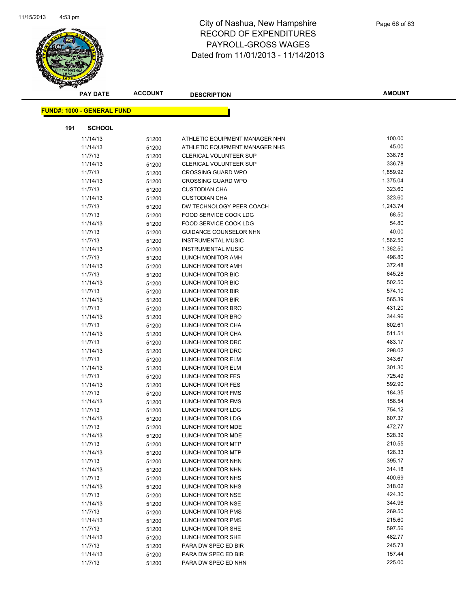

|     | <b>PAY DATE</b>                   | <b>ACCOUNT</b> | <b>DESCRIPTION</b>             | <b>AMOUNT</b> |
|-----|-----------------------------------|----------------|--------------------------------|---------------|
|     | <b>FUND#: 1000 - GENERAL FUND</b> |                |                                |               |
|     |                                   |                |                                |               |
| 191 | <b>SCHOOL</b>                     |                |                                |               |
|     | 11/14/13                          | 51200          | ATHLETIC EQUIPMENT MANAGER NHN | 100.00        |
|     | 11/14/13                          | 51200          | ATHLETIC EQUIPMENT MANAGER NHS | 45.00         |
|     | 11/7/13                           | 51200          | <b>CLERICAL VOLUNTEER SUP</b>  | 336.78        |
|     | 11/14/13                          | 51200          | <b>CLERICAL VOLUNTEER SUP</b>  | 336.78        |
|     | 11/7/13                           | 51200          | <b>CROSSING GUARD WPO</b>      | 1,859.92      |
|     | 11/14/13                          | 51200          | <b>CROSSING GUARD WPO</b>      | 1,375.04      |
|     | 11/7/13                           | 51200          | <b>CUSTODIAN CHA</b>           | 323.60        |
|     | 11/14/13                          | 51200          | <b>CUSTODIAN CHA</b>           | 323.60        |
|     | 11/7/13                           | 51200          | DW TECHNOLOGY PEER COACH       | 1,243.74      |
|     | 11/7/13                           | 51200          | FOOD SERVICE COOK LDG          | 68.50         |
|     | 11/14/13                          | 51200          | FOOD SERVICE COOK LDG          | 54.80         |
|     | 11/7/13                           | 51200          | <b>GUIDANCE COUNSELOR NHN</b>  | 40.00         |
|     | 11/7/13                           | 51200          | <b>INSTRUMENTAL MUSIC</b>      | 1,562.50      |
|     | 11/14/13                          | 51200          | <b>INSTRUMENTAL MUSIC</b>      | 1,362.50      |
|     | 11/7/13                           | 51200          | LUNCH MONITOR AMH              | 496.80        |
|     | 11/14/13                          | 51200          | LUNCH MONITOR AMH              | 372.48        |
|     | 11/7/13                           | 51200          | LUNCH MONITOR BIC              | 645.28        |
|     | 11/14/13                          | 51200          | LUNCH MONITOR BIC              | 502.50        |
|     | 11/7/13                           | 51200          | LUNCH MONITOR BIR              | 574.10        |
|     | 11/14/13                          | 51200          | LUNCH MONITOR BIR              | 565.39        |
|     | 11/7/13                           | 51200          | LUNCH MONITOR BRO              | 431.20        |
|     | 11/14/13                          | 51200          | LUNCH MONITOR BRO              | 344.96        |
|     | 11/7/13                           | 51200          | LUNCH MONITOR CHA              | 602.61        |
|     | 11/14/13                          | 51200          | LUNCH MONITOR CHA              | 511.51        |
|     | 11/7/13                           | 51200          | LUNCH MONITOR DRC              | 483.17        |
|     | 11/14/13                          | 51200          | LUNCH MONITOR DRC              | 298.02        |
|     | 11/7/13                           | 51200          | LUNCH MONITOR ELM              | 343.67        |
|     | 11/14/13                          | 51200          | LUNCH MONITOR ELM              | 301.30        |
|     | 11/7/13                           | 51200          | LUNCH MONITOR FES              | 725.49        |
|     | 11/14/13                          | 51200          | LUNCH MONITOR FES              | 592.90        |
|     | 11/7/13                           | 51200          | LUNCH MONITOR FMS              | 184.35        |
|     | 11/14/13                          | 51200          | LUNCH MONITOR FMS              | 156.54        |
|     | 11/7/13                           | 51200          | LUNCH MONITOR LDG              | 754.12        |
|     | 11/14/13                          | 51200          | LUNCH MONITOR LDG              | 607.37        |
|     | 11/7/13                           | 51200          | LUNCH MONITOR MDE              | 472.77        |
|     | 11/14/13                          | 51200          | LUNCH MONITOR MDE              | 528.39        |
|     | 11/7/13                           | 51200          | LUNCH MONITOR MTP              | 210.55        |
|     | 11/14/13                          | 51200          | <b>LUNCH MONITOR MTP</b>       | 126.33        |
|     | 11/7/13                           | 51200          | LUNCH MONITOR NHN              | 395.17        |
|     | 11/14/13                          | 51200          | LUNCH MONITOR NHN              | 314.18        |
|     | 11/7/13                           | 51200          | LUNCH MONITOR NHS              | 400.69        |
|     | 11/14/13                          | 51200          | LUNCH MONITOR NHS              | 318.02        |
|     | 11/7/13                           | 51200          | <b>LUNCH MONITOR NSE</b>       | 424.30        |
|     | 11/14/13                          | 51200          | LUNCH MONITOR NSE              | 344.96        |
|     | 11/7/13                           | 51200          | LUNCH MONITOR PMS              | 269.50        |
|     | 11/14/13                          | 51200          | LUNCH MONITOR PMS              | 215.60        |
|     | 11/7/13                           | 51200          | LUNCH MONITOR SHE              | 597.56        |
|     | 11/14/13                          | 51200          | LUNCH MONITOR SHE              | 482.77        |
|     | 11/7/13                           | 51200          | PARA DW SPEC ED BIR            | 245.73        |
|     | 11/14/13                          | 51200          | PARA DW SPEC ED BIR            | 157.44        |
|     | 11/7/13                           | 51200          | PARA DW SPEC ED NHN            | 225.00        |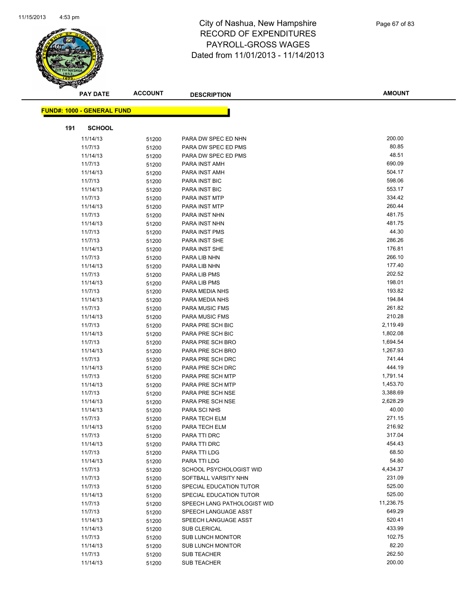

|     | <b>PAY DATE</b>                   | <b>ACCOUNT</b> | <b>DESCRIPTION</b>          | <b>AMOUNT</b> |
|-----|-----------------------------------|----------------|-----------------------------|---------------|
|     | <b>FUND#: 1000 - GENERAL FUND</b> |                |                             |               |
|     |                                   |                |                             |               |
| 191 | <b>SCHOOL</b>                     |                |                             |               |
|     | 11/14/13                          | 51200          | PARA DW SPEC ED NHN         | 200.00        |
|     | 11/7/13                           | 51200          | PARA DW SPEC ED PMS         | 80.85         |
|     | 11/14/13                          | 51200          | PARA DW SPEC ED PMS         | 48.51         |
|     | 11/7/13                           | 51200          | PARA INST AMH               | 690.09        |
|     | 11/14/13                          | 51200          | PARA INST AMH               | 504.17        |
|     | 11/7/13                           | 51200          | PARA INST BIC               | 598.06        |
|     | 11/14/13                          | 51200          | <b>PARA INST BIC</b>        | 553.17        |
|     | 11/7/13                           | 51200          | PARA INST MTP               | 334.42        |
|     | 11/14/13                          | 51200          | PARA INST MTP               | 260.44        |
|     | 11/7/13                           | 51200          | PARA INST NHN               | 481.75        |
|     | 11/14/13                          | 51200          | PARA INST NHN               | 481.75        |
|     | 11/7/13                           | 51200          | <b>PARA INST PMS</b>        | 44.30         |
|     | 11/7/13                           | 51200          | PARA INST SHE               | 286.26        |
|     | 11/14/13                          | 51200          | PARA INST SHE               | 176.81        |
|     | 11/7/13                           | 51200          | PARA LIB NHN                | 266.10        |
|     | 11/14/13                          | 51200          | PARA LIB NHN                | 177.40        |
|     | 11/7/13                           | 51200          | PARA LIB PMS                | 202.52        |
|     | 11/14/13                          | 51200          | PARA LIB PMS                | 198.01        |
|     | 11/7/13                           | 51200          | PARA MEDIA NHS              | 193.82        |
|     | 11/14/13                          | 51200          | PARA MEDIA NHS              | 194.84        |
|     | 11/7/13                           | 51200          | <b>PARA MUSIC FMS</b>       | 261.82        |
|     | 11/14/13                          | 51200          | PARA MUSIC FMS              | 210.28        |
|     | 11/7/13                           | 51200          | PARA PRE SCH BIC            | 2,119.49      |
|     | 11/14/13                          | 51200          | PARA PRE SCH BIC            | 1,802.08      |
|     | 11/7/13                           | 51200          | PARA PRE SCH BRO            | 1,694.54      |
|     | 11/14/13                          | 51200          | PARA PRE SCH BRO            | 1,267.93      |
|     | 11/7/13                           | 51200          | PARA PRE SCH DRC            | 741.44        |
|     | 11/14/13                          | 51200          | PARA PRE SCH DRC            | 444.19        |
|     | 11/7/13                           | 51200          | PARA PRE SCH MTP            | 1,791.14      |
|     | 11/14/13                          | 51200          | PARA PRE SCH MTP            | 1,453.70      |
|     | 11/7/13                           | 51200          | PARA PRE SCH NSE            | 3,388.69      |
|     | 11/14/13                          | 51200          | PARA PRE SCH NSE            | 2,628.29      |
|     | 11/14/13                          | 51200          | PARA SCI NHS                | 40.00         |
|     | 11/7/13                           | 51200          | PARA TECH ELM               | 271.15        |
|     | 11/14/13                          | 51200          | PARA TECH ELM               | 216.92        |
|     | 11/7/13                           | 51200          | PARA TTI DRC                | 317.04        |
|     | 11/14/13                          | 51200          | PARA TTI DRC                | 454.43        |
|     | 11/7/13                           | 51200          | PARA TTI LDG                | 68.50         |
|     | 11/14/13                          | 51200          | PARA TTI LDG                | 54.80         |
|     | 11/7/13                           | 51200          | SCHOOL PSYCHOLOGIST WID     | 4,434.37      |
|     | 11/7/13                           | 51200          | SOFTBALL VARSITY NHN        | 231.09        |
|     | 11/7/13                           | 51200          | SPECIAL EDUCATION TUTOR     | 525.00        |
|     | 11/14/13                          | 51200          | SPECIAL EDUCATION TUTOR     | 525.00        |
|     | 11/7/13                           | 51200          | SPEECH LANG PATHOLOGIST WID | 11,236.75     |
|     | 11/7/13                           | 51200          | SPEECH LANGUAGE ASST        | 649.29        |
|     | 11/14/13                          | 51200          | SPEECH LANGUAGE ASST        | 520.41        |
|     | 11/14/13                          | 51200          | SUB CLERICAL                | 433.99        |
|     | 11/7/13                           | 51200          | SUB LUNCH MONITOR           | 102.75        |
|     | 11/14/13                          | 51200          | <b>SUB LUNCH MONITOR</b>    | 82.20         |
|     | 11/7/13                           | 51200          | <b>SUB TEACHER</b>          | 262.50        |
|     | 11/14/13                          | 51200          | SUB TEACHER                 | 200.00        |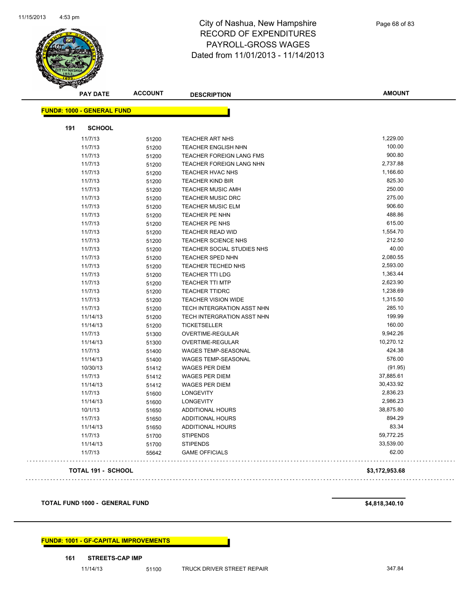

| <b>PAY DATE</b>                   | <b>ACCOUNT</b> | <b>DESCRIPTION</b>              | <b>AMOUNT</b>  |
|-----------------------------------|----------------|---------------------------------|----------------|
| <b>FUND#: 1000 - GENERAL FUND</b> |                |                                 |                |
|                                   |                |                                 |                |
| 191<br><b>SCHOOL</b>              |                |                                 |                |
| 11/7/13                           | 51200          | <b>TEACHER ART NHS</b>          | 1,229.00       |
| 11/7/13                           | 51200          | <b>TEACHER ENGLISH NHN</b>      | 100.00         |
| 11/7/13                           | 51200          | <b>TEACHER FOREIGN LANG FMS</b> | 900.80         |
| 11/7/13                           | 51200          | <b>TEACHER FOREIGN LANG NHN</b> | 2,737.88       |
| 11/7/13                           | 51200          | TEACHER HVAC NHS                | 1,166.60       |
| 11/7/13                           | 51200          | <b>TEACHER KIND BIR</b>         | 825.30         |
| 11/7/13                           | 51200          | TEACHER MUSIC AMH               | 250.00         |
| 11/7/13                           | 51200          | <b>TEACHER MUSIC DRC</b>        | 275.00         |
| 11/7/13                           | 51200          | <b>TEACHER MUSIC ELM</b>        | 906.60         |
| 11/7/13                           | 51200          | TEACHER PE NHN                  | 488.86         |
| 11/7/13                           | 51200          | TEACHER PE NHS                  | 615.00         |
| 11/7/13                           | 51200          | <b>TEACHER READ WID</b>         | 1,554.70       |
| 11/7/13                           | 51200          | <b>TEACHER SCIENCE NHS</b>      | 212.50         |
| 11/7/13                           | 51200          | TEACHER SOCIAL STUDIES NHS      | 40.00          |
| 11/7/13                           | 51200          | <b>TEACHER SPED NHN</b>         | 2,080.55       |
| 11/7/13                           | 51200          | <b>TEACHER TECHED NHS</b>       | 2,593.00       |
| 11/7/13                           | 51200          | <b>TEACHER TTI LDG</b>          | 1,363.44       |
| 11/7/13                           | 51200          | <b>TEACHER TTI MTP</b>          | 2,623.90       |
| 11/7/13                           | 51200          | <b>TEACHER TTIDRC</b>           | 1,238.69       |
| 11/7/13                           | 51200          | TEACHER VISION WIDE             | 1,315.50       |
| 11/7/13                           | 51200          | TECH INTERGRATION ASST NHN      | 285.10         |
| 11/14/13                          | 51200          | TECH INTERGRATION ASST NHN      | 199.99         |
| 11/14/13                          | 51200          | <b>TICKETSELLER</b>             | 160.00         |
| 11/7/13                           | 51300          | OVERTIME-REGULAR                | 9,942.26       |
| 11/14/13                          | 51300          | OVERTIME-REGULAR                | 10,270.12      |
| 11/7/13                           | 51400          | WAGES TEMP-SEASONAL             | 424.38         |
| 11/14/13                          | 51400          | WAGES TEMP-SEASONAL             | 576.00         |
| 10/30/13                          | 51412          | <b>WAGES PER DIEM</b>           | (91.95)        |
| 11/7/13                           | 51412          | <b>WAGES PER DIEM</b>           | 37,885.61      |
| 11/14/13                          | 51412          | <b>WAGES PER DIEM</b>           | 30,433.92      |
| 11/7/13                           | 51600          | <b>LONGEVITY</b>                | 2,836.23       |
| 11/14/13                          | 51600          | <b>LONGEVITY</b>                | 2,986.23       |
| 10/1/13                           | 51650          | <b>ADDITIONAL HOURS</b>         | 38,875.80      |
| 11/7/13                           | 51650          | <b>ADDITIONAL HOURS</b>         | 894.29         |
| 11/14/13                          | 51650          | <b>ADDITIONAL HOURS</b>         | 83.34          |
| 11/7/13                           | 51700          | <b>STIPENDS</b>                 | 59,772.25      |
| 11/14/13                          | 51700          | <b>STIPENDS</b>                 | 33,539.00      |
| 11/7/13                           | 55642          | <b>GAME OFFICIALS</b>           | 62.00          |
| TOTAL 191 - SCHOOL                |                |                                 | \$3.172.953.68 |

 $\sim$  .

**TOTAL FUND 1000 - GENERAL FUND \$4,818,340.10** 

**FUND#: 1001 - GF-CAPITAL IMPROVEMENTS**

**161 STREETS-CAP IMP**

11/14/13 51100 TRUCK DRIVER STREET REPAIR 347.84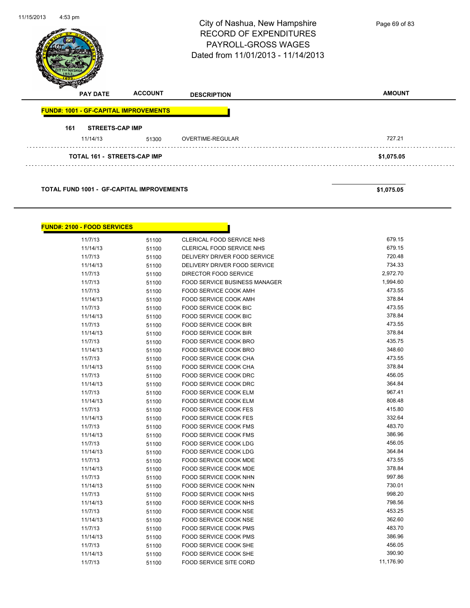| 11/15/2013<br>$4:53$ pm            |                        |                                                  | City of Nashua, New Hampshire<br><b>RECORD OF EXPENDITURES</b><br>PAYROLL-GROSS WAGES<br>Dated from 11/01/2013 - 11/14/2013 | Page 69 of 83    |
|------------------------------------|------------------------|--------------------------------------------------|-----------------------------------------------------------------------------------------------------------------------------|------------------|
|                                    | <b>PAY DATE</b>        | <b>ACCOUNT</b>                                   | <b>DESCRIPTION</b>                                                                                                          | <b>AMOUNT</b>    |
|                                    |                        | <b>FUND#: 1001 - GF-CAPITAL IMPROVEMENTS</b>     |                                                                                                                             |                  |
| 161                                | <b>STREETS-CAP IMP</b> |                                                  |                                                                                                                             |                  |
|                                    | 11/14/13               | 51300                                            | OVERTIME-REGULAR                                                                                                            | 727.21           |
|                                    |                        | <b>TOTAL 161 - STREETS-CAP IMP</b>               |                                                                                                                             | \$1,075.05       |
|                                    |                        | <b>TOTAL FUND 1001 - GF-CAPITAL IMPROVEMENTS</b> |                                                                                                                             | \$1,075.05       |
| <b>FUND#: 2100 - FOOD SERVICES</b> |                        |                                                  |                                                                                                                             |                  |
|                                    | 11/7/13                | 51100                                            | CLERICAL FOOD SERVICE NHS                                                                                                   | 679.15           |
|                                    | 11/14/13               | 51100                                            | CLERICAL FOOD SERVICE NHS                                                                                                   | 679.15           |
|                                    | 11/7/13                | 51100                                            | DELIVERY DRIVER FOOD SERVICE                                                                                                | 720.48           |
|                                    | 11/14/13               | 51100                                            | DELIVERY DRIVER FOOD SERVICE                                                                                                | 734.33           |
|                                    | 11/7/13                | 51100                                            | DIRECTOR FOOD SERVICE                                                                                                       | 2,972.70         |
|                                    | 11/7/13                | 51100                                            | FOOD SERVICE BUSINESS MANAGER                                                                                               | 1,994.60         |
|                                    | 11/7/13                | 51100                                            | FOOD SERVICE COOK AMH                                                                                                       | 473.55           |
|                                    | 11/14/13               | 51100                                            | FOOD SERVICE COOK AMH                                                                                                       | 378.84           |
|                                    | 11/7/13                | 51100                                            | FOOD SERVICE COOK BIC                                                                                                       | 473.55           |
|                                    | 11/14/13               | 51100                                            | FOOD SERVICE COOK BIC                                                                                                       | 378.84<br>473.55 |
|                                    | 11/7/13                | 51100                                            | <b>FOOD SERVICE COOK BIR</b><br>FOOD SERVICE COOK BIR                                                                       | 378.84           |
|                                    | 11/14/13<br>11/7/13    | 51100                                            | FOOD SERVICE COOK BRO                                                                                                       | 435.75           |
|                                    | 11/14/13               | 51100<br>51100                                   | FOOD SERVICE COOK BRO                                                                                                       | 348.60           |
|                                    | 11/7/13                | 51100                                            | FOOD SERVICE COOK CHA                                                                                                       | 473.55           |
|                                    | 11/14/13               | 51100                                            | FOOD SERVICE COOK CHA                                                                                                       | 378.84           |
|                                    | 11/7/13                | 51100                                            | FOOD SERVICE COOK DRC                                                                                                       | 456.05           |
|                                    | 11/14/13               | 51100                                            | FOOD SERVICE COOK DRC                                                                                                       | 364.84           |
|                                    | 11/7/13                | 51100                                            | FOOD SERVICE COOK ELM                                                                                                       | 967.41           |
|                                    | 11/14/13               | 51100                                            | FOOD SERVICE COOK ELM                                                                                                       | 808.48           |
|                                    | 11/7/13                | 51100                                            | FOOD SERVICE COOK FES                                                                                                       | 415.80           |
|                                    | 11/14/13               | 51100                                            | FOOD SERVICE COOK FES                                                                                                       | 332.64           |
|                                    | 11/7/13                | 51100                                            | FOOD SERVICE COOK FMS                                                                                                       | 483.70           |
|                                    | 11/14/13               | 51100                                            | FOOD SERVICE COOK FMS                                                                                                       | 386.96           |
|                                    | 11/7/13                | 51100                                            | FOOD SERVICE COOK LDG                                                                                                       | 456.05           |
|                                    | 11/14/13               | 51100                                            | FOOD SERVICE COOK LDG                                                                                                       | 364.84           |
|                                    | 11/7/13                | 51100                                            | FOOD SERVICE COOK MDE                                                                                                       | 473.55           |
|                                    | 11/14/13               | 51100                                            | FOOD SERVICE COOK MDE                                                                                                       | 378.84           |
|                                    | 11/7/13                | 51100                                            | FOOD SERVICE COOK NHN                                                                                                       | 997.86           |
|                                    | 11/14/13               | 51100                                            | FOOD SERVICE COOK NHN                                                                                                       | 730.01           |

11/7/13 51100 FOOD SERVICE COOK NHS 998.20 11/14/13 51100 FOOD SERVICE COOK NHS 798.56 11/7/13 51100 FOOD SERVICE COOK NSE 453.25 11/14/13 51100 FOOD SERVICE COOK NSE 11/14/13 362.60<br>11/7/13 51100 FOOD SERVICE COOK PMS 483.70

11/14/13 51100 FOOD SERVICE COOK PMS 386.96 11/7/13 51100 FOOD SERVICE COOK SHE 456.05

11/7/13 51100 FOOD SERVICE SITE CORD 51/7/13

11/7/13 51100 FOOD SERVICE COOK PMS

11/14/13 51100 FOOD SERVICE COOK SHE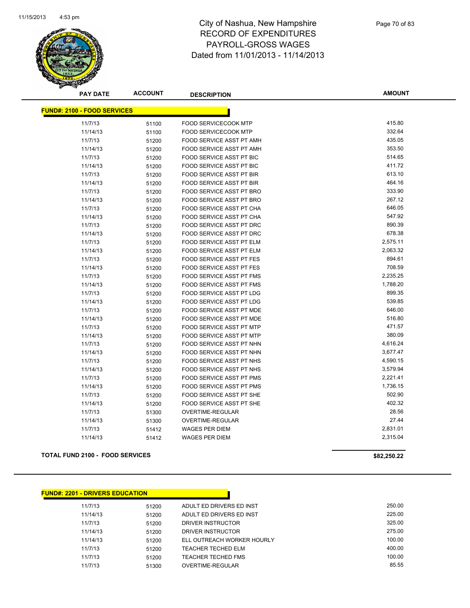

**AMOUNT**

| <b>FUND#: 2100 - FOOD SERVICES</b> |       |                                 |          |
|------------------------------------|-------|---------------------------------|----------|
| 11/7/13                            | 51100 | <b>FOOD SERVICECOOK MTP</b>     | 415.80   |
| 11/14/13                           | 51100 | <b>FOOD SERVICECOOK MTP</b>     | 332.64   |
| 11/7/13                            | 51200 | FOOD SERVICE ASST PT AMH        | 435.05   |
| 11/14/13                           | 51200 | <b>FOOD SERVICE ASST PT AMH</b> | 353.50   |
| 11/7/13                            | 51200 | <b>FOOD SERVICE ASST PT BIC</b> | 514.65   |
| 11/14/13                           | 51200 | <b>FOOD SERVICE ASST PT BIC</b> | 411.72   |
| 11/7/13                            | 51200 | <b>FOOD SERVICE ASST PT BIR</b> | 613.10   |
| 11/14/13                           | 51200 | <b>FOOD SERVICE ASST PT BIR</b> | 464.16   |
| 11/7/13                            | 51200 | FOOD SERVICE ASST PT BRO        | 333.90   |
| 11/14/13                           | 51200 | FOOD SERVICE ASST PT BRO        | 267.12   |
| 11/7/13                            | 51200 | FOOD SERVICE ASST PT CHA        | 646.05   |
| 11/14/13                           | 51200 | <b>FOOD SERVICE ASST PT CHA</b> | 547.92   |
| 11/7/13                            | 51200 | <b>FOOD SERVICE ASST PT DRC</b> | 890.39   |
| 11/14/13                           | 51200 | <b>FOOD SERVICE ASST PT DRC</b> | 678.38   |
| 11/7/13                            | 51200 | <b>FOOD SERVICE ASST PT ELM</b> | 2,575.11 |
| 11/14/13                           | 51200 | FOOD SERVICE ASST PT ELM        | 2,063.32 |
| 11/7/13                            | 51200 | <b>FOOD SERVICE ASST PT FES</b> | 894.61   |
| 11/14/13                           | 51200 | <b>FOOD SERVICE ASST PT FES</b> | 708.59   |
| 11/7/13                            | 51200 | <b>FOOD SERVICE ASST PT FMS</b> | 2,235.25 |
| 11/14/13                           | 51200 | <b>FOOD SERVICE ASST PT FMS</b> | 1,788.20 |
| 11/7/13                            | 51200 | FOOD SERVICE ASST PT LDG        | 899.35   |
| 11/14/13                           | 51200 | FOOD SERVICE ASST PT LDG        | 539.85   |
| 11/7/13                            | 51200 | FOOD SERVICE ASST PT MDE        | 646.00   |
| 11/14/13                           | 51200 | FOOD SERVICE ASST PT MDE        | 516.80   |
| 11/7/13                            | 51200 | FOOD SERVICE ASST PT MTP        | 471.57   |
| 11/14/13                           | 51200 | <b>FOOD SERVICE ASST PT MTP</b> | 380.09   |
| 11/7/13                            | 51200 | <b>FOOD SERVICE ASST PT NHN</b> | 4,616.24 |
| 11/14/13                           | 51200 | FOOD SERVICE ASST PT NHN        | 3,677.47 |
| 11/7/13                            | 51200 | FOOD SERVICE ASST PT NHS        | 4,590.15 |
| 11/14/13                           | 51200 | FOOD SERVICE ASST PT NHS        | 3,579.94 |
| 11/7/13                            | 51200 | <b>FOOD SERVICE ASST PT PMS</b> | 2,221.41 |
| 11/14/13                           | 51200 | <b>FOOD SERVICE ASST PT PMS</b> | 1,736.15 |
| 11/7/13                            | 51200 | <b>FOOD SERVICE ASST PT SHE</b> | 502.90   |
| 11/14/13                           | 51200 | <b>FOOD SERVICE ASST PT SHE</b> | 402.32   |
| 11/7/13                            | 51300 | OVERTIME-REGULAR                | 28.56    |
| 11/14/13                           | 51300 | OVERTIME-REGULAR                | 27.44    |
| 11/7/13                            | 51412 | <b>WAGES PER DIEM</b>           | 2,831.01 |
| 11/14/13                           | 51412 | <b>WAGES PER DIEM</b>           | 2,315.04 |

#### **TOTAL FUND 2100 - FOOD SERVICES \$82,250.22**

| <b>FUND#: 2201 - DRIVERS EDUCATION</b> |       |                            |        |  |  |  |  |  |
|----------------------------------------|-------|----------------------------|--------|--|--|--|--|--|
| 11/7/13                                | 51200 | ADULT ED DRIVERS ED INST   | 250.00 |  |  |  |  |  |
| 11/14/13                               | 51200 | ADULT ED DRIVERS ED INST   | 225.00 |  |  |  |  |  |
| 11/7/13                                | 51200 | DRIVER INSTRUCTOR          | 325.00 |  |  |  |  |  |
| 11/14/13                               | 51200 | DRIVER INSTRUCTOR          | 275.00 |  |  |  |  |  |
| 11/14/13                               | 51200 | ELL OUTREACH WORKER HOURLY | 100.00 |  |  |  |  |  |
| 11/7/13                                | 51200 | TEACHER TECHED ELM         | 400.00 |  |  |  |  |  |
| 11/7/13                                | 51200 | <b>TEACHER TECHED FMS</b>  | 100.00 |  |  |  |  |  |
| 11/7/13                                | 51300 | OVERTIME-REGULAR           | 85.55  |  |  |  |  |  |
|                                        |       |                            |        |  |  |  |  |  |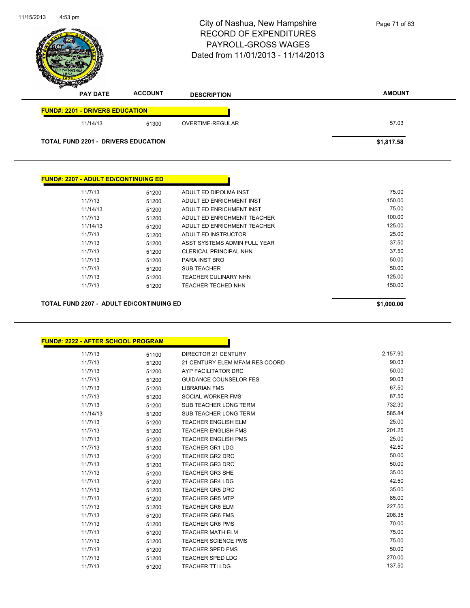|                                             |                | City of Nashua, New Hampshire<br><b>RECORD OF EXPENDITURES</b><br><b>PAYROLL-GROSS WAGES</b><br>Dated from 11/01/2013 - 11/14/2013 | Page 71 of 83 |
|---------------------------------------------|----------------|------------------------------------------------------------------------------------------------------------------------------------|---------------|
| <b>PAY DATE</b>                             | <b>ACCOUNT</b> | <b>DESCRIPTION</b>                                                                                                                 | <b>AMOUNT</b> |
| <b>FUND#: 2201 - DRIVERS EDUCATION</b>      |                |                                                                                                                                    |               |
| 11/14/13                                    | 51300          | OVERTIME-REGULAR                                                                                                                   | 57.03         |
| <b>TOTAL FUND 2201 - DRIVERS EDUCATION</b>  |                |                                                                                                                                    | \$1,817.58    |
|                                             |                |                                                                                                                                    |               |
|                                             |                |                                                                                                                                    |               |
| <b>FUND#: 2207 - ADULT ED/CONTINUING ED</b> |                |                                                                                                                                    |               |

11/7/13 51200 ADULT ED DIPOLMA INST 75.00 11/7/13 51200 ADULT ED ENRICHMENT INST 11/14/13 51200 ADULT ED ENRICHMENT INST 600 ADULT ED ENRICHMENT INST 11/7/13 51200 ADULT ED ENRICHMENT TEACHER 100.00 11/14/13 51200 ADULT ED ENRICHMENT TEACHER 125.00 11/7/13 51200 ADULT ED INSTRUCTOR 25.00 11/7/13 51200 ASST SYSTEMS ADMIN FULL YEAR 37.50 11/7/13 51200 CLERICAL PRINCIPAL NHN 57.50 11/7/13 51200 PARA INST BRO 50.00 11/7/13 51200 SUB TEACHER 50.00 11/7/13 51200 TEACHER CULINARY NHN 125.00 51260 11/7/13 51200 TEACHER TECHED NHN 150.00 51200 **TOTAL FUND 2207 - ADULT ED/CONTINUING ED \$1,000.00** 

11/7/13 51100 DIRECTOR 21 CENTURY 10 2,157.90 11/7/13 51200 21 CENTURY ELEM MFAM RES COORD 90.03 11/7/13 51200 AYP FACILITATOR DRC 50.00 11/7/13 51200 GUIDANCE COUNSELOR FES 90.03 11/7/13 51200 LIBRARIAN FMS 67.50 11/7/13 51200 SOCIAL WORKER FMS 67.50 11/7/13 51200 SUB TEACHER LONG TERM 732.30 11/14/13 51200 SUB TEACHER LONG TERM 585.84 11/7/13 51200 TEACHER ENGLISH ELM 25.00 11/7/13 51200 TEACHER ENGLISH FMS 201.25 11/7/13 51200 TEACHER ENGLISH PMS 25.00 11/7/13 51200 TEACHER GR1 LDG 42.50 11/7/13 51200 TEACHER GR2 DRC 50.00 11/7/13 51200 TEACHER GR3 DRC 50.00 11/7/13 51200 TEACHER GR3 SHE 35.00 11/7/13 51200 TEACHER GR4 LDG 42.50 11/7/13 51200 TEACHER GR5 DRC 35.00 11/7/13 51200 TEACHER GR5 MTP 65.00 11/7/13 51200 TEACHER GR6 ELM 227.50 11/7/13 51200 TEACHER GR6 FMS 208.35 11/7/13 51200 TEACHER GR6 PMS 70.00 11/7/13 51200 TEACHER MATH ELM **11/7/13** 75.00 11/7/13 51200 TEACHER SCIENCE PMS 75.00

> 11/7/13 51200 TEACHER SPED FMS 50.00 11/7/13 51200 TEACHER SPED LDG 270.00 11/7/13 51200 TEACHER TTI LDG 137.50

11/15/2013

 $4:53$  pm

**FUND#: 2222 - AFTER SCHOOL PROGRAM**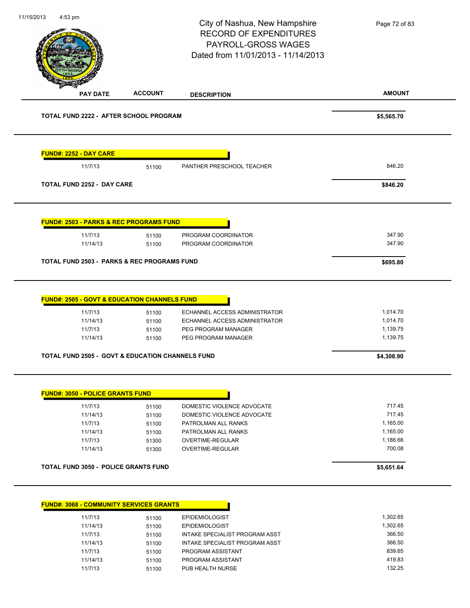11/15/2013 **AMOUNT** 4:53 pm City of Nashua, New Hampshire RECORD OF EXPENDITURES PAYROLL-GROSS WAGES Dated from 11/01/2013 - 11/14/2013 **PAY DATE ACCOUNT DESCRIPTION TOTAL FUND 2222 - AFTER SCHOOL PROGRAM \$5,565.70 FUND#: 2252 - DAY CARE** 11/7/13 51100 PANTHER PRESCHOOL TEACHER 846.20 **TOTAL FUND 2252 - DAY CARE \$846.20 FUND#: 2503 - PARKS & REC PROGRAMS FUND** 11/7/13 51100 PROGRAM COORDINATOR 347.90 11/14/13 51100 PROGRAM COORDINATOR 347.90 **TOTAL FUND 2503 - PARKS & REC PROGRAMS FUND \$695.80 FUND#: 2505 - GOVT & EDUCATION CHANNELS FUND** 11/7/13 51100 ECHANNEL ACCESS ADMINISTRATOR 1,014.70 11/14/13 51100 ECHANNEL ACCESS ADMINISTRATOR 1,014.70 11/7/13 51100 PEG PROGRAM MANAGER 1,139.75 11/14/13 51100 PEG PROGRAM MANAGER 1,139.75 **TOTAL FUND 2505 - GOVT & EDUCATION CHANNELS FUND \$4,308.90 FUND#: 3050 - POLICE GRANTS FUND** 11/7/13 51100 DOMESTIC VIOLENCE ADVOCATE 717.45 11/14/13 51100 DOMESTIC VIOLENCE ADVOCATE 717.45 11/7/13 51100 PATROLMAN ALL RANKS 1,165.00 11/14/13 51100 PATROLMAN ALL RANKS 1,165.00 11/7/13 51300 OVERTIME-REGULAR 1,186.66 11/14/13 51300 OVERTIME-REGULAR 700.08 **TOTAL FUND 3050 - POLICE GRANTS FUND \$5,651.64 FUND#: 3068 - COMMUNITY SERVICES GRANTS** 11/7/13 51100 EPIDEMIOLOGIST 1,302.65 11/14/13 51100 EPIDEMIOLOGIST 1,302.65 11/7/13 51100 INTAKE SPECIALIST PROGRAM ASST 366.50 11/14/13 51100 INTAKE SPECIALIST PROGRAM ASST 366.50 11/7/13 51100 PROGRAM ASSISTANT 839.65 Page 72 of 83

> 11/14/13 51100 PROGRAM ASSISTANT 419.83 11/7/13 51100 PUB HEALTH NURSE 132.25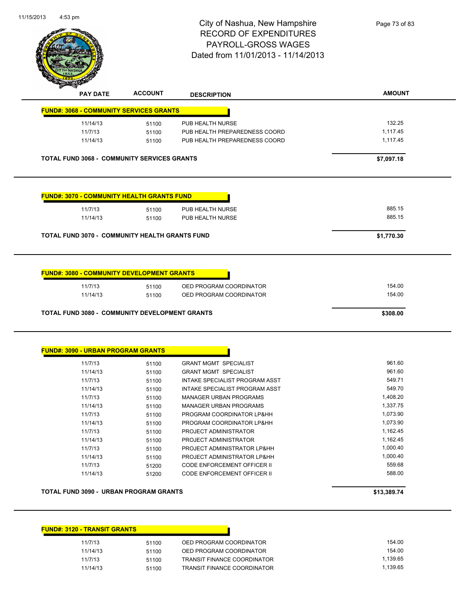

|                                                    | <b>ACCOUNT</b> | <b>DESCRIPTION</b>                                 | <b>AMOUNT</b>    |
|----------------------------------------------------|----------------|----------------------------------------------------|------------------|
| <b>FUND#: 3068 - COMMUNITY SERVICES GRANTS</b>     |                |                                                    |                  |
| 11/14/13                                           | 51100          | PUB HEALTH NURSE                                   | 132.25           |
| 11/7/13                                            | 51100          | PUB HEALTH PREPAREDNESS COORD                      | 1,117.45         |
| 11/14/13                                           | 51100          | PUB HEALTH PREPAREDNESS COORD                      | 1,117.45         |
| <b>TOTAL FUND 3068 - COMMUNITY SERVICES GRANTS</b> |                |                                                    | \$7,097.18       |
| <b>FUND#: 3070 - COMMUNITY HEALTH GRANTS FUND</b>  |                |                                                    |                  |
| 11/7/13                                            | 51100          | PUB HEALTH NURSE                                   | 885.15           |
| 11/14/13                                           | 51100          | PUB HEALTH NURSE                                   | 885.15           |
|                                                    |                |                                                    |                  |
|                                                    |                |                                                    |                  |
| <b>FUND#: 3080 - COMMUNITY DEVELOPMENT GRANTS</b>  |                |                                                    |                  |
| 11/7/13<br>11/14/13                                | 51100<br>51100 | OED PROGRAM COORDINATOR<br>OED PROGRAM COORDINATOR | 154.00<br>154.00 |

| 11/7/13  | 51100 | INTAKE SPECIALIST PROGRAM ASST | 549.71   |
|----------|-------|--------------------------------|----------|
| 11/14/13 | 51100 | INTAKE SPECIALIST PROGRAM ASST | 549.70   |
| 11/7/13  | 51100 | MANAGER URBAN PROGRAMS         | 1.408.20 |
| 11/14/13 | 51100 | <b>MANAGER URBAN PROGRAMS</b>  | 1,337.75 |
| 11/7/13  | 51100 | PROGRAM COORDINATOR LP&HH      | 1.073.90 |
| 11/14/13 | 51100 | PROGRAM COORDINATOR LP&HH      | 1.073.90 |
| 11/7/13  | 51100 | PROJECT ADMINISTRATOR          | 1.162.45 |
| 11/14/13 | 51100 | PROJECT ADMINISTRATOR          | 1.162.45 |
| 11/7/13  | 51100 | PROJECT ADMINISTRATOR LP&HH    | 1.000.40 |
| 11/14/13 | 51100 | PROJECT ADMINISTRATOR LP&HH    | 1.000.40 |
| 11/7/13  | 51200 | CODE ENFORCEMENT OFFICER II    | 559.68   |
| 11/14/13 | 51200 | CODE ENFORCEMENT OFFICER II    | 588.00   |
|          |       |                                |          |

**TOTAL FUND 3090 - URBAN PROGRAM GRANTS \$13,389.74** 

| <b>FUND#: 3120 - TRANSIT GRANTS</b> |       |                                    |          |
|-------------------------------------|-------|------------------------------------|----------|
| 11/7/13                             | 51100 | OED PROGRAM COORDINATOR            | 154.00   |
| 11/14/13                            | 51100 | OED PROGRAM COORDINATOR            | 154.00   |
| 11/7/13                             | 51100 | <b>TRANSIT FINANCE COORDINATOR</b> | 1,139.65 |
| 11/14/13                            | 51100 | <b>TRANSIT FINANCE COORDINATOR</b> | 1.139.65 |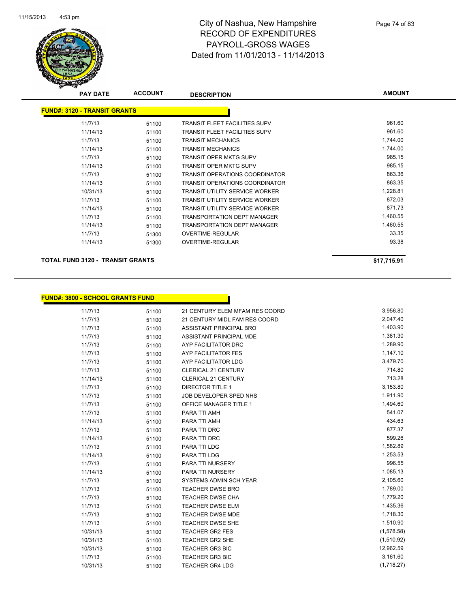

| <b>PAY DATE</b>                     | <b>ACCOUNT</b> | <b>DESCRIPTION</b>                    | <b>AMOUNT</b> |
|-------------------------------------|----------------|---------------------------------------|---------------|
| <b>FUND#: 3120 - TRANSIT GRANTS</b> |                |                                       |               |
| 11/7/13                             | 51100          | TRANSIT FLEET FACILITIES SUPV         | 961.60        |
| 11/14/13                            | 51100          | <b>TRANSIT FLEET FACILITIES SUPV</b>  | 961.60        |
| 11/7/13                             | 51100          | <b>TRANSIT MECHANICS</b>              | 1,744.00      |
| 11/14/13                            | 51100          | <b>TRANSIT MECHANICS</b>              | 1.744.00      |
| 11/7/13                             | 51100          | <b>TRANSIT OPER MKTG SUPV</b>         | 985.15        |
| 11/14/13                            | 51100          | <b>TRANSIT OPER MKTG SUPV</b>         | 985.15        |
| 11/7/13                             | 51100          | <b>TRANSIT OPERATIONS COORDINATOR</b> | 863.36        |
| 11/14/13                            | 51100          | <b>TRANSIT OPERATIONS COORDINATOR</b> | 863.35        |
| 10/31/13                            | 51100          | <b>TRANSIT UTILITY SERVICE WORKER</b> | 1,228.81      |
| 11/7/13                             | 51100          | <b>TRANSIT UTILITY SERVICE WORKER</b> | 872.03        |
| 11/14/13                            | 51100          | <b>TRANSIT UTILITY SERVICE WORKER</b> | 871.73        |
| 11/7/13                             | 51100          | <b>TRANSPORTATION DEPT MANAGER</b>    | 1,460.55      |
| 11/14/13                            | 51100          | <b>TRANSPORTATION DEPT MANAGER</b>    | 1,460.55      |
| 11/7/13                             | 51300          | OVERTIME-REGULAR                      | 33.35         |
| 11/14/13                            | 51300          | <b>OVERTIME-REGULAR</b>               | 93.38         |

### **TOTAL FUND 3120 - TRANSIT GRANTS \$17,715.91**

|  | FUND#: 3800 - SCHOOL GRANTS FUND_ |
|--|-----------------------------------|
|  |                                   |

| D#: 3800 - SCHOOL GRANTS FUND |       |                                |            |  |  |
|-------------------------------|-------|--------------------------------|------------|--|--|
| 11/7/13                       | 51100 | 21 CENTURY ELEM MFAM RES COORD | 3,956.80   |  |  |
| 11/7/13                       | 51100 | 21 CENTURY MIDL FAM RES COORD  | 2,047.40   |  |  |
| 11/7/13                       | 51100 | ASSISTANT PRINCIPAL BRO        | 1,403.90   |  |  |
| 11/7/13                       | 51100 | ASSISTANT PRINCIPAL MDE        | 1,381.30   |  |  |
| 11/7/13                       | 51100 | AYP FACILITATOR DRC            | 1,289.90   |  |  |
| 11/7/13                       | 51100 | <b>AYP FACILITATOR FES</b>     | 1,147.10   |  |  |
| 11/7/13                       | 51100 | AYP FACILITATOR LDG            | 3,479.70   |  |  |
| 11/7/13                       | 51100 | <b>CLERICAL 21 CENTURY</b>     | 714.80     |  |  |
| 11/14/13                      | 51100 | <b>CLERICAL 21 CENTURY</b>     | 713.28     |  |  |
| 11/7/13                       | 51100 | <b>DIRECTOR TITLE 1</b>        | 3,153.80   |  |  |
| 11/7/13                       | 51100 | JOB DEVELOPER SPED NHS         | 1,911.90   |  |  |
| 11/7/13                       | 51100 | OFFICE MANAGER TITLE 1         | 1,494.60   |  |  |
| 11/7/13                       | 51100 | PARA TTI AMH                   | 541.07     |  |  |
| 11/14/13                      | 51100 | PARA TTI AMH                   | 434.63     |  |  |
| 11/7/13                       | 51100 | PARA TTI DRC                   | 877.37     |  |  |
| 11/14/13                      | 51100 | PARA TTI DRC                   | 599.26     |  |  |
| 11/7/13                       | 51100 | PARA TTI LDG                   | 1,582.89   |  |  |
| 11/14/13                      | 51100 | PARA TTI LDG                   | 1,253.53   |  |  |
| 11/7/13                       | 51100 | PARA TTI NURSERY               | 996.55     |  |  |
| 11/14/13                      | 51100 | <b>PARA TTI NURSERY</b>        | 1,085.13   |  |  |
| 11/7/13                       | 51100 | SYSTEMS ADMIN SCH YEAR         | 2,105.60   |  |  |
| 11/7/13                       | 51100 | <b>TEACHER DWSE BRO</b>        | 1,789.00   |  |  |
| 11/7/13                       | 51100 | <b>TEACHER DWSE CHA</b>        | 1,779.20   |  |  |
| 11/7/13                       | 51100 | <b>TEACHER DWSE ELM</b>        | 1,435.36   |  |  |
| 11/7/13                       | 51100 | <b>TEACHER DWSE MDE</b>        | 1,718.30   |  |  |
| 11/7/13                       | 51100 | <b>TEACHER DWSE SHE</b>        | 1,510.90   |  |  |
| 10/31/13                      | 51100 | <b>TEACHER GR2 FES</b>         | (1,578.58) |  |  |
| 10/31/13                      | 51100 | <b>TEACHER GR2 SHE</b>         | (1,510.92) |  |  |
| 10/31/13                      | 51100 | <b>TEACHER GR3 BIC</b>         | 12,962.59  |  |  |
| 11/7/13                       | 51100 | <b>TEACHER GR3 BIC</b>         | 3,161.60   |  |  |
| 10/31/13                      | 51100 | <b>TEACHER GR4 LDG</b>         | (1,718.27) |  |  |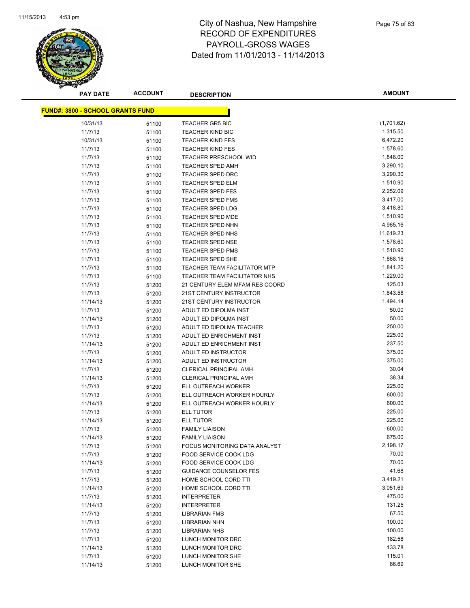

**AMOUNT**

| <b>FUND#: 3800 - SCHOOL GRANTS FUND</b> |       |                                     |            |
|-----------------------------------------|-------|-------------------------------------|------------|
| 10/31/13                                | 51100 | <b>TEACHER GR5 BIC</b>              | (1,701.62) |
| 11/7/13                                 | 51100 | <b>TEACHER KIND BIC</b>             | 1,315.50   |
| 10/31/13                                | 51100 | <b>TEACHER KIND FES</b>             | 6,472.20   |
| 11/7/13                                 | 51100 | <b>TEACHER KIND FES</b>             | 1,578.60   |
| 11/7/13                                 | 51100 | <b>TEACHER PRESCHOOL WID</b>        | 1,848.00   |
| 11/7/13                                 | 51100 | <b>TEACHER SPED AMH</b>             | 3,290.10   |
| 11/7/13                                 | 51100 | <b>TEACHER SPED DRC</b>             | 3,290.30   |
| 11/7/13                                 | 51100 | <b>TEACHER SPED ELM</b>             | 1,510.90   |
| 11/7/13                                 | 51100 | <b>TEACHER SPED FES</b>             | 2,252.09   |
| 11/7/13                                 | 51100 | <b>TEACHER SPED FMS</b>             | 3,417.00   |
| 11/7/13                                 | 51100 | <b>TEACHER SPED LDG</b>             | 3,418.80   |
| 11/7/13                                 | 51100 | <b>TEACHER SPED MDE</b>             | 1,510.90   |
| 11/7/13                                 | 51100 | <b>TEACHER SPED NHN</b>             | 4,965.16   |
| 11/7/13                                 | 51100 | <b>TEACHER SPED NHS</b>             | 11,619.23  |
| 11/7/13                                 | 51100 | <b>TEACHER SPED NSE</b>             | 1,578.60   |
| 11/7/13                                 | 51100 | <b>TEACHER SPED PMS</b>             | 1,510.90   |
| 11/7/13                                 | 51100 | <b>TEACHER SPED SHE</b>             | 1,868.16   |
| 11/7/13                                 | 51100 | <b>TEACHER TEAM FACILITATOR MTP</b> | 1,841.20   |
| 11/7/13                                 | 51100 | <b>TEACHER TEAM FACILITATOR NHS</b> | 1,229.00   |
| 11/7/13                                 | 51200 | 21 CENTURY ELEM MFAM RES COORD      | 125.03     |
| 11/7/13                                 | 51200 | 21ST CENTURY INSTRUCTOR             | 1,843.58   |
| 11/14/13                                | 51200 | 21ST CENTURY INSTRUCTOR             | 1,494.14   |
| 11/7/13                                 | 51200 | ADULT ED DIPOLMA INST               | 50.00      |
| 11/14/13                                | 51200 | ADULT ED DIPOLMA INST               | 50.00      |
| 11/7/13                                 | 51200 | ADULT ED DIPOLMA TEACHER            | 250.00     |
| 11/7/13                                 | 51200 | ADULT ED ENRICHMENT INST            | 225.00     |
| 11/14/13                                | 51200 | ADULT ED ENRICHMENT INST            | 237.50     |
| 11/7/13                                 | 51200 | ADULT ED INSTRUCTOR                 | 375.00     |
| 11/14/13                                | 51200 | ADULT ED INSTRUCTOR                 | 375.00     |
| 11/7/13                                 | 51200 | <b>CLERICAL PRINCIPAL AMH</b>       | 30.04      |
| 11/14/13                                | 51200 | <b>CLERICAL PRINCIPAL AMH</b>       | 38.34      |
| 11/7/13                                 | 51200 | ELL OUTREACH WORKER                 | 225.00     |
| 11/7/13                                 | 51200 | ELL OUTREACH WORKER HOURLY          | 600.00     |
| 11/14/13                                | 51200 | ELL OUTREACH WORKER HOURLY          | 600.00     |
| 11/7/13                                 | 51200 | ELL TUTOR                           | 225.00     |
| 11/14/13                                | 51200 | ELL TUTOR                           | 225.00     |
| 11/7/13                                 | 51200 | <b>FAMILY LIAISON</b>               | 600.00     |
| 11/14/13                                | 51200 | <b>FAMILY LIAISON</b>               | 675.00     |
| 11/7/13                                 | 51200 | FOCUS MONITORING DATA ANALYST       | 2,198.17   |
| 11/7/13                                 | 51200 | FOOD SERVICE COOK LDG               | 70.00      |
| 11/14/13                                | 51200 | <b>FOOD SERVICE COOK LDG</b>        | 70.00      |
| 11/7/13                                 | 51200 | <b>GUIDANCE COUNSELOR FES</b>       | 41.68      |
| 11/7/13                                 | 51200 | HOME SCHOOL CORD TTI                | 3,419.21   |
| 11/14/13                                | 51200 | HOME SCHOOL CORD TTI                | 3,051.69   |
| 11/7/13                                 | 51200 | <b>INTERPRETER</b>                  | 475.00     |
| 11/14/13                                | 51200 | <b>INTERPRETER</b>                  | 131.25     |
| 11/7/13                                 | 51200 | <b>LIBRARIAN FMS</b>                | 67.50      |
| 11/7/13                                 | 51200 | LIBRARIAN NHN                       | 100.00     |
| 11/7/13                                 | 51200 | <b>LIBRARIAN NHS</b>                | 100.00     |
| 11/7/13                                 | 51200 | LUNCH MONITOR DRC                   | 182.58     |
| 11/14/13                                | 51200 | LUNCH MONITOR DRC                   | 133.78     |
| 11/7/13                                 | 51200 | LUNCH MONITOR SHE                   | 115.01     |
| 11/14/13                                | 51200 | LUNCH MONITOR SHE                   | 86.69      |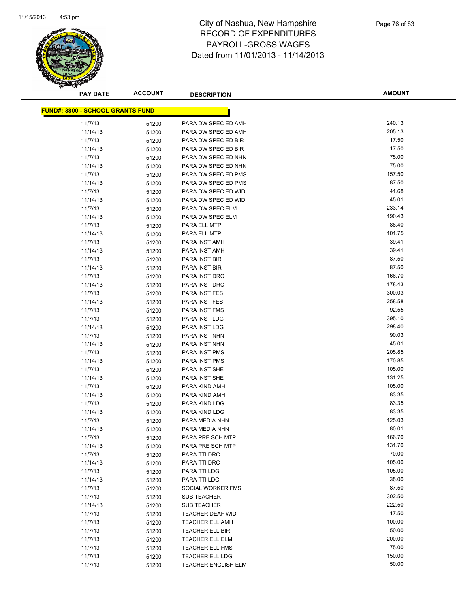

**AMOUNT**

| <b>FUND#: 3800 - SCHOOL GRANTS FUND</b> |                |                                                  |                  |
|-----------------------------------------|----------------|--------------------------------------------------|------------------|
| 11/7/13                                 | 51200          | PARA DW SPEC ED AMH                              | 240.13           |
| 11/14/13                                | 51200          | PARA DW SPEC ED AMH                              | 205.13           |
| 11/7/13                                 | 51200          | PARA DW SPEC ED BIR                              | 17.50            |
| 11/14/13                                | 51200          | PARA DW SPEC ED BIR                              | 17.50            |
| 11/7/13                                 | 51200          | PARA DW SPEC ED NHN                              | 75.00            |
| 11/14/13                                | 51200          | PARA DW SPEC ED NHN                              | 75.00            |
| 11/7/13                                 | 51200          | PARA DW SPEC ED PMS                              | 157.50           |
| 11/14/13                                | 51200          | PARA DW SPEC ED PMS                              | 87.50            |
| 11/7/13                                 | 51200          | PARA DW SPEC ED WID                              | 41.68            |
| 11/14/13                                | 51200          | PARA DW SPEC ED WID                              | 45.01            |
| 11/7/13                                 | 51200          | PARA DW SPEC ELM                                 | 233.14           |
| 11/14/13                                | 51200          | PARA DW SPEC ELM                                 | 190.43           |
| 11/7/13                                 | 51200          | PARA ELL MTP                                     | 88.40            |
| 11/14/13                                | 51200          | PARA ELL MTP                                     | 101.75           |
| 11/7/13                                 | 51200          | PARA INST AMH                                    | 39.41            |
| 11/14/13                                | 51200          | PARA INST AMH                                    | 39.41            |
| 11/7/13                                 | 51200          | PARA INST BIR                                    | 87.50            |
| 11/14/13                                | 51200          | PARA INST BIR                                    | 87.50            |
| 11/7/13                                 | 51200          | <b>PARA INST DRC</b>                             | 166.70           |
| 11/14/13                                | 51200          | PARA INST DRC                                    | 178.43           |
| 11/7/13                                 | 51200          | PARA INST FES                                    | 300.03           |
| 11/14/13                                | 51200          | PARA INST FES                                    | 258.58           |
| 11/7/13                                 | 51200          | PARA INST FMS                                    | 92.55            |
| 11/7/13                                 | 51200          | PARA INST LDG                                    | 395.10           |
| 11/14/13                                | 51200          | PARA INST LDG                                    | 298.40           |
| 11/7/13                                 | 51200          | PARA INST NHN                                    | 90.03            |
| 11/14/13                                | 51200          | PARA INST NHN                                    | 45.01            |
| 11/7/13                                 | 51200          | <b>PARA INST PMS</b>                             | 205.85           |
| 11/14/13                                | 51200          | PARA INST PMS                                    | 170.85           |
| 11/7/13                                 | 51200          | PARA INST SHE                                    | 105.00           |
| 11/14/13                                | 51200          | PARA INST SHE                                    | 131.25           |
| 11/7/13                                 | 51200          | PARA KIND AMH                                    | 105.00           |
| 11/14/13                                | 51200          | PARA KIND AMH                                    | 83.35            |
| 11/7/13                                 | 51200          | PARA KIND LDG                                    | 83.35            |
| 11/14/13                                | 51200          | PARA KIND LDG                                    | 83.35            |
| 11/7/13                                 | 51200          | PARA MEDIA NHN                                   | 125.03           |
| 11/14/13                                | 51200          | PARA MEDIA NHN                                   | 80.01            |
| 11/7/13                                 | 51200          | PARA PRE SCH MTP                                 | 166.70           |
| 11/14/13                                | 51200          | PARA PRE SCH MTP                                 | 131.70           |
| 11/7/13                                 | 51200          | PARA TTI DRC                                     | 70.00            |
| 11/14/13                                | 51200          | PARA TTI DRC                                     | 105.00           |
| 11/7/13                                 | 51200          | PARA TTI LDG                                     | 105.00           |
| 11/14/13                                | 51200          | PARA TTI LDG                                     | 35.00            |
| 11/7/13                                 | 51200          | SOCIAL WORKER FMS                                | 87.50            |
| 11/7/13                                 | 51200          | <b>SUB TEACHER</b>                               | 302.50<br>222.50 |
| 11/14/13                                | 51200          | <b>SUB TEACHER</b>                               | 17.50            |
| 11/7/13                                 | 51200          | <b>TEACHER DEAF WID</b>                          | 100.00           |
| 11/7/13                                 | 51200          | <b>TEACHER ELL AMH</b>                           | 50.00            |
| 11/7/13<br>11/7/13                      | 51200          | <b>TEACHER ELL BIR</b><br><b>TEACHER ELL ELM</b> | 200.00           |
| 11/7/13                                 | 51200          | <b>TEACHER ELL FMS</b>                           | 75.00            |
| 11/7/13                                 | 51200<br>51200 | <b>TEACHER ELL LDG</b>                           | 150.00           |
| 11/7/13                                 | 51200          | <b>TEACHER ENGLISH ELM</b>                       | 50.00            |
|                                         |                |                                                  |                  |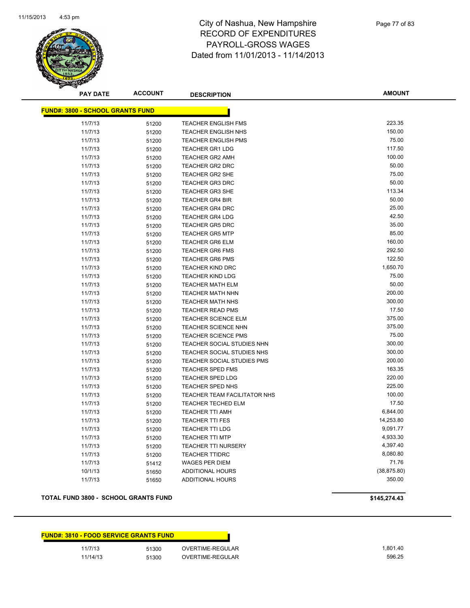

**AMOUNT**

| <b>FUND#: 3800 - SCHOOL GRANTS FUND</b> |       |                              |              |  |  |
|-----------------------------------------|-------|------------------------------|--------------|--|--|
| 11/7/13                                 | 51200 | <b>TEACHER ENGLISH FMS</b>   | 223.35       |  |  |
| 11/7/13                                 | 51200 | TEACHER ENGLISH NHS          | 150.00       |  |  |
| 11/7/13                                 | 51200 | <b>TEACHER ENGLISH PMS</b>   | 75.00        |  |  |
| 11/7/13                                 | 51200 | <b>TEACHER GR1 LDG</b>       | 117.50       |  |  |
| 11/7/13                                 | 51200 | <b>TEACHER GR2 AMH</b>       | 100.00       |  |  |
| 11/7/13                                 | 51200 | <b>TEACHER GR2 DRC</b>       | 50.00        |  |  |
| 11/7/13                                 | 51200 | <b>TEACHER GR2 SHE</b>       | 75.00        |  |  |
| 11/7/13                                 | 51200 | <b>TEACHER GR3 DRC</b>       | 50.00        |  |  |
| 11/7/13                                 | 51200 | <b>TEACHER GR3 SHE</b>       | 113.34       |  |  |
| 11/7/13                                 | 51200 | <b>TEACHER GR4 BIR</b>       | 50.00        |  |  |
| 11/7/13                                 | 51200 | <b>TEACHER GR4 DRC</b>       | 25.00        |  |  |
| 11/7/13                                 | 51200 | <b>TEACHER GR4 LDG</b>       | 42.50        |  |  |
| 11/7/13                                 | 51200 | <b>TEACHER GR5 DRC</b>       | 35.00        |  |  |
| 11/7/13                                 | 51200 | <b>TEACHER GR5 MTP</b>       | 85.00        |  |  |
| 11/7/13                                 | 51200 | <b>TEACHER GR6 ELM</b>       | 160.00       |  |  |
| 11/7/13                                 | 51200 | <b>TEACHER GR6 FMS</b>       | 292.50       |  |  |
| 11/7/13                                 | 51200 | <b>TEACHER GR6 PMS</b>       | 122.50       |  |  |
| 11/7/13                                 | 51200 | <b>TEACHER KIND DRC</b>      | 1,650.70     |  |  |
| 11/7/13                                 | 51200 | <b>TEACHER KIND LDG</b>      | 75.00        |  |  |
| 11/7/13                                 | 51200 | <b>TEACHER MATH ELM</b>      | 50.00        |  |  |
| 11/7/13                                 | 51200 | <b>TEACHER MATH NHN</b>      | 200.00       |  |  |
| 11/7/13                                 | 51200 | <b>TEACHER MATH NHS</b>      | 300.00       |  |  |
| 11/7/13                                 | 51200 | <b>TEACHER READ PMS</b>      | 17.50        |  |  |
| 11/7/13                                 | 51200 | <b>TEACHER SCIENCE ELM</b>   | 375.00       |  |  |
| 11/7/13                                 | 51200 | <b>TEACHER SCIENCE NHN</b>   | 375.00       |  |  |
| 11/7/13                                 | 51200 | <b>TEACHER SCIENCE PMS</b>   | 75.00        |  |  |
| 11/7/13                                 | 51200 | TEACHER SOCIAL STUDIES NHN   | 300.00       |  |  |
| 11/7/13                                 | 51200 | TEACHER SOCIAL STUDIES NHS   | 300.00       |  |  |
| 11/7/13                                 | 51200 | TEACHER SOCIAL STUDIES PMS   | 200.00       |  |  |
| 11/7/13                                 | 51200 | <b>TEACHER SPED FMS</b>      | 163.35       |  |  |
| 11/7/13                                 | 51200 | TEACHER SPED LDG             | 220.00       |  |  |
| 11/7/13                                 | 51200 | TEACHER SPED NHS             | 225.00       |  |  |
| 11/7/13                                 | 51200 | TEACHER TEAM FACILITATOR NHS | 100.00       |  |  |
| 11/7/13                                 | 51200 | TEACHER TECHED ELM           | 17.50        |  |  |
| 11/7/13                                 | 51200 | <b>TEACHER TTI AMH</b>       | 6,844.00     |  |  |
| 11/7/13                                 | 51200 | <b>TEACHER TTI FES</b>       | 14,253.80    |  |  |
| 11/7/13                                 | 51200 | <b>TEACHER TTI LDG</b>       | 9,091.77     |  |  |
| 11/7/13                                 | 51200 | <b>TEACHER TTI MTP</b>       | 4,933.30     |  |  |
| 11/7/13                                 | 51200 | TEACHER TTI NURSERY          | 4,397.40     |  |  |
| 11/7/13                                 | 51200 | <b>TEACHER TTIDRC</b>        | 8,080.80     |  |  |
| 11/7/13                                 | 51412 | <b>WAGES PER DIEM</b>        | 71.76        |  |  |
| 10/1/13                                 | 51650 | <b>ADDITIONAL HOURS</b>      | (38, 875.80) |  |  |
| 11/7/13                                 | 51650 | <b>ADDITIONAL HOURS</b>      | 350.00       |  |  |

### **TOTAL FUND 3800 - SCHOOL GRANTS FUND \$145,274.43**

|          | <b>FUND#: 3810 - FOOD SERVICE GRANTS FUND</b> |                  |
|----------|-----------------------------------------------|------------------|
| 11/7/13  | 51300                                         | OVERTIME-REGULAR |
| 11/14/13 | 51300                                         | OVERTIME-REGULAR |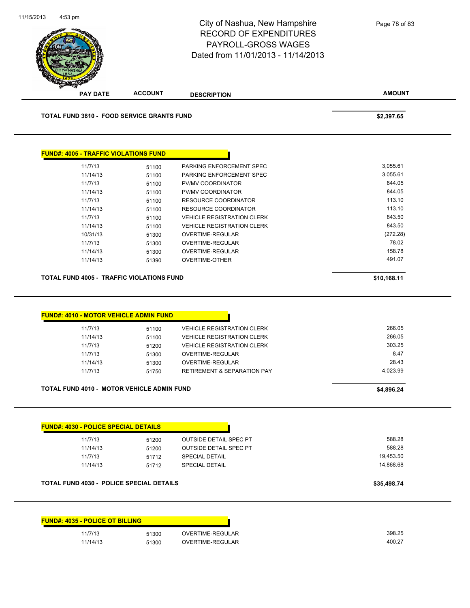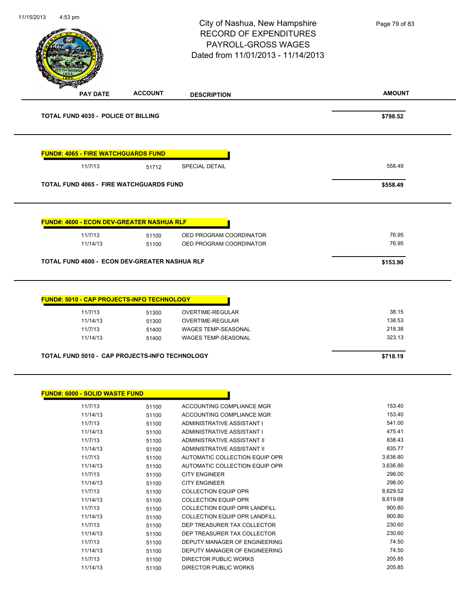| 11/15/2013<br>4:53 pm                 |                                                  | City of Nashua, New Hampshire<br><b>RECORD OF EXPENDITURES</b><br>PAYROLL-GROSS WAGES<br>Dated from 11/01/2013 - 11/14/2013 | Page 79 of 83    |
|---------------------------------------|--------------------------------------------------|-----------------------------------------------------------------------------------------------------------------------------|------------------|
| <b>PAY DATE</b>                       | <b>ACCOUNT</b>                                   | <b>DESCRIPTION</b>                                                                                                          | <b>AMOUNT</b>    |
|                                       | <b>TOTAL FUND 4035 - POLICE OT BILLING</b>       |                                                                                                                             | \$798.52         |
|                                       | <b>FUND#: 4065 - FIRE WATCHGUARDS FUND</b>       |                                                                                                                             |                  |
| 11/7/13                               | 51712                                            | <b>SPECIAL DETAIL</b>                                                                                                       | 558.49           |
|                                       | <b>TOTAL FUND 4065 - FIRE WATCHGUARDS FUND</b>   |                                                                                                                             | \$558.49         |
|                                       | <b>FUND#: 4600 - ECON DEV-GREATER NASHUA RLF</b> |                                                                                                                             |                  |
| 11/7/13<br>11/14/13                   | 51100<br>51100                                   | OED PROGRAM COORDINATOR<br>OED PROGRAM COORDINATOR                                                                          | 76.95<br>76.95   |
|                                       |                                                  |                                                                                                                             |                  |
|                                       | TOTAL FUND 4600 - ECON DEV-GREATER NASHUA RLF    |                                                                                                                             | \$153.90         |
|                                       | FUND#: 5010 - CAP PROJECTS-INFO TECHNOLOGY       |                                                                                                                             |                  |
| 11/7/13                               | 51300                                            | OVERTIME-REGULAR                                                                                                            | 38.15            |
| 11/14/13                              | 51300                                            | OVERTIME-REGULAR                                                                                                            | 138.53           |
| 11/7/13<br>11/14/13                   | 51400<br>51400                                   | <b>WAGES TEMP-SEASONAL</b><br><b>WAGES TEMP-SEASONAL</b>                                                                    | 218.38<br>323.13 |
|                                       | TOTAL FUND 5010 - CAP PROJECTS-INFO TECHNOLOGY   |                                                                                                                             | \$718.19         |
|                                       |                                                  |                                                                                                                             |                  |
| <b>FUND#: 6000 - SOLID WASTE FUND</b> |                                                  |                                                                                                                             |                  |
|                                       |                                                  | ACCOUNTING COMPLIANCE MGR                                                                                                   | 153.40           |
| 11/7/13                               | 51100                                            |                                                                                                                             |                  |
| 11/14/13                              | 51100                                            | ACCOUNTING COMPLIANCE MGR                                                                                                   | 153.40           |
| 11/7/13<br>11/14/13                   | 51100<br>51100                                   | ADMINISTRATIVE ASSISTANT I<br>ADMINISTRATIVE ASSISTANT I                                                                    | 541.00<br>475.41 |
| 11/7/13                               | 51100                                            | ADMINISTRATIVE ASSISTANT II                                                                                                 | 838.43           |
| 11/14/13                              | 51100                                            | ADMINISTRATIVE ASSISTANT II                                                                                                 | 835.77           |
| 11/7/13                               | 51100                                            | AUTOMATIC COLLECTION EQUIP OPR                                                                                              | 3,636.80         |
| 11/14/13                              | 51100                                            | AUTOMATIC COLLECTION EQUIP OPR                                                                                              | 3,636.80         |
| 11/7/13                               | 51100                                            | <b>CITY ENGINEER</b>                                                                                                        | 298.00           |
| 11/14/13                              | 51100                                            | <b>CITY ENGINEER</b>                                                                                                        | 298.00           |
| 11/7/13                               | 51100                                            | <b>COLLECTION EQUIP OPR</b>                                                                                                 | 8,629.52         |
| 11/14/13                              | 51100                                            | <b>COLLECTION EQUIP OPR</b>                                                                                                 | 8,619.68         |
| 11/7/13<br>11/14/13                   | 51100                                            | COLLECTION EQUIP OPR LANDFILL<br><b>COLLECTION EQUIP OPR LANDFILL</b>                                                       | 900.80<br>900.80 |
| 11/7/13                               | 51100<br>51100                                   | DEP TREASURER TAX COLLECTOR                                                                                                 | 230.60           |
| 11/14/13                              | 51100                                            | DEP TREASURER TAX COLLECTOR                                                                                                 | 230.60           |
| 11/7/13                               | 51100                                            | DEPUTY MANAGER OF ENGINEERING                                                                                               | 74.50            |
| 11/14/13                              | 51100                                            | DEPUTY MANAGER OF ENGINEERING                                                                                               | 74.50            |
| 11/7/13                               | 51100                                            | DIRECTOR PUBLIC WORKS                                                                                                       | 205.85<br>205.85 |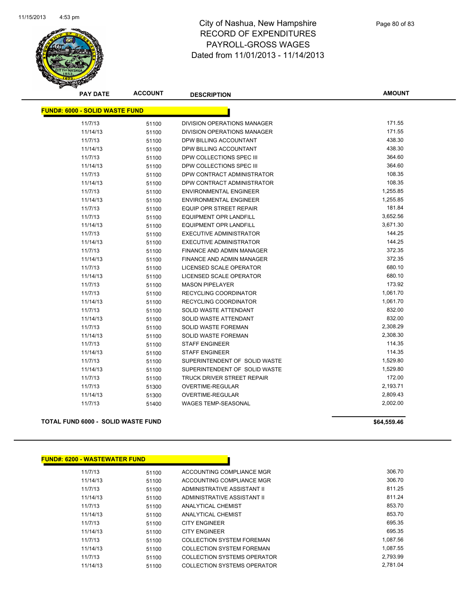

| <b>PAY DATE</b>                       | <b>ACCOUNT</b> | <b>DESCRIPTION</b>               | <b>AMOUNT</b> |
|---------------------------------------|----------------|----------------------------------|---------------|
| <b>FUND#: 6000 - SOLID WASTE FUND</b> |                |                                  |               |
| 11/7/13                               | 51100          | DIVISION OPERATIONS MANAGER      | 171.55        |
| 11/14/13                              | 51100          | DIVISION OPERATIONS MANAGER      | 171.55        |
| 11/7/13                               | 51100          | DPW BILLING ACCOUNTANT           | 438.30        |
| 11/14/13                              | 51100          | DPW BILLING ACCOUNTANT           | 438.30        |
| 11/7/13                               | 51100          | DPW COLLECTIONS SPEC III         | 364.60        |
| 11/14/13                              | 51100          | DPW COLLECTIONS SPEC III         | 364.60        |
| 11/7/13                               | 51100          | DPW CONTRACT ADMINISTRATOR       | 108.35        |
| 11/14/13                              | 51100          | DPW CONTRACT ADMINISTRATOR       | 108.35        |
| 11/7/13                               | 51100          | <b>ENVIRONMENTAL ENGINEER</b>    | 1,255.85      |
| 11/14/13                              | 51100          | <b>ENVIRONMENTAL ENGINEER</b>    | 1,255.85      |
| 11/7/13                               | 51100          | <b>EQUIP OPR STREET REPAIR</b>   | 181.84        |
| 11/7/13                               | 51100          | <b>EQUIPMENT OPR LANDFILL</b>    | 3,652.56      |
| 11/14/13                              | 51100          | <b>EQUIPMENT OPR LANDFILL</b>    | 3,671.30      |
| 11/7/13                               | 51100          | <b>EXECUTIVE ADMINISTRATOR</b>   | 144.25        |
| 11/14/13                              | 51100          | <b>EXECUTIVE ADMINISTRATOR</b>   | 144.25        |
| 11/7/13                               | 51100          | <b>FINANCE AND ADMIN MANAGER</b> | 372.35        |
| 11/14/13                              | 51100          | <b>FINANCE AND ADMIN MANAGER</b> | 372.35        |
| 11/7/13                               | 51100          | LICENSED SCALE OPERATOR          | 680.10        |
| 11/14/13                              | 51100          | LICENSED SCALE OPERATOR          | 680.10        |
| 11/7/13                               | 51100          | <b>MASON PIPELAYER</b>           | 173.92        |
| 11/7/13                               | 51100          | RECYCLING COORDINATOR            | 1,061.70      |
| 11/14/13                              | 51100          | RECYCLING COORDINATOR            | 1,061.70      |
| 11/7/13                               | 51100          | SOLID WASTE ATTENDANT            | 832.00        |
| 11/14/13                              | 51100          | SOLID WASTE ATTENDANT            | 832.00        |
| 11/7/13                               | 51100          | SOLID WASTE FOREMAN              | 2,308.29      |
| 11/14/13                              | 51100          | SOLID WASTE FOREMAN              | 2,308.30      |
| 11/7/13                               | 51100          | <b>STAFF ENGINEER</b>            | 114.35        |
| 11/14/13                              | 51100          | <b>STAFF ENGINEER</b>            | 114.35        |
| 11/7/13                               | 51100          | SUPERINTENDENT OF SOLID WASTE    | 1,529.80      |
| 11/14/13                              | 51100          | SUPERINTENDENT OF SOLID WASTE    | 1,529.80      |
| 11/7/13                               | 51100          | TRUCK DRIVER STREET REPAIR       | 172.00        |
| 11/7/13                               | 51300          | OVERTIME-REGULAR                 | 2,193.71      |
| 11/14/13                              | 51300          | <b>OVERTIME-REGULAR</b>          | 2,809.43      |
| 11/7/13                               | 51400          | <b>WAGES TEMP-SEASONAL</b>       | 2,002.00      |

**TOTAL FUND 6000 - SOLID WASTE FUND \$64,559.46** 

# **FUND#: 6200 - WASTEWATER FUND**

| 11/7/13  | 51100 | ACCOUNTING COMPLIANCE MGR        | 306.70   |
|----------|-------|----------------------------------|----------|
| 11/14/13 | 51100 | ACCOUNTING COMPLIANCE MGR        | 306.70   |
| 11/7/13  | 51100 | ADMINISTRATIVE ASSISTANT II      | 811.25   |
| 11/14/13 | 51100 | ADMINISTRATIVE ASSISTANT II      | 811.24   |
| 11/7/13  | 51100 | ANALYTICAL CHEMIST               | 853.70   |
| 11/14/13 | 51100 | ANALYTICAL CHEMIST               | 853.70   |
| 11/7/13  | 51100 | <b>CITY ENGINEER</b>             | 695.35   |
| 11/14/13 | 51100 | <b>CITY ENGINEER</b>             | 695.35   |
| 11/7/13  | 51100 | <b>COLLECTION SYSTEM FOREMAN</b> | 1.087.56 |
| 11/14/13 | 51100 | <b>COLLECTION SYSTEM FOREMAN</b> | 1,087.55 |
| 11/7/13  | 51100 | COLLECTION SYSTEMS OPERATOR      | 2.793.99 |
| 11/14/13 | 51100 | COLLECTION SYSTEMS OPERATOR      | 2.781.04 |
|          |       |                                  |          |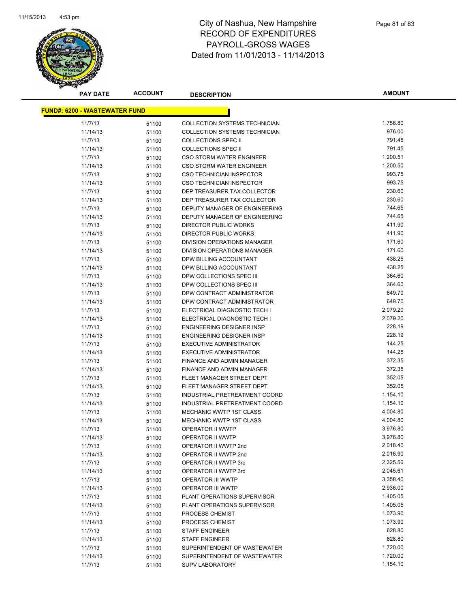

| <b>PAY DATE</b>                      | <b>ACCOUNT</b> | <b>DESCRIPTION</b>               | <b>AMOUNT</b> |
|--------------------------------------|----------------|----------------------------------|---------------|
| <b>FUND#: 6200 - WASTEWATER FUND</b> |                |                                  |               |
|                                      |                |                                  |               |
| 11/7/13                              | 51100          | COLLECTION SYSTEMS TECHNICIAN    | 1,756.80      |
| 11/14/13                             | 51100          | COLLECTION SYSTEMS TECHNICIAN    | 976.00        |
| 11/7/13                              | 51100          | <b>COLLECTIONS SPEC II</b>       | 791.45        |
| 11/14/13                             | 51100          | <b>COLLECTIONS SPEC II</b>       | 791.45        |
| 11/7/13                              | 51100          | <b>CSO STORM WATER ENGINEER</b>  | 1,200.51      |
| 11/14/13                             | 51100          | <b>CSO STORM WATER ENGINEER</b>  | 1,200.50      |
| 11/7/13                              | 51100          | CSO TECHNICIAN INSPECTOR         | 993.75        |
| 11/14/13                             | 51100          | CSO TECHNICIAN INSPECTOR         | 993.75        |
| 11/7/13                              | 51100          | DEP TREASURER TAX COLLECTOR      | 230.60        |
| 11/14/13                             | 51100          | DEP TREASURER TAX COLLECTOR      | 230.60        |
| 11/7/13                              | 51100          | DEPUTY MANAGER OF ENGINEERING    | 744.65        |
| 11/14/13                             | 51100          | DEPUTY MANAGER OF ENGINEERING    | 744.65        |
| 11/7/13                              | 51100          | <b>DIRECTOR PUBLIC WORKS</b>     | 411.90        |
| 11/14/13                             | 51100          | <b>DIRECTOR PUBLIC WORKS</b>     | 411.90        |
| 11/7/13                              | 51100          | DIVISION OPERATIONS MANAGER      | 171.60        |
| 11/14/13                             | 51100          | DIVISION OPERATIONS MANAGER      | 171.60        |
| 11/7/13                              | 51100          | DPW BILLING ACCOUNTANT           | 438.25        |
| 11/14/13                             | 51100          | DPW BILLING ACCOUNTANT           | 438.25        |
| 11/7/13                              | 51100          | DPW COLLECTIONS SPEC III         | 364.60        |
| 11/14/13                             | 51100          | DPW COLLECTIONS SPEC III         | 364.60        |
| 11/7/13                              | 51100          | DPW CONTRACT ADMINISTRATOR       | 649.70        |
| 11/14/13                             | 51100          | DPW CONTRACT ADMINISTRATOR       | 649.70        |
| 11/7/13                              | 51100          | ELECTRICAL DIAGNOSTIC TECH I     | 2,079.20      |
| 11/14/13                             | 51100          | ELECTRICAL DIAGNOSTIC TECH I     | 2,079.20      |
| 11/7/13                              | 51100          | <b>ENGINEERING DESIGNER INSP</b> | 228.19        |
| 11/14/13                             | 51100          | ENGINEERING DESIGNER INSP        | 228.19        |
| 11/7/13                              | 51100          | <b>EXECUTIVE ADMINISTRATOR</b>   | 144.25        |
| 11/14/13                             | 51100          | <b>EXECUTIVE ADMINISTRATOR</b>   | 144.25        |
| 11/7/13                              | 51100          | FINANCE AND ADMIN MANAGER        | 372.35        |
| 11/14/13                             | 51100          | FINANCE AND ADMIN MANAGER        | 372.35        |
| 11/7/13                              | 51100          | FLEET MANAGER STREET DEPT        | 352.05        |
| 11/14/13                             | 51100          | FLEET MANAGER STREET DEPT        | 352.05        |
| 11/7/13                              | 51100          | INDUSTRIAL PRETREATMENT COORD    | 1,154.10      |
| 11/14/13                             | 51100          | INDUSTRIAL PRETREATMENT COORD    | 1,154.10      |
| 11/7/13                              | 51100          | MECHANIC WWTP 1ST CLASS          | 4,004.80      |
| 11/14/13                             | 51100          | MECHANIC WWTP 1ST CLASS          | 4,004.80      |
| 11/7/13                              | 51100          | OPERATOR II WWTP                 | 3,976.80      |
| 11/14/13                             | 51100          | OPERATOR II WWTP                 | 3,976.80      |
| 11/7/13                              | 51100          | OPERATOR II WWTP 2nd             | 2,018.40      |
| 11/14/13                             | 51100          | OPERATOR II WWTP 2nd             | 2,016.90      |
| 11/7/13                              | 51100          | OPERATOR II WWTP 3rd             | 2,325.56      |
| 11/14/13                             | 51100          | OPERATOR II WWTP 3rd             | 2,045.61      |
| 11/7/13                              | 51100          | OPERATOR III WWTP                | 3,358.40      |
| 11/14/13                             | 51100          | OPERATOR III WWTP                | 2,936.00      |
| 11/7/13                              | 51100          | PLANT OPERATIONS SUPERVISOR      | 1,405.05      |
| 11/14/13                             | 51100          | PLANT OPERATIONS SUPERVISOR      | 1,405.05      |
| 11/7/13                              | 51100          | PROCESS CHEMIST                  | 1,073.90      |
| 11/14/13                             | 51100          | PROCESS CHEMIST                  | 1,073.90      |
| 11/7/13                              | 51100          | <b>STAFF ENGINEER</b>            | 628.80        |
| 11/14/13                             | 51100          | <b>STAFF ENGINEER</b>            | 628.80        |
| 11/7/13                              | 51100          | SUPERINTENDENT OF WASTEWATER     | 1,720.00      |
| 11/14/13                             | 51100          | SUPERINTENDENT OF WASTEWATER     | 1,720.00      |
| 11/7/13                              | 51100          | <b>SUPV LABORATORY</b>           | 1,154.10      |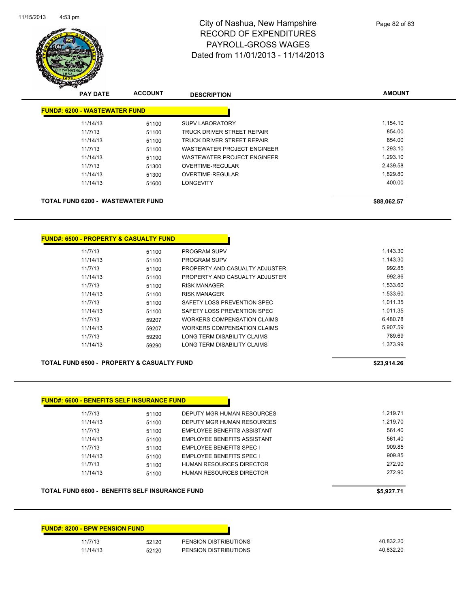

| <b>PAY DATE</b>                      | <b>ACCOUNT</b> | <b>DESCRIPTION</b>                | <b>AMOUNT</b> |
|--------------------------------------|----------------|-----------------------------------|---------------|
| <b>FUND#: 6200 - WASTEWATER FUND</b> |                |                                   |               |
| 11/14/13                             | 51100          | <b>SUPV LABORATORY</b>            | 1.154.10      |
| 11/7/13                              | 51100          | <b>TRUCK DRIVER STREET REPAIR</b> | 854.00        |
| 11/14/13                             | 51100          | TRUCK DRIVER STREET REPAIR        | 854.00        |
| 11/7/13                              | 51100          | WASTEWATER PROJECT ENGINEER       | 1,293.10      |
| 11/14/13                             | 51100          | WASTEWATER PROJECT ENGINEER       | 1.293.10      |
| 11/7/13                              | 51300          | OVERTIME-REGULAR                  | 2,439.58      |
| 11/14/13                             | 51300          | OVERTIME-REGULAR                  | 1,829.80      |
| 11/14/13                             | 51600          | <b>LONGEVITY</b>                  | 400.00        |

**FUND#: 6500 - PROPERTY & CASUALTY FUND**

| 11/7/13  | 51100 | <b>PROGRAM SUPV</b>            | 1.143.30 |
|----------|-------|--------------------------------|----------|
| 11/14/13 | 51100 | <b>PROGRAM SUPV</b>            | 1.143.30 |
| 11/7/13  | 51100 | PROPERTY AND CASUALTY ADJUSTER | 992.85   |
| 11/14/13 | 51100 | PROPERTY AND CASUALTY ADJUSTER | 992.86   |
| 11/7/13  | 51100 | <b>RISK MANAGER</b>            | 1.533.60 |
| 11/14/13 | 51100 | <b>RISK MANAGER</b>            | 1.533.60 |
| 11/7/13  | 51100 | SAFETY LOSS PREVENTION SPEC    | 1.011.35 |
| 11/14/13 | 51100 | SAFETY LOSS PREVENTION SPEC    | 1.011.35 |
| 11/7/13  | 59207 | WORKERS COMPENSATION CLAIMS    | 6.480.78 |
| 11/14/13 | 59207 | WORKERS COMPENSATION CLAIMS    | 5.907.59 |
| 11/7/13  | 59290 | LONG TERM DISABILITY CLAIMS    | 789.69   |
| 11/14/13 | 59290 | LONG TERM DISABILITY CLAIMS    | 1.373.99 |
|          |       |                                |          |

**TOTAL FUND 6500 - PROPERTY & CASUALTY FUND \$23,914.26** 

### **FUND#: 6600 - BENEFITS SELF INSURANCE FUND**

| 11/7/13  | 51100 | DEPUTY MGR HUMAN RESOURCES         | 1.219.71 |
|----------|-------|------------------------------------|----------|
| 11/14/13 | 51100 | DEPUTY MGR HUMAN RESOURCES         | 1.219.70 |
| 11/7/13  | 51100 | EMPLOYEE BENEFITS ASSISTANT        | 561.40   |
| 11/14/13 | 51100 | <b>EMPLOYEE BENEFITS ASSISTANT</b> | 561.40   |
| 11/7/13  | 51100 | <b>EMPLOYEE BENEFITS SPEC I</b>    | 909.85   |
| 11/14/13 | 51100 | <b>EMPLOYEE BENEFITS SPEC I</b>    | 909.85   |
| 11/7/13  | 51100 | HUMAN RESOURCES DIRECTOR           | 272.90   |
| 11/14/13 | 51100 | HUMAN RESOURCES DIRECTOR           | 272.90   |
|          |       |                                    |          |

**TOTAL FUND 6600 - BENEFITS SELF INSURANCE FUND \$5,927.71** 

| <b>FUND#: 8200 - BPW PENSION FUND</b> |       |                       |
|---------------------------------------|-------|-----------------------|
| 11/7/13                               | 52120 | PENSION DISTRIBUTIONS |
| 11/14/13                              | 52120 | PENSION DISTRIBUTIONS |